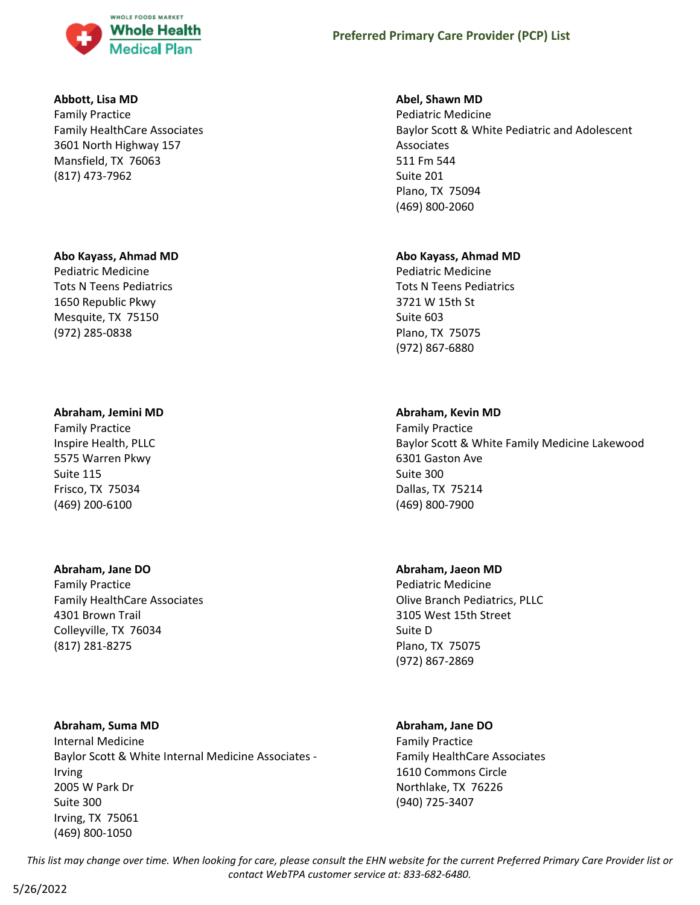

#### **Abbott, Lisa MD**

Family Practice Family HealthCare Associates 3601 North Highway 157 Mansfield, TX 76063 (817) 473-7962

#### **Abo Kayass, Ahmad MD**

Pediatric Medicine Tots N Teens Pediatrics 1650 Republic Pkwy Mesquite, TX 75150 (972) 285-0838

#### **Abraham, Jemini MD**

Family Practice Inspire Health, PLLC 5575 Warren Pkwy Suite 115 Frisco, TX 75034 (469) 200-6100

#### **Abraham, Jane DO**

Family Practice Family HealthCare Associates 4301 Brown Trail Colleyville, TX 76034 (817) 281-8275

#### **Abraham, Suma MD**

Internal Medicine Baylor Scott & White Internal Medicine Associates - Irving 2005 W Park Dr Suite 300 Irving, TX 75061 (469) 800-1050

#### **Abel, Shawn MD**

Pediatric Medicine Baylor Scott & White Pediatric and Adolescent Associates 511 Fm 544 Suite 201 Plano, TX 75094 (469) 800-2060

#### **Abo Kayass, Ahmad MD**

Pediatric Medicine Tots N Teens Pediatrics 3721 W 15th St Suite 603 Plano, TX 75075 (972) 867-6880

#### **Abraham, Kevin MD**

Family Practice Baylor Scott & White Family Medicine Lakewood 6301 Gaston Ave Suite 300 Dallas, TX 75214 (469) 800-7900

#### **Abraham, Jaeon MD**

Pediatric Medicine Olive Branch Pediatrics, PLLC 3105 West 15th Street Suite D Plano, TX 75075 (972) 867-2869

#### **Abraham, Jane DO**

Family Practice Family HealthCare Associates 1610 Commons Circle Northlake, TX 76226 (940) 725-3407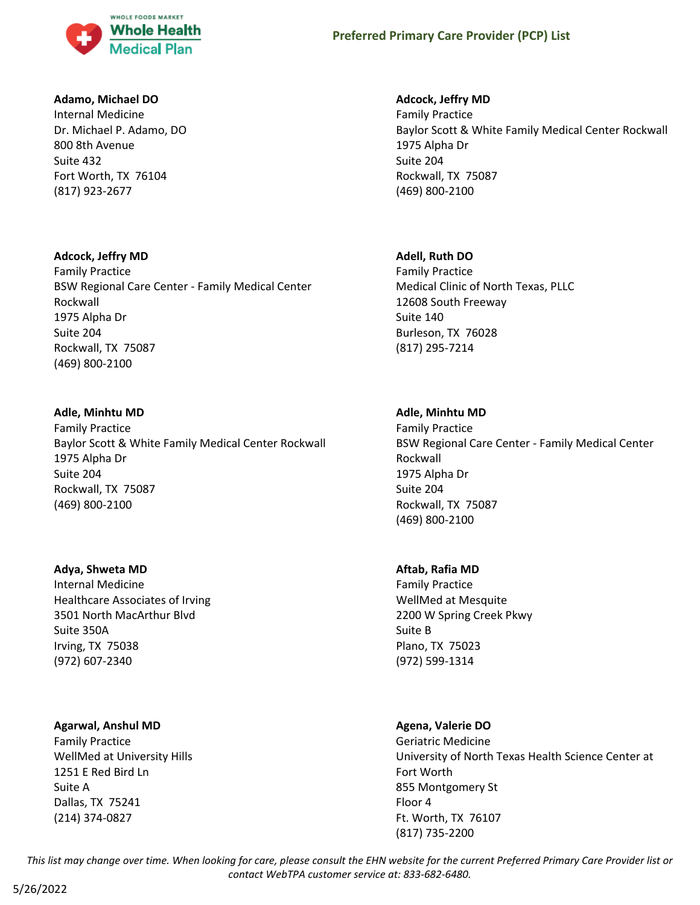

#### **Adamo, Michael DO**

Internal Medicine Dr. Michael P. Adamo, DO 800 8th Avenue Suite 432 Fort Worth, TX 76104 (817) 923-2677

#### **Adcock, Jeffry MD**

Family Practice BSW Regional Care Center - Family Medical Center Rockwall 1975 Alpha Dr Suite 204 Rockwall, TX 75087 (469) 800-2100

#### **Adle, Minhtu MD**

Family Practice Baylor Scott & White Family Medical Center Rockwall 1975 Alpha Dr Suite 204 Rockwall, TX 75087 (469) 800-2100

#### **Adya, Shweta MD**

Internal Medicine Healthcare Associates of Irving 3501 North MacArthur Blvd Suite 350A Irving, TX 75038 (972) 607-2340

### **Agarwal, Anshul MD**

Family Practice WellMed at University Hills 1251 E Red Bird Ln Suite A Dallas, TX 75241 (214) 374-0827

### **Adcock, Jeffry MD**

Family Practice Baylor Scott & White Family Medical Center Rockwall 1975 Alpha Dr Suite 204 Rockwall, TX 75087 (469) 800-2100

### **Adell, Ruth DO**

Family Practice Medical Clinic of North Texas, PLLC 12608 South Freeway Suite 140 Burleson, TX 76028 (817) 295-7214

### **Adle, Minhtu MD**

Family Practice BSW Regional Care Center - Family Medical Center Rockwall 1975 Alpha Dr Suite 204 Rockwall, TX 75087 (469) 800-2100

#### **Aftab, Rafia MD**

Family Practice WellMed at Mesquite 2200 W Spring Creek Pkwy Suite B Plano, TX 75023 (972) 599-1314

#### **Agena, Valerie DO**

Geriatric Medicine University of North Texas Health Science Center at Fort Worth 855 Montgomery St Floor 4 Ft. Worth, TX 76107 (817) 735-2200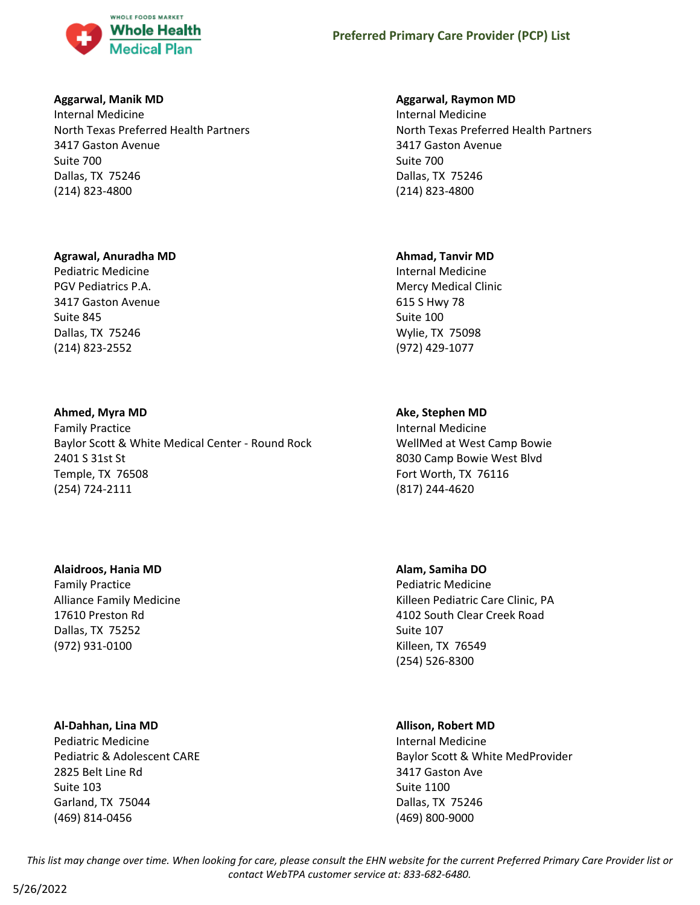

#### **Aggarwal, Manik MD**

Internal Medicine North Texas Preferred Health Partners 3417 Gaston Avenue Suite 700 Dallas, TX 75246 (214) 823-4800

#### **Agrawal, Anuradha MD**

Pediatric Medicine PGV Pediatrics P.A. 3417 Gaston Avenue Suite 845 Dallas, TX 75246 (214) 823-2552

### **Ahmed, Myra MD**

Family Practice Baylor Scott & White Medical Center - Round Rock 2401 S 31st St Temple, TX 76508 (254) 724-2111

### **Alaidroos, Hania MD**

Family Practice Alliance Family Medicine 17610 Preston Rd Dallas, TX 75252 (972) 931-0100

### **Al-Dahhan, Lina MD**

Pediatric Medicine Pediatric & Adolescent CARE 2825 Belt Line Rd Suite 103 Garland, TX 75044 (469) 814-0456

#### **Aggarwal, Raymon MD**

Internal Medicine North Texas Preferred Health Partners 3417 Gaston Avenue Suite 700 Dallas, TX 75246 (214) 823-4800

#### **Ahmad, Tanvir MD**

Internal Medicine Mercy Medical Clinic 615 S Hwy 78 Suite 100 Wylie, TX 75098 (972) 429-1077

# **Ake, Stephen MD**

Internal Medicine WellMed at West Camp Bowie 8030 Camp Bowie West Blvd Fort Worth, TX 76116 (817) 244-4620

### **Alam, Samiha DO**

Pediatric Medicine Killeen Pediatric Care Clinic, PA 4102 South Clear Creek Road Suite 107 Killeen, TX 76549 (254) 526-8300

### **Allison, Robert MD**

Internal Medicine Baylor Scott & White MedProvider 3417 Gaston Ave Suite 1100 Dallas, TX 75246 (469) 800-9000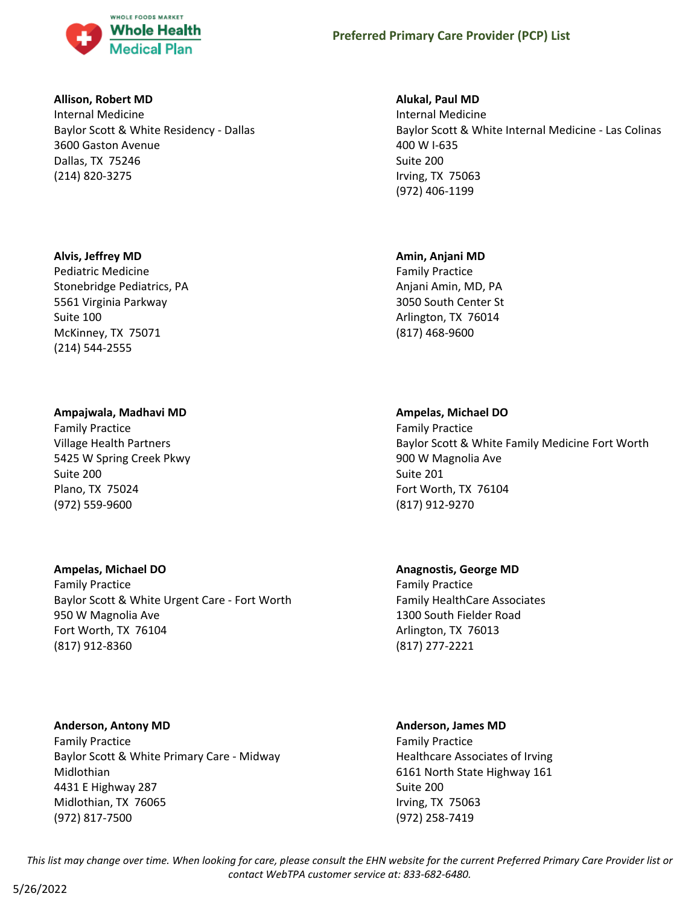

#### **Allison, Robert MD**

Internal Medicine Baylor Scott & White Residency - Dallas 3600 Gaston Avenue Dallas, TX 75246 (214) 820-3275

#### **Alvis, Jeffrey MD**

Pediatric Medicine Stonebridge Pediatrics, PA 5561 Virginia Parkway Suite 100 McKinney, TX 75071 (214) 544-2555

#### **Ampajwala, Madhavi MD**

Family Practice Village Health Partners 5425 W Spring Creek Pkwy Suite 200 Plano, TX 75024 (972) 559-9600

#### **Ampelas, Michael DO**

Family Practice Baylor Scott & White Urgent Care - Fort Worth 950 W Magnolia Ave Fort Worth, TX 76104 (817) 912-8360

#### **Anderson, Antony MD**

Family Practice Baylor Scott & White Primary Care - Midway Midlothian 4431 E Highway 287 Midlothian, TX 76065 (972) 817-7500

#### **Alukal, Paul MD**

Internal Medicine Baylor Scott & White Internal Medicine - Las Colinas 400 W I-635 Suite 200 Irving, TX 75063 (972) 406-1199

#### **Amin, Anjani MD**

Family Practice Anjani Amin, MD, PA 3050 South Center St Arlington, TX 76014 (817) 468-9600

#### **Ampelas, Michael DO**

Family Practice Baylor Scott & White Family Medicine Fort Worth 900 W Magnolia Ave Suite 201 Fort Worth, TX 76104 (817) 912-9270

### **Anagnostis, George MD**

Family Practice Family HealthCare Associates 1300 South Fielder Road Arlington, TX 76013 (817) 277-2221

### **Anderson, James MD**

Family Practice Healthcare Associates of Irving 6161 North State Highway 161 Suite 200 Irving, TX 75063 (972) 258-7419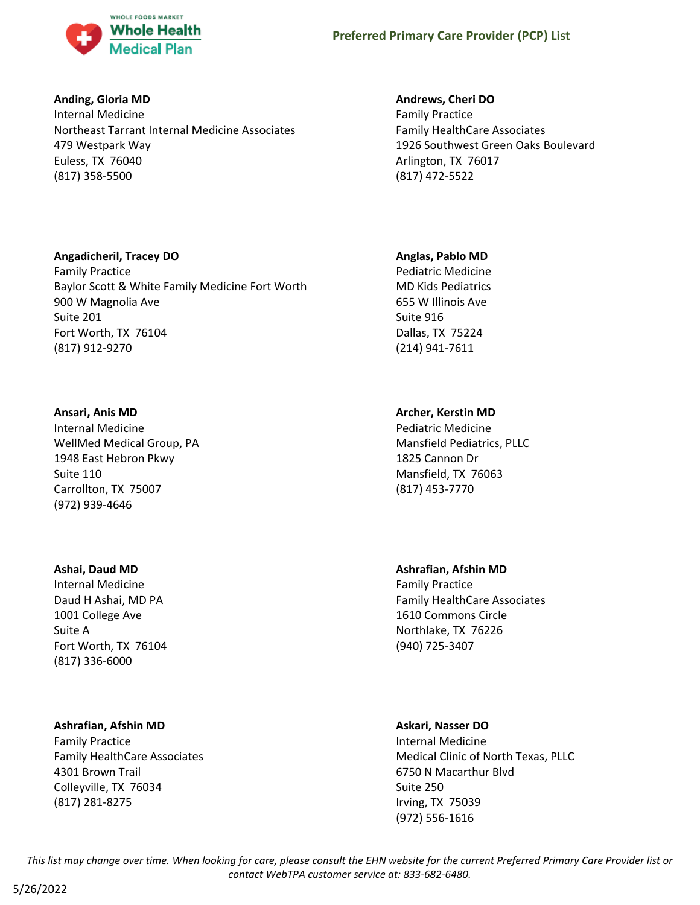

#### **Anding, Gloria MD**

Internal Medicine Northeast Tarrant Internal Medicine Associates 479 Westpark Way Euless, TX 76040 (817) 358-5500

### **Andrews, Cheri DO**

Family Practice Family HealthCare Associates 1926 Southwest Green Oaks Boulevard Arlington, TX 76017 (817) 472-5522

#### **Angadicheril, Tracey DO**

Family Practice Baylor Scott & White Family Medicine Fort Worth 900 W Magnolia Ave Suite 201 Fort Worth, TX 76104 (817) 912-9270

#### **Ansari, Anis MD**

Internal Medicine WellMed Medical Group, PA 1948 East Hebron Pkwy Suite 110 Carrollton, TX 75007 (972) 939-4646

#### **Ashai, Daud MD**

Internal Medicine Daud H Ashai, MD PA 1001 College Ave Suite A Fort Worth, TX 76104 (817) 336-6000

#### **Ashrafian, Afshin MD**

Family Practice Family HealthCare Associates 4301 Brown Trail Colleyville, TX 76034 (817) 281-8275

#### **Anglas, Pablo MD**

Pediatric Medicine MD Kids Pediatrics 655 W Illinois Ave Suite 916 Dallas, TX 75224 (214) 941-7611

# **Archer, Kerstin MD**

Pediatric Medicine Mansfield Pediatrics, PLLC 1825 Cannon Dr Mansfield, TX 76063 (817) 453-7770

#### **Ashrafian, Afshin MD**

Family Practice Family HealthCare Associates 1610 Commons Circle Northlake, TX 76226 (940) 725-3407

### **Askari, Nasser DO**

Internal Medicine Medical Clinic of North Texas, PLLC 6750 N Macarthur Blvd Suite 250 Irving, TX 75039 (972) 556-1616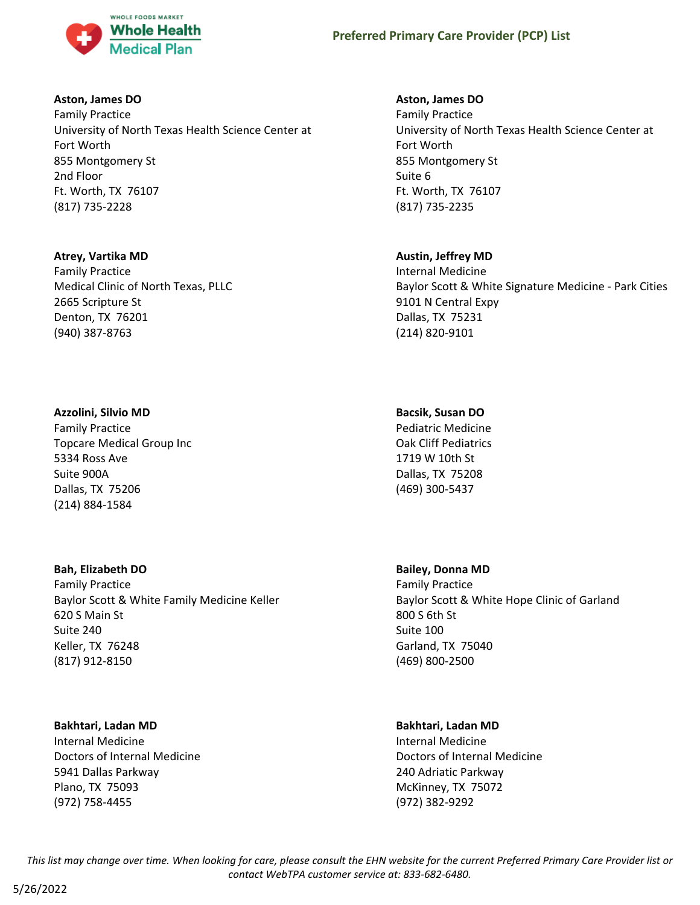

#### **Aston, James DO**

Family Practice University of North Texas Health Science Center at Fort Worth 855 Montgomery St 2nd Floor Ft. Worth, TX 76107 (817) 735-2228

#### **Atrey, Vartika MD**

Family Practice Medical Clinic of North Texas, PLLC 2665 Scripture St Denton, TX 76201 (940) 387-8763

#### **Azzolini, Silvio MD**

Family Practice Topcare Medical Group Inc 5334 Ross Ave Suite 900A Dallas, TX 75206 (214) 884-1584

### **Bah, Elizabeth DO**

Family Practice Baylor Scott & White Family Medicine Keller 620 S Main St Suite 240 Keller, TX 76248 (817) 912-8150

#### **Bakhtari, Ladan MD**

Internal Medicine Doctors of Internal Medicine 5941 Dallas Parkway Plano, TX 75093 (972) 758-4455

#### **Aston, James DO**

Family Practice University of North Texas Health Science Center at Fort Worth 855 Montgomery St Suite 6 Ft. Worth, TX 76107 (817) 735-2235

### **Austin, Jeffrey MD**

Internal Medicine Baylor Scott & White Signature Medicine - Park Cities 9101 N Central Expy Dallas, TX 75231 (214) 820-9101

#### **Bacsik, Susan DO**

Pediatric Medicine Oak Cliff Pediatrics 1719 W 10th St Dallas, TX 75208 (469) 300-5437

#### **Bailey, Donna MD**

Family Practice Baylor Scott & White Hope Clinic of Garland 800 S 6th St Suite 100 Garland, TX 75040 (469) 800-2500

### **Bakhtari, Ladan MD**

Internal Medicine Doctors of Internal Medicine 240 Adriatic Parkway McKinney, TX 75072 (972) 382-9292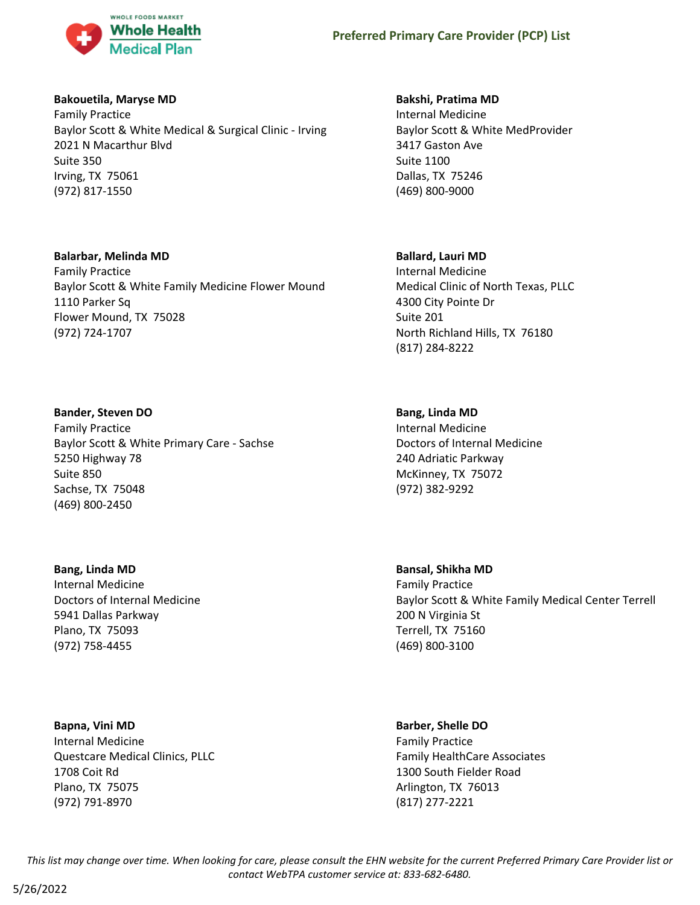

#### **Bakouetila, Maryse MD**

Family Practice Baylor Scott & White Medical & Surgical Clinic - Irving 2021 N Macarthur Blvd Suite 350 Irving, TX 75061 (972) 817-1550

#### **Balarbar, Melinda MD**

Family Practice Baylor Scott & White Family Medicine Flower Mound 1110 Parker Sq Flower Mound, TX 75028 (972) 724-1707

#### **Bander, Steven DO**

Family Practice Baylor Scott & White Primary Care - Sachse 5250 Highway 78 Suite 850 Sachse, TX 75048 (469) 800-2450

**Bang, Linda MD** Internal Medicine Doctors of Internal Medicine 5941 Dallas Parkway Plano, TX 75093 (972) 758-4455

**Bapna, Vini MD** Internal Medicine Questcare Medical Clinics, PLLC 1708 Coit Rd Plano, TX 75075 (972) 791-8970

#### **Bakshi, Pratima MD**

Internal Medicine Baylor Scott & White MedProvider 3417 Gaston Ave Suite 1100 Dallas, TX 75246 (469) 800-9000

#### **Ballard, Lauri MD**

Internal Medicine Medical Clinic of North Texas, PLLC 4300 City Pointe Dr Suite 201 North Richland Hills, TX 76180 (817) 284-8222

#### **Bang, Linda MD**

Internal Medicine Doctors of Internal Medicine 240 Adriatic Parkway McKinney, TX 75072 (972) 382-9292

**Bansal, Shikha MD** Family Practice Baylor Scott & White Family Medical Center Terrell 200 N Virginia St Terrell, TX 75160 (469) 800-3100

#### **Barber, Shelle DO**

Family Practice Family HealthCare Associates 1300 South Fielder Road Arlington, TX 76013 (817) 277-2221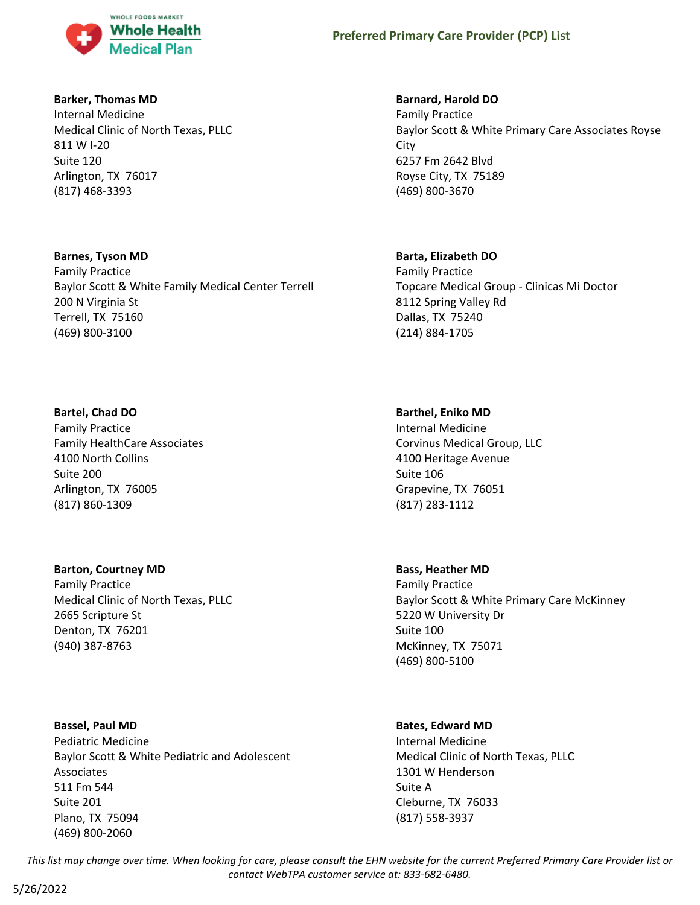

#### **Barker, Thomas MD**

Internal Medicine Medical Clinic of North Texas, PLLC 811 W I-20 Suite 120 Arlington, TX 76017 (817) 468-3393

#### **Barnes, Tyson MD**

Family Practice Baylor Scott & White Family Medical Center Terrell 200 N Virginia St Terrell, TX 75160 (469) 800-3100

### **Bartel, Chad DO**

Family Practice Family HealthCare Associates 4100 North Collins Suite 200 Arlington, TX 76005 (817) 860-1309

### **Barton, Courtney MD**

Family Practice Medical Clinic of North Texas, PLLC 2665 Scripture St Denton, TX 76201 (940) 387-8763

# **Bassel, Paul MD**

Pediatric Medicine Baylor Scott & White Pediatric and Adolescent Associates 511 Fm 544 Suite 201 Plano, TX 75094 (469) 800-2060

### **Barnard, Harold DO**

Family Practice Baylor Scott & White Primary Care Associates Royse City 6257 Fm 2642 Blvd Royse City, TX 75189 (469) 800-3670

### **Barta, Elizabeth DO**

Family Practice Topcare Medical Group - Clinicas Mi Doctor 8112 Spring Valley Rd Dallas, TX 75240 (214) 884-1705

### **Barthel, Eniko MD**

Internal Medicine Corvinus Medical Group, LLC 4100 Heritage Avenue Suite 106 Grapevine, TX 76051 (817) 283-1112

#### **Bass, Heather MD**

Family Practice Baylor Scott & White Primary Care McKinney 5220 W University Dr Suite 100 McKinney, TX 75071 (469) 800-5100

### **Bates, Edward MD**

Internal Medicine Medical Clinic of North Texas, PLLC 1301 W Henderson Suite A Cleburne, TX 76033 (817) 558-3937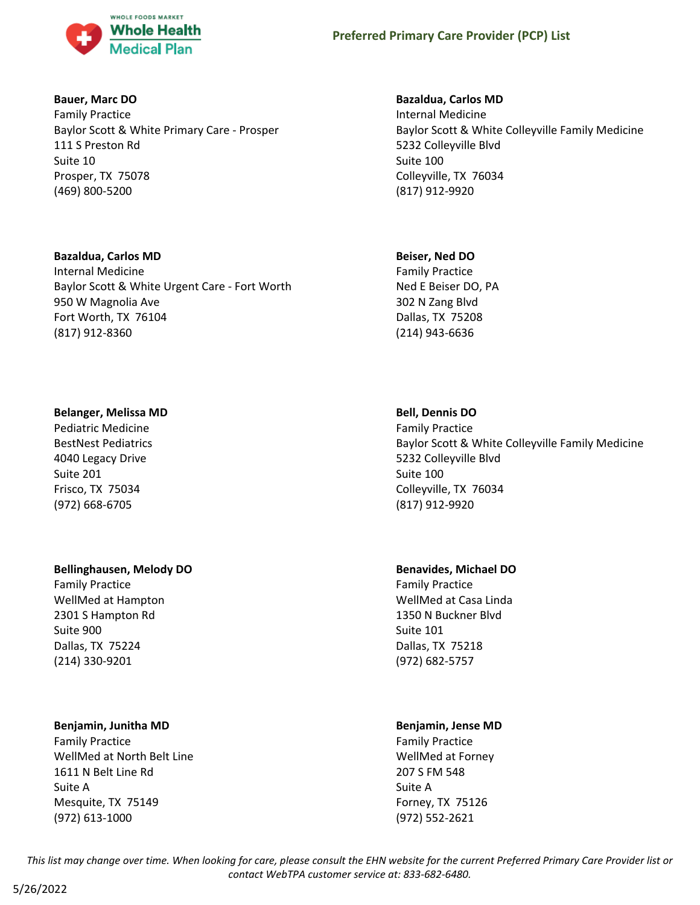

#### **Bauer, Marc DO**

Family Practice Baylor Scott & White Primary Care - Prosper 111 S Preston Rd Suite 10 Prosper, TX 75078 (469) 800-5200

#### **Bazaldua, Carlos MD**

Internal Medicine Baylor Scott & White Urgent Care - Fort Worth 950 W Magnolia Ave Fort Worth, TX 76104 (817) 912-8360

#### **Belanger, Melissa MD**

Pediatric Medicine BestNest Pediatrics 4040 Legacy Drive Suite 201 Frisco, TX 75034 (972) 668-6705

#### **Bellinghausen, Melody DO**

Family Practice WellMed at Hampton 2301 S Hampton Rd Suite 900 Dallas, TX 75224 (214) 330-9201

#### **Benjamin, Junitha MD**

Family Practice WellMed at North Belt Line 1611 N Belt Line Rd Suite A Mesquite, TX 75149 (972) 613-1000

### **Bazaldua, Carlos MD**

Internal Medicine Baylor Scott & White Colleyville Family Medicine 5232 Colleyville Blvd Suite 100 Colleyville, TX 76034 (817) 912-9920

#### **Beiser, Ned DO**

Family Practice Ned E Beiser DO, PA 302 N Zang Blvd Dallas, TX 75208 (214) 943-6636

### **Bell, Dennis DO**

Family Practice Baylor Scott & White Colleyville Family Medicine 5232 Colleyville Blvd Suite 100 Colleyville, TX 76034 (817) 912-9920

### **Benavides, Michael DO**

Family Practice WellMed at Casa Linda 1350 N Buckner Blvd Suite 101 Dallas, TX 75218 (972) 682-5757

#### **Benjamin, Jense MD**

Family Practice WellMed at Forney 207 S FM 548 Suite A Forney, TX 75126 (972) 552-2621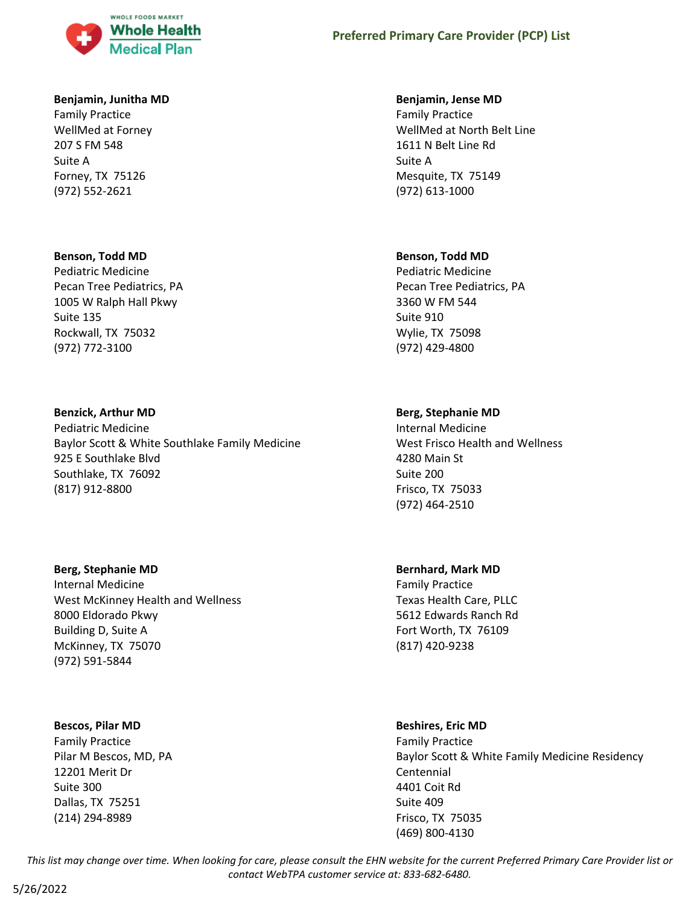

#### **Benjamin, Junitha MD**

Family Practice WellMed at Forney 207 S FM 548 Suite A Forney, TX 75126 (972) 552-2621

#### **Benson, Todd MD**

Pediatric Medicine Pecan Tree Pediatrics, PA 1005 W Ralph Hall Pkwy Suite 135 Rockwall, TX 75032 (972) 772-3100

#### **Benzick, Arthur MD**

Pediatric Medicine Baylor Scott & White Southlake Family Medicine 925 E Southlake Blvd Southlake, TX 76092 (817) 912-8800

#### **Berg, Stephanie MD**

Internal Medicine West McKinney Health and Wellness 8000 Eldorado Pkwy Building D, Suite A McKinney, TX 75070 (972) 591-5844

#### **Bescos, Pilar MD**

Family Practice Pilar M Bescos, MD, PA 12201 Merit Dr Suite 300 Dallas, TX 75251 (214) 294-8989

#### **Benjamin, Jense MD**

Family Practice WellMed at North Belt Line 1611 N Belt Line Rd Suite A Mesquite, TX 75149 (972) 613-1000

#### **Benson, Todd MD**

Pediatric Medicine Pecan Tree Pediatrics, PA 3360 W FM 544 Suite 910 Wylie, TX 75098 (972) 429-4800

#### **Berg, Stephanie MD**

Internal Medicine West Frisco Health and Wellness 4280 Main St Suite 200 Frisco, TX 75033 (972) 464-2510

#### **Bernhard, Mark MD**

Family Practice Texas Health Care, PLLC 5612 Edwards Ranch Rd Fort Worth, TX 76109 (817) 420-9238

#### **Beshires, Eric MD**

Family Practice Baylor Scott & White Family Medicine Residency Centennial 4401 Coit Rd Suite 409 Frisco, TX 75035 (469) 800-4130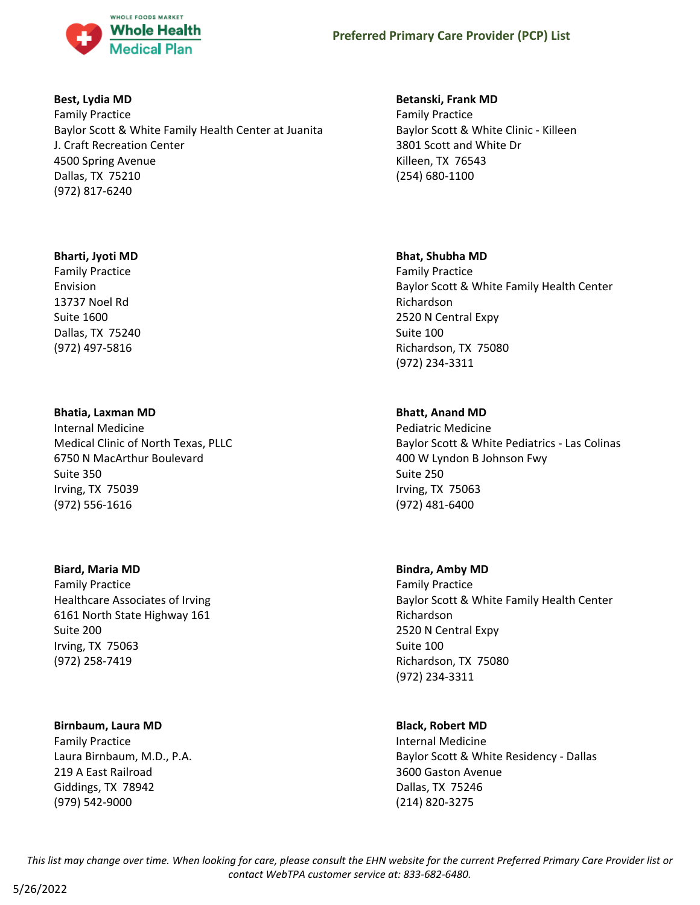

#### **Best, Lydia MD**

Family Practice Baylor Scott & White Family Health Center at Juanita J. Craft Recreation Center 4500 Spring Avenue Dallas, TX 75210 (972) 817-6240

#### **Bharti, Jyoti MD**

Family Practice Envision 13737 Noel Rd Suite 1600 Dallas, TX 75240 (972) 497-5816

#### **Bhatia, Laxman MD**

Internal Medicine Medical Clinic of North Texas, PLLC 6750 N MacArthur Boulevard Suite 350 Irving, TX 75039 (972) 556-1616

#### **Biard, Maria MD**

Family Practice Healthcare Associates of Irving 6161 North State Highway 161 Suite 200 Irving, TX 75063 (972) 258-7419

#### **Birnbaum, Laura MD**

Family Practice Laura Birnbaum, M.D., P.A. 219 A East Railroad Giddings, TX 78942 (979) 542-9000

#### **Betanski, Frank MD**

Family Practice Baylor Scott & White Clinic - Killeen 3801 Scott and White Dr Killeen, TX 76543 (254) 680-1100

#### **Bhat, Shubha MD**

Family Practice Baylor Scott & White Family Health Center Richardson 2520 N Central Expy Suite 100 Richardson, TX 75080 (972) 234-3311

#### **Bhatt, Anand MD**

Pediatric Medicine Baylor Scott & White Pediatrics - Las Colinas 400 W Lyndon B Johnson Fwy Suite 250 Irving, TX 75063 (972) 481-6400

#### **Bindra, Amby MD**

Family Practice Baylor Scott & White Family Health Center Richardson 2520 N Central Expy Suite 100 Richardson, TX 75080 (972) 234-3311

#### **Black, Robert MD**

Internal Medicine Baylor Scott & White Residency - Dallas 3600 Gaston Avenue Dallas, TX 75246 (214) 820-3275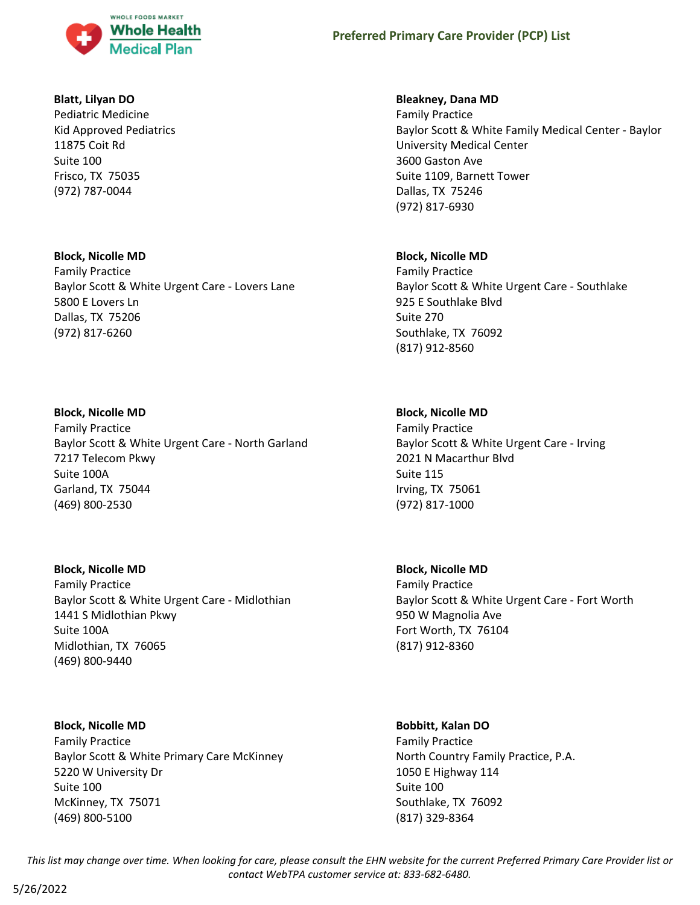

#### **Blatt, Lilyan DO**

Pediatric Medicine Kid Approved Pediatrics 11875 Coit Rd Suite 100 Frisco, TX 75035 (972) 787-0044

#### **Block, Nicolle MD**

Family Practice Baylor Scott & White Urgent Care - Lovers Lane 5800 E Lovers Ln Dallas, TX 75206 (972) 817-6260

### **Block, Nicolle MD**

Family Practice Baylor Scott & White Urgent Care - North Garland 7217 Telecom Pkwy Suite 100A Garland, TX 75044 (469) 800-2530

### **Block, Nicolle MD**

Family Practice Baylor Scott & White Urgent Care - Midlothian 1441 S Midlothian Pkwy Suite 100A Midlothian, TX 76065 (469) 800-9440

### **Block, Nicolle MD**

Family Practice Baylor Scott & White Primary Care McKinney 5220 W University Dr Suite 100 McKinney, TX 75071 (469) 800-5100

### **Bleakney, Dana MD**

Family Practice Baylor Scott & White Family Medical Center - Baylor University Medical Center 3600 Gaston Ave Suite 1109, Barnett Tower Dallas, TX 75246 (972) 817-6930

#### **Block, Nicolle MD**

Family Practice Baylor Scott & White Urgent Care - Southlake 925 E Southlake Blvd Suite 270 Southlake, TX 76092 (817) 912-8560

#### **Block, Nicolle MD**

Family Practice Baylor Scott & White Urgent Care - Irving 2021 N Macarthur Blvd Suite 115 Irving, TX 75061 (972) 817-1000

**Block, Nicolle MD** Family Practice Baylor Scott & White Urgent Care - Fort Worth 950 W Magnolia Ave Fort Worth, TX 76104 (817) 912-8360

#### **Bobbitt, Kalan DO**

Family Practice North Country Family Practice, P.A. 1050 E Highway 114 Suite 100 Southlake, TX 76092 (817) 329-8364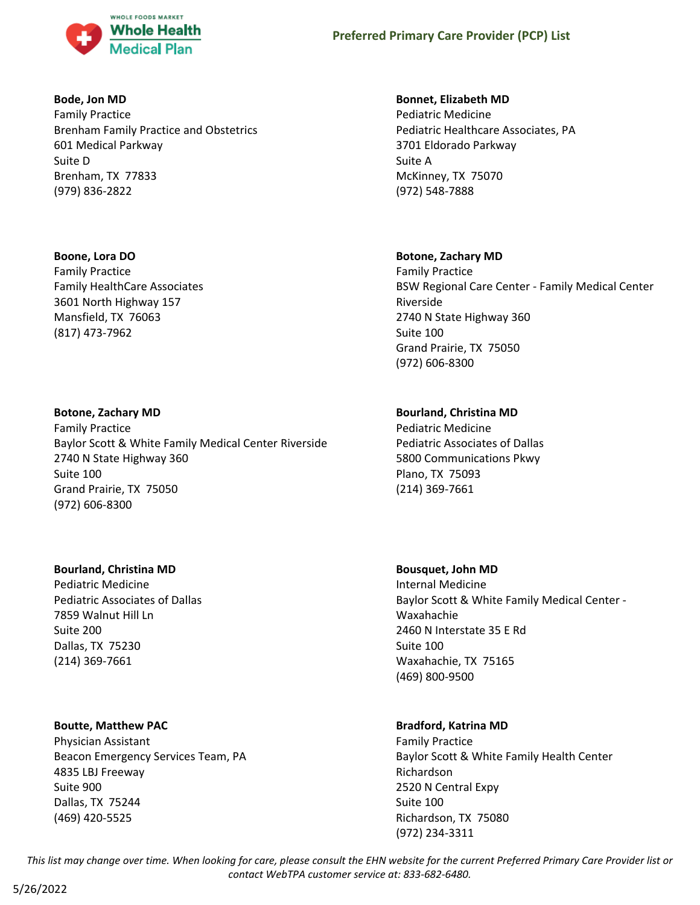

#### **Bode, Jon MD**

Family Practice Brenham Family Practice and Obstetrics 601 Medical Parkway Suite D Brenham, TX 77833 (979) 836-2822

#### **Boone, Lora DO**

Family Practice Family HealthCare Associates 3601 North Highway 157 Mansfield, TX 76063 (817) 473-7962

### **Botone, Zachary MD**

Family Practice Baylor Scott & White Family Medical Center Riverside 2740 N State Highway 360 Suite 100 Grand Prairie, TX 75050 (972) 606-8300

### **Bourland, Christina MD**

Pediatric Medicine Pediatric Associates of Dallas 7859 Walnut Hill Ln Suite 200 Dallas, TX 75230 (214) 369-7661

### **Boutte, Matthew PAC**

Physician Assistant Beacon Emergency Services Team, PA 4835 LBJ Freeway Suite 900 Dallas, TX 75244 (469) 420-5525

### **Bonnet, Elizabeth MD**

Pediatric Medicine Pediatric Healthcare Associates, PA 3701 Eldorado Parkway Suite A McKinney, TX 75070 (972) 548-7888

### **Botone, Zachary MD**

Family Practice BSW Regional Care Center - Family Medical Center Riverside 2740 N State Highway 360 Suite 100 Grand Prairie, TX 75050 (972) 606-8300

# **Bourland, Christina MD**

Pediatric Medicine Pediatric Associates of Dallas 5800 Communications Pkwy Plano, TX 75093 (214) 369-7661

#### **Bousquet, John MD**

Internal Medicine Baylor Scott & White Family Medical Center - Waxahachie 2460 N Interstate 35 E Rd Suite 100 Waxahachie, TX 75165 (469) 800-9500

### **Bradford, Katrina MD**

Family Practice Baylor Scott & White Family Health Center Richardson 2520 N Central Expy Suite 100 Richardson, TX 75080 (972) 234-3311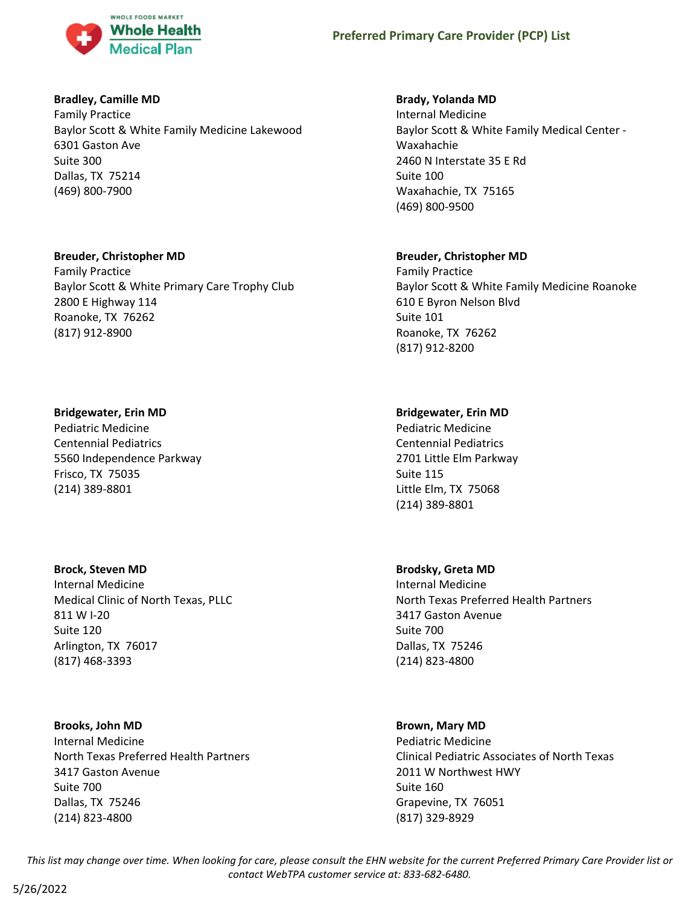

#### **Bradley, Camille MD**

Family Practice Baylor Scott & White Family Medicine Lakewood 6301 Gaston Ave Suite 300 Dallas, TX 75214 (469) 800-7900

#### **Breuder, Christopher MD**

Family Practice Baylor Scott & White Primary Care Trophy Club 2800 E Highway 114 Roanoke, TX 76262 (817) 912-8900

#### **Bridgewater, Erin MD**

Pediatric Medicine Centennial Pediatrics 5560 Independence Parkway Frisco, TX 75035 (214) 389-8801

#### **Brock, Steven MD**

Internal Medicine Medical Clinic of North Texas, PLLC 811 W I-20 Suite 120 Arlington, TX 76017 (817) 468-3393

#### **Brooks, John MD**

Internal Medicine North Texas Preferred Health Partners 3417 Gaston Avenue Suite 700 Dallas, TX 75246 (214) 823-4800

#### **Brady, Yolanda MD**

Internal Medicine Baylor Scott & White Family Medical Center - Waxahachie 2460 N Interstate 35 E Rd Suite 100 Waxahachie, TX 75165 (469) 800-9500

### **Breuder, Christopher MD**

Family Practice Baylor Scott & White Family Medicine Roanoke 610 E Byron Nelson Blvd Suite 101 Roanoke, TX 76262 (817) 912-8200

### **Bridgewater, Erin MD**

Pediatric Medicine Centennial Pediatrics 2701 Little Elm Parkway Suite 115 Little Elm, TX 75068 (214) 389-8801

#### **Brodsky, Greta MD**

Internal Medicine North Texas Preferred Health Partners 3417 Gaston Avenue Suite 700 Dallas, TX 75246 (214) 823-4800

#### **Brown, Mary MD**

Pediatric Medicine Clinical Pediatric Associates of North Texas 2011 W Northwest HWY Suite 160 Grapevine, TX 76051 (817) 329-8929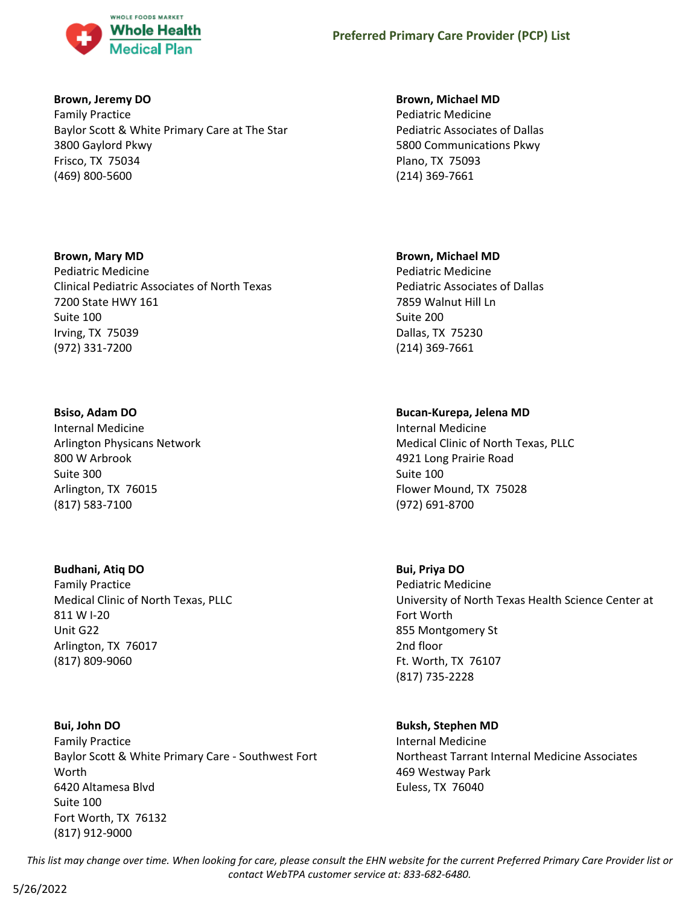

#### **Brown, Jeremy DO**

Family Practice Baylor Scott & White Primary Care at The Star 3800 Gaylord Pkwy Frisco, TX 75034 (469) 800-5600

#### **Brown, Mary MD**

Pediatric Medicine Clinical Pediatric Associates of North Texas 7200 State HWY 161 Suite 100 Irving, TX 75039 (972) 331-7200

### **Bsiso, Adam DO**

Internal Medicine Arlington Physicans Network 800 W Arbrook Suite 300 Arlington, TX 76015 (817) 583-7100

### **Budhani, Atiq DO**

Family Practice Medical Clinic of North Texas, PLLC 811 W I-20 Unit G22 Arlington, TX 76017 (817) 809-9060

# **Bui, John DO**

Family Practice Baylor Scott & White Primary Care - Southwest Fort Worth 6420 Altamesa Blvd Suite 100 Fort Worth, TX 76132 (817) 912-9000

#### **Brown, Michael MD**

Pediatric Medicine Pediatric Associates of Dallas 5800 Communications Pkwy Plano, TX 75093 (214) 369-7661

# **Brown, Michael MD**

Pediatric Medicine Pediatric Associates of Dallas 7859 Walnut Hill Ln Suite 200 Dallas, TX 75230 (214) 369-7661

# **Bucan-Kurepa, Jelena MD**

Internal Medicine Medical Clinic of North Texas, PLLC 4921 Long Prairie Road Suite 100 Flower Mound, TX 75028 (972) 691-8700

# **Bui, Priya DO**

Pediatric Medicine University of North Texas Health Science Center at Fort Worth 855 Montgomery St 2nd floor Ft. Worth, TX 76107 (817) 735-2228

### **Buksh, Stephen MD**

Internal Medicine Northeast Tarrant Internal Medicine Associates 469 Westway Park Euless, TX 76040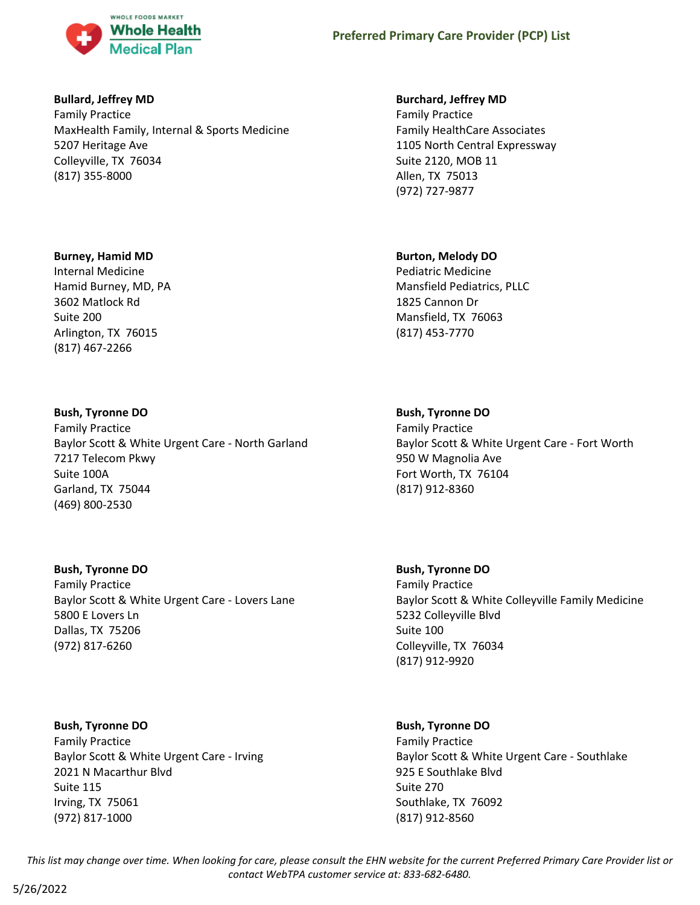

#### **Bullard, Jeffrey MD**

Family Practice MaxHealth Family, Internal & Sports Medicine 5207 Heritage Ave Colleyville, TX 76034 (817) 355-8000

#### **Burney, Hamid MD**

Internal Medicine Hamid Burney, MD, PA 3602 Matlock Rd Suite 200 Arlington, TX 76015 (817) 467-2266

### **Bush, Tyronne DO**

Family Practice Baylor Scott & White Urgent Care - North Garland 7217 Telecom Pkwy Suite 100A Garland, TX 75044 (469) 800-2530

### **Bush, Tyronne DO**

Family Practice Baylor Scott & White Urgent Care - Lovers Lane 5800 E Lovers Ln Dallas, TX 75206 (972) 817-6260

**Bush, Tyronne DO** Family Practice Baylor Scott & White Urgent Care - Irving 2021 N Macarthur Blvd Suite 115 Irving, TX 75061 (972) 817-1000

#### **Burchard, Jeffrey MD**

Family Practice Family HealthCare Associates 1105 North Central Expressway Suite 2120, MOB 11 Allen, TX 75013 (972) 727-9877

### **Burton, Melody DO**

Pediatric Medicine Mansfield Pediatrics, PLLC 1825 Cannon Dr Mansfield, TX 76063 (817) 453-7770

#### **Bush, Tyronne DO**

Family Practice Baylor Scott & White Urgent Care - Fort Worth 950 W Magnolia Ave Fort Worth, TX 76104 (817) 912-8360

**Bush, Tyronne DO** Family Practice Baylor Scott & White Colleyville Family Medicine 5232 Colleyville Blvd Suite 100 Colleyville, TX 76034 (817) 912-9920

### **Bush, Tyronne DO**

Family Practice Baylor Scott & White Urgent Care - Southlake 925 E Southlake Blvd Suite 270 Southlake, TX 76092 (817) 912-8560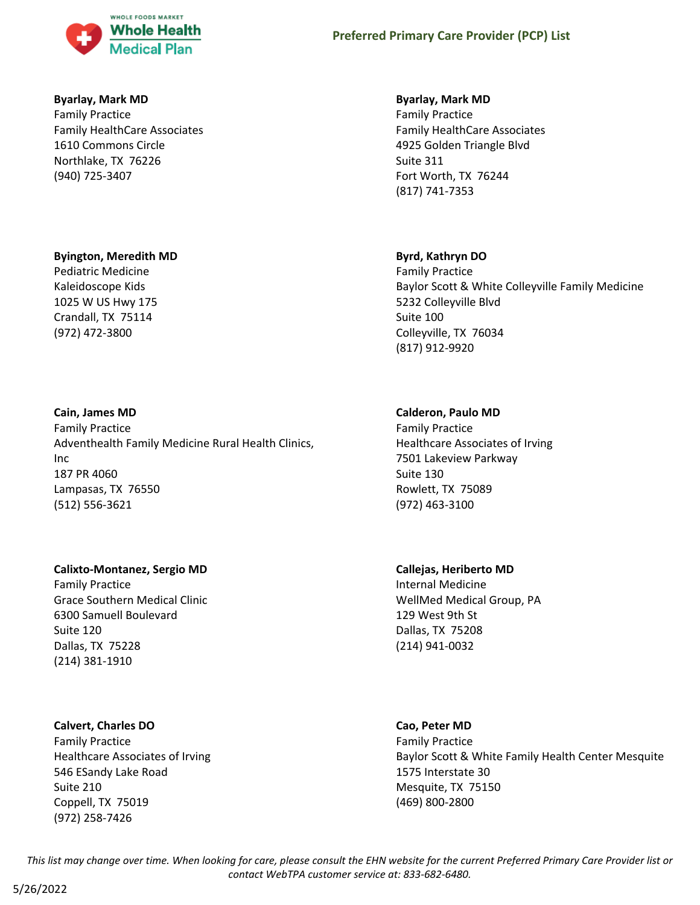

#### **Byarlay, Mark MD**

Family Practice Family HealthCare Associates 1610 Commons Circle Northlake, TX 76226 (940) 725-3407

#### **Byington, Meredith MD**

Pediatric Medicine Kaleidoscope Kids 1025 W US Hwy 175 Crandall, TX 75114 (972) 472-3800

#### **Cain, James MD**

Family Practice Adventhealth Family Medicine Rural Health Clinics, Inc 187 PR 4060 Lampasas, TX 76550 (512) 556-3621

#### **Calixto-Montanez, Sergio MD**

Family Practice Grace Southern Medical Clinic 6300 Samuell Boulevard Suite 120 Dallas, TX 75228 (214) 381-1910

#### **Calvert, Charles DO**

Family Practice Healthcare Associates of Irving 546 ESandy Lake Road Suite 210 Coppell, TX 75019 (972) 258-7426

#### **Byarlay, Mark MD**

Family Practice Family HealthCare Associates 4925 Golden Triangle Blvd Suite 311 Fort Worth, TX 76244 (817) 741-7353

#### **Byrd, Kathryn DO**

Family Practice Baylor Scott & White Colleyville Family Medicine 5232 Colleyville Blvd Suite 100 Colleyville, TX 76034 (817) 912-9920

#### **Calderon, Paulo MD**

Family Practice Healthcare Associates of Irving 7501 Lakeview Parkway Suite 130 Rowlett, TX 75089 (972) 463-3100

# **Callejas, Heriberto MD**

Internal Medicine WellMed Medical Group, PA 129 West 9th St Dallas, TX 75208 (214) 941-0032

#### **Cao, Peter MD**

Family Practice Baylor Scott & White Family Health Center Mesquite 1575 Interstate 30 Mesquite, TX 75150 (469) 800-2800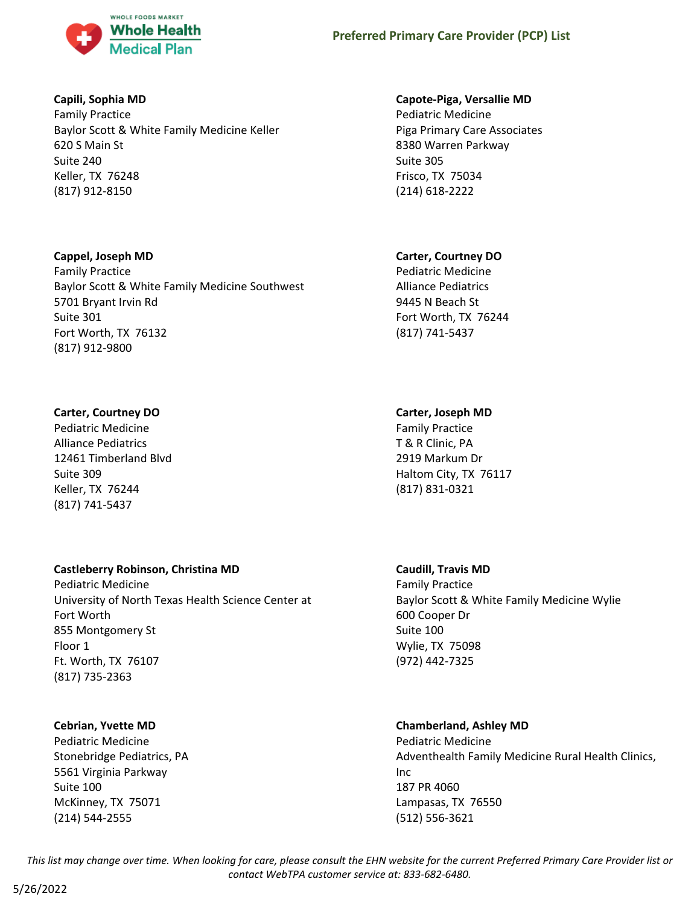

### **Capili, Sophia MD**

Family Practice Baylor Scott & White Family Medicine Keller 620 S Main St Suite 240 Keller, TX 76248 (817) 912-8150

#### **Cappel, Joseph MD**

Family Practice Baylor Scott & White Family Medicine Southwest 5701 Bryant Irvin Rd Suite 301 Fort Worth, TX 76132 (817) 912-9800

### **Carter, Courtney DO**

Pediatric Medicine Alliance Pediatrics 12461 Timberland Blvd Suite 309 Keller, TX 76244 (817) 741-5437

# **Castleberry Robinson, Christina MD**

Pediatric Medicine University of North Texas Health Science Center at Fort Worth 855 Montgomery St Floor 1 Ft. Worth, TX 76107 (817) 735-2363

### **Cebrian, Yvette MD**

Pediatric Medicine Stonebridge Pediatrics, PA 5561 Virginia Parkway Suite 100 McKinney, TX 75071 (214) 544-2555

#### **Capote-Piga, Versallie MD**

Pediatric Medicine Piga Primary Care Associates 8380 Warren Parkway Suite 305 Frisco, TX 75034 (214) 618-2222

### **Carter, Courtney DO**

Pediatric Medicine Alliance Pediatrics 9445 N Beach St Fort Worth, TX 76244 (817) 741-5437

### **Carter, Joseph MD**

Family Practice T & R Clinic, PA 2919 Markum Dr Haltom City, TX 76117 (817) 831-0321

#### **Caudill, Travis MD**

Family Practice Baylor Scott & White Family Medicine Wylie 600 Cooper Dr Suite 100 Wylie, TX 75098 (972) 442-7325

# **Chamberland, Ashley MD**

Pediatric Medicine Adventhealth Family Medicine Rural Health Clinics, Inc 187 PR 4060 Lampasas, TX 76550 (512) 556-3621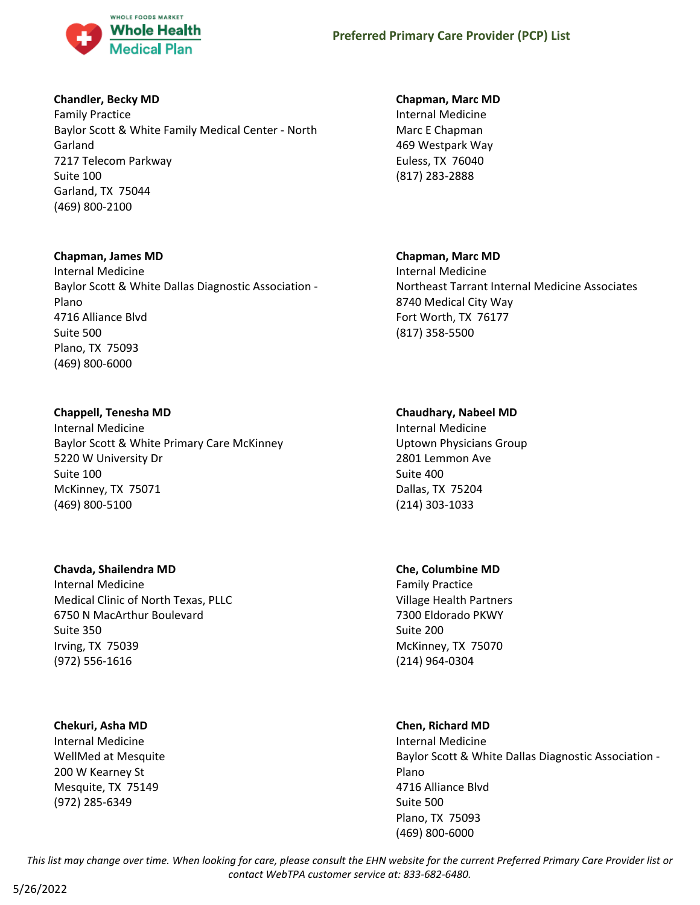

# **Chandler, Becky MD**

Family Practice Baylor Scott & White Family Medical Center - North Garland 7217 Telecom Parkway Suite 100 Garland, TX 75044 (469) 800-2100

### **Chapman, James MD**

Internal Medicine Baylor Scott & White Dallas Diagnostic Association - Plano 4716 Alliance Blvd Suite 500 Plano, TX 75093 (469) 800-6000

### **Chappell, Tenesha MD**

Internal Medicine Baylor Scott & White Primary Care McKinney 5220 W University Dr Suite 100 McKinney, TX 75071 (469) 800-5100

### **Chavda, Shailendra MD**

Internal Medicine Medical Clinic of North Texas, PLLC 6750 N MacArthur Boulevard Suite 350 Irving, TX 75039 (972) 556-1616

### **Chekuri, Asha MD**

Internal Medicine WellMed at Mesquite 200 W Kearney St Mesquite, TX 75149 (972) 285-6349

# **Chapman, Marc MD**

Internal Medicine Marc E Chapman 469 Westpark Way Euless, TX 76040 (817) 283-2888

# **Chapman, Marc MD**

Internal Medicine Northeast Tarrant Internal Medicine Associates 8740 Medical City Way Fort Worth, TX 76177 (817) 358-5500

# **Chaudhary, Nabeel MD**

Internal Medicine Uptown Physicians Group 2801 Lemmon Ave Suite 400 Dallas, TX 75204 (214) 303-1033

### **Che, Columbine MD**

Family Practice Village Health Partners 7300 Eldorado PKWY Suite 200 McKinney, TX 75070 (214) 964-0304

# **Chen, Richard MD**

Internal Medicine Baylor Scott & White Dallas Diagnostic Association - Plano 4716 Alliance Blvd Suite 500 Plano, TX 75093 (469) 800-6000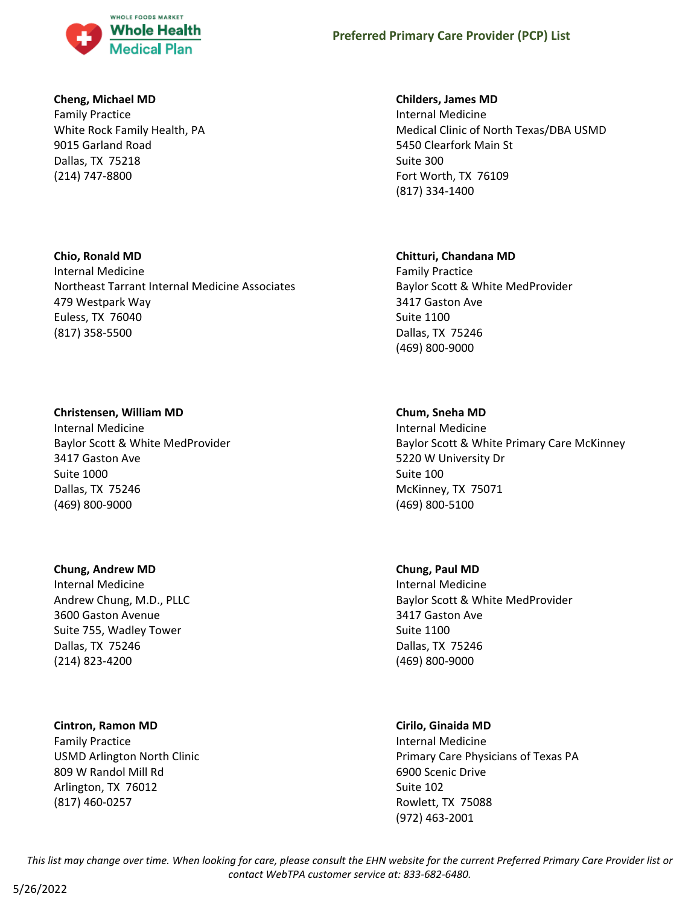

#### **Cheng, Michael MD**

Family Practice White Rock Family Health, PA 9015 Garland Road Dallas, TX 75218 (214) 747-8800

### **Chio, Ronald MD**

Internal Medicine Northeast Tarrant Internal Medicine Associates 479 Westpark Way Euless, TX 76040 (817) 358-5500

#### **Christensen, William MD**

Internal Medicine Baylor Scott & White MedProvider 3417 Gaston Ave Suite 1000 Dallas, TX 75246 (469) 800-9000

#### **Chung, Andrew MD**

Internal Medicine Andrew Chung, M.D., PLLC 3600 Gaston Avenue Suite 755, Wadley Tower Dallas, TX 75246 (214) 823-4200

### **Cintron, Ramon MD**

Family Practice USMD Arlington North Clinic 809 W Randol Mill Rd Arlington, TX 76012 (817) 460-0257

### **Childers, James MD**

Internal Medicine Medical Clinic of North Texas/DBA USMD 5450 Clearfork Main St Suite 300 Fort Worth, TX 76109 (817) 334-1400

### **Chitturi, Chandana MD**

Family Practice Baylor Scott & White MedProvider 3417 Gaston Ave Suite 1100 Dallas, TX 75246 (469) 800-9000

### **Chum, Sneha MD**

Internal Medicine Baylor Scott & White Primary Care McKinney 5220 W University Dr Suite 100 McKinney, TX 75071 (469) 800-5100

### **Chung, Paul MD**

Internal Medicine Baylor Scott & White MedProvider 3417 Gaston Ave Suite 1100 Dallas, TX 75246 (469) 800-9000

### **Cirilo, Ginaida MD**

Internal Medicine Primary Care Physicians of Texas PA 6900 Scenic Drive Suite 102 Rowlett, TX 75088 (972) 463-2001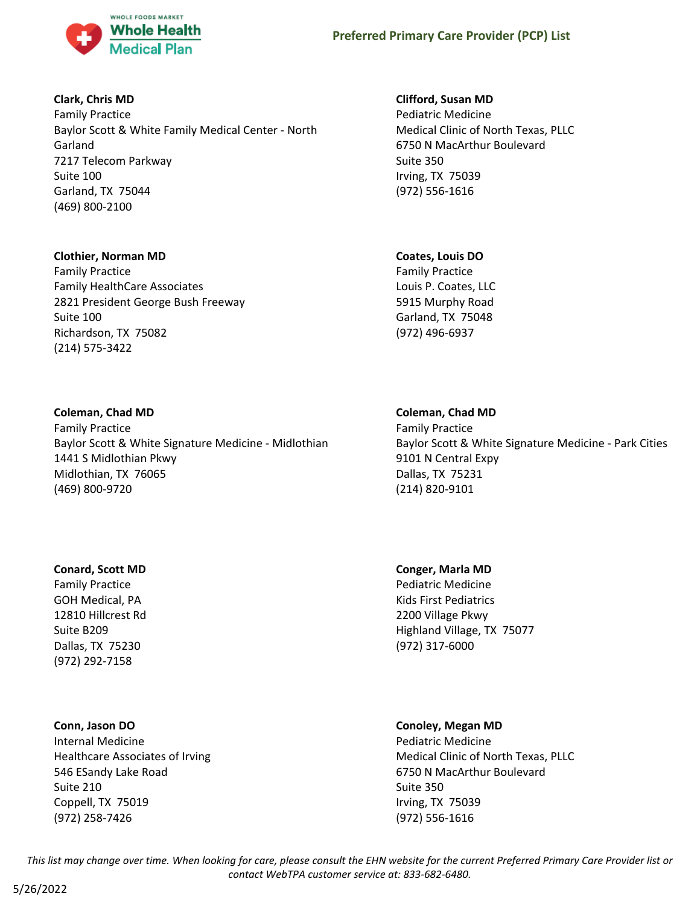

### **Clark, Chris MD**

Family Practice Baylor Scott & White Family Medical Center - North Garland 7217 Telecom Parkway Suite 100 Garland, TX 75044 (469) 800-2100

#### **Clothier, Norman MD**

Family Practice Family HealthCare Associates 2821 President George Bush Freeway Suite 100 Richardson, TX 75082 (214) 575-3422

#### **Coleman, Chad MD**

Family Practice Baylor Scott & White Signature Medicine - Midlothian 1441 S Midlothian Pkwy Midlothian, TX 76065 (469) 800-9720

#### **Conard, Scott MD**

Family Practice GOH Medical, PA 12810 Hillcrest Rd Suite B209 Dallas, TX 75230 (972) 292-7158

#### **Conn, Jason DO**

Internal Medicine Healthcare Associates of Irving 546 ESandy Lake Road Suite 210 Coppell, TX 75019 (972) 258-7426

#### **Clifford, Susan MD**

Pediatric Medicine Medical Clinic of North Texas, PLLC 6750 N MacArthur Boulevard Suite 350 Irving, TX 75039 (972) 556-1616

#### **Coates, Louis DO**

Family Practice Louis P. Coates, LLC 5915 Murphy Road Garland, TX 75048 (972) 496-6937

#### **Coleman, Chad MD**

Family Practice Baylor Scott & White Signature Medicine - Park Cities 9101 N Central Expy Dallas, TX 75231 (214) 820-9101

#### **Conger, Marla MD**

Pediatric Medicine Kids First Pediatrics 2200 Village Pkwy Highland Village, TX 75077 (972) 317-6000

#### **Conoley, Megan MD**

Pediatric Medicine Medical Clinic of North Texas, PLLC 6750 N MacArthur Boulevard Suite 350 Irving, TX 75039 (972) 556-1616

*This list may change over time. When looking for care, please consult the EHN website for the current Preferred Primary Care Provider list or contact WebTPA customer service at: 833-682-6480.*

5/26/2022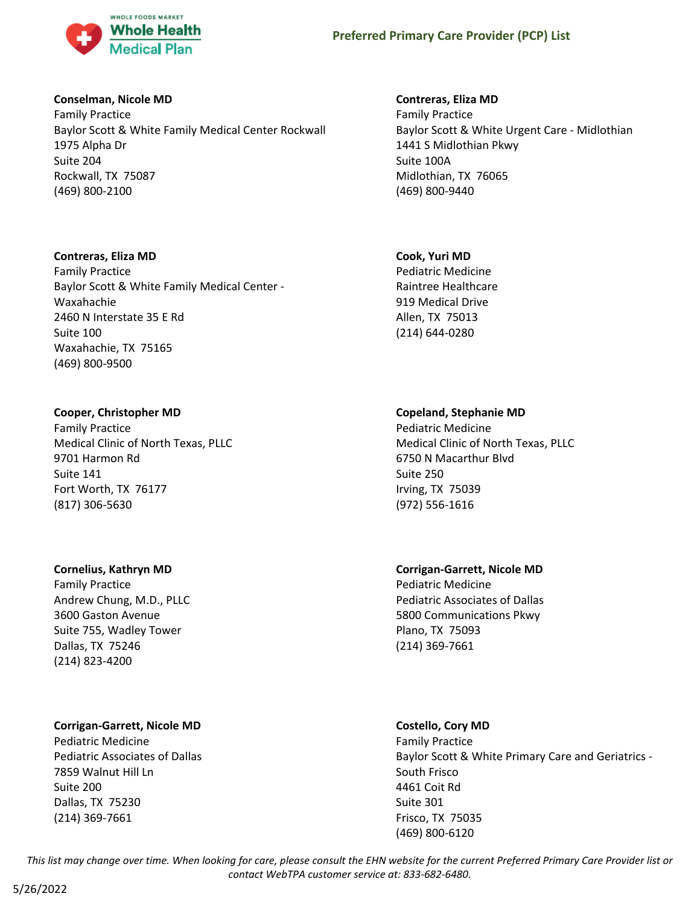

#### **Conselman, Nicole MD**

Family Practice Baylor Scott & White Family Medical Center Rockwall 1975 Alpha Dr Suite 204 Rockwall, TX 75087 (469) 800-2100

#### **Contreras, Eliza MD**

Family Practice Baylor Scott & White Family Medical Center - Waxahachie 2460 N Interstate 35 E Rd Suite 100 Waxahachie, TX 75165 (469) 800-9500

### **Cooper, Christopher MD**

Family Practice Medical Clinic of North Texas, PLLC 9701 Harmon Rd Suite 141 Fort Worth, TX 76177 (817) 306-5630

### **Cornelius, Kathryn MD**

Family Practice Andrew Chung, M.D., PLLC 3600 Gaston Avenue Suite 755, Wadley Tower Dallas, TX 75246 (214) 823-4200

### **Corrigan-Garrett, Nicole MD**

Pediatric Medicine Pediatric Associates of Dallas 7859 Walnut Hill Ln Suite 200 Dallas, TX 75230 (214) 369-7661

### **Contreras, Eliza MD**

Family Practice Baylor Scott & White Urgent Care - Midlothian 1441 S Midlothian Pkwy Suite 100A Midlothian, TX 76065 (469) 800-9440

# **Cook, Yuri MD**

Pediatric Medicine Raintree Healthcare 919 Medical Drive Allen, TX 75013 (214) 644-0280

# **Copeland, Stephanie MD**

Pediatric Medicine Medical Clinic of North Texas, PLLC 6750 N Macarthur Blvd Suite 250 Irving, TX 75039 (972) 556-1616

# **Corrigan-Garrett, Nicole MD** Pediatric Medicine

Pediatric Associates of Dallas 5800 Communications Pkwy Plano, TX 75093 (214) 369-7661

# **Costello, Cory MD**

Family Practice Baylor Scott & White Primary Care and Geriatrics - South Frisco 4461 Coit Rd Suite 301 Frisco, TX 75035 (469) 800-6120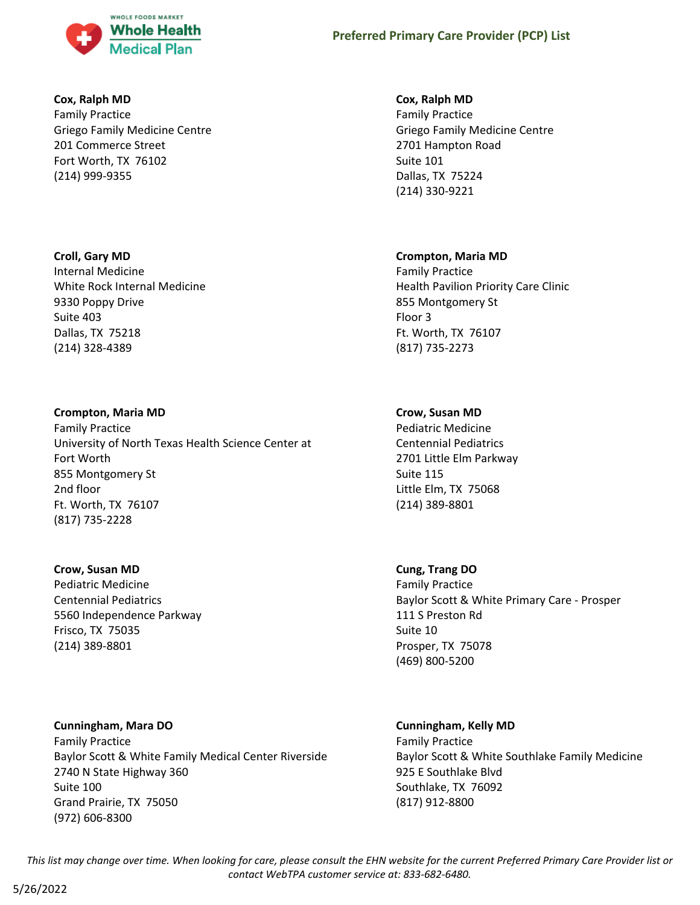

#### **Cox, Ralph MD**

Family Practice Griego Family Medicine Centre 201 Commerce Street Fort Worth, TX 76102 (214) 999-9355

### **Croll, Gary MD**

Internal Medicine White Rock Internal Medicine 9330 Poppy Drive Suite 403 Dallas, TX 75218 (214) 328-4389

### **Crompton, Maria MD**

Family Practice University of North Texas Health Science Center at Fort Worth 855 Montgomery St 2nd floor Ft. Worth, TX 76107 (817) 735-2228

#### **Crow, Susan MD**

Pediatric Medicine Centennial Pediatrics 5560 Independence Parkway Frisco, TX 75035 (214) 389-8801

**Cunningham, Mara DO** Family Practice Baylor Scott & White Family Medical Center Riverside 2740 N State Highway 360 Suite 100 Grand Prairie, TX 75050 (972) 606-8300

### **Cox, Ralph MD**

Family Practice Griego Family Medicine Centre 2701 Hampton Road Suite 101 Dallas, TX 75224 (214) 330-9221

### **Crompton, Maria MD**

Family Practice Health Pavilion Priority Care Clinic 855 Montgomery St Floor 3 Ft. Worth, TX 76107 (817) 735-2273

# **Crow, Susan MD**

Pediatric Medicine Centennial Pediatrics 2701 Little Elm Parkway Suite 115 Little Elm, TX 75068 (214) 389-8801

### **Cung, Trang DO**

Family Practice Baylor Scott & White Primary Care - Prosper 111 S Preston Rd Suite 10 Prosper, TX 75078 (469) 800-5200

# **Cunningham, Kelly MD**

Family Practice Baylor Scott & White Southlake Family Medicine 925 E Southlake Blvd Southlake, TX 76092 (817) 912-8800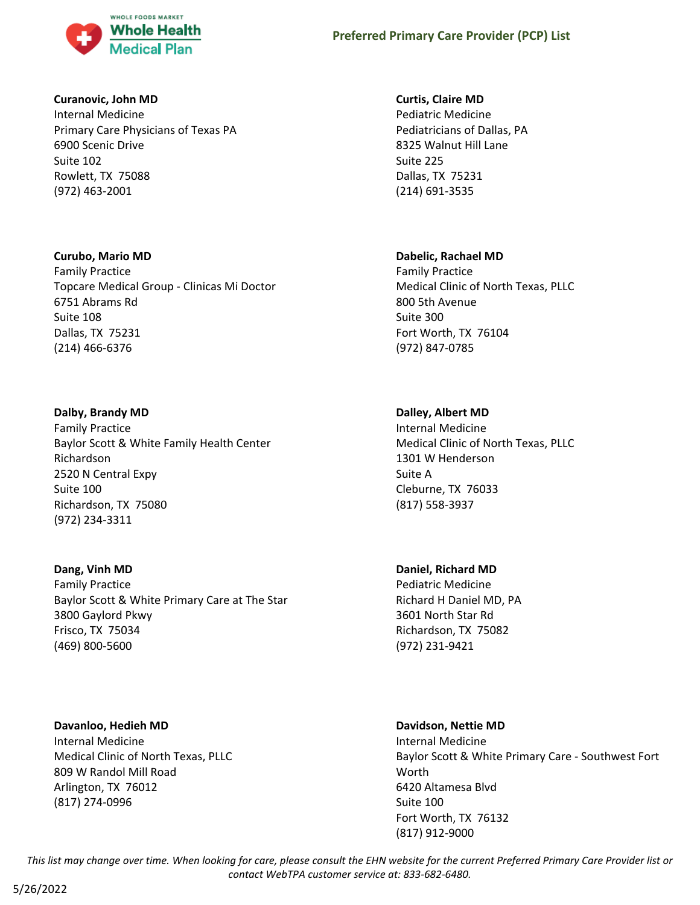

#### **Curanovic, John MD**

Internal Medicine Primary Care Physicians of Texas PA 6900 Scenic Drive Suite 102 Rowlett, TX 75088 (972) 463-2001

### **Curubo, Mario MD**

Family Practice Topcare Medical Group - Clinicas Mi Doctor 6751 Abrams Rd Suite 108 Dallas, TX 75231 (214) 466-6376

# **Dalby, Brandy MD**

Family Practice Baylor Scott & White Family Health Center Richardson 2520 N Central Expy Suite 100 Richardson, TX 75080 (972) 234-3311

### **Dang, Vinh MD**

Family Practice Baylor Scott & White Primary Care at The Star 3800 Gaylord Pkwy Frisco, TX 75034 (469) 800-5600

**Davanloo, Hedieh MD** Internal Medicine Medical Clinic of North Texas, PLLC 809 W Randol Mill Road Arlington, TX 76012 (817) 274-0996

# **Curtis, Claire MD**

Pediatric Medicine Pediatricians of Dallas, PA 8325 Walnut Hill Lane Suite 225 Dallas, TX 75231 (214) 691-3535

# **Dabelic, Rachael MD**

Family Practice Medical Clinic of North Texas, PLLC 800 5th Avenue Suite 300 Fort Worth, TX 76104 (972) 847-0785

# **Dalley, Albert MD**

Internal Medicine Medical Clinic of North Texas, PLLC 1301 W Henderson Suite A Cleburne, TX 76033 (817) 558-3937

### **Daniel, Richard MD**

Pediatric Medicine Richard H Daniel MD, PA 3601 North Star Rd Richardson, TX 75082 (972) 231-9421

# **Davidson, Nettie MD**

Internal Medicine Baylor Scott & White Primary Care - Southwest Fort Worth 6420 Altamesa Blvd Suite 100 Fort Worth, TX 76132 (817) 912-9000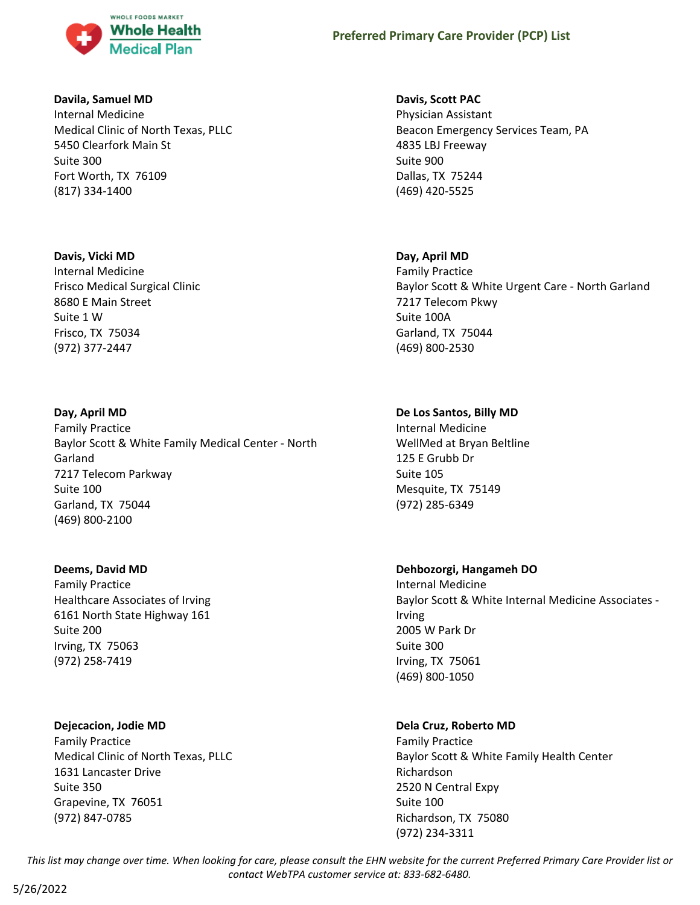

#### **Davila, Samuel MD**

Internal Medicine Medical Clinic of North Texas, PLLC 5450 Clearfork Main St Suite 300 Fort Worth, TX 76109 (817) 334-1400

#### **Davis, Vicki MD**

Internal Medicine Frisco Medical Surgical Clinic 8680 E Main Street Suite 1 W Frisco, TX 75034 (972) 377-2447

### **Day, April MD**

Family Practice Baylor Scott & White Family Medical Center - North Garland 7217 Telecom Parkway Suite 100 Garland, TX 75044 (469) 800-2100

### **Deems, David MD**

Family Practice Healthcare Associates of Irving 6161 North State Highway 161 Suite 200 Irving, TX 75063 (972) 258-7419

### **Dejecacion, Jodie MD**

Family Practice Medical Clinic of North Texas, PLLC 1631 Lancaster Drive Suite 350 Grapevine, TX 76051 (972) 847-0785

# **Davis, Scott PAC**

Physician Assistant Beacon Emergency Services Team, PA 4835 LBJ Freeway Suite 900 Dallas, TX 75244 (469) 420-5525

### **Day, April MD**

Family Practice Baylor Scott & White Urgent Care - North Garland 7217 Telecom Pkwy Suite 100A Garland, TX 75044 (469) 800-2530

# **De Los Santos, Billy MD**

Internal Medicine WellMed at Bryan Beltline 125 E Grubb Dr Suite 105 Mesquite, TX 75149 (972) 285-6349

# **Dehbozorgi, Hangameh DO**

Internal Medicine Baylor Scott & White Internal Medicine Associates - Irving 2005 W Park Dr Suite 300 Irving, TX 75061 (469) 800-1050

# **Dela Cruz, Roberto MD**

Family Practice Baylor Scott & White Family Health Center Richardson 2520 N Central Expy Suite 100 Richardson, TX 75080 (972) 234-3311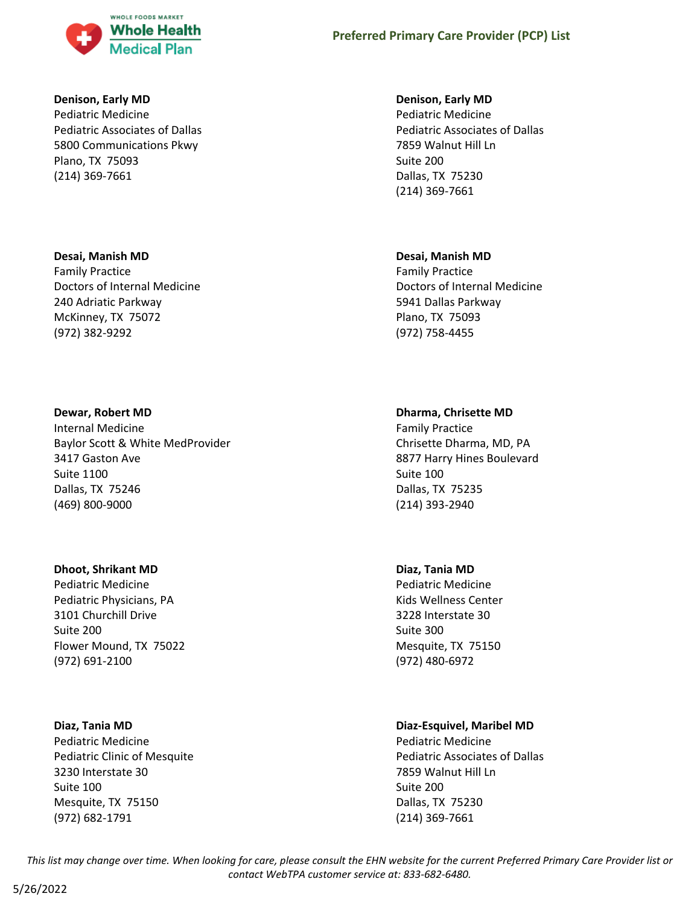

#### **Denison, Early MD**

Pediatric Medicine Pediatric Associates of Dallas 5800 Communications Pkwy Plano, TX 75093 (214) 369-7661

#### **Desai, Manish MD**

Family Practice Doctors of Internal Medicine 240 Adriatic Parkway McKinney, TX 75072 (972) 382-9292

#### **Dewar, Robert MD**

Internal Medicine Baylor Scott & White MedProvider 3417 Gaston Ave Suite 1100 Dallas, TX 75246 (469) 800-9000

#### **Dhoot, Shrikant MD**

Pediatric Medicine Pediatric Physicians, PA 3101 Churchill Drive Suite 200 Flower Mound, TX 75022 (972) 691-2100

### **Diaz, Tania MD**

Pediatric Medicine Pediatric Clinic of Mesquite 3230 Interstate 30 Suite 100 Mesquite, TX 75150 (972) 682-1791

#### **Denison, Early MD**

Pediatric Medicine Pediatric Associates of Dallas 7859 Walnut Hill Ln Suite 200 Dallas, TX 75230 (214) 369-7661

#### **Desai, Manish MD**

Family Practice Doctors of Internal Medicine 5941 Dallas Parkway Plano, TX 75093 (972) 758-4455

### **Dharma, Chrisette MD**

Family Practice Chrisette Dharma, MD, PA 8877 Harry Hines Boulevard Suite 100 Dallas, TX 75235 (214) 393-2940

### **Diaz, Tania MD**

Pediatric Medicine Kids Wellness Center 3228 Interstate 30 Suite 300 Mesquite, TX 75150 (972) 480-6972

### **Diaz-Esquivel, Maribel MD**

Pediatric Medicine Pediatric Associates of Dallas 7859 Walnut Hill Ln Suite 200 Dallas, TX 75230 (214) 369-7661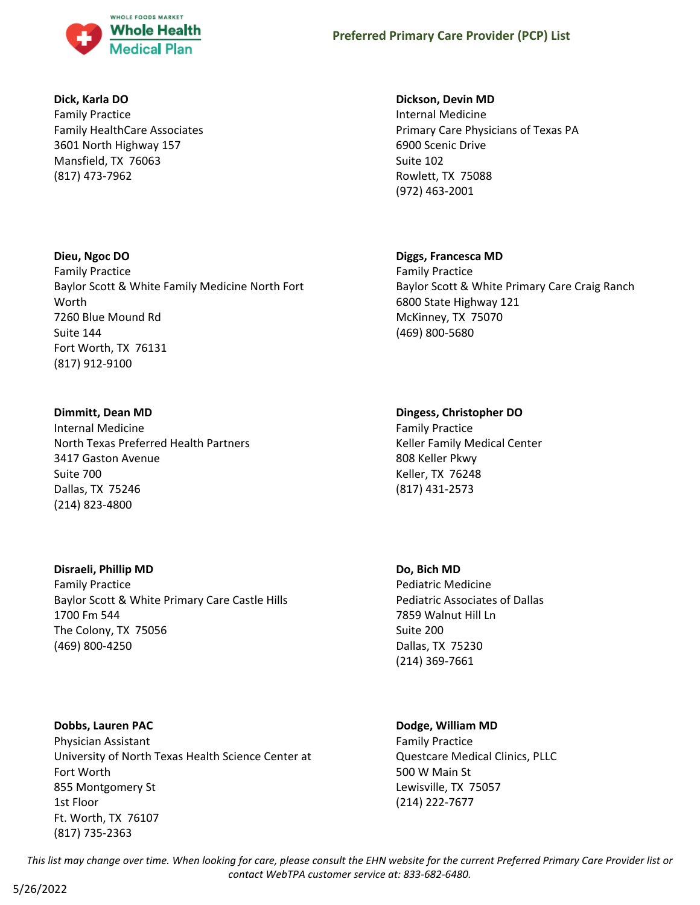

#### **Dick, Karla DO**

Family Practice Family HealthCare Associates 3601 North Highway 157 Mansfield, TX 76063 (817) 473-7962

### **Dieu, Ngoc DO**

Family Practice Baylor Scott & White Family Medicine North Fort Worth 7260 Blue Mound Rd Suite 144 Fort Worth, TX 76131 (817) 912-9100

### **Dimmitt, Dean MD**

Internal Medicine North Texas Preferred Health Partners 3417 Gaston Avenue Suite 700 Dallas, TX 75246 (214) 823-4800

### **Disraeli, Phillip MD**

Family Practice Baylor Scott & White Primary Care Castle Hills 1700 Fm 544 The Colony, TX 75056 (469) 800-4250

# **Dobbs, Lauren PAC**

Physician Assistant University of North Texas Health Science Center at Fort Worth 855 Montgomery St 1st Floor Ft. Worth, TX 76107 (817) 735-2363

#### **Dickson, Devin MD**

Internal Medicine Primary Care Physicians of Texas PA 6900 Scenic Drive Suite 102 Rowlett, TX 75088 (972) 463-2001

### **Diggs, Francesca MD**

Family Practice Baylor Scott & White Primary Care Craig Ranch 6800 State Highway 121 McKinney, TX 75070 (469) 800-5680

#### **Dingess, Christopher DO**

Family Practice Keller Family Medical Center 808 Keller Pkwy Keller, TX 76248 (817) 431-2573

#### **Do, Bich MD**

Pediatric Medicine Pediatric Associates of Dallas 7859 Walnut Hill Ln Suite 200 Dallas, TX 75230 (214) 369-7661

### **Dodge, William MD**

Family Practice Questcare Medical Clinics, PLLC 500 W Main St Lewisville, TX 75057 (214) 222-7677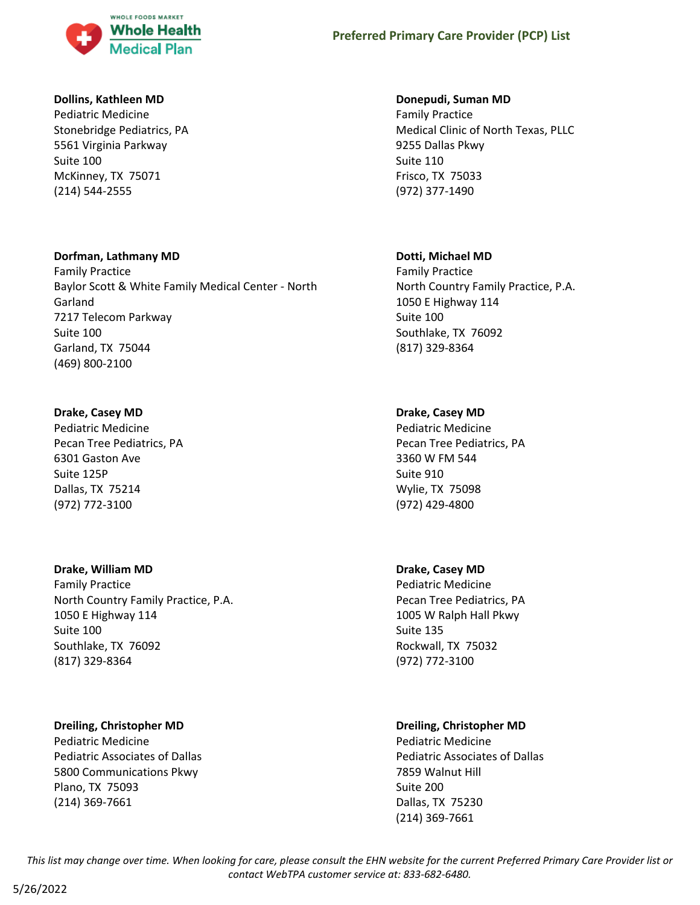

#### **Dollins, Kathleen MD**

Pediatric Medicine Stonebridge Pediatrics, PA 5561 Virginia Parkway Suite 100 McKinney, TX 75071 (214) 544-2555

#### **Dorfman, Lathmany MD**

Family Practice Baylor Scott & White Family Medical Center - North Garland 7217 Telecom Parkway Suite 100 Garland, TX 75044 (469) 800-2100

#### **Drake, Casey MD**

Pediatric Medicine Pecan Tree Pediatrics, PA 6301 Gaston Ave Suite 125P Dallas, TX 75214 (972) 772-3100

#### **Drake, William MD**

Family Practice North Country Family Practice, P.A. 1050 E Highway 114 Suite 100 Southlake, TX 76092 (817) 329-8364

### **Dreiling, Christopher MD**

Pediatric Medicine Pediatric Associates of Dallas 5800 Communications Pkwy Plano, TX 75093 (214) 369-7661

#### **Donepudi, Suman MD**

Family Practice Medical Clinic of North Texas, PLLC 9255 Dallas Pkwy Suite 110 Frisco, TX 75033 (972) 377-1490

#### **Dotti, Michael MD**

Family Practice North Country Family Practice, P.A. 1050 E Highway 114 Suite 100 Southlake, TX 76092 (817) 329-8364

### **Drake, Casey MD**

Pediatric Medicine Pecan Tree Pediatrics, PA 3360 W FM 544 Suite 910 Wylie, TX 75098 (972) 429-4800

### **Drake, Casey MD**

Pediatric Medicine Pecan Tree Pediatrics, PA 1005 W Ralph Hall Pkwy Suite 135 Rockwall, TX 75032 (972) 772-3100

### **Dreiling, Christopher MD**

Pediatric Medicine Pediatric Associates of Dallas 7859 Walnut Hill Suite 200 Dallas, TX 75230 (214) 369-7661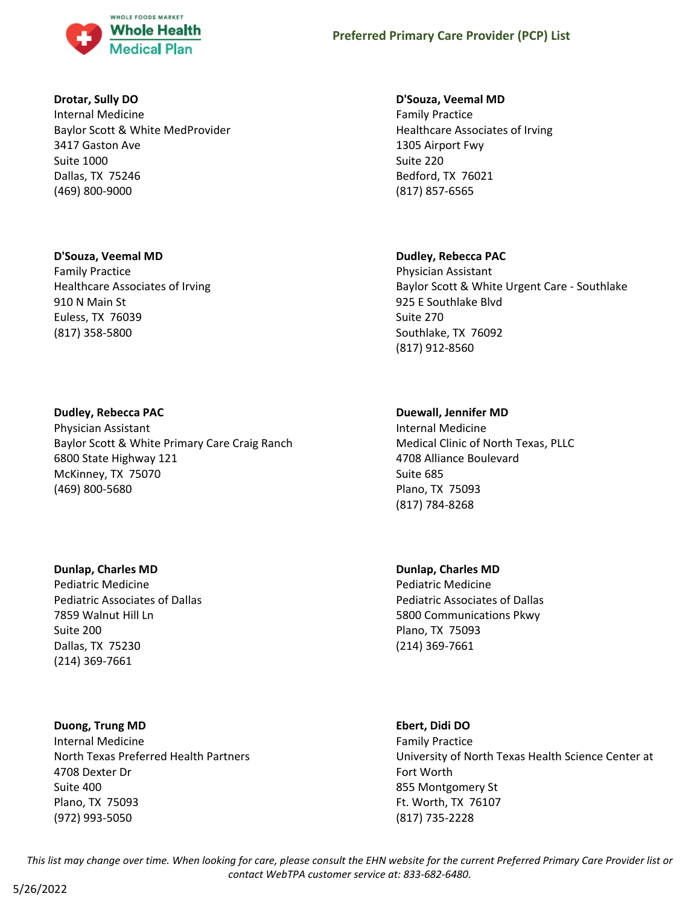

#### **Drotar, Sully DO**

Internal Medicine Baylor Scott & White MedProvider 3417 Gaston Ave Suite 1000 Dallas, TX 75246 (469) 800-9000

#### **D'Souza, Veemal MD**

Family Practice Healthcare Associates of Irving 910 N Main St Euless, TX 76039 (817) 358-5800

#### **Dudley, Rebecca PAC**

Physician Assistant Baylor Scott & White Primary Care Craig Ranch 6800 State Highway 121 McKinney, TX 75070 (469) 800-5680

#### **Dunlap, Charles MD**

Pediatric Medicine Pediatric Associates of Dallas 7859 Walnut Hill Ln Suite 200 Dallas, TX 75230 (214) 369-7661

#### **Duong, Trung MD**

Internal Medicine North Texas Preferred Health Partners 4708 Dexter Dr Suite 400 Plano, TX 75093 (972) 993-5050

#### **D'Souza, Veemal MD**

Family Practice Healthcare Associates of Irving 1305 Airport Fwy Suite 220 Bedford, TX 76021 (817) 857-6565

### **Dudley, Rebecca PAC**

Physician Assistant Baylor Scott & White Urgent Care - Southlake 925 E Southlake Blvd Suite 270 Southlake, TX 76092 (817) 912-8560

### **Duewall, Jennifer MD**

Internal Medicine Medical Clinic of North Texas, PLLC 4708 Alliance Boulevard Suite 685 Plano, TX 75093 (817) 784-8268

# **Dunlap, Charles MD**

Pediatric Medicine Pediatric Associates of Dallas 5800 Communications Pkwy Plano, TX 75093 (214) 369-7661

#### **Ebert, Didi DO**

Family Practice University of North Texas Health Science Center at Fort Worth 855 Montgomery St Ft. Worth, TX 76107 (817) 735-2228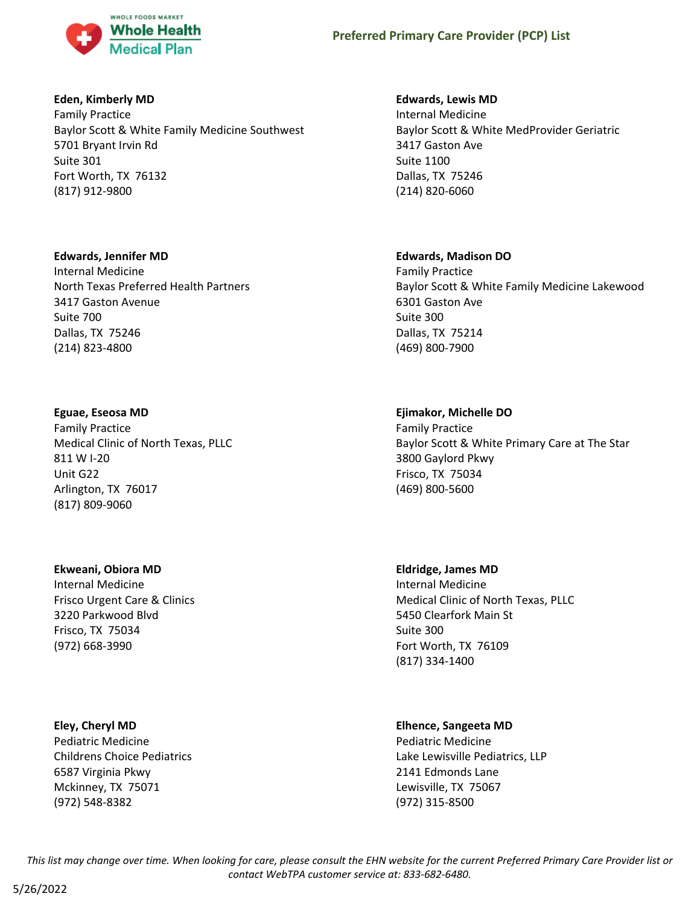

#### **Eden, Kimberly MD**

Family Practice Baylor Scott & White Family Medicine Southwest 5701 Bryant Irvin Rd Suite 301 Fort Worth, TX 76132 (817) 912-9800

#### **Edwards, Jennifer MD**

Internal Medicine North Texas Preferred Health Partners 3417 Gaston Avenue Suite 700 Dallas, TX 75246 (214) 823-4800

#### **Eguae, Eseosa MD**

Family Practice Medical Clinic of North Texas, PLLC 811 W I-20 Unit G22 Arlington, TX 76017 (817) 809-9060

### **Ekweani, Obiora MD**

Internal Medicine Frisco Urgent Care & Clinics 3220 Parkwood Blvd Frisco, TX 75034 (972) 668-3990

### **Eley, Cheryl MD**

Pediatric Medicine Childrens Choice Pediatrics 6587 Virginia Pkwy Mckinney, TX 75071 (972) 548-8382

#### **Edwards, Lewis MD**

Internal Medicine Baylor Scott & White MedProvider Geriatric 3417 Gaston Ave Suite 1100 Dallas, TX 75246 (214) 820-6060

#### **Edwards, Madison DO**

Family Practice Baylor Scott & White Family Medicine Lakewood 6301 Gaston Ave Suite 300 Dallas, TX 75214 (469) 800-7900

#### **Ejimakor, Michelle DO**

Family Practice Baylor Scott & White Primary Care at The Star 3800 Gaylord Pkwy Frisco, TX 75034 (469) 800-5600

#### **Eldridge, James MD**

Internal Medicine Medical Clinic of North Texas, PLLC 5450 Clearfork Main St Suite 300 Fort Worth, TX 76109 (817) 334-1400

### **Elhence, Sangeeta MD**

Pediatric Medicine Lake Lewisville Pediatrics, LLP 2141 Edmonds Lane Lewisville, TX 75067 (972) 315-8500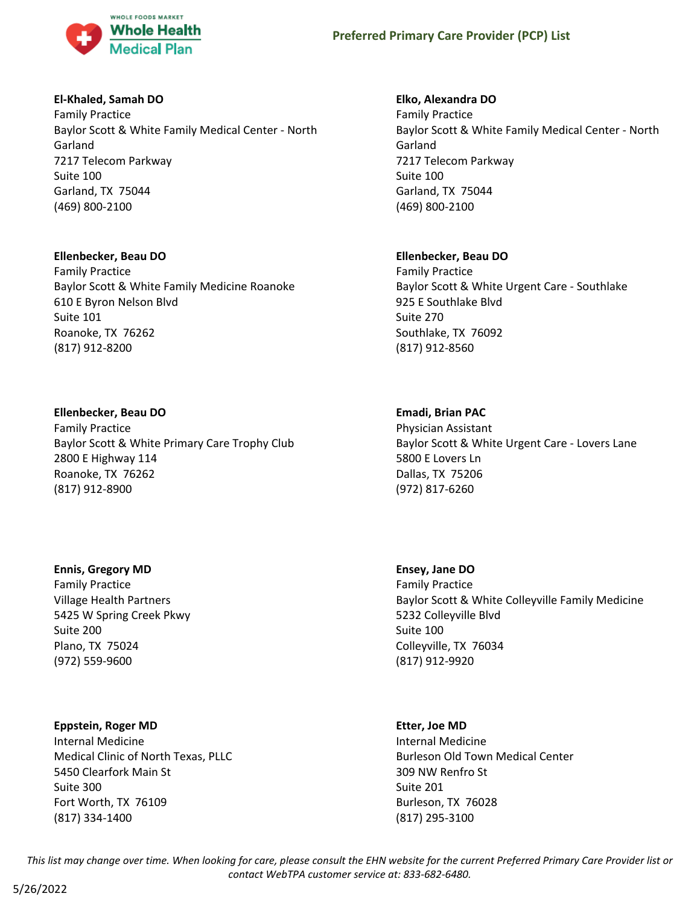

#### **El-Khaled, Samah DO**

Family Practice Baylor Scott & White Family Medical Center - North Garland 7217 Telecom Parkway Suite 100 Garland, TX 75044 (469) 800-2100

#### **Ellenbecker, Beau DO**

Family Practice Baylor Scott & White Family Medicine Roanoke 610 E Byron Nelson Blvd Suite 101 Roanoke, TX 76262 (817) 912-8200

#### **Ellenbecker, Beau DO**

Family Practice Baylor Scott & White Primary Care Trophy Club 2800 E Highway 114 Roanoke, TX 76262 (817) 912-8900

#### **Ennis, Gregory MD**

Family Practice Village Health Partners 5425 W Spring Creek Pkwy Suite 200 Plano, TX 75024 (972) 559-9600

#### **Eppstein, Roger MD**

Internal Medicine Medical Clinic of North Texas, PLLC 5450 Clearfork Main St Suite 300 Fort Worth, TX 76109 (817) 334-1400

#### **Elko, Alexandra DO**

Family Practice Baylor Scott & White Family Medical Center - North Garland 7217 Telecom Parkway Suite 100 Garland, TX 75044 (469) 800-2100

#### **Ellenbecker, Beau DO**

Family Practice Baylor Scott & White Urgent Care - Southlake 925 E Southlake Blvd Suite 270 Southlake, TX 76092 (817) 912-8560

#### **Emadi, Brian PAC**

Physician Assistant Baylor Scott & White Urgent Care - Lovers Lane 5800 E Lovers Ln Dallas, TX 75206 (972) 817-6260

**Ensey, Jane DO**

Family Practice Baylor Scott & White Colleyville Family Medicine 5232 Colleyville Blvd Suite 100 Colleyville, TX 76034 (817) 912-9920

#### **Etter, Joe MD**

Internal Medicine Burleson Old Town Medical Center 309 NW Renfro St Suite 201 Burleson, TX 76028 (817) 295-3100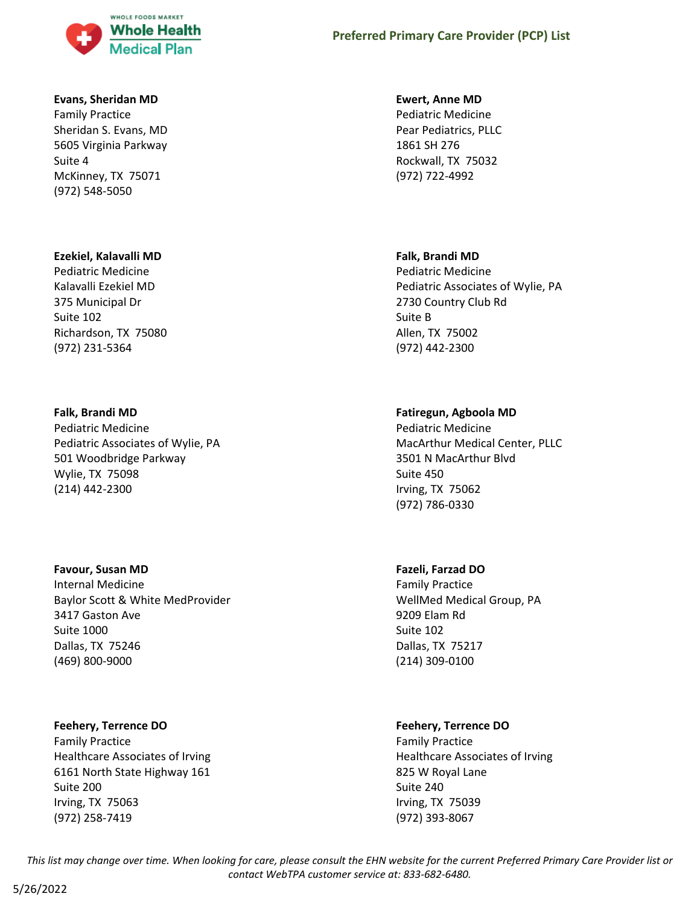

#### **Evans, Sheridan MD**

Family Practice Sheridan S. Evans, MD 5605 Virginia Parkway Suite 4 McKinney, TX 75071 (972) 548-5050

#### **Ezekiel, Kalavalli MD**

Pediatric Medicine Kalavalli Ezekiel MD 375 Municipal Dr Suite 102 Richardson, TX 75080 (972) 231-5364

#### **Falk, Brandi MD**

Pediatric Medicine Pediatric Associates of Wylie, PA 501 Woodbridge Parkway Wylie, TX 75098 (214) 442-2300

#### **Favour, Susan MD**

Internal Medicine Baylor Scott & White MedProvider 3417 Gaston Ave Suite 1000 Dallas, TX 75246 (469) 800-9000

#### **Feehery, Terrence DO**

Family Practice Healthcare Associates of Irving 6161 North State Highway 161 Suite 200 Irving, TX 75063 (972) 258-7419

## **Preferred Primary Care Provider (PCP) List**

#### **Ewert, Anne MD**

Pediatric Medicine Pear Pediatrics, PLLC 1861 SH 276 Rockwall, TX 75032 (972) 722-4992

#### **Falk, Brandi MD**

Pediatric Medicine Pediatric Associates of Wylie, PA 2730 Country Club Rd Suite B Allen, TX 75002 (972) 442-2300

#### **Fatiregun, Agboola MD**

Pediatric Medicine MacArthur Medical Center, PLLC 3501 N MacArthur Blvd Suite 450 Irving, TX 75062 (972) 786-0330

#### **Fazeli, Farzad DO**

Family Practice WellMed Medical Group, PA 9209 Elam Rd Suite 102 Dallas, TX 75217 (214) 309-0100

### **Feehery, Terrence DO**

Family Practice Healthcare Associates of Irving 825 W Royal Lane Suite 240 Irving, TX 75039 (972) 393-8067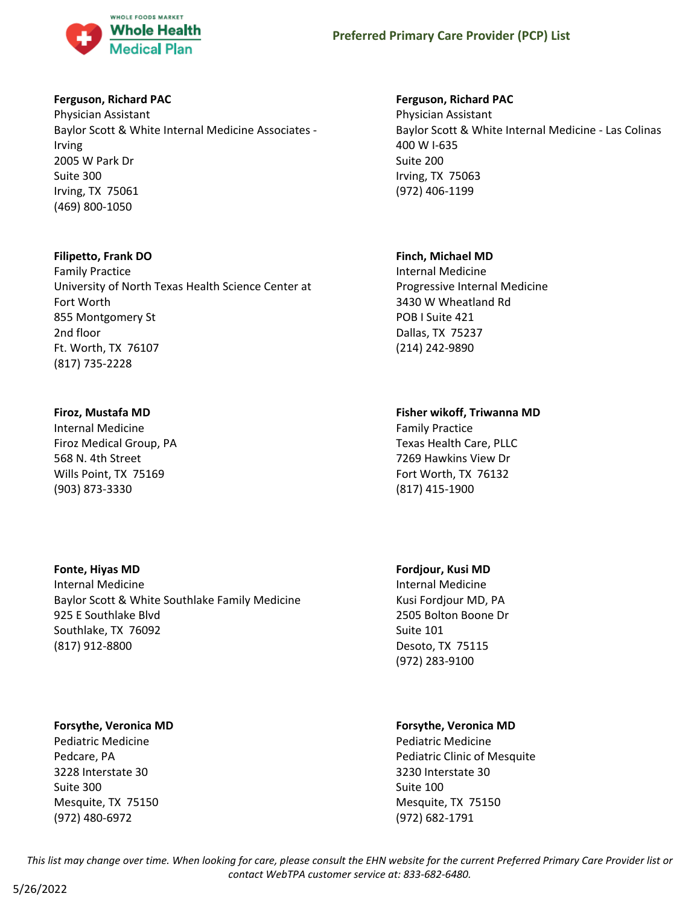

#### **Ferguson, Richard PAC**

Physician Assistant Baylor Scott & White Internal Medicine Associates - Irving 2005 W Park Dr Suite 300 Irving, TX 75061 (469) 800-1050

#### **Filipetto, Frank DO**

Family Practice University of North Texas Health Science Center at Fort Worth 855 Montgomery St 2nd floor Ft. Worth, TX 76107 (817) 735-2228

#### **Firoz, Mustafa MD**

Internal Medicine Firoz Medical Group, PA 568 N. 4th Street Wills Point, TX 75169 (903) 873-3330

#### **Fonte, Hiyas MD**

Internal Medicine Baylor Scott & White Southlake Family Medicine 925 E Southlake Blvd Southlake, TX 76092 (817) 912-8800

#### **Forsythe, Veronica MD**

Pediatric Medicine Pedcare, PA 3228 Interstate 30 Suite 300 Mesquite, TX 75150 (972) 480-6972

#### **Ferguson, Richard PAC**

Physician Assistant Baylor Scott & White Internal Medicine - Las Colinas 400 W I-635 Suite 200 Irving, TX 75063 (972) 406-1199

#### **Finch, Michael MD**

Internal Medicine Progressive Internal Medicine 3430 W Wheatland Rd POB I Suite 421 Dallas, TX 75237 (214) 242-9890

# **Fisher wikoff, Triwanna MD**

Family Practice Texas Health Care, PLLC 7269 Hawkins View Dr Fort Worth, TX 76132 (817) 415-1900

#### **Fordjour, Kusi MD**

Internal Medicine Kusi Fordjour MD, PA 2505 Bolton Boone Dr Suite 101 Desoto, TX 75115 (972) 283-9100

### **Forsythe, Veronica MD**

Pediatric Medicine Pediatric Clinic of Mesquite 3230 Interstate 30 Suite 100 Mesquite, TX 75150 (972) 682-1791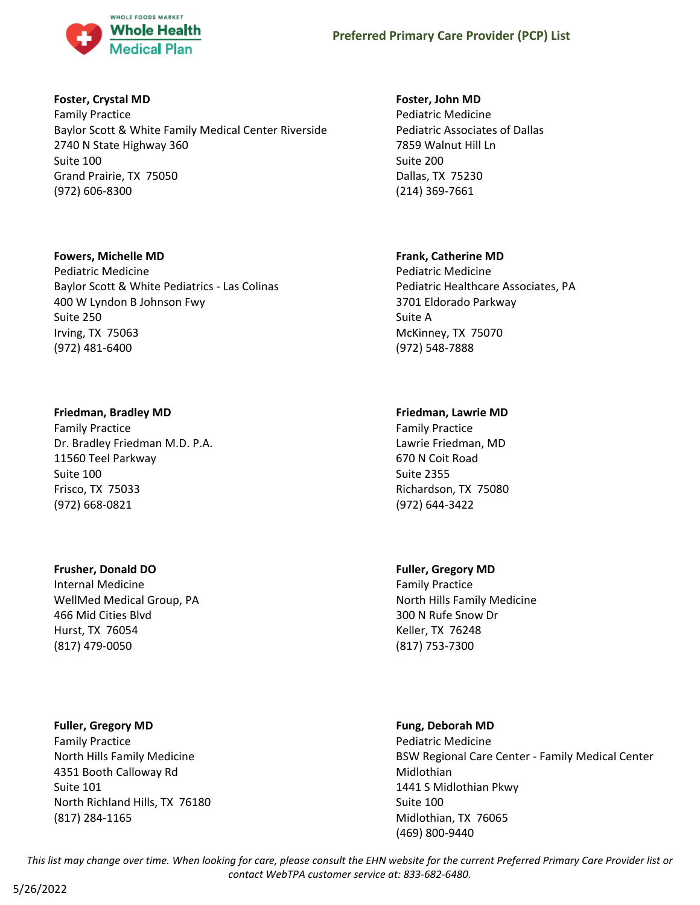

#### **Foster, Crystal MD**

Family Practice Baylor Scott & White Family Medical Center Riverside 2740 N State Highway 360 Suite 100 Grand Prairie, TX 75050 (972) 606-8300

#### **Fowers, Michelle MD**

Pediatric Medicine Baylor Scott & White Pediatrics - Las Colinas 400 W Lyndon B Johnson Fwy Suite 250 Irving, TX 75063 (972) 481-6400

### **Friedman, Bradley MD**

Family Practice Dr. Bradley Friedman M.D. P.A. 11560 Teel Parkway Suite 100 Frisco, TX 75033 (972) 668-0821

### **Frusher, Donald DO**

Internal Medicine WellMed Medical Group, PA 466 Mid Cities Blvd Hurst, TX 76054 (817) 479-0050

### **Fuller, Gregory MD**

Family Practice North Hills Family Medicine 4351 Booth Calloway Rd Suite 101 North Richland Hills, TX 76180 (817) 284-1165

### **Foster, John MD**

Pediatric Medicine Pediatric Associates of Dallas 7859 Walnut Hill Ln Suite 200 Dallas, TX 75230 (214) 369-7661

# **Frank, Catherine MD**

Pediatric Medicine Pediatric Healthcare Associates, PA 3701 Eldorado Parkway Suite A McKinney, TX 75070 (972) 548-7888

# **Friedman, Lawrie MD**

Family Practice Lawrie Friedman, MD 670 N Coit Road Suite 2355 Richardson, TX 75080 (972) 644-3422

### **Fuller, Gregory MD**

Family Practice North Hills Family Medicine 300 N Rufe Snow Dr Keller, TX 76248 (817) 753-7300

### **Fung, Deborah MD**

Pediatric Medicine BSW Regional Care Center - Family Medical Center Midlothian 1441 S Midlothian Pkwy Suite 100 Midlothian, TX 76065 (469) 800-9440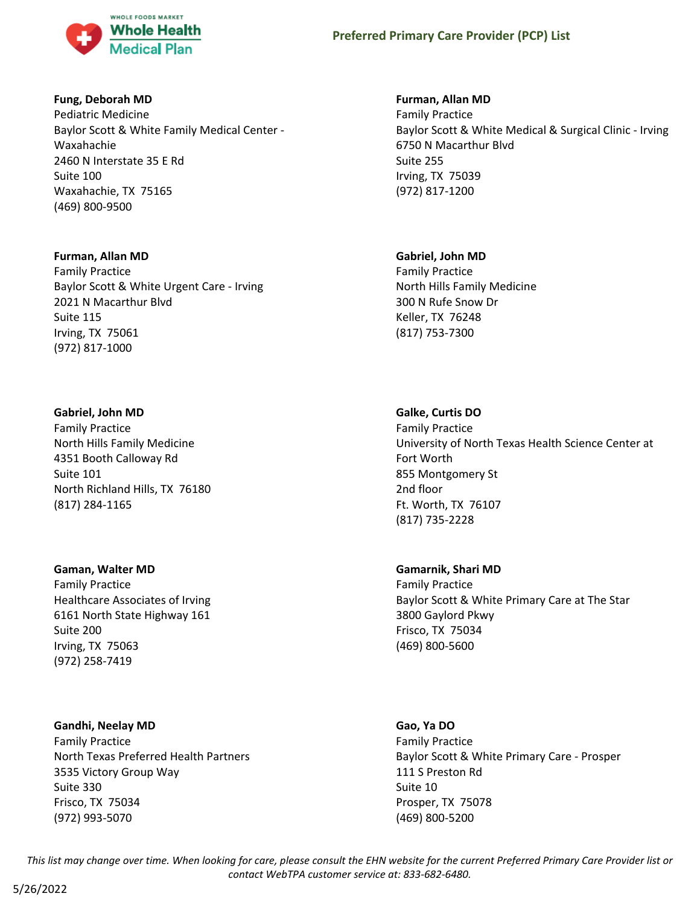

#### **Fung, Deborah MD**

Pediatric Medicine Baylor Scott & White Family Medical Center - Waxahachie 2460 N Interstate 35 E Rd Suite 100 Waxahachie, TX 75165 (469) 800-9500

#### **Furman, Allan MD**

Family Practice Baylor Scott & White Urgent Care - Irving 2021 N Macarthur Blvd Suite 115 Irving, TX 75061 (972) 817-1000

### **Gabriel, John MD**

Family Practice North Hills Family Medicine 4351 Booth Calloway Rd Suite 101 North Richland Hills, TX 76180 (817) 284-1165

### **Gaman, Walter MD**

Family Practice Healthcare Associates of Irving 6161 North State Highway 161 Suite 200 Irving, TX 75063 (972) 258-7419

### **Gandhi, Neelay MD**

Family Practice North Texas Preferred Health Partners 3535 Victory Group Way Suite 330 Frisco, TX 75034 (972) 993-5070

# **Furman, Allan MD**

Family Practice Baylor Scott & White Medical & Surgical Clinic - Irving 6750 N Macarthur Blvd Suite 255 Irving, TX 75039 (972) 817-1200

# **Gabriel, John MD**

Family Practice North Hills Family Medicine 300 N Rufe Snow Dr Keller, TX 76248 (817) 753-7300

# **Galke, Curtis DO**

Family Practice University of North Texas Health Science Center at Fort Worth 855 Montgomery St 2nd floor Ft. Worth, TX 76107 (817) 735-2228

### **Gamarnik, Shari MD**

Family Practice Baylor Scott & White Primary Care at The Star 3800 Gaylord Pkwy Frisco, TX 75034 (469) 800-5600

#### **Gao, Ya DO**

Family Practice Baylor Scott & White Primary Care - Prosper 111 S Preston Rd Suite 10 Prosper, TX 75078 (469) 800-5200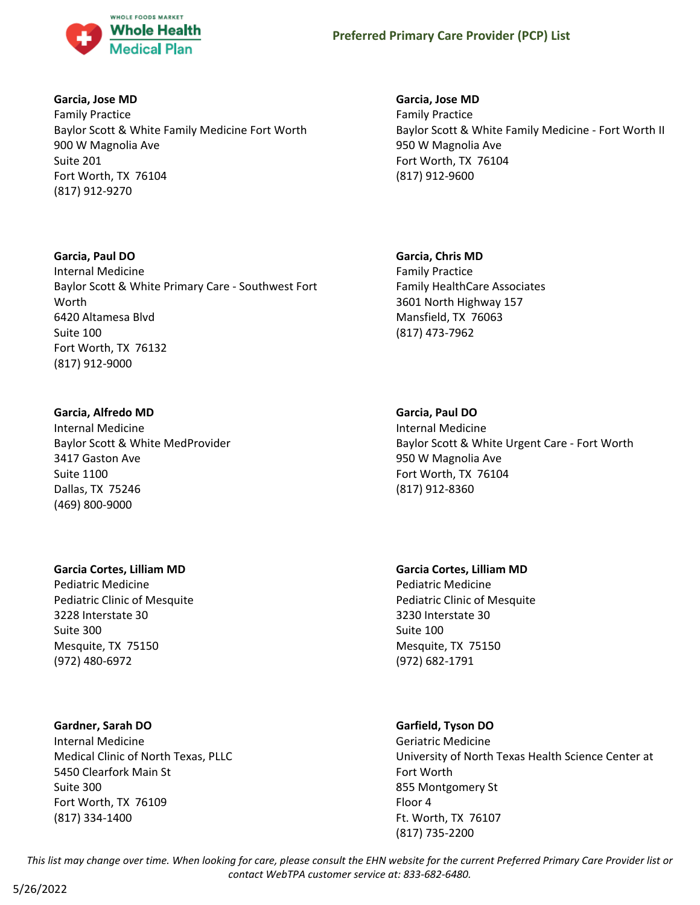

#### **Garcia, Jose MD**

Family Practice Baylor Scott & White Family Medicine Fort Worth 900 W Magnolia Ave Suite 201 Fort Worth, TX 76104 (817) 912-9270

#### **Garcia, Paul DO**

Internal Medicine Baylor Scott & White Primary Care - Southwest Fort Worth 6420 Altamesa Blvd Suite 100 Fort Worth, TX 76132 (817) 912-9000

### **Garcia, Alfredo MD**

Internal Medicine Baylor Scott & White MedProvider 3417 Gaston Ave Suite 1100 Dallas, TX 75246 (469) 800-9000

### **Garcia Cortes, Lilliam MD**

Pediatric Medicine Pediatric Clinic of Mesquite 3228 Interstate 30 Suite 300 Mesquite, TX 75150 (972) 480-6972

### **Gardner, Sarah DO**

Internal Medicine Medical Clinic of North Texas, PLLC 5450 Clearfork Main St Suite 300 Fort Worth, TX 76109 (817) 334-1400

# **Garcia, Jose MD**

Family Practice Baylor Scott & White Family Medicine - Fort Worth II 950 W Magnolia Ave Fort Worth, TX 76104 (817) 912-9600

### **Garcia, Chris MD**

Family Practice Family HealthCare Associates 3601 North Highway 157 Mansfield, TX 76063 (817) 473-7962

### **Garcia, Paul DO**

Internal Medicine Baylor Scott & White Urgent Care - Fort Worth 950 W Magnolia Ave Fort Worth, TX 76104 (817) 912-8360

**Garcia Cortes, Lilliam MD** Pediatric Medicine Pediatric Clinic of Mesquite 3230 Interstate 30 Suite 100 Mesquite, TX 75150 (972) 682-1791

### **Garfield, Tyson DO**

Geriatric Medicine University of North Texas Health Science Center at Fort Worth 855 Montgomery St Floor 4 Ft. Worth, TX 76107 (817) 735-2200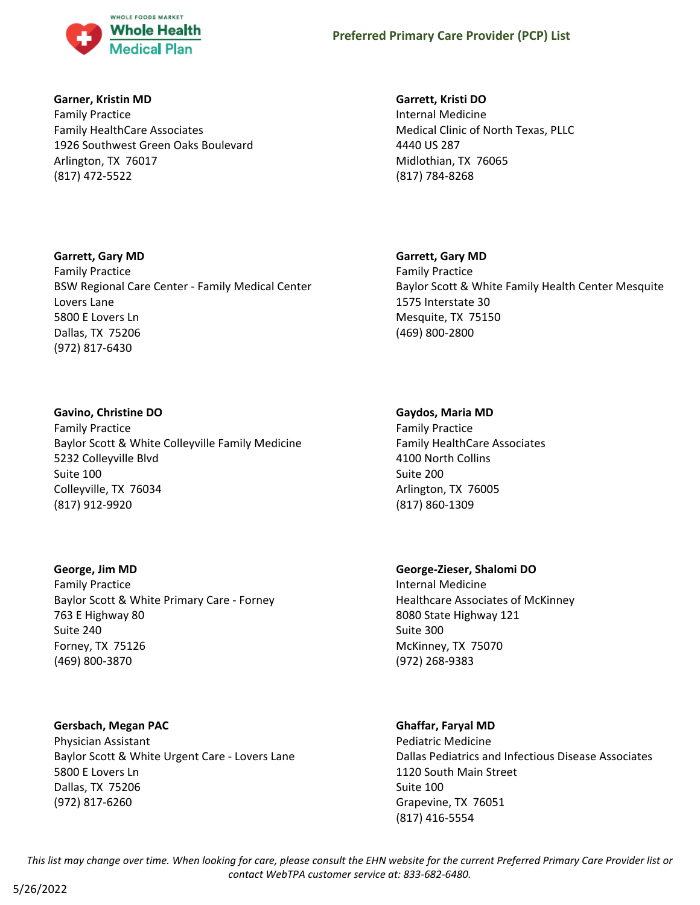

#### **Garner, Kristin MD**

Family Practice Family HealthCare Associates 1926 Southwest Green Oaks Boulevard Arlington, TX 76017 (817) 472-5522

## **Garrett, Kristi DO**

Internal Medicine Medical Clinic of North Texas, PLLC 4440 US 287 Midlothian, TX 76065 (817) 784-8268

## **Garrett, Gary MD**

Family Practice Baylor Scott & White Family Health Center Mesquite 1575 Interstate 30 Mesquite, TX 75150 (469) 800-2800

## **Gaydos, Maria MD**

Family Practice Family HealthCare Associates 4100 North Collins Suite 200 Arlington, TX 76005 (817) 860-1309

## **George-Zieser, Shalomi DO**

Internal Medicine Healthcare Associates of McKinney 8080 State Highway 121 Suite 300 McKinney, TX 75070 (972) 268-9383

## **Ghaffar, Faryal MD**

Pediatric Medicine Dallas Pediatrics and Infectious Disease Associates 1120 South Main Street Suite 100 Grapevine, TX 76051 (817) 416-5554

*This list may change over time. When looking for care, please consult the EHN website for the current Preferred Primary Care Provider list or contact WebTPA customer service at: 833-682-6480.*

## **Garrett, Gary MD**

Family Practice BSW Regional Care Center - Family Medical Center Lovers Lane 5800 E Lovers Ln Dallas, TX 75206 (972) 817-6430

## **Gavino, Christine DO**

Family Practice Baylor Scott & White Colleyville Family Medicine 5232 Colleyville Blvd Suite 100 Colleyville, TX 76034 (817) 912-9920

#### **George, Jim MD**

Family Practice Baylor Scott & White Primary Care - Forney 763 E Highway 80 Suite 240 Forney, TX 75126 (469) 800-3870

## **Gersbach, Megan PAC**

Physician Assistant Baylor Scott & White Urgent Care - Lovers Lane 5800 E Lovers Ln Dallas, TX 75206 (972) 817-6260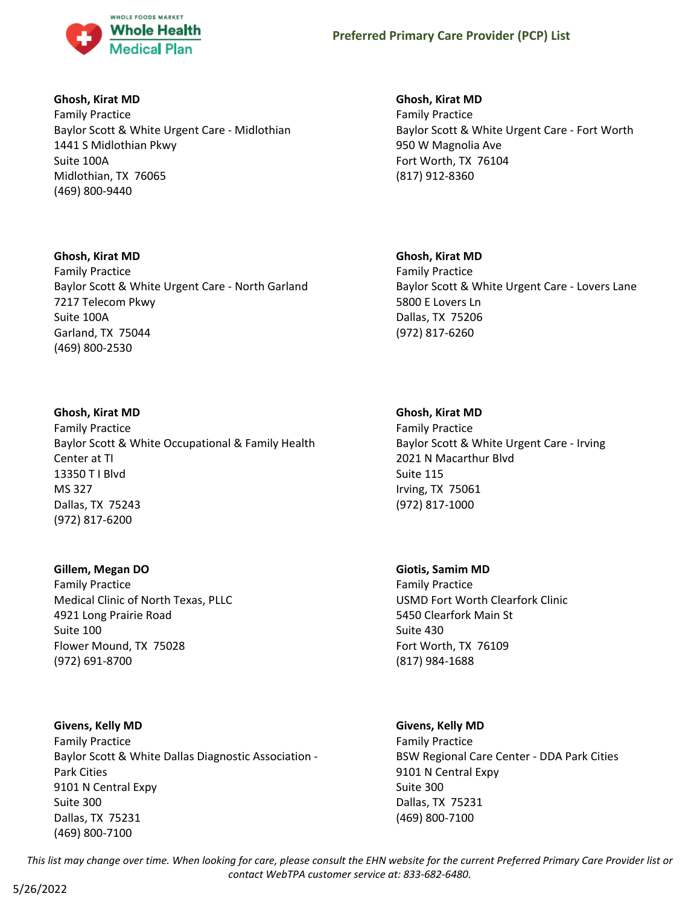

## **Ghosh, Kirat MD**

Family Practice Baylor Scott & White Urgent Care - Midlothian 1441 S Midlothian Pkwy Suite 100A Midlothian, TX 76065 (469) 800-9440

#### **Ghosh, Kirat MD**

Family Practice Baylor Scott & White Urgent Care - North Garland 7217 Telecom Pkwy Suite 100A Garland, TX 75044 (469) 800-2530

## **Ghosh, Kirat MD**

Family Practice Baylor Scott & White Occupational & Family Health Center at TI 13350 T I Blvd MS 327 Dallas, TX 75243 (972) 817-6200

#### **Gillem, Megan DO**

Family Practice Medical Clinic of North Texas, PLLC 4921 Long Prairie Road Suite 100 Flower Mound, TX 75028 (972) 691-8700

#### **Givens, Kelly MD**

Family Practice Baylor Scott & White Dallas Diagnostic Association - Park Cities 9101 N Central Expy Suite 300 Dallas, TX 75231 (469) 800-7100

## **Ghosh, Kirat MD**

Family Practice Baylor Scott & White Urgent Care - Fort Worth 950 W Magnolia Ave Fort Worth, TX 76104 (817) 912-8360

## **Ghosh, Kirat MD**

Family Practice Baylor Scott & White Urgent Care - Lovers Lane 5800 E Lovers Ln Dallas, TX 75206 (972) 817-6260

## **Ghosh, Kirat MD**

Family Practice Baylor Scott & White Urgent Care - Irving 2021 N Macarthur Blvd Suite 115 Irving, TX 75061 (972) 817-1000

#### **Giotis, Samim MD**

Family Practice USMD Fort Worth Clearfork Clinic 5450 Clearfork Main St Suite 430 Fort Worth, TX 76109 (817) 984-1688

## **Givens, Kelly MD**

Family Practice BSW Regional Care Center - DDA Park Cities 9101 N Central Expy Suite 300 Dallas, TX 75231 (469) 800-7100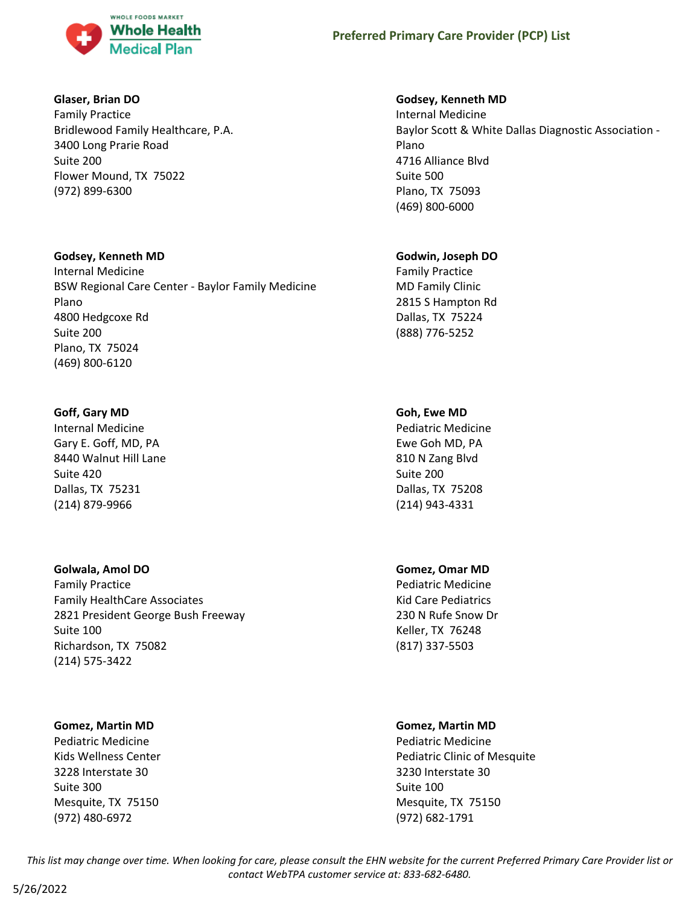

## **Glaser, Brian DO**

Family Practice Bridlewood Family Healthcare, P.A. 3400 Long Prarie Road Suite 200 Flower Mound, TX 75022 (972) 899-6300

## **Godsey, Kenneth MD**

Internal Medicine BSW Regional Care Center - Baylor Family Medicine Plano 4800 Hedgcoxe Rd Suite 200 Plano, TX 75024 (469) 800-6120

## **Goff, Gary MD**

Internal Medicine Gary E. Goff, MD, PA 8440 Walnut Hill Lane Suite 420 Dallas, TX 75231 (214) 879-9966

## **Golwala, Amol DO**

Family Practice Family HealthCare Associates 2821 President George Bush Freeway Suite 100 Richardson, TX 75082 (214) 575-3422

## **Gomez, Martin MD**

Pediatric Medicine Kids Wellness Center 3228 Interstate 30 Suite 300 Mesquite, TX 75150 (972) 480-6972

## **Godsey, Kenneth MD**

Internal Medicine Baylor Scott & White Dallas Diagnostic Association - Plano 4716 Alliance Blvd Suite 500 Plano, TX 75093 (469) 800-6000

## **Godwin, Joseph DO**

Family Practice MD Family Clinic 2815 S Hampton Rd Dallas, TX 75224 (888) 776-5252

## **Goh, Ewe MD**

Pediatric Medicine Ewe Goh MD, PA 810 N Zang Blvd Suite 200 Dallas, TX 75208 (214) 943-4331

## **Gomez, Omar MD**

Pediatric Medicine Kid Care Pediatrics 230 N Rufe Snow Dr Keller, TX 76248 (817) 337-5503

## **Gomez, Martin MD**

Pediatric Medicine Pediatric Clinic of Mesquite 3230 Interstate 30 Suite 100 Mesquite, TX 75150 (972) 682-1791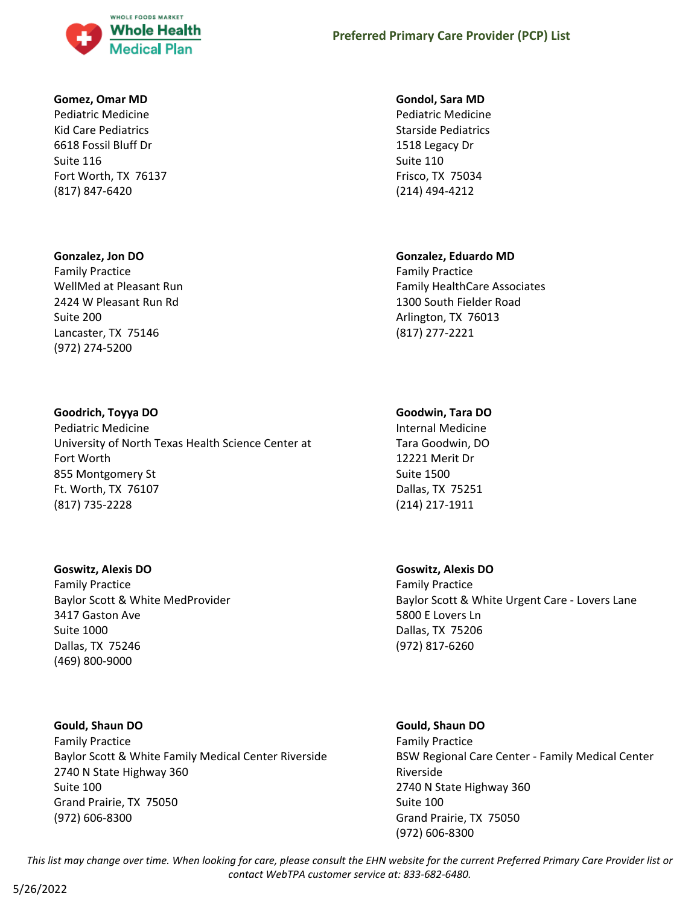

#### **Gomez, Omar MD**

Pediatric Medicine Kid Care Pediatrics 6618 Fossil Bluff Dr Suite 116 Fort Worth, TX 76137 (817) 847-6420

#### **Gonzalez, Jon DO**

Family Practice WellMed at Pleasant Run 2424 W Pleasant Run Rd Suite 200 Lancaster, TX 75146 (972) 274-5200

#### **Goodrich, Toyya DO**

Pediatric Medicine University of North Texas Health Science Center at Fort Worth 855 Montgomery St Ft. Worth, TX 76107 (817) 735-2228

#### **Goswitz, Alexis DO**

Family Practice Baylor Scott & White MedProvider 3417 Gaston Ave Suite 1000 Dallas, TX 75246 (469) 800-9000

#### **Gould, Shaun DO**

Family Practice Baylor Scott & White Family Medical Center Riverside 2740 N State Highway 360 Suite 100 Grand Prairie, TX 75050 (972) 606-8300

#### **Gondol, Sara MD**

Pediatric Medicine Starside Pediatrics 1518 Legacy Dr Suite 110 Frisco, TX 75034 (214) 494-4212

#### **Gonzalez, Eduardo MD**

Family Practice Family HealthCare Associates 1300 South Fielder Road Arlington, TX 76013 (817) 277-2221

#### **Goodwin, Tara DO**

Internal Medicine Tara Goodwin, DO 12221 Merit Dr Suite 1500 Dallas, TX 75251 (214) 217-1911

#### **Goswitz, Alexis DO**

(972) 606-8300

Family Practice Baylor Scott & White Urgent Care - Lovers Lane 5800 E Lovers Ln Dallas, TX 75206 (972) 817-6260

## **Gould, Shaun DO** Family Practice BSW Regional Care Center - Family Medical Center Riverside 2740 N State Highway 360 Suite 100 Grand Prairie, TX 75050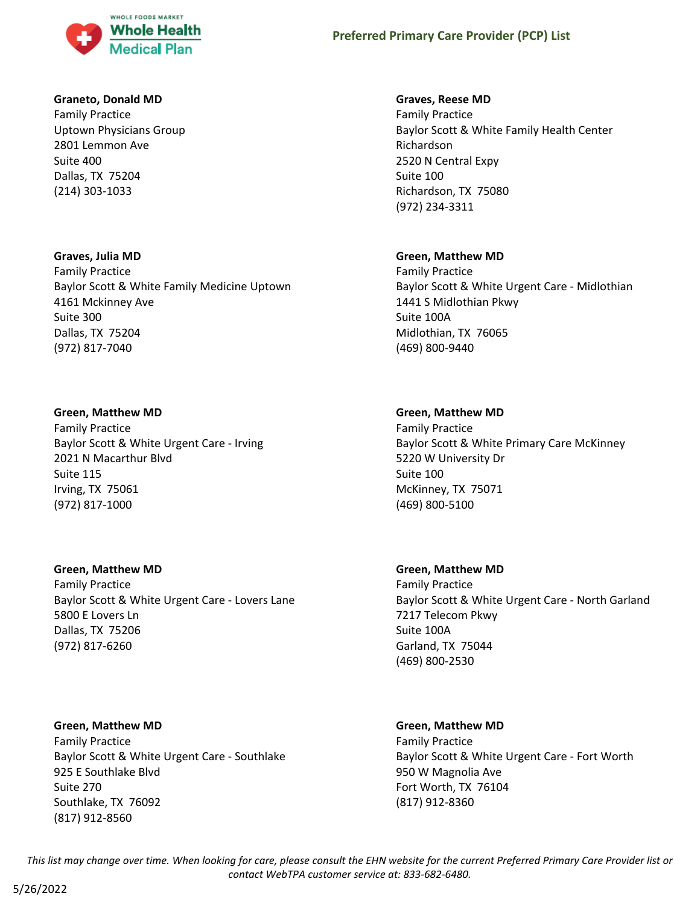

#### **Graneto, Donald MD**

Family Practice Uptown Physicians Group 2801 Lemmon Ave Suite 400 Dallas, TX 75204 (214) 303-1033

#### **Graves, Julia MD**

Family Practice Baylor Scott & White Family Medicine Uptown 4161 Mckinney Ave Suite 300 Dallas, TX 75204 (972) 817-7040

#### **Green, Matthew MD**

Family Practice Baylor Scott & White Urgent Care - Irving 2021 N Macarthur Blvd Suite 115 Irving, TX 75061 (972) 817-1000

#### **Green, Matthew MD**

Family Practice Baylor Scott & White Urgent Care - Lovers Lane 5800 E Lovers Ln Dallas, TX 75206 (972) 817-6260

#### **Green, Matthew MD**

Family Practice Baylor Scott & White Urgent Care - Southlake 925 E Southlake Blvd Suite 270 Southlake, TX 76092 (817) 912-8560

#### **Graves, Reese MD**

Family Practice Baylor Scott & White Family Health Center Richardson 2520 N Central Expy Suite 100 Richardson, TX 75080 (972) 234-3311

#### **Green, Matthew MD**

Family Practice Baylor Scott & White Urgent Care - Midlothian 1441 S Midlothian Pkwy Suite 100A Midlothian, TX 76065 (469) 800-9440

#### **Green, Matthew MD**

Family Practice Baylor Scott & White Primary Care McKinney 5220 W University Dr Suite 100 McKinney, TX 75071 (469) 800-5100

#### **Green, Matthew MD**

Family Practice Baylor Scott & White Urgent Care - North Garland 7217 Telecom Pkwy Suite 100A Garland, TX 75044 (469) 800-2530

#### **Green, Matthew MD**

Family Practice Baylor Scott & White Urgent Care - Fort Worth 950 W Magnolia Ave Fort Worth, TX 76104 (817) 912-8360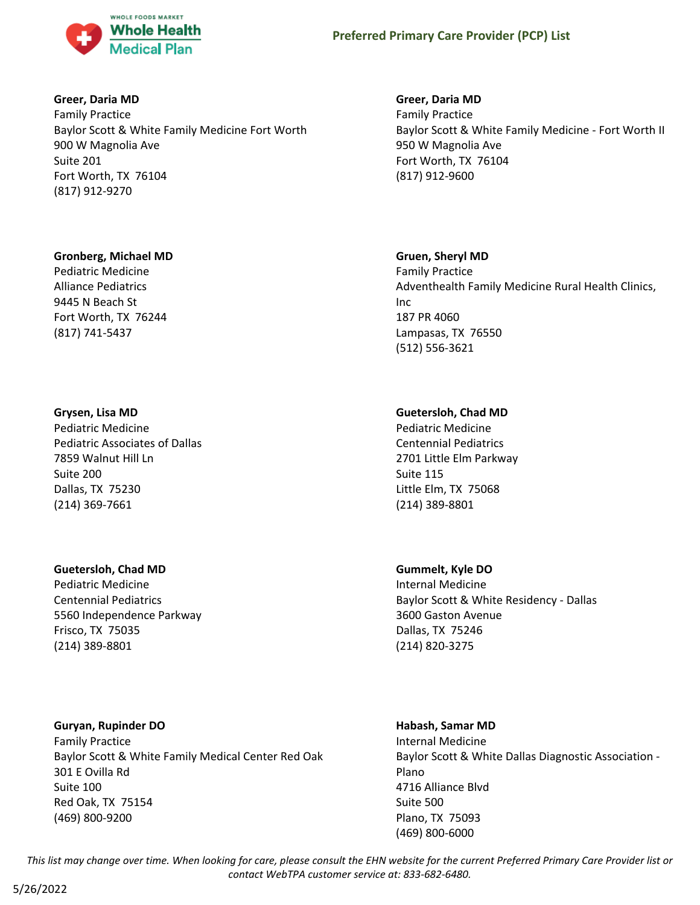

## **Greer, Daria MD**

Family Practice Baylor Scott & White Family Medicine Fort Worth 900 W Magnolia Ave Suite 201 Fort Worth, TX 76104 (817) 912-9270

#### **Gronberg, Michael MD**

Pediatric Medicine Alliance Pediatrics 9445 N Beach St Fort Worth, TX 76244 (817) 741-5437

#### **Grysen, Lisa MD**

Pediatric Medicine Pediatric Associates of Dallas 7859 Walnut Hill Ln Suite 200 Dallas, TX 75230 (214) 369-7661

#### **Guetersloh, Chad MD**

Pediatric Medicine Centennial Pediatrics 5560 Independence Parkway Frisco, TX 75035 (214) 389-8801

**Guryan, Rupinder DO** Family Practice Baylor Scott & White Family Medical Center Red Oak 301 E Ovilla Rd Suite 100 Red Oak, TX 75154 (469) 800-9200

## **Greer, Daria MD**

Family Practice Baylor Scott & White Family Medicine - Fort Worth II 950 W Magnolia Ave Fort Worth, TX 76104 (817) 912-9600

## **Gruen, Sheryl MD**

Family Practice Adventhealth Family Medicine Rural Health Clinics, Inc 187 PR 4060 Lampasas, TX 76550 (512) 556-3621

## **Guetersloh, Chad MD**

Pediatric Medicine Centennial Pediatrics 2701 Little Elm Parkway Suite 115 Little Elm, TX 75068 (214) 389-8801

## **Gummelt, Kyle DO**

Internal Medicine Baylor Scott & White Residency - Dallas 3600 Gaston Avenue Dallas, TX 75246 (214) 820-3275

## **Habash, Samar MD** Internal Medicine Baylor Scott & White Dallas Diagnostic Association - Plano 4716 Alliance Blvd Suite 500 Plano, TX 75093 (469) 800-6000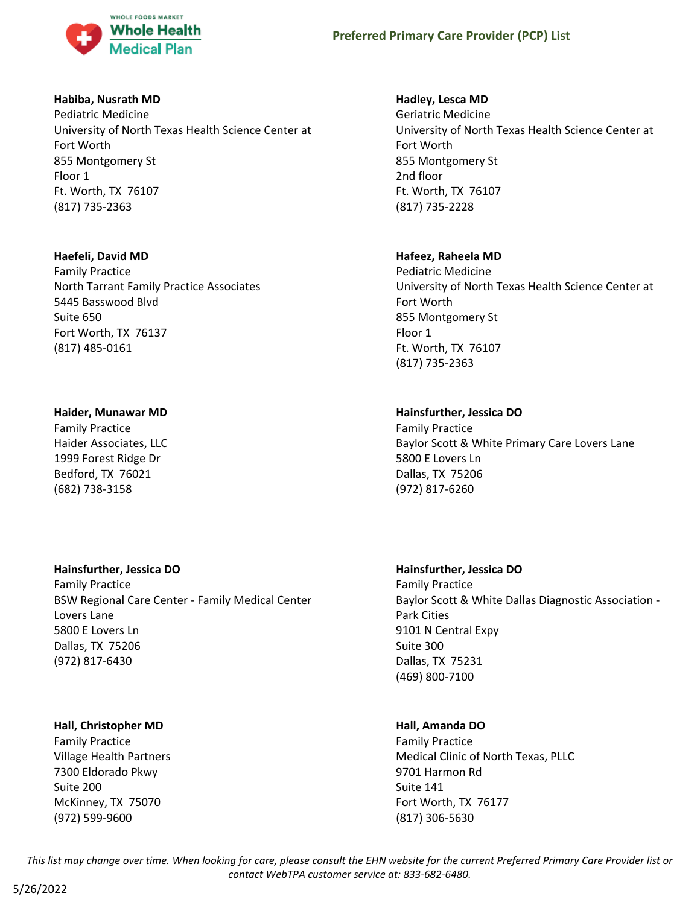

## **Habiba, Nusrath MD**

Pediatric Medicine University of North Texas Health Science Center at Fort Worth 855 Montgomery St Floor 1 Ft. Worth, TX 76107 (817) 735-2363

#### **Haefeli, David MD**

Family Practice North Tarrant Family Practice Associates 5445 Basswood Blvd Suite 650 Fort Worth, TX 76137 (817) 485-0161

## **Haider, Munawar MD**

Family Practice Haider Associates, LLC 1999 Forest Ridge Dr Bedford, TX 76021 (682) 738-3158

## **Hainsfurther, Jessica DO**

Family Practice BSW Regional Care Center - Family Medical Center Lovers Lane 5800 E Lovers Ln Dallas, TX 75206 (972) 817-6430

#### **Hall, Christopher MD**

Family Practice Village Health Partners 7300 Eldorado Pkwy Suite 200 McKinney, TX 75070 (972) 599-9600

## **Hadley, Lesca MD**

Geriatric Medicine University of North Texas Health Science Center at Fort Worth 855 Montgomery St 2nd floor Ft. Worth, TX 76107 (817) 735-2228

## **Hafeez, Raheela MD**

Pediatric Medicine University of North Texas Health Science Center at Fort Worth 855 Montgomery St Floor 1 Ft. Worth, TX 76107 (817) 735-2363

## **Hainsfurther, Jessica DO**

Family Practice Baylor Scott & White Primary Care Lovers Lane 5800 E Lovers Ln Dallas, TX 75206 (972) 817-6260

## **Hainsfurther, Jessica DO**

Family Practice Baylor Scott & White Dallas Diagnostic Association - Park Cities 9101 N Central Expy Suite 300 Dallas, TX 75231 (469) 800-7100

## **Hall, Amanda DO**

Family Practice Medical Clinic of North Texas, PLLC 9701 Harmon Rd Suite 141 Fort Worth, TX 76177 (817) 306-5630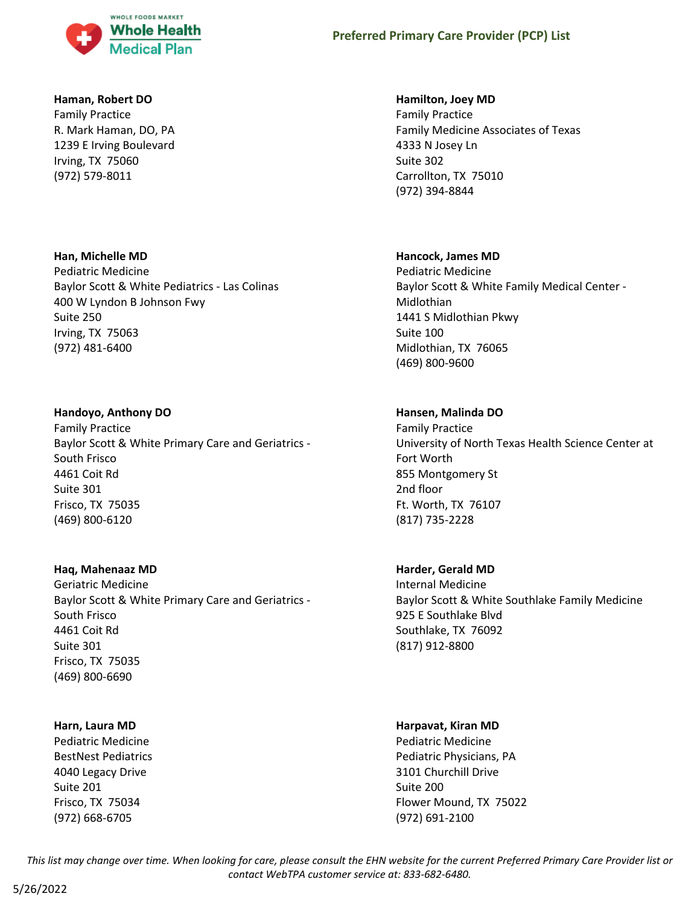

#### **Haman, Robert DO**

Family Practice R. Mark Haman, DO, PA 1239 E Irving Boulevard Irving, TX 75060 (972) 579-8011

#### **Han, Michelle MD**

Pediatric Medicine Baylor Scott & White Pediatrics - Las Colinas 400 W Lyndon B Johnson Fwy Suite 250 Irving, TX 75063 (972) 481-6400

## **Handoyo, Anthony DO**

Family Practice Baylor Scott & White Primary Care and Geriatrics - South Frisco 4461 Coit Rd Suite 301 Frisco, TX 75035 (469) 800-6120

## **Haq, Mahenaaz MD**

Geriatric Medicine Baylor Scott & White Primary Care and Geriatrics - South Frisco 4461 Coit Rd Suite 301 Frisco, TX 75035 (469) 800-6690

## **Harn, Laura MD**

Pediatric Medicine BestNest Pediatrics 4040 Legacy Drive Suite 201 Frisco, TX 75034 (972) 668-6705

## **Hamilton, Joey MD**

Family Practice Family Medicine Associates of Texas 4333 N Josey Ln Suite 302 Carrollton, TX 75010 (972) 394-8844

## **Hancock, James MD**

Pediatric Medicine Baylor Scott & White Family Medical Center - Midlothian 1441 S Midlothian Pkwy Suite 100 Midlothian, TX 76065 (469) 800-9600

## **Hansen, Malinda DO**

Family Practice University of North Texas Health Science Center at Fort Worth 855 Montgomery St 2nd floor Ft. Worth, TX 76107 (817) 735-2228

## **Harder, Gerald MD**

Internal Medicine Baylor Scott & White Southlake Family Medicine 925 E Southlake Blvd Southlake, TX 76092 (817) 912-8800

#### **Harpavat, Kiran MD**

Pediatric Medicine Pediatric Physicians, PA 3101 Churchill Drive Suite 200 Flower Mound, TX 75022 (972) 691-2100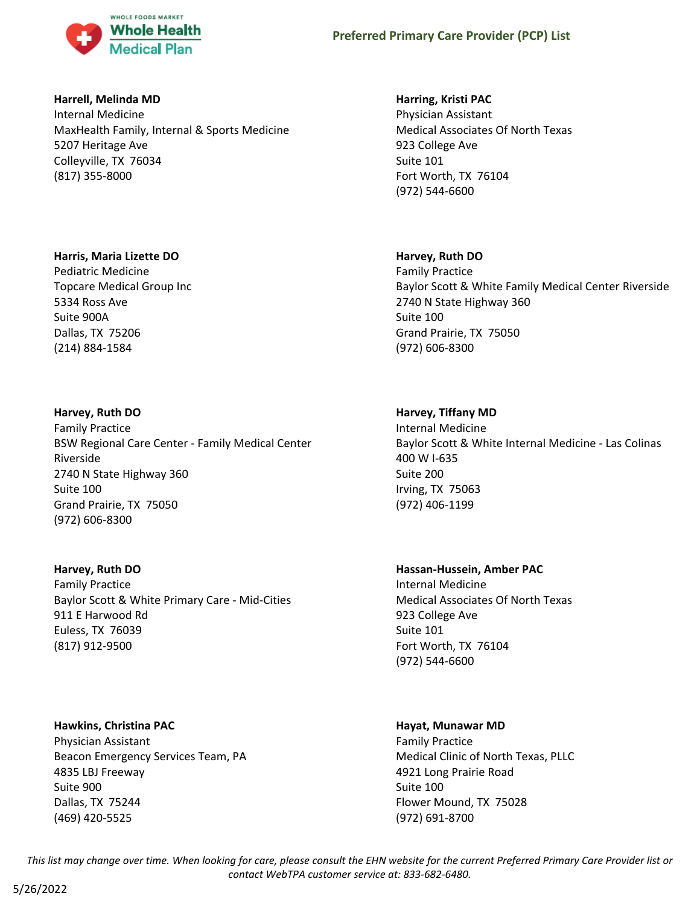

## **Harrell, Melinda MD**

Internal Medicine MaxHealth Family, Internal & Sports Medicine 5207 Heritage Ave Colleyville, TX 76034 (817) 355-8000

## **Harris, Maria Lizette DO**

Pediatric Medicine Topcare Medical Group Inc 5334 Ross Ave Suite 900A Dallas, TX 75206 (214) 884-1584

## **Harvey, Ruth DO**

Family Practice BSW Regional Care Center - Family Medical Center Riverside 2740 N State Highway 360 Suite 100 Grand Prairie, TX 75050 (972) 606-8300

#### **Harvey, Ruth DO**

Family Practice Baylor Scott & White Primary Care - Mid-Cities 911 E Harwood Rd Euless, TX 76039 (817) 912-9500

**Hawkins, Christina PAC** Physician Assistant Beacon Emergency Services Team, PA 4835 LBJ Freeway Suite 900 Dallas, TX 75244 (469) 420-5525

## **Harring, Kristi PAC**

Physician Assistant Medical Associates Of North Texas 923 College Ave Suite 101 Fort Worth, TX 76104 (972) 544-6600

## **Harvey, Ruth DO**

Family Practice Baylor Scott & White Family Medical Center Riverside 2740 N State Highway 360 Suite 100 Grand Prairie, TX 75050 (972) 606-8300

## **Harvey, Tiffany MD**

Internal Medicine Baylor Scott & White Internal Medicine - Las Colinas 400 W I-635 Suite 200 Irving, TX 75063 (972) 406-1199

**Hassan-Hussein, Amber PAC**

Internal Medicine Medical Associates Of North Texas 923 College Ave Suite 101 Fort Worth, TX 76104 (972) 544-6600

#### **Hayat, Munawar MD**

Family Practice Medical Clinic of North Texas, PLLC 4921 Long Prairie Road Suite 100 Flower Mound, TX 75028 (972) 691-8700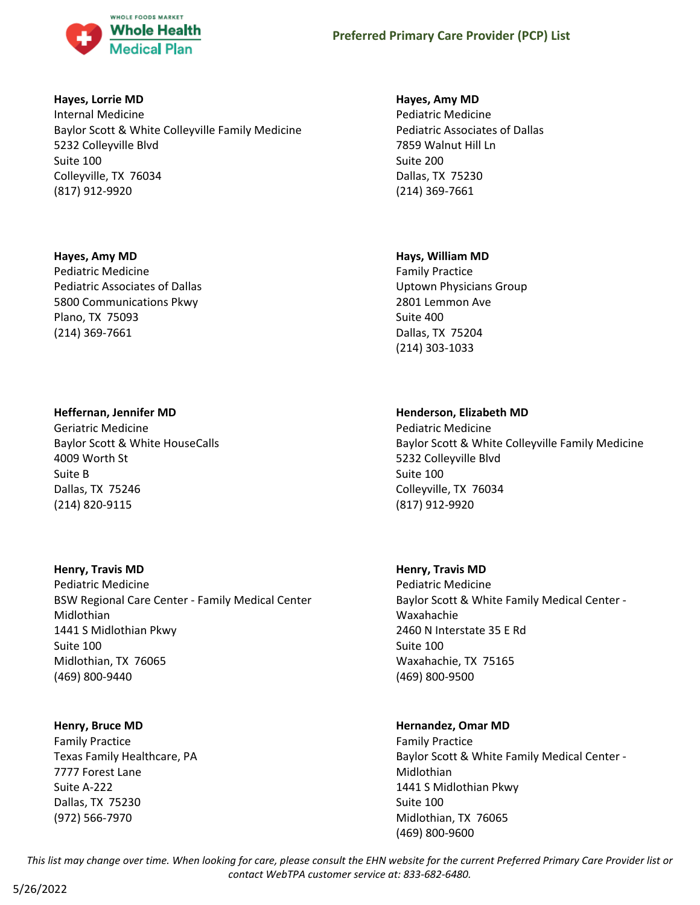

## **Hayes, Lorrie MD**

Internal Medicine Baylor Scott & White Colleyville Family Medicine 5232 Colleyville Blvd Suite 100 Colleyville, TX 76034 (817) 912-9920

## **Hayes, Amy MD**

Pediatric Medicine Pediatric Associates of Dallas 5800 Communications Pkwy Plano, TX 75093 (214) 369-7661

## **Heffernan, Jennifer MD**

Geriatric Medicine Baylor Scott & White HouseCalls 4009 Worth St Suite B Dallas, TX 75246 (214) 820-9115

#### **Henry, Travis MD**

Pediatric Medicine BSW Regional Care Center - Family Medical Center Midlothian 1441 S Midlothian Pkwy Suite 100 Midlothian, TX 76065 (469) 800-9440

## **Henry, Bruce MD**

Family Practice Texas Family Healthcare, PA 7777 Forest Lane Suite A-222 Dallas, TX 75230 (972) 566-7970

#### **Hayes, Amy MD**

Pediatric Medicine Pediatric Associates of Dallas 7859 Walnut Hill Ln Suite 200 Dallas, TX 75230 (214) 369-7661

## **Hays, William MD**

Family Practice Uptown Physicians Group 2801 Lemmon Ave Suite 400 Dallas, TX 75204 (214) 303-1033

## **Henderson, Elizabeth MD**

Pediatric Medicine Baylor Scott & White Colleyville Family Medicine 5232 Colleyville Blvd Suite 100 Colleyville, TX 76034 (817) 912-9920

#### **Henry, Travis MD**

Pediatric Medicine Baylor Scott & White Family Medical Center - Waxahachie 2460 N Interstate 35 E Rd Suite 100 Waxahachie, TX 75165 (469) 800-9500

## **Hernandez, Omar MD**

Family Practice Baylor Scott & White Family Medical Center - Midlothian 1441 S Midlothian Pkwy Suite 100 Midlothian, TX 76065 (469) 800-9600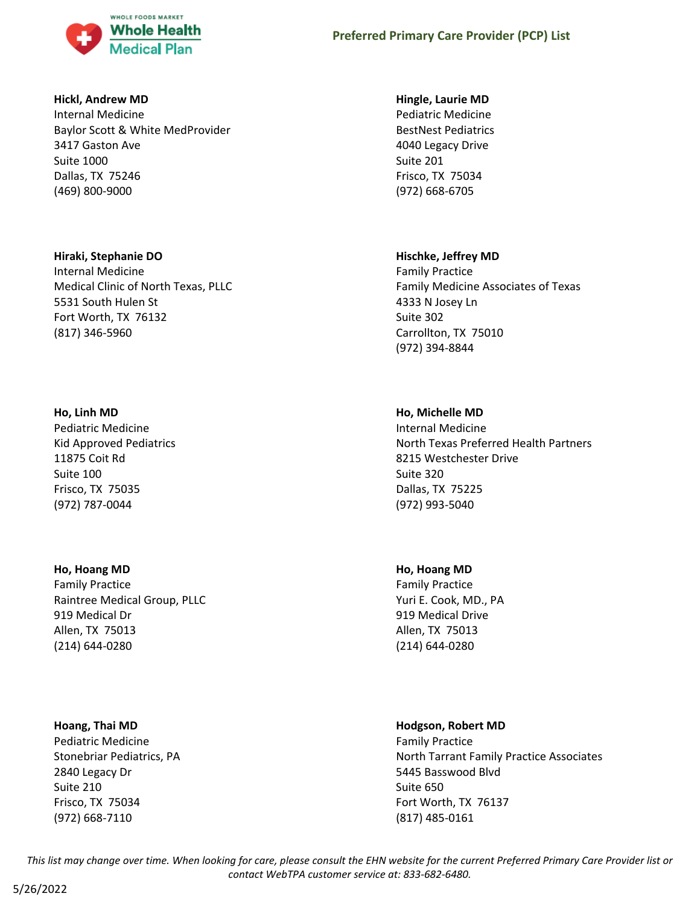

#### **Hickl, Andrew MD**

Internal Medicine Baylor Scott & White MedProvider 3417 Gaston Ave Suite 1000 Dallas, TX 75246 (469) 800-9000

#### **Hiraki, Stephanie DO**

Internal Medicine Medical Clinic of North Texas, PLLC 5531 South Hulen St Fort Worth, TX 76132 (817) 346-5960

## **Ho, Linh MD**

Pediatric Medicine Kid Approved Pediatrics 11875 Coit Rd Suite 100 Frisco, TX 75035 (972) 787-0044

## **Ho, Hoang MD**

Family Practice Raintree Medical Group, PLLC 919 Medical Dr Allen, TX 75013 (214) 644-0280

#### **Hoang, Thai MD**

Pediatric Medicine Stonebriar Pediatrics, PA 2840 Legacy Dr Suite 210 Frisco, TX 75034 (972) 668-7110

#### **Hingle, Laurie MD**

Pediatric Medicine BestNest Pediatrics 4040 Legacy Drive Suite 201 Frisco, TX 75034 (972) 668-6705

## **Hischke, Jeffrey MD**

Family Practice Family Medicine Associates of Texas 4333 N Josey Ln Suite 302 Carrollton, TX 75010 (972) 394-8844

## **Ho, Michelle MD**

Internal Medicine North Texas Preferred Health Partners 8215 Westchester Drive Suite 320 Dallas, TX 75225 (972) 993-5040

## **Ho, Hoang MD**

Family Practice Yuri E. Cook, MD., PA 919 Medical Drive Allen, TX 75013 (214) 644-0280

#### **Hodgson, Robert MD**

Family Practice North Tarrant Family Practice Associates 5445 Basswood Blvd Suite 650 Fort Worth, TX 76137 (817) 485-0161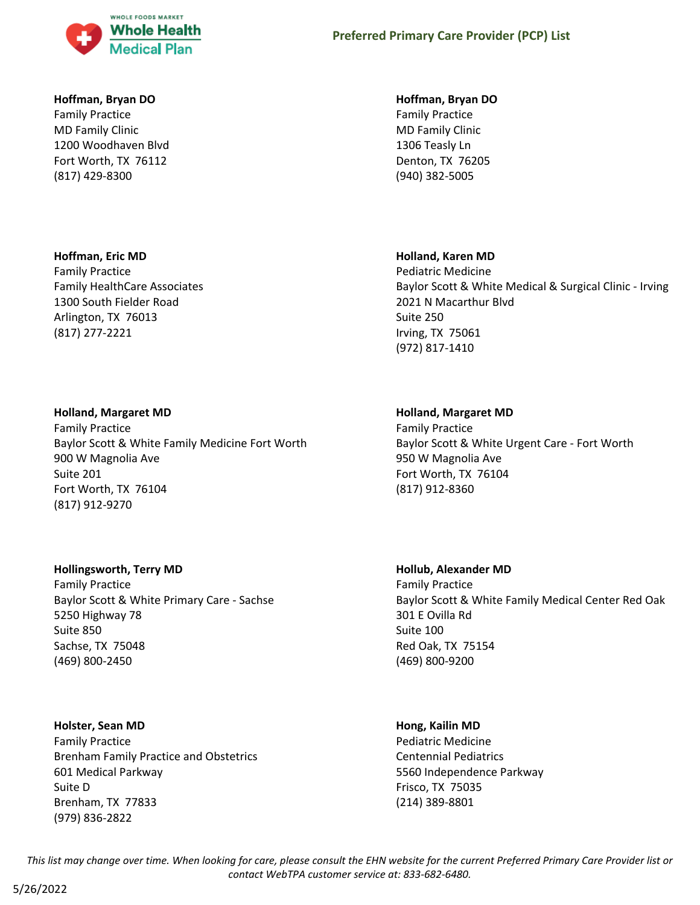

#### **Hoffman, Bryan DO**

Family Practice MD Family Clinic 1200 Woodhaven Blvd Fort Worth, TX 76112 (817) 429-8300

## **Hoffman, Eric MD**

Family Practice Family HealthCare Associates 1300 South Fielder Road Arlington, TX 76013 (817) 277-2221

## **Holland, Margaret MD**

Family Practice Baylor Scott & White Family Medicine Fort Worth 900 W Magnolia Ave Suite 201 Fort Worth, TX 76104 (817) 912-9270

## **Hollingsworth, Terry MD**

Family Practice Baylor Scott & White Primary Care - Sachse 5250 Highway 78 Suite 850 Sachse, TX 75048 (469) 800-2450

#### **Holster, Sean MD**

Family Practice Brenham Family Practice and Obstetrics 601 Medical Parkway Suite D Brenham, TX 77833 (979) 836-2822

#### **Hoffman, Bryan DO**

Family Practice MD Family Clinic 1306 Teasly Ln Denton, TX 76205 (940) 382-5005

## **Holland, Karen MD**

Pediatric Medicine Baylor Scott & White Medical & Surgical Clinic - Irving 2021 N Macarthur Blvd Suite 250 Irving, TX 75061 (972) 817-1410

## **Holland, Margaret MD**

Family Practice Baylor Scott & White Urgent Care - Fort Worth 950 W Magnolia Ave Fort Worth, TX 76104 (817) 912-8360

## **Hollub, Alexander MD**

Family Practice Baylor Scott & White Family Medical Center Red Oak 301 E Ovilla Rd Suite 100 Red Oak, TX 75154 (469) 800-9200

#### **Hong, Kailin MD**

Pediatric Medicine Centennial Pediatrics 5560 Independence Parkway Frisco, TX 75035 (214) 389-8801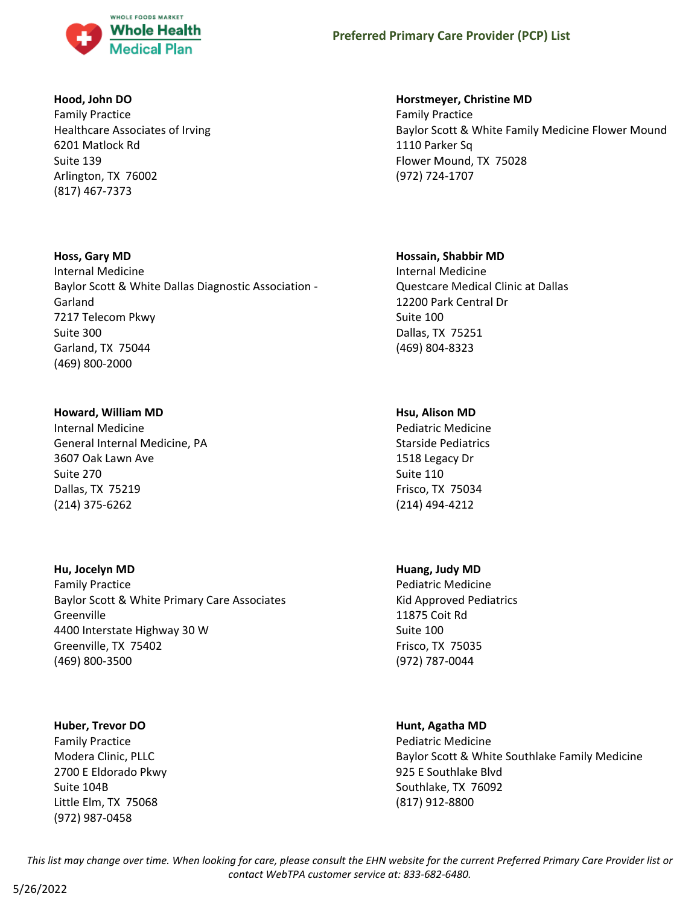

#### **Hood, John DO**

Family Practice Healthcare Associates of Irving 6201 Matlock Rd Suite 139 Arlington, TX 76002 (817) 467-7373

## **Hoss, Gary MD**

Internal Medicine Baylor Scott & White Dallas Diagnostic Association - Garland 7217 Telecom Pkwy Suite 300 Garland, TX 75044 (469) 800-2000

## **Howard, William MD**

Internal Medicine General Internal Medicine, PA 3607 Oak Lawn Ave Suite 270 Dallas, TX 75219 (214) 375-6262

#### **Hu, Jocelyn MD**

Family Practice Baylor Scott & White Primary Care Associates Greenville 4400 Interstate Highway 30 W Greenville, TX 75402 (469) 800-3500

#### **Huber, Trevor DO**

Family Practice Modera Clinic, PLLC 2700 E Eldorado Pkwy Suite 104B Little Elm, TX 75068 (972) 987-0458

## **Horstmeyer, Christine MD**

Family Practice Baylor Scott & White Family Medicine Flower Mound 1110 Parker Sq Flower Mound, TX 75028 (972) 724-1707

## **Hossain, Shabbir MD**

Internal Medicine Questcare Medical Clinic at Dallas 12200 Park Central Dr Suite 100 Dallas, TX 75251 (469) 804-8323

## **Hsu, Alison MD**

Pediatric Medicine Starside Pediatrics 1518 Legacy Dr Suite 110 Frisco, TX 75034 (214) 494-4212

## **Huang, Judy MD**

Pediatric Medicine Kid Approved Pediatrics 11875 Coit Rd Suite 100 Frisco, TX 75035 (972) 787-0044

## **Hunt, Agatha MD**

Pediatric Medicine Baylor Scott & White Southlake Family Medicine 925 E Southlake Blvd Southlake, TX 76092 (817) 912-8800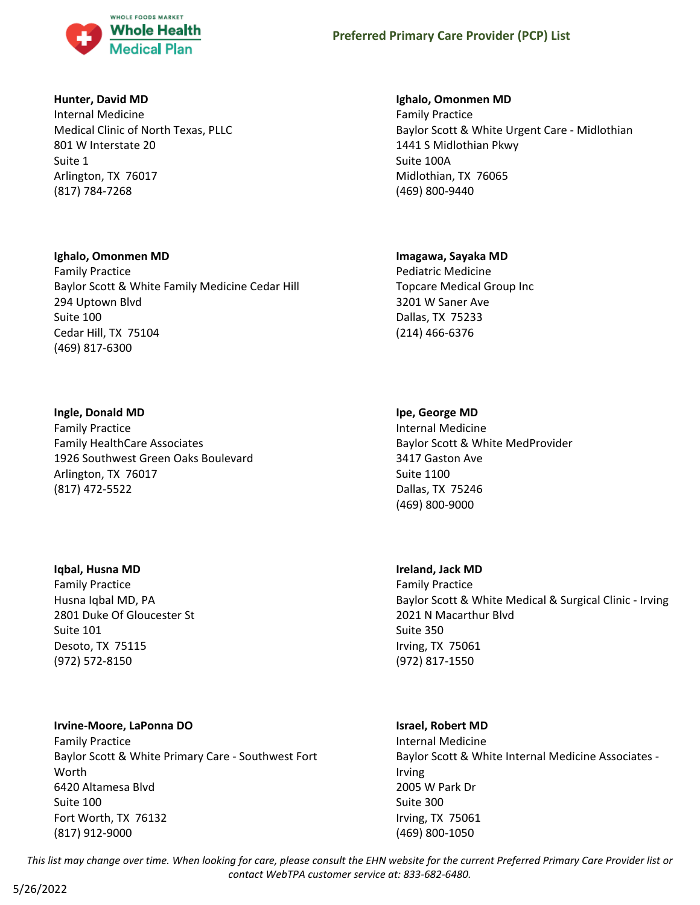

## **Hunter, David MD**

Internal Medicine Medical Clinic of North Texas, PLLC 801 W Interstate 20 Suite 1 Arlington, TX 76017 (817) 784-7268

## **Ighalo, Omonmen MD**

Family Practice Baylor Scott & White Family Medicine Cedar Hill 294 Uptown Blvd Suite 100 Cedar Hill, TX 75104 (469) 817-6300

## **Ingle, Donald MD**

Family Practice Family HealthCare Associates 1926 Southwest Green Oaks Boulevard Arlington, TX 76017 (817) 472-5522

## **Iqbal, Husna MD**

Family Practice Husna Iqbal MD, PA 2801 Duke Of Gloucester St Suite 101 Desoto, TX 75115 (972) 572-8150

## **Irvine-Moore, LaPonna DO**

Family Practice Baylor Scott & White Primary Care - Southwest Fort Worth 6420 Altamesa Blvd Suite 100 Fort Worth, TX 76132 (817) 912-9000

## **Ighalo, Omonmen MD**

Family Practice Baylor Scott & White Urgent Care - Midlothian 1441 S Midlothian Pkwy Suite 100A Midlothian, TX 76065 (469) 800-9440

## **Imagawa, Sayaka MD**

Pediatric Medicine Topcare Medical Group Inc 3201 W Saner Ave Dallas, TX 75233 (214) 466-6376

## **Ipe, George MD**

Internal Medicine Baylor Scott & White MedProvider 3417 Gaston Ave Suite 1100 Dallas, TX 75246 (469) 800-9000

## **Ireland, Jack MD**

Family Practice Baylor Scott & White Medical & Surgical Clinic - Irving 2021 N Macarthur Blvd Suite 350 Irving, TX 75061 (972) 817-1550

## **Israel, Robert MD**

Internal Medicine Baylor Scott & White Internal Medicine Associates - Irving 2005 W Park Dr Suite 300 Irving, TX 75061 (469) 800-1050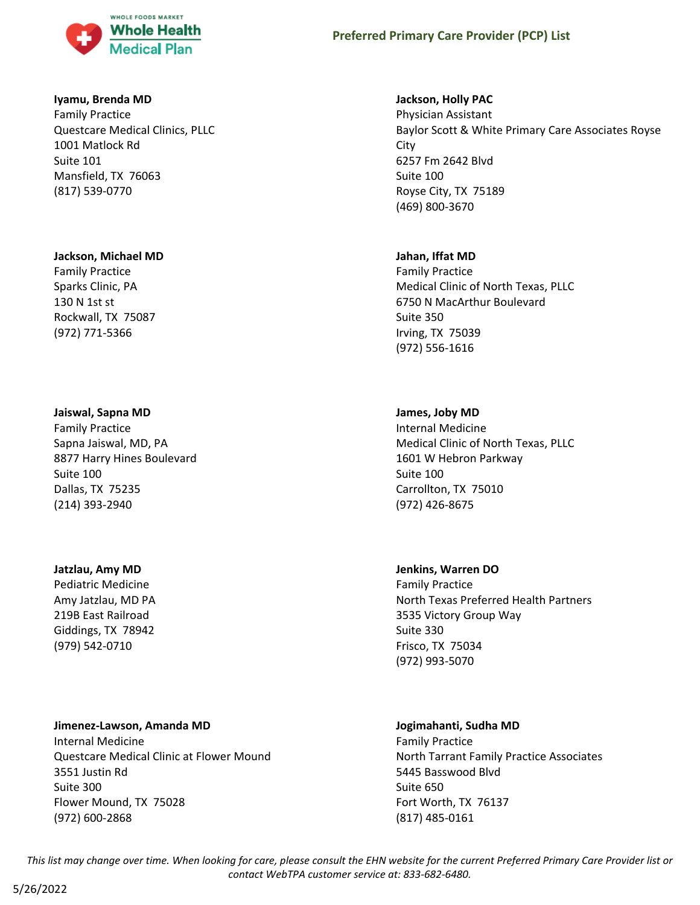

#### **Iyamu, Brenda MD**

Family Practice Questcare Medical Clinics, PLLC 1001 Matlock Rd Suite 101 Mansfield, TX 76063 (817) 539-0770

#### **Jackson, Michael MD**

Family Practice Sparks Clinic, PA 130 N 1st st Rockwall, TX 75087 (972) 771-5366

#### **Jaiswal, Sapna MD**

Family Practice Sapna Jaiswal, MD, PA 8877 Harry Hines Boulevard Suite 100 Dallas, TX 75235 (214) 393-2940

#### **Jatzlau, Amy MD**

Pediatric Medicine Amy Jatzlau, MD PA 219B East Railroad Giddings, TX 78942 (979) 542-0710

#### **Jimenez-Lawson, Amanda MD**

Internal Medicine Questcare Medical Clinic at Flower Mound 3551 Justin Rd Suite 300 Flower Mound, TX 75028 (972) 600-2868

#### **Jackson, Holly PAC**

Physician Assistant Baylor Scott & White Primary Care Associates Royse **City** 6257 Fm 2642 Blvd Suite 100 Royse City, TX 75189 (469) 800-3670

#### **Jahan, Iffat MD**

Family Practice Medical Clinic of North Texas, PLLC 6750 N MacArthur Boulevard Suite 350 Irving, TX 75039 (972) 556-1616

## **James, Joby MD**

Internal Medicine Medical Clinic of North Texas, PLLC 1601 W Hebron Parkway Suite 100 Carrollton, TX 75010 (972) 426-8675

#### **Jenkins, Warren DO**

Family Practice North Texas Preferred Health Partners 3535 Victory Group Way Suite 330 Frisco, TX 75034 (972) 993-5070

## **Jogimahanti, Sudha MD**

Family Practice North Tarrant Family Practice Associates 5445 Basswood Blvd Suite 650 Fort Worth, TX 76137 (817) 485-0161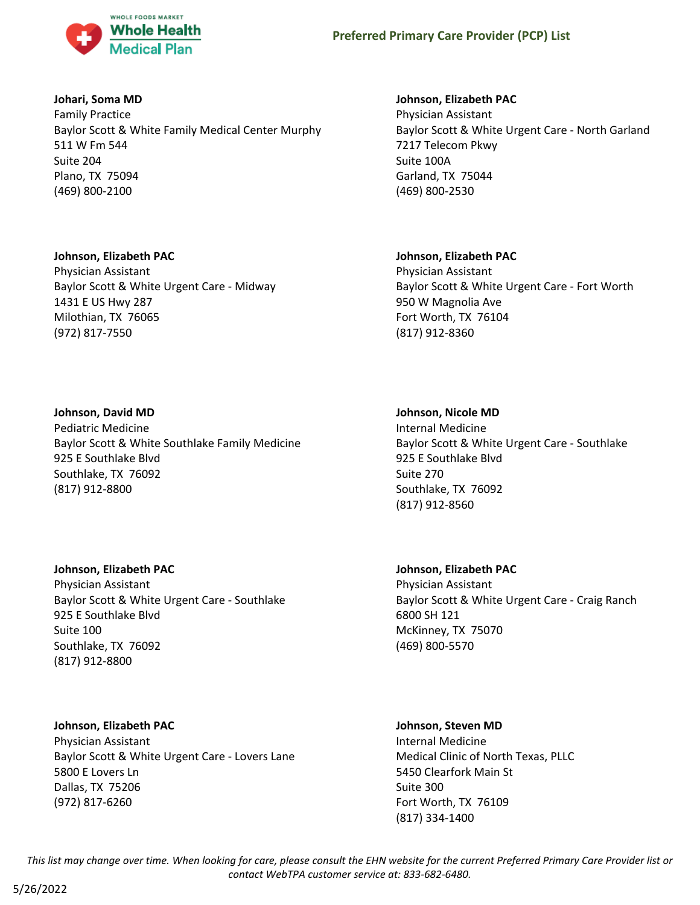

## **Johari, Soma MD**

Family Practice Baylor Scott & White Family Medical Center Murphy 511 W Fm 544 Suite 204 Plano, TX 75094 (469) 800-2100

#### **Johnson, Elizabeth PAC**

Physician Assistant Baylor Scott & White Urgent Care - Midway 1431 E US Hwy 287 Milothian, TX 76065 (972) 817-7550

#### **Johnson, David MD**

Pediatric Medicine Baylor Scott & White Southlake Family Medicine 925 E Southlake Blvd Southlake, TX 76092 (817) 912-8800

## **Johnson, Elizabeth PAC**

Physician Assistant Baylor Scott & White Urgent Care - Southlake 925 E Southlake Blvd Suite 100 Southlake, TX 76092 (817) 912-8800

## **Johnson, Elizabeth PAC**

Physician Assistant Baylor Scott & White Urgent Care - Lovers Lane 5800 E Lovers Ln Dallas, TX 75206 (972) 817-6260

## **Johnson, Elizabeth PAC**

Physician Assistant Baylor Scott & White Urgent Care - North Garland 7217 Telecom Pkwy Suite 100A Garland, TX 75044 (469) 800-2530

## **Johnson, Elizabeth PAC**

Physician Assistant Baylor Scott & White Urgent Care - Fort Worth 950 W Magnolia Ave Fort Worth, TX 76104 (817) 912-8360

#### **Johnson, Nicole MD**

Internal Medicine Baylor Scott & White Urgent Care - Southlake 925 E Southlake Blvd Suite 270 Southlake, TX 76092 (817) 912-8560

**Johnson, Elizabeth PAC** Physician Assistant Baylor Scott & White Urgent Care - Craig Ranch 6800 SH 121 McKinney, TX 75070 (469) 800-5570

#### **Johnson, Steven MD**

Internal Medicine Medical Clinic of North Texas, PLLC 5450 Clearfork Main St Suite 300 Fort Worth, TX 76109 (817) 334-1400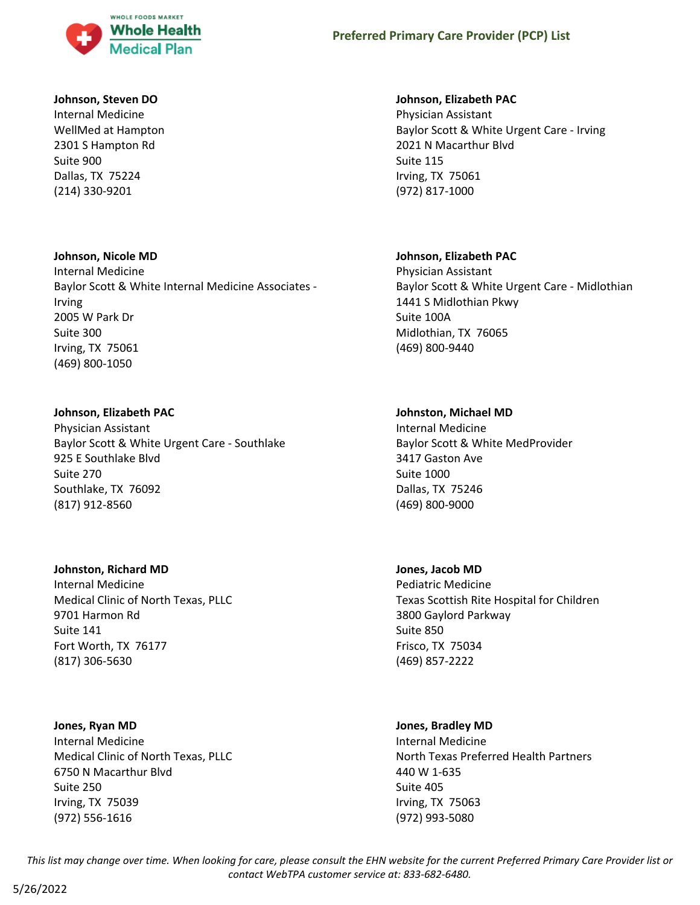

#### **Johnson, Steven DO**

Internal Medicine WellMed at Hampton 2301 S Hampton Rd Suite 900 Dallas, TX 75224 (214) 330-9201

## **Johnson, Nicole MD**

Internal Medicine Baylor Scott & White Internal Medicine Associates - Irving 2005 W Park Dr Suite 300 Irving, TX 75061 (469) 800-1050

## **Johnson, Elizabeth PAC**

Physician Assistant Baylor Scott & White Urgent Care - Southlake 925 E Southlake Blvd Suite 270 Southlake, TX 76092 (817) 912-8560

## **Johnston, Richard MD**

Internal Medicine Medical Clinic of North Texas, PLLC 9701 Harmon Rd Suite 141 Fort Worth, TX 76177 (817) 306-5630

## **Jones, Ryan MD**

Internal Medicine Medical Clinic of North Texas, PLLC 6750 N Macarthur Blvd Suite 250 Irving, TX 75039 (972) 556-1616

## **Johnson, Elizabeth PAC**

Physician Assistant Baylor Scott & White Urgent Care - Irving 2021 N Macarthur Blvd Suite 115 Irving, TX 75061 (972) 817-1000

## **Johnson, Elizabeth PAC**

Physician Assistant Baylor Scott & White Urgent Care - Midlothian 1441 S Midlothian Pkwy Suite 100A Midlothian, TX 76065 (469) 800-9440

## **Johnston, Michael MD**

Internal Medicine Baylor Scott & White MedProvider 3417 Gaston Ave Suite 1000 Dallas, TX 75246 (469) 800-9000

## **Jones, Jacob MD**

Pediatric Medicine Texas Scottish Rite Hospital for Children 3800 Gaylord Parkway Suite 850 Frisco, TX 75034 (469) 857-2222

## **Jones, Bradley MD**

Internal Medicine North Texas Preferred Health Partners 440 W 1-635 Suite 405 Irving, TX 75063 (972) 993-5080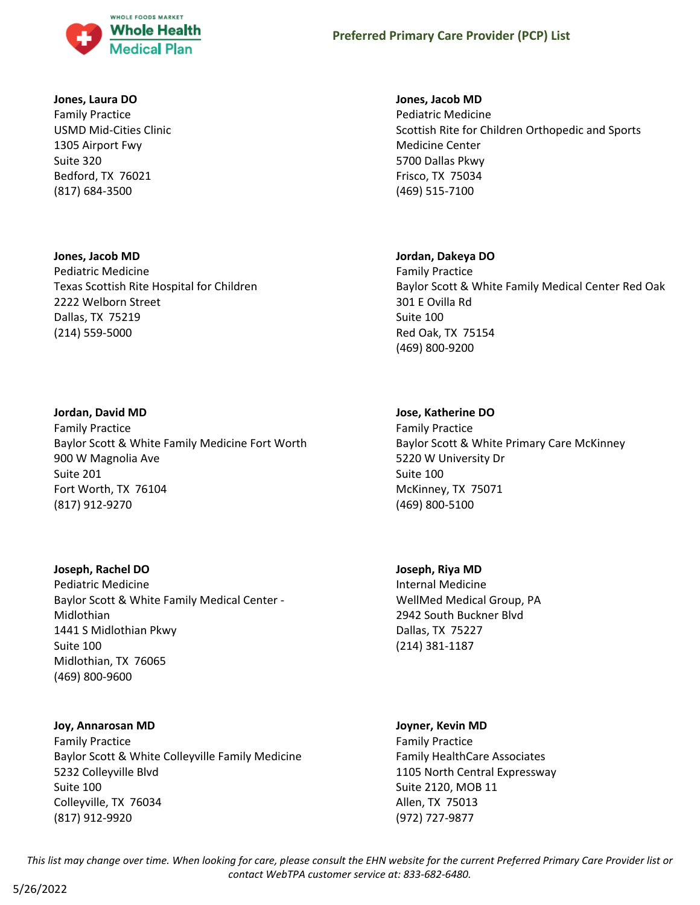

#### **Jones, Laura DO**

Family Practice USMD Mid-Cities Clinic 1305 Airport Fwy Suite 320 Bedford, TX 76021 (817) 684-3500

## **Jones, Jacob MD** Pediatric Medicine Texas Scottish Rite Hospital for Children 2222 Welborn Street Dallas, TX 75219 (214) 559-5000

#### **Jordan, David MD**

Family Practice Baylor Scott & White Family Medicine Fort Worth 900 W Magnolia Ave Suite 201 Fort Worth, TX 76104 (817) 912-9270

#### **Joseph, Rachel DO**

Pediatric Medicine Baylor Scott & White Family Medical Center - Midlothian 1441 S Midlothian Pkwy Suite 100 Midlothian, TX 76065 (469) 800-9600

#### **Joy, Annarosan MD**

Family Practice Baylor Scott & White Colleyville Family Medicine 5232 Colleyville Blvd Suite 100 Colleyville, TX 76034 (817) 912-9920

#### **Jones, Jacob MD**

Pediatric Medicine Scottish Rite for Children Orthopedic and Sports Medicine Center 5700 Dallas Pkwy Frisco, TX 75034 (469) 515-7100

#### **Jordan, Dakeya DO**

Family Practice Baylor Scott & White Family Medical Center Red Oak 301 E Ovilla Rd Suite 100 Red Oak, TX 75154 (469) 800-9200

#### **Jose, Katherine DO**

Family Practice Baylor Scott & White Primary Care McKinney 5220 W University Dr Suite 100 McKinney, TX 75071 (469) 800-5100

#### **Joseph, Riya MD**

Internal Medicine WellMed Medical Group, PA 2942 South Buckner Blvd Dallas, TX 75227 (214) 381-1187

## **Joyner, Kevin MD**

Family Practice Family HealthCare Associates 1105 North Central Expressway Suite 2120, MOB 11 Allen, TX 75013 (972) 727-9877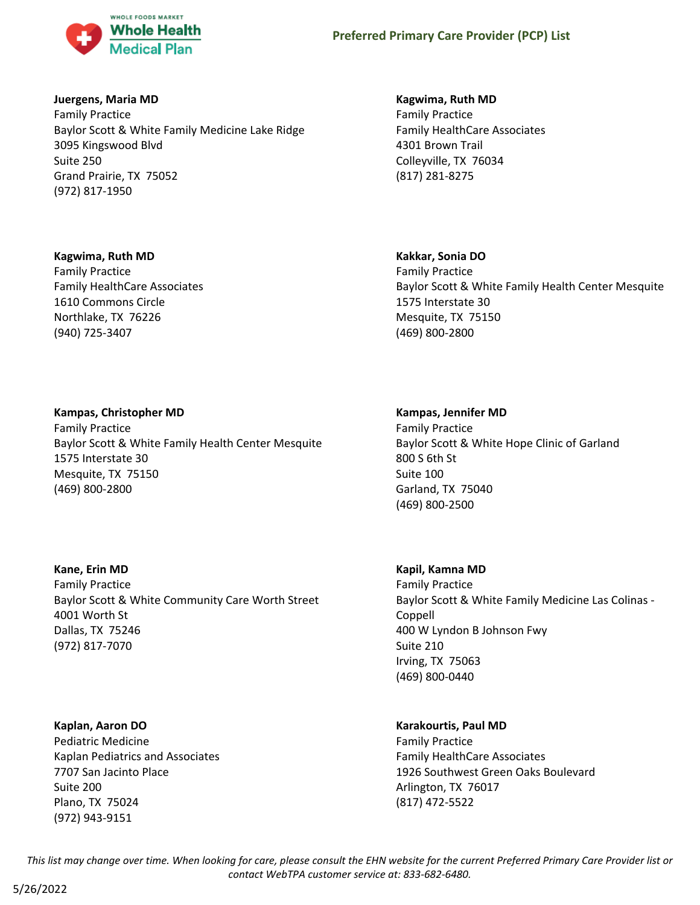

## **Juergens, Maria MD**

Family Practice Baylor Scott & White Family Medicine Lake Ridge 3095 Kingswood Blvd Suite 250 Grand Prairie, TX 75052 (972) 817-1950

#### **Kagwima, Ruth MD**

Family Practice Family HealthCare Associates 1610 Commons Circle Northlake, TX 76226 (940) 725-3407

## **Kagwima, Ruth MD**

Family Practice Family HealthCare Associates 4301 Brown Trail Colleyville, TX 76034 (817) 281-8275

## **Kakkar, Sonia DO**

Family Practice Baylor Scott & White Family Health Center Mesquite 1575 Interstate 30 Mesquite, TX 75150 (469) 800-2800

## **Kampas, Christopher MD**

Family Practice Baylor Scott & White Family Health Center Mesquite 1575 Interstate 30 Mesquite, TX 75150 (469) 800-2800

**Kane, Erin MD** Family Practice Baylor Scott & White Community Care Worth Street 4001 Worth St Dallas, TX 75246 (972) 817-7070

**Kaplan, Aaron DO** Pediatric Medicine Kaplan Pediatrics and Associates 7707 San Jacinto Place Suite 200 Plano, TX 75024 (972) 943-9151

#### **Kampas, Jennifer MD**

Family Practice Baylor Scott & White Hope Clinic of Garland 800 S 6th St Suite 100 Garland, TX 75040 (469) 800-2500

#### **Kapil, Kamna MD**

Family Practice Baylor Scott & White Family Medicine Las Colinas - Coppell 400 W Lyndon B Johnson Fwy Suite 210 Irving, TX 75063 (469) 800-0440

## **Karakourtis, Paul MD**

Family Practice Family HealthCare Associates 1926 Southwest Green Oaks Boulevard Arlington, TX 76017 (817) 472-5522

*This list may change over time. When looking for care, please consult the EHN website for the current Preferred Primary Care Provider list or contact WebTPA customer service at: 833-682-6480.*

5/26/2022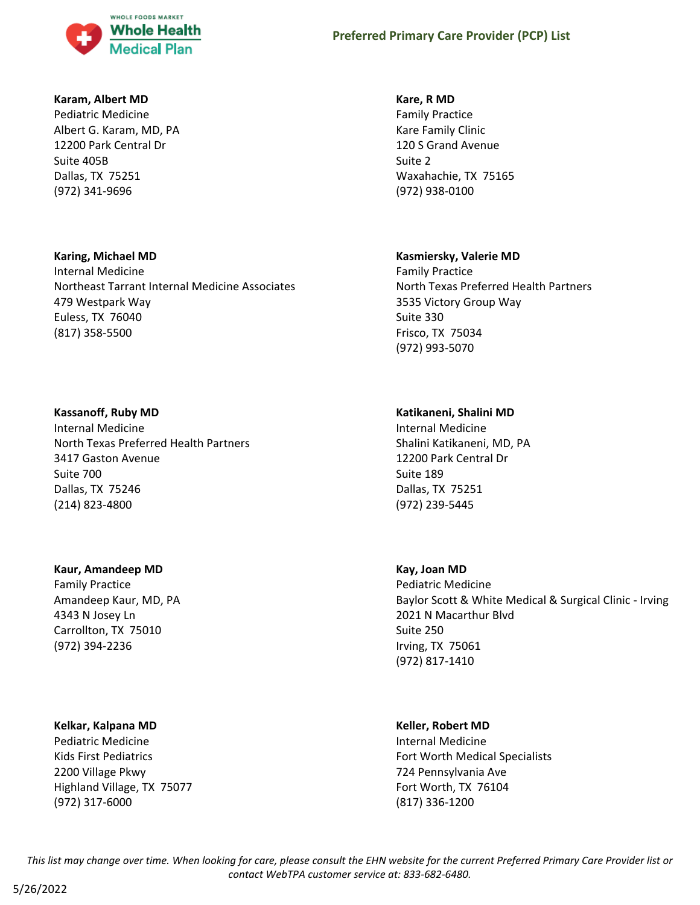

#### **Karam, Albert MD**

Pediatric Medicine Albert G. Karam, MD, PA 12200 Park Central Dr Suite 405B Dallas, TX 75251 (972) 341-9696

#### **Karing, Michael MD**

Internal Medicine Northeast Tarrant Internal Medicine Associates 479 Westpark Way Euless, TX 76040 (817) 358-5500

#### **Kassanoff, Ruby MD**

Internal Medicine North Texas Preferred Health Partners 3417 Gaston Avenue Suite 700 Dallas, TX 75246 (214) 823-4800

## **Kaur, Amandeep MD**

Family Practice Amandeep Kaur, MD, PA 4343 N Josey Ln Carrollton, TX 75010 (972) 394-2236

#### **Kelkar, Kalpana MD**

Pediatric Medicine Kids First Pediatrics 2200 Village Pkwy Highland Village, TX 75077 (972) 317-6000

#### **Kare, R MD**

Family Practice Kare Family Clinic 120 S Grand Avenue Suite 2 Waxahachie, TX 75165 (972) 938-0100

#### **Kasmiersky, Valerie MD**

Family Practice North Texas Preferred Health Partners 3535 Victory Group Way Suite 330 Frisco, TX 75034 (972) 993-5070

## **Katikaneni, Shalini MD**

Internal Medicine Shalini Katikaneni, MD, PA 12200 Park Central Dr Suite 189 Dallas, TX 75251 (972) 239-5445

#### **Kay, Joan MD**

Pediatric Medicine Baylor Scott & White Medical & Surgical Clinic - Irving 2021 N Macarthur Blvd Suite 250 Irving, TX 75061 (972) 817-1410

#### **Keller, Robert MD**

Internal Medicine Fort Worth Medical Specialists 724 Pennsylvania Ave Fort Worth, TX 76104 (817) 336-1200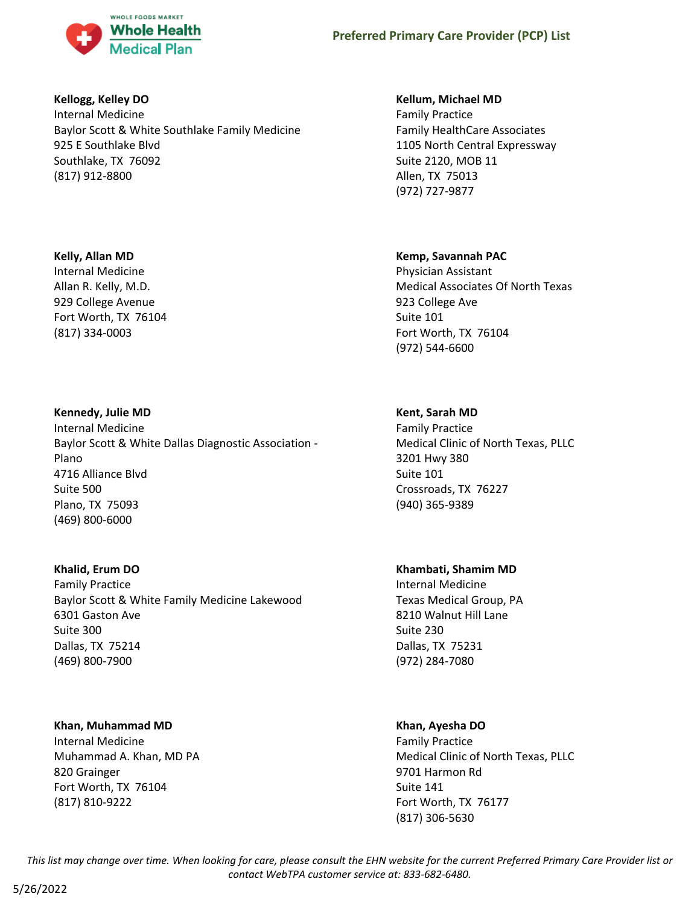

## **Kellogg, Kelley DO**

Internal Medicine Baylor Scott & White Southlake Family Medicine 925 E Southlake Blvd Southlake, TX 76092 (817) 912-8800

## **Kelly, Allan MD**

Internal Medicine Allan R. Kelly, M.D. 929 College Avenue Fort Worth, TX 76104 (817) 334-0003

## **Kennedy, Julie MD**

Internal Medicine Baylor Scott & White Dallas Diagnostic Association - Plano 4716 Alliance Blvd Suite 500 Plano, TX 75093 (469) 800-6000

## **Khalid, Erum DO**

Family Practice Baylor Scott & White Family Medicine Lakewood 6301 Gaston Ave Suite 300 Dallas, TX 75214 (469) 800-7900

## **Khan, Muhammad MD**

Internal Medicine Muhammad A. Khan, MD PA 820 Grainger Fort Worth, TX 76104 (817) 810-9222

## **Kellum, Michael MD**

Family Practice Family HealthCare Associates 1105 North Central Expressway Suite 2120, MOB 11 Allen, TX 75013 (972) 727-9877

## **Kemp, Savannah PAC**

Physician Assistant Medical Associates Of North Texas 923 College Ave Suite 101 Fort Worth, TX 76104 (972) 544-6600

## **Kent, Sarah MD**

Family Practice Medical Clinic of North Texas, PLLC 3201 Hwy 380 Suite 101 Crossroads, TX 76227 (940) 365-9389

## **Khambati, Shamim MD**

Internal Medicine Texas Medical Group, PA 8210 Walnut Hill Lane Suite 230 Dallas, TX 75231 (972) 284-7080

## **Khan, Ayesha DO**

Family Practice Medical Clinic of North Texas, PLLC 9701 Harmon Rd Suite 141 Fort Worth, TX 76177 (817) 306-5630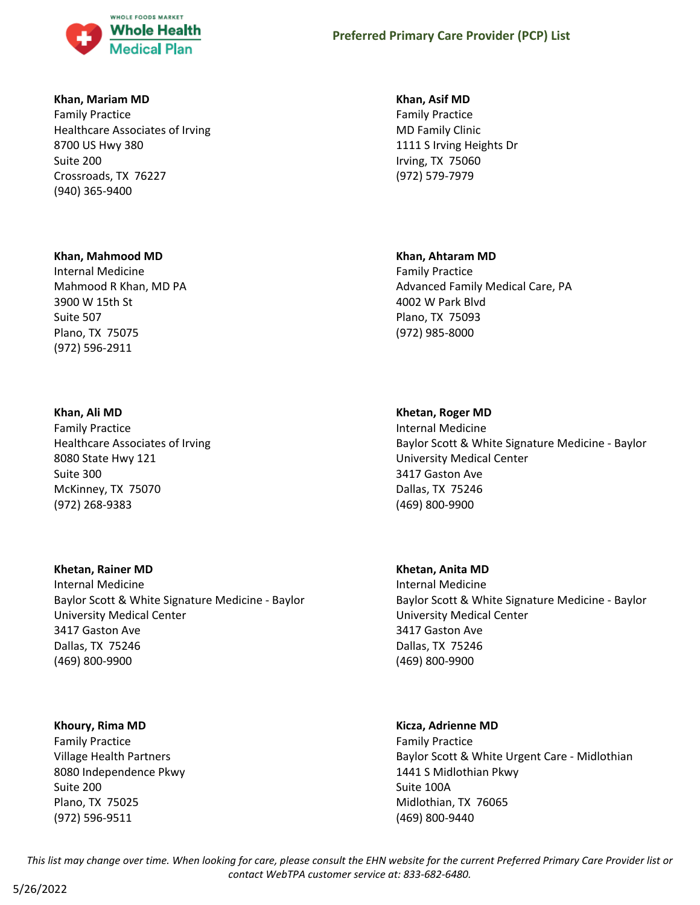

#### **Khan, Mariam MD**

Family Practice Healthcare Associates of Irving 8700 US Hwy 380 Suite 200 Crossroads, TX 76227 (940) 365-9400

#### **Khan, Mahmood MD**

Internal Medicine Mahmood R Khan, MD PA 3900 W 15th St Suite 507 Plano, TX 75075 (972) 596-2911

#### **Khan, Ali MD**

Family Practice Healthcare Associates of Irving 8080 State Hwy 121 Suite 300 McKinney, TX 75070 (972) 268-9383

#### **Khetan, Rainer MD**

Internal Medicine Baylor Scott & White Signature Medicine - Baylor University Medical Center 3417 Gaston Ave Dallas, TX 75246 (469) 800-9900

#### **Khoury, Rima MD**

Family Practice Village Health Partners 8080 Independence Pkwy Suite 200 Plano, TX 75025 (972) 596-9511

#### **Khan, Asif MD**

Family Practice MD Family Clinic 1111 S Irving Heights Dr Irving, TX 75060 (972) 579-7979

#### **Khan, Ahtaram MD**

Family Practice Advanced Family Medical Care, PA 4002 W Park Blvd Plano, TX 75093 (972) 985-8000

#### **Khetan, Roger MD**

Internal Medicine Baylor Scott & White Signature Medicine - Baylor University Medical Center 3417 Gaston Ave Dallas, TX 75246 (469) 800-9900

#### **Khetan, Anita MD**

Internal Medicine Baylor Scott & White Signature Medicine - Baylor University Medical Center 3417 Gaston Ave Dallas, TX 75246 (469) 800-9900

#### **Kicza, Adrienne MD**

Family Practice Baylor Scott & White Urgent Care - Midlothian 1441 S Midlothian Pkwy Suite 100A Midlothian, TX 76065 (469) 800-9440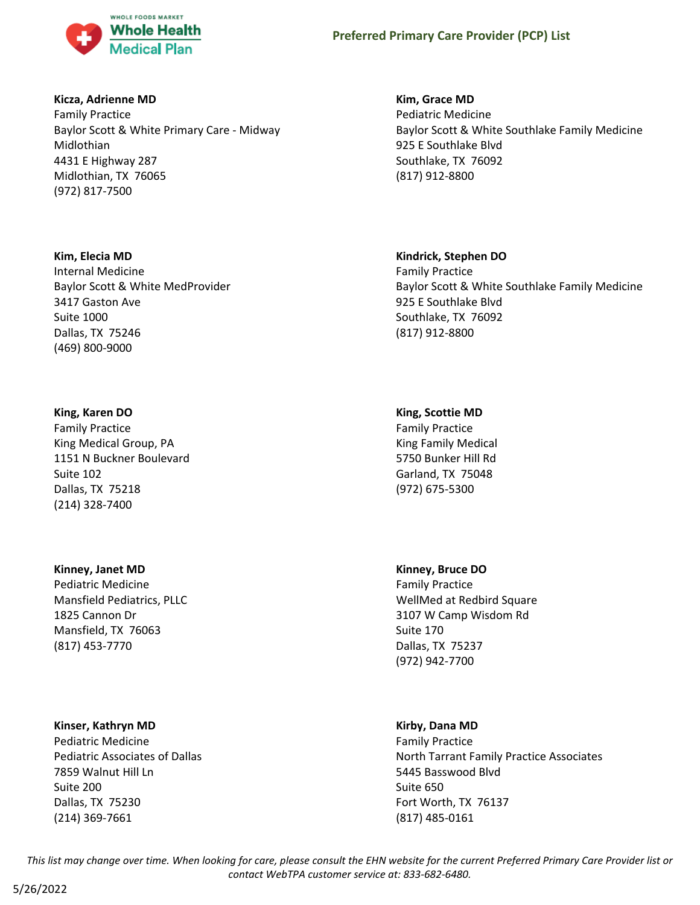

#### **Kicza, Adrienne MD**

Family Practice Baylor Scott & White Primary Care - Midway Midlothian 4431 E Highway 287 Midlothian, TX 76065 (972) 817-7500

#### **Kim, Elecia MD**

Internal Medicine Baylor Scott & White MedProvider 3417 Gaston Ave Suite 1000 Dallas, TX 75246 (469) 800-9000

#### **King, Karen DO**

Family Practice King Medical Group, PA 1151 N Buckner Boulevard Suite 102 Dallas, TX 75218 (214) 328-7400

#### **Kinney, Janet MD**

Pediatric Medicine Mansfield Pediatrics, PLLC 1825 Cannon Dr Mansfield, TX 76063 (817) 453-7770

#### **Kinser, Kathryn MD**

Pediatric Medicine Pediatric Associates of Dallas 7859 Walnut Hill Ln Suite 200 Dallas, TX 75230 (214) 369-7661

## **Kim, Grace MD**

Pediatric Medicine Baylor Scott & White Southlake Family Medicine 925 E Southlake Blvd Southlake, TX 76092 (817) 912-8800

#### **Kindrick, Stephen DO**

Family Practice Baylor Scott & White Southlake Family Medicine 925 E Southlake Blvd Southlake, TX 76092 (817) 912-8800

#### **King, Scottie MD**

Family Practice King Family Medical 5750 Bunker Hill Rd Garland, TX 75048 (972) 675-5300

#### **Kinney, Bruce DO**

Family Practice WellMed at Redbird Square 3107 W Camp Wisdom Rd Suite 170 Dallas, TX 75237 (972) 942-7700

#### **Kirby, Dana MD**

Family Practice North Tarrant Family Practice Associates 5445 Basswood Blvd Suite 650 Fort Worth, TX 76137 (817) 485-0161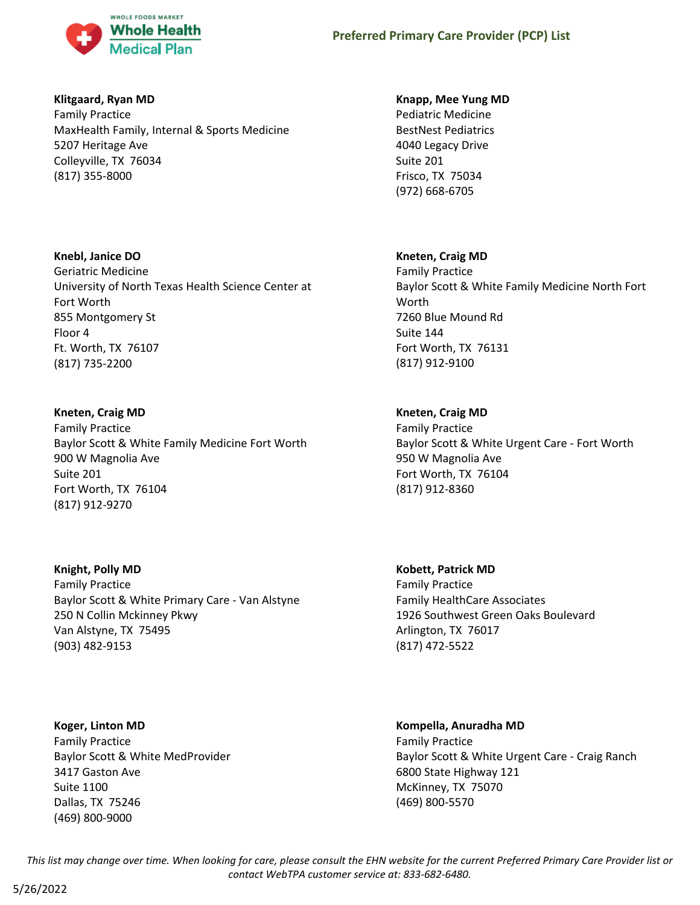

## **Klitgaard, Ryan MD**

Family Practice MaxHealth Family, Internal & Sports Medicine 5207 Heritage Ave Colleyville, TX 76034 (817) 355-8000

## **Knebl, Janice DO**

Geriatric Medicine University of North Texas Health Science Center at Fort Worth 855 Montgomery St Floor 4 Ft. Worth, TX 76107 (817) 735-2200

## **Kneten, Craig MD**

Family Practice Baylor Scott & White Family Medicine Fort Worth 900 W Magnolia Ave Suite 201 Fort Worth, TX 76104 (817) 912-9270

**Knight, Polly MD** Family Practice Baylor Scott & White Primary Care - Van Alstyne 250 N Collin Mckinney Pkwy Van Alstyne, TX 75495 (903) 482-9153

**Koger, Linton MD** Family Practice Baylor Scott & White MedProvider 3417 Gaston Ave Suite 1100 Dallas, TX 75246 (469) 800-9000

#### **Knapp, Mee Yung MD**

Pediatric Medicine BestNest Pediatrics 4040 Legacy Drive Suite 201 Frisco, TX 75034 (972) 668-6705

## **Kneten, Craig MD**

Family Practice Baylor Scott & White Family Medicine North Fort Worth 7260 Blue Mound Rd Suite 144 Fort Worth, TX 76131 (817) 912-9100

## **Kneten, Craig MD**

Family Practice Baylor Scott & White Urgent Care - Fort Worth 950 W Magnolia Ave Fort Worth, TX 76104 (817) 912-8360

**Kobett, Patrick MD** Family Practice Family HealthCare Associates 1926 Southwest Green Oaks Boulevard Arlington, TX 76017 (817) 472-5522

## **Kompella, Anuradha MD**

Family Practice Baylor Scott & White Urgent Care - Craig Ranch 6800 State Highway 121 McKinney, TX 75070 (469) 800-5570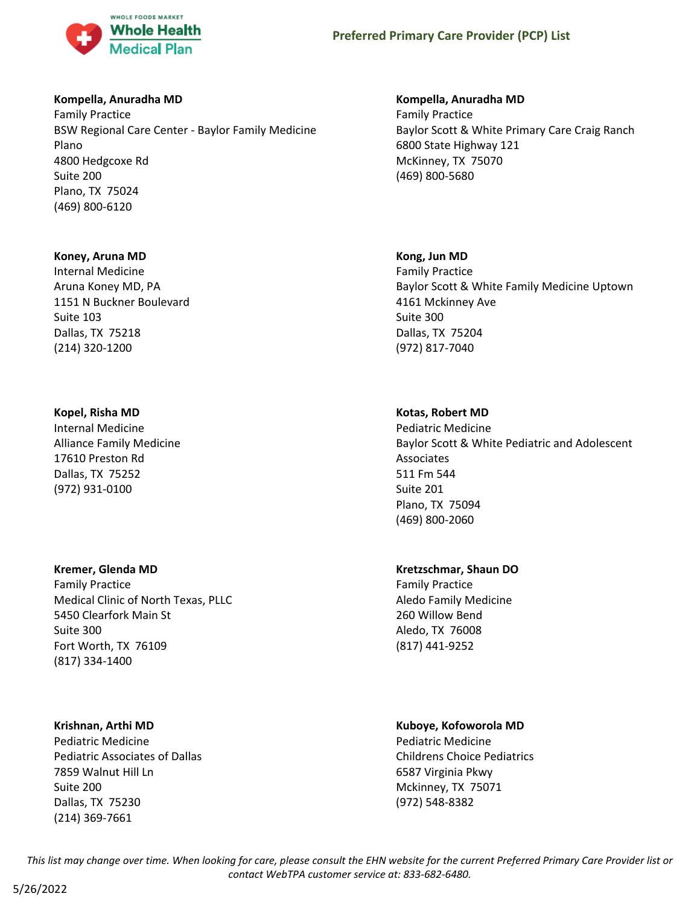

#### **Kompella, Anuradha MD**

Family Practice BSW Regional Care Center - Baylor Family Medicine Plano 4800 Hedgcoxe Rd Suite 200 Plano, TX 75024 (469) 800-6120

#### **Koney, Aruna MD**

Internal Medicine Aruna Koney MD, PA 1151 N Buckner Boulevard Suite 103 Dallas, TX 75218 (214) 320-1200

#### **Kopel, Risha MD**

Internal Medicine Alliance Family Medicine 17610 Preston Rd Dallas, TX 75252 (972) 931-0100

#### **Kremer, Glenda MD**

Family Practice Medical Clinic of North Texas, PLLC 5450 Clearfork Main St Suite 300 Fort Worth, TX 76109 (817) 334-1400

#### **Krishnan, Arthi MD**

Pediatric Medicine Pediatric Associates of Dallas 7859 Walnut Hill Ln Suite 200 Dallas, TX 75230 (214) 369-7661

#### **Kompella, Anuradha MD**

Family Practice Baylor Scott & White Primary Care Craig Ranch 6800 State Highway 121 McKinney, TX 75070 (469) 800-5680

#### **Kong, Jun MD**

Family Practice Baylor Scott & White Family Medicine Uptown 4161 Mckinney Ave Suite 300 Dallas, TX 75204 (972) 817-7040

#### **Kotas, Robert MD**

Pediatric Medicine Baylor Scott & White Pediatric and Adolescent Associates 511 Fm 544 Suite 201 Plano, TX 75094 (469) 800-2060

## **Kretzschmar, Shaun DO**

Family Practice Aledo Family Medicine 260 Willow Bend Aledo, TX 76008 (817) 441-9252

#### **Kuboye, Kofoworola MD**

Pediatric Medicine Childrens Choice Pediatrics 6587 Virginia Pkwy Mckinney, TX 75071 (972) 548-8382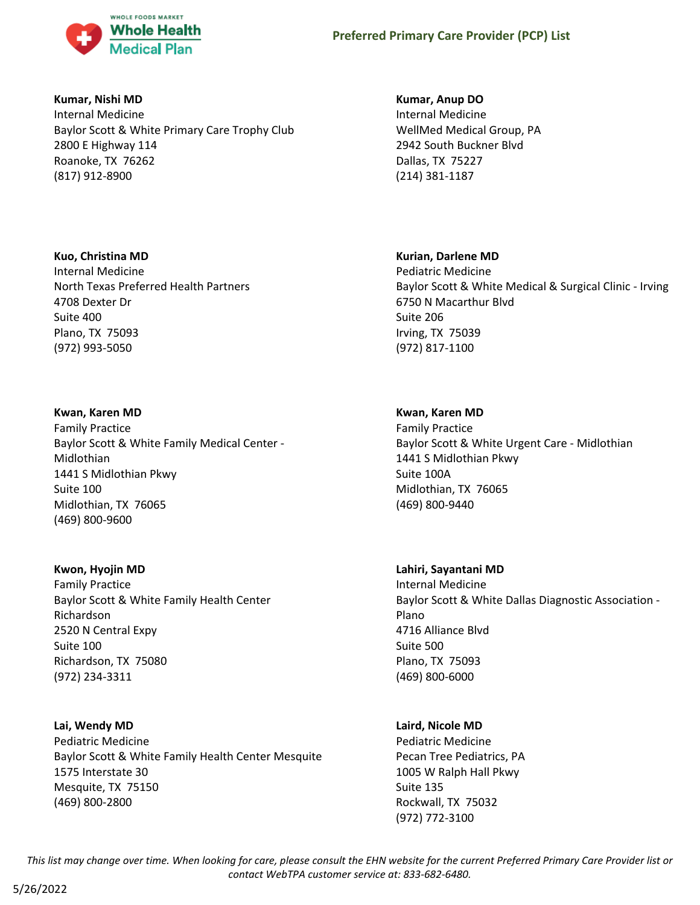

## **Kumar, Nishi MD**

Internal Medicine Baylor Scott & White Primary Care Trophy Club 2800 E Highway 114 Roanoke, TX 76262 (817) 912-8900

## **Kuo, Christina MD**

Internal Medicine North Texas Preferred Health Partners 4708 Dexter Dr Suite 400 Plano, TX 75093 (972) 993-5050

## **Kwan, Karen MD**

Family Practice Baylor Scott & White Family Medical Center - Midlothian 1441 S Midlothian Pkwy Suite 100 Midlothian, TX 76065 (469) 800-9600

## **Kwon, Hyojin MD**

Family Practice Baylor Scott & White Family Health Center Richardson 2520 N Central Expy Suite 100 Richardson, TX 75080 (972) 234-3311

## **Lai, Wendy MD**

Pediatric Medicine Baylor Scott & White Family Health Center Mesquite 1575 Interstate 30 Mesquite, TX 75150 (469) 800-2800

## **Kumar, Anup DO**

Internal Medicine WellMed Medical Group, PA 2942 South Buckner Blvd Dallas, TX 75227 (214) 381-1187

## **Kurian, Darlene MD**

Pediatric Medicine Baylor Scott & White Medical & Surgical Clinic - Irving 6750 N Macarthur Blvd Suite 206 Irving, TX 75039 (972) 817-1100

## **Kwan, Karen MD**

Family Practice Baylor Scott & White Urgent Care - Midlothian 1441 S Midlothian Pkwy Suite 100A Midlothian, TX 76065 (469) 800-9440

## **Lahiri, Sayantani MD**

Internal Medicine Baylor Scott & White Dallas Diagnostic Association - Plano 4716 Alliance Blvd Suite 500 Plano, TX 75093 (469) 800-6000

## **Laird, Nicole MD**

Pediatric Medicine Pecan Tree Pediatrics, PA 1005 W Ralph Hall Pkwy Suite 135 Rockwall, TX 75032 (972) 772-3100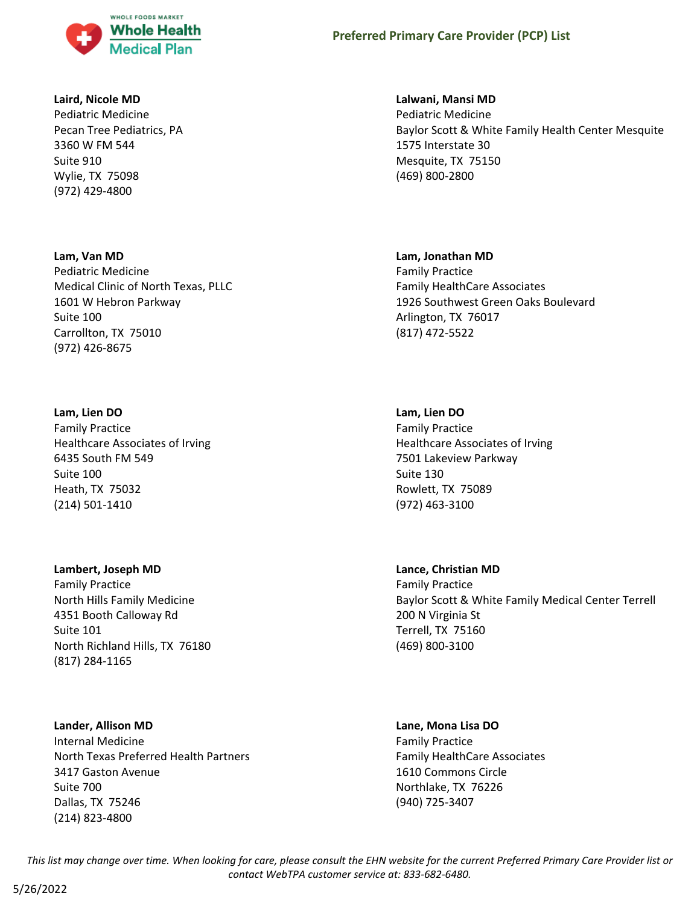

#### **Laird, Nicole MD**

Pediatric Medicine Pecan Tree Pediatrics, PA 3360 W FM 544 Suite 910 Wylie, TX 75098 (972) 429-4800

#### **Lam, Van MD**

Pediatric Medicine Medical Clinic of North Texas, PLLC 1601 W Hebron Parkway Suite 100 Carrollton, TX 75010 (972) 426-8675

#### **Lam, Lien DO**

Family Practice Healthcare Associates of Irving 6435 South FM 549 Suite 100 Heath, TX 75032 (214) 501-1410

#### **Lambert, Joseph MD**

Family Practice North Hills Family Medicine 4351 Booth Calloway Rd Suite 101 North Richland Hills, TX 76180 (817) 284-1165

#### **Lander, Allison MD**

Internal Medicine North Texas Preferred Health Partners 3417 Gaston Avenue Suite 700 Dallas, TX 75246 (214) 823-4800

#### **Lalwani, Mansi MD**

Pediatric Medicine Baylor Scott & White Family Health Center Mesquite 1575 Interstate 30 Mesquite, TX 75150 (469) 800-2800

#### **Lam, Jonathan MD**

Family Practice Family HealthCare Associates 1926 Southwest Green Oaks Boulevard Arlington, TX 76017 (817) 472-5522

#### **Lam, Lien DO**

Family Practice Healthcare Associates of Irving 7501 Lakeview Parkway Suite 130 Rowlett, TX 75089 (972) 463-3100

## **Lance, Christian MD** Family Practice Baylor Scott & White Family Medical Center Terrell 200 N Virginia St Terrell, TX 75160 (469) 800-3100

# **Lane, Mona Lisa DO**

Family Practice Family HealthCare Associates 1610 Commons Circle Northlake, TX 76226 (940) 725-3407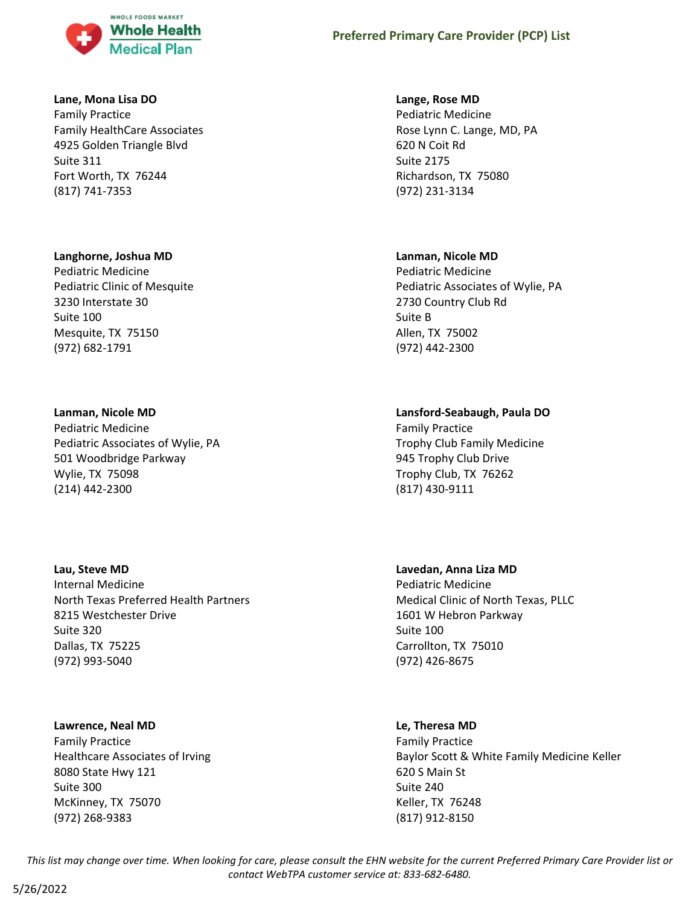

#### **Lane, Mona Lisa DO**

Family Practice Family HealthCare Associates 4925 Golden Triangle Blvd Suite 311 Fort Worth, TX 76244 (817) 741-7353

#### **Langhorne, Joshua MD**

Pediatric Medicine Pediatric Clinic of Mesquite 3230 Interstate 30 Suite 100 Mesquite, TX 75150 (972) 682-1791

#### **Lanman, Nicole MD**

Pediatric Medicine Pediatric Associates of Wylie, PA 501 Woodbridge Parkway Wylie, TX 75098 (214) 442-2300

#### **Lau, Steve MD**

Internal Medicine North Texas Preferred Health Partners 8215 Westchester Drive Suite 320 Dallas, TX 75225 (972) 993-5040

#### **Lawrence, Neal MD**

Family Practice Healthcare Associates of Irving 8080 State Hwy 121 Suite 300 McKinney, TX 75070 (972) 268-9383

### **Lange, Rose MD**

Pediatric Medicine Rose Lynn C. Lange, MD, PA 620 N Coit Rd Suite 2175 Richardson, TX 75080 (972) 231-3134

#### **Lanman, Nicole MD**

Pediatric Medicine Pediatric Associates of Wylie, PA 2730 Country Club Rd Suite B Allen, TX 75002 (972) 442-2300

#### **Lansford-Seabaugh, Paula DO**

Family Practice Trophy Club Family Medicine 945 Trophy Club Drive Trophy Club, TX 76262 (817) 430-9111

## **Lavedan, Anna Liza MD** Pediatric Medicine Medical Clinic of North Texas, PLLC 1601 W Hebron Parkway Suite 100 Carrollton, TX 75010 (972) 426-8675

#### **Le, Theresa MD**

Family Practice Baylor Scott & White Family Medicine Keller 620 S Main St Suite 240 Keller, TX 76248 (817) 912-8150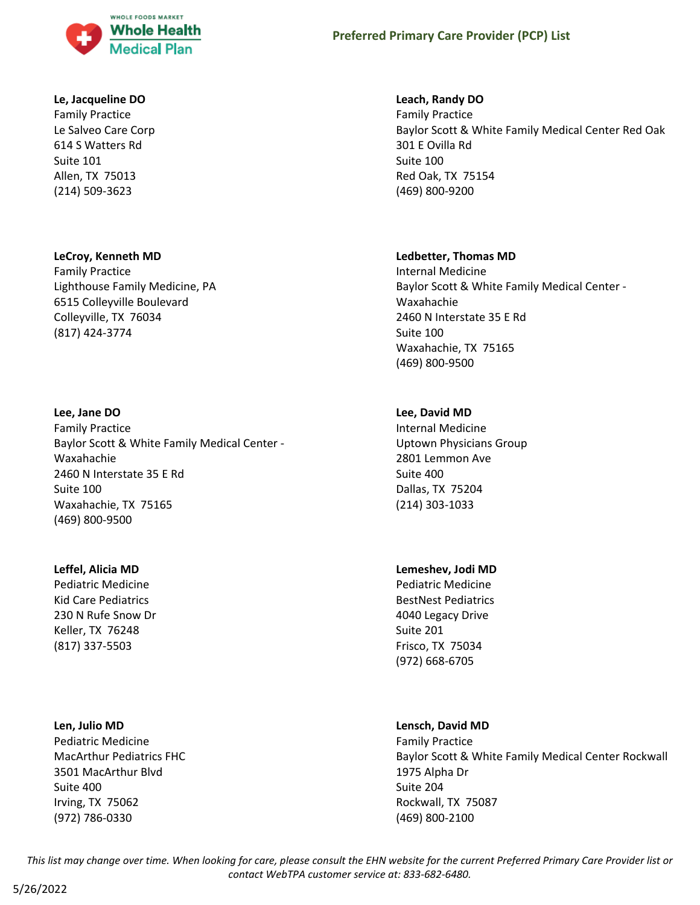

#### **Le, Jacqueline DO**

Family Practice Le Salveo Care Corp 614 S Watters Rd Suite 101 Allen, TX 75013 (214) 509-3623

### **LeCroy, Kenneth MD**

Family Practice Lighthouse Family Medicine, PA 6515 Colleyville Boulevard Colleyville, TX 76034 (817) 424-3774

#### **Lee, Jane DO**

Family Practice Baylor Scott & White Family Medical Center - Waxahachie 2460 N Interstate 35 E Rd Suite 100 Waxahachie, TX 75165 (469) 800-9500

#### **Leffel, Alicia MD**

Pediatric Medicine Kid Care Pediatrics 230 N Rufe Snow Dr Keller, TX 76248 (817) 337-5503

#### **Len, Julio MD**

Pediatric Medicine MacArthur Pediatrics FHC 3501 MacArthur Blvd Suite 400 Irving, TX 75062 (972) 786-0330

#### **Leach, Randy DO**

Family Practice Baylor Scott & White Family Medical Center Red Oak 301 E Ovilla Rd Suite 100 Red Oak, TX 75154 (469) 800-9200

#### **Ledbetter, Thomas MD**

Internal Medicine Baylor Scott & White Family Medical Center - Waxahachie 2460 N Interstate 35 E Rd Suite 100 Waxahachie, TX 75165 (469) 800-9500

#### **Lee, David MD**

Internal Medicine Uptown Physicians Group 2801 Lemmon Ave Suite 400 Dallas, TX 75204 (214) 303-1033

#### **Lemeshev, Jodi MD**

Pediatric Medicine BestNest Pediatrics 4040 Legacy Drive Suite 201 Frisco, TX 75034 (972) 668-6705

#### **Lensch, David MD**

Family Practice Baylor Scott & White Family Medical Center Rockwall 1975 Alpha Dr Suite 204 Rockwall, TX 75087 (469) 800-2100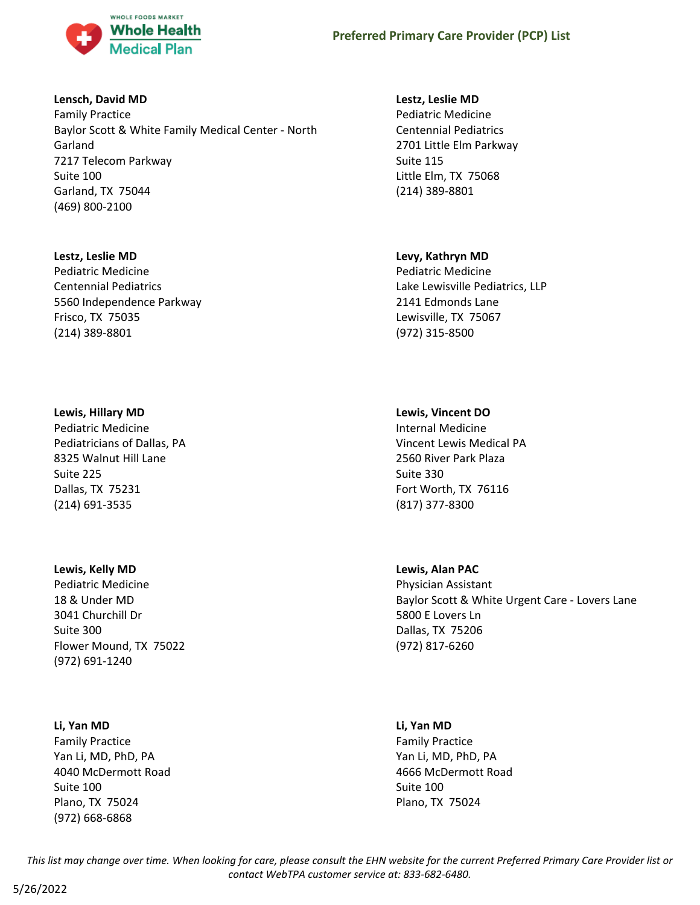

#### **Lensch, David MD**

Family Practice Baylor Scott & White Family Medical Center - North Garland 7217 Telecom Parkway Suite 100 Garland, TX 75044 (469) 800-2100

#### **Lestz, Leslie MD**

Pediatric Medicine Centennial Pediatrics 5560 Independence Parkway Frisco, TX 75035 (214) 389-8801

#### **Lewis, Hillary MD**

Pediatric Medicine Pediatricians of Dallas, PA 8325 Walnut Hill Lane Suite 225 Dallas, TX 75231 (214) 691-3535

#### **Lewis, Kelly MD**

Pediatric Medicine 18 & Under MD 3041 Churchill Dr Suite 300 Flower Mound, TX 75022 (972) 691-1240

#### **Li, Yan MD**

Family Practice Yan Li, MD, PhD, PA 4040 McDermott Road Suite 100 Plano, TX 75024 (972) 668-6868

#### **Lestz, Leslie MD**

Pediatric Medicine Centennial Pediatrics 2701 Little Elm Parkway Suite 115 Little Elm, TX 75068 (214) 389-8801

## **Levy, Kathryn MD**

Pediatric Medicine Lake Lewisville Pediatrics, LLP 2141 Edmonds Lane Lewisville, TX 75067 (972) 315-8500

## **Lewis, Vincent DO**

Internal Medicine Vincent Lewis Medical PA 2560 River Park Plaza Suite 330 Fort Worth, TX 76116 (817) 377-8300

## **Lewis, Alan PAC**

Physician Assistant Baylor Scott & White Urgent Care - Lovers Lane 5800 E Lovers Ln Dallas, TX 75206 (972) 817-6260

#### **Li, Yan MD**

Family Practice Yan Li, MD, PhD, PA 4666 McDermott Road Suite 100 Plano, TX 75024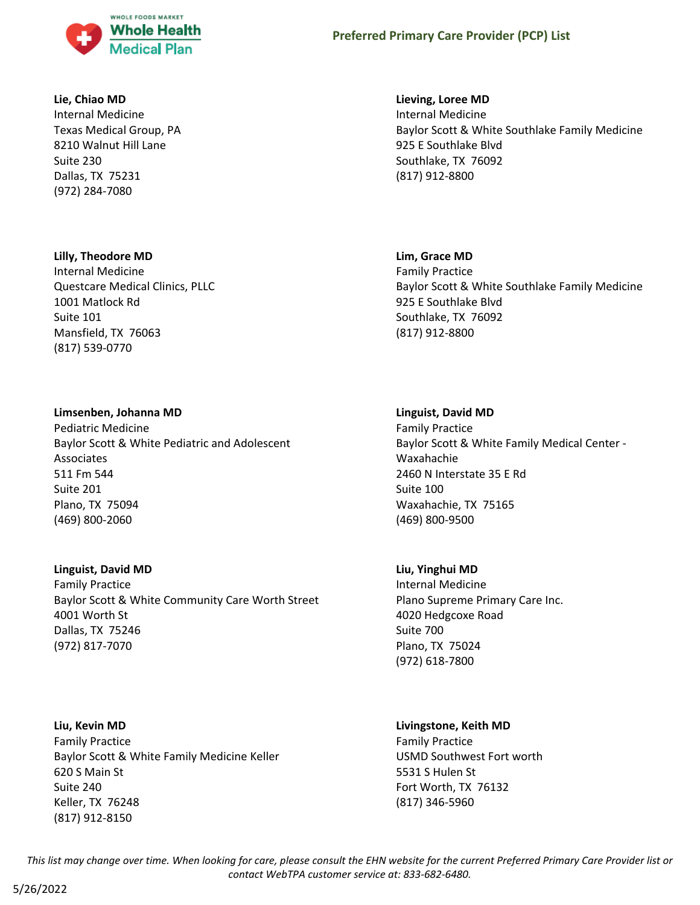

#### **Lie, Chiao MD**

Internal Medicine Texas Medical Group, PA 8210 Walnut Hill Lane Suite 230 Dallas, TX 75231 (972) 284-7080

#### **Lilly, Theodore MD**

Internal Medicine Questcare Medical Clinics, PLLC 1001 Matlock Rd Suite 101 Mansfield, TX 76063 (817) 539-0770

## **Limsenben, Johanna MD**

Pediatric Medicine Baylor Scott & White Pediatric and Adolescent Associates 511 Fm 544 Suite 201 Plano, TX 75094 (469) 800-2060

#### **Linguist, David MD**

Family Practice Baylor Scott & White Community Care Worth Street 4001 Worth St Dallas, TX 75246 (972) 817-7070

## **Liu, Kevin MD**

Family Practice Baylor Scott & White Family Medicine Keller 620 S Main St Suite 240 Keller, TX 76248 (817) 912-8150

#### **Lieving, Loree MD**

Internal Medicine Baylor Scott & White Southlake Family Medicine 925 E Southlake Blvd Southlake, TX 76092 (817) 912-8800

#### **Lim, Grace MD**

Family Practice Baylor Scott & White Southlake Family Medicine 925 E Southlake Blvd Southlake, TX 76092 (817) 912-8800

#### **Linguist, David MD**

Family Practice Baylor Scott & White Family Medical Center - Waxahachie 2460 N Interstate 35 E Rd Suite 100 Waxahachie, TX 75165 (469) 800-9500

#### **Liu, Yinghui MD**

Internal Medicine Plano Supreme Primary Care Inc. 4020 Hedgcoxe Road Suite 700 Plano, TX 75024 (972) 618-7800

#### **Livingstone, Keith MD**

Family Practice USMD Southwest Fort worth 5531 S Hulen St Fort Worth, TX 76132 (817) 346-5960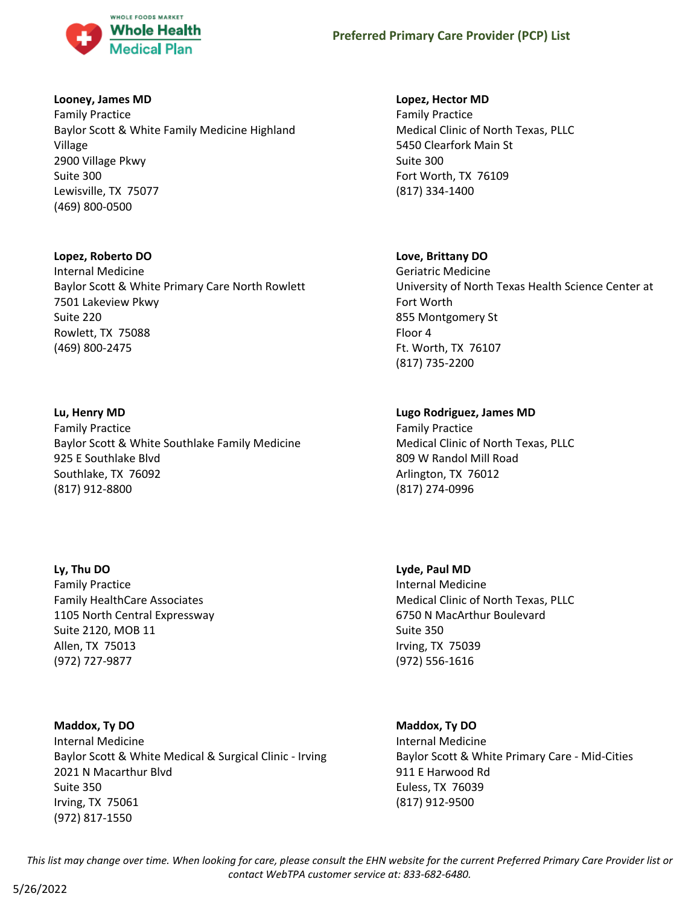

## **Looney, James MD**

Family Practice Baylor Scott & White Family Medicine Highland Village 2900 Village Pkwy Suite 300 Lewisville, TX 75077 (469) 800-0500

#### **Lopez, Roberto DO**

Internal Medicine Baylor Scott & White Primary Care North Rowlett 7501 Lakeview Pkwy Suite 220 Rowlett, TX 75088 (469) 800-2475

## **Lu, Henry MD**

Family Practice Baylor Scott & White Southlake Family Medicine 925 E Southlake Blvd Southlake, TX 76092 (817) 912-8800

## **Ly, Thu DO**

Family Practice Family HealthCare Associates 1105 North Central Expressway Suite 2120, MOB 11 Allen, TX 75013 (972) 727-9877

## **Maddox, Ty DO**

Internal Medicine Baylor Scott & White Medical & Surgical Clinic - Irving 2021 N Macarthur Blvd Suite 350 Irving, TX 75061 (972) 817-1550

## **Lopez, Hector MD**

Family Practice Medical Clinic of North Texas, PLLC 5450 Clearfork Main St Suite 300 Fort Worth, TX 76109 (817) 334-1400

## **Love, Brittany DO**

Geriatric Medicine University of North Texas Health Science Center at Fort Worth 855 Montgomery St Floor 4 Ft. Worth, TX 76107 (817) 735-2200

## **Lugo Rodriguez, James MD**

Family Practice Medical Clinic of North Texas, PLLC 809 W Randol Mill Road Arlington, TX 76012 (817) 274-0996

**Lyde, Paul MD** Internal Medicine Medical Clinic of North Texas, PLLC 6750 N MacArthur Boulevard Suite 350 Irving, TX 75039 (972) 556-1616

## **Maddox, Ty DO** Internal Medicine Baylor Scott & White Primary Care - Mid-Cities 911 E Harwood Rd Euless, TX 76039 (817) 912-9500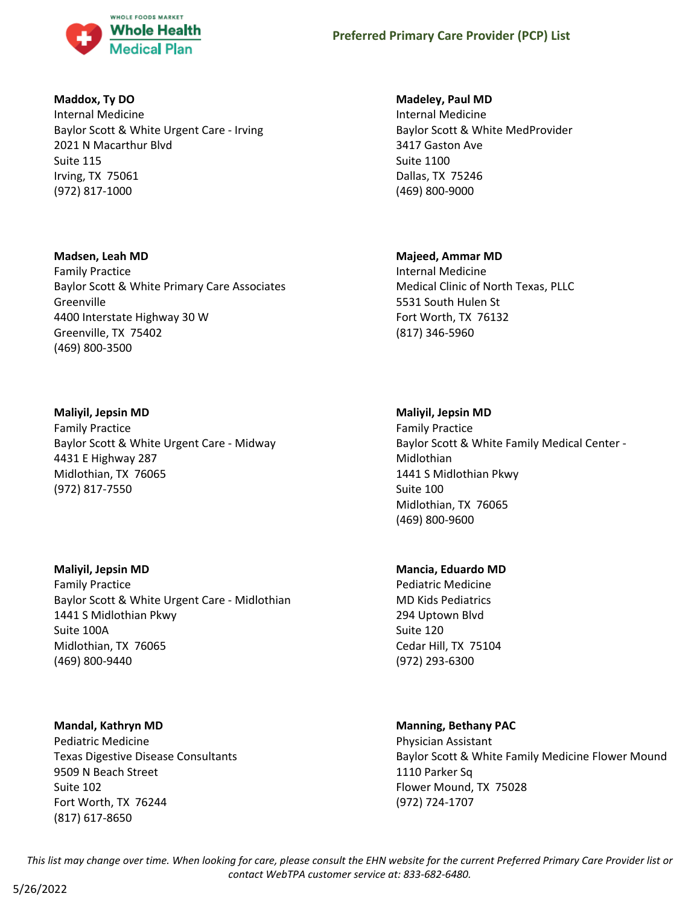

## **Maddox, Ty DO**

Internal Medicine Baylor Scott & White Urgent Care - Irving 2021 N Macarthur Blvd Suite 115 Irving, TX 75061 (972) 817-1000

## **Madsen, Leah MD**

Family Practice Baylor Scott & White Primary Care Associates Greenville 4400 Interstate Highway 30 W Greenville, TX 75402 (469) 800-3500

## **Maliyil, Jepsin MD**

Family Practice Baylor Scott & White Urgent Care - Midway 4431 E Highway 287 Midlothian, TX 76065 (972) 817-7550

## **Maliyil, Jepsin MD**

Family Practice Baylor Scott & White Urgent Care - Midlothian 1441 S Midlothian Pkwy Suite 100A Midlothian, TX 76065 (469) 800-9440

## **Mandal, Kathryn MD**

Pediatric Medicine Texas Digestive Disease Consultants 9509 N Beach Street Suite 102 Fort Worth, TX 76244 (817) 617-8650

## **Madeley, Paul MD**

Internal Medicine Baylor Scott & White MedProvider 3417 Gaston Ave Suite 1100 Dallas, TX 75246 (469) 800-9000

## **Majeed, Ammar MD**

Internal Medicine Medical Clinic of North Texas, PLLC 5531 South Hulen St Fort Worth, TX 76132 (817) 346-5960

## **Maliyil, Jepsin MD**

Family Practice Baylor Scott & White Family Medical Center - Midlothian 1441 S Midlothian Pkwy Suite 100 Midlothian, TX 76065 (469) 800-9600

## **Mancia, Eduardo MD**

Pediatric Medicine MD Kids Pediatrics 294 Uptown Blvd Suite 120 Cedar Hill, TX 75104 (972) 293-6300

## **Manning, Bethany PAC**

Physician Assistant Baylor Scott & White Family Medicine Flower Mound 1110 Parker Sq Flower Mound, TX 75028 (972) 724-1707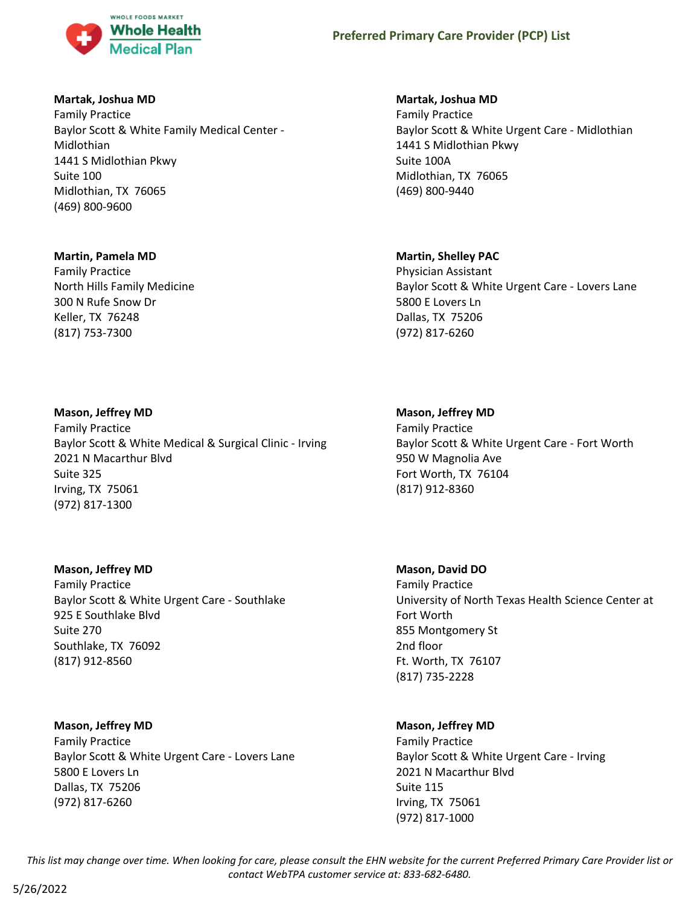

## **Martak, Joshua MD**

Family Practice Baylor Scott & White Family Medical Center - Midlothian 1441 S Midlothian Pkwy Suite 100 Midlothian, TX 76065 (469) 800-9600

## **Martin, Pamela MD**

Family Practice North Hills Family Medicine 300 N Rufe Snow Dr Keller, TX 76248 (817) 753-7300

## **Martak, Joshua MD**

Family Practice Baylor Scott & White Urgent Care - Midlothian 1441 S Midlothian Pkwy Suite 100A Midlothian, TX 76065 (469) 800-9440

## **Martin, Shelley PAC**

Physician Assistant Baylor Scott & White Urgent Care - Lovers Lane 5800 E Lovers Ln Dallas, TX 75206 (972) 817-6260

#### **Mason, Jeffrey MD**

Family Practice Baylor Scott & White Medical & Surgical Clinic - Irving 2021 N Macarthur Blvd Suite 325 Irving, TX 75061 (972) 817-1300

#### **Mason, Jeffrey MD**

Family Practice Baylor Scott & White Urgent Care - Southlake 925 E Southlake Blvd Suite 270 Southlake, TX 76092 (817) 912-8560

#### **Mason, Jeffrey MD**

Family Practice Baylor Scott & White Urgent Care - Lovers Lane 5800 E Lovers Ln Dallas, TX 75206 (972) 817-6260

## **Mason, Jeffrey MD**

Family Practice Baylor Scott & White Urgent Care - Fort Worth 950 W Magnolia Ave Fort Worth, TX 76104 (817) 912-8360

## **Mason, David DO**

Family Practice University of North Texas Health Science Center at Fort Worth 855 Montgomery St 2nd floor Ft. Worth, TX 76107 (817) 735-2228

## **Mason, Jeffrey MD**

Family Practice Baylor Scott & White Urgent Care - Irving 2021 N Macarthur Blvd Suite 115 Irving, TX 75061 (972) 817-1000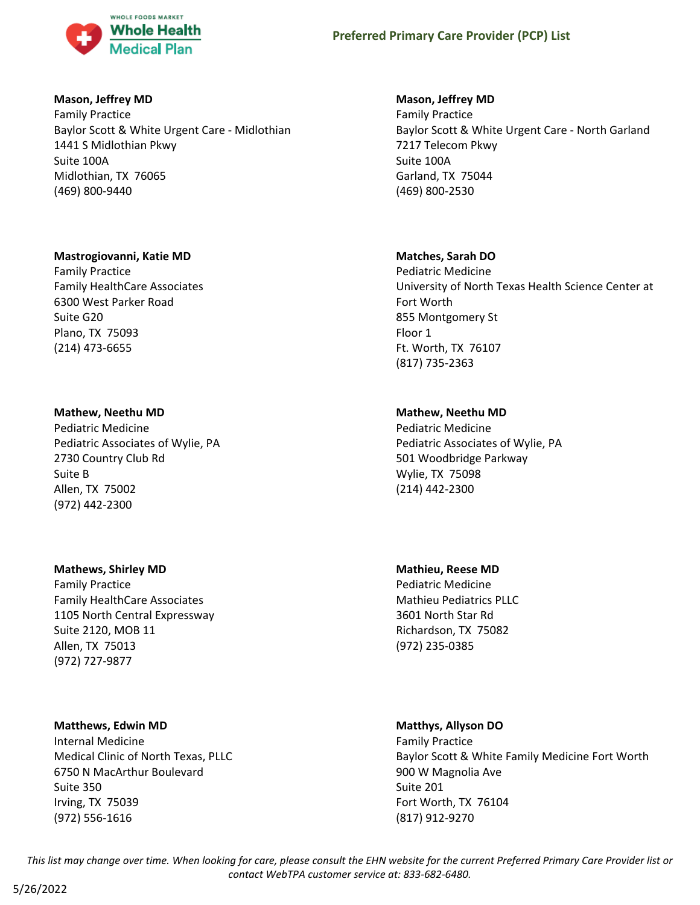

#### **Mason, Jeffrey MD**

Family Practice Baylor Scott & White Urgent Care - Midlothian 1441 S Midlothian Pkwy Suite 100A Midlothian, TX 76065 (469) 800-9440

## **Mastrogiovanni, Katie MD**

Family Practice Family HealthCare Associates 6300 West Parker Road Suite G20 Plano, TX 75093 (214) 473-6655

## **Mathew, Neethu MD**

Pediatric Medicine Pediatric Associates of Wylie, PA 2730 Country Club Rd Suite B Allen, TX 75002 (972) 442-2300

#### **Mathews, Shirley MD**

Family Practice Family HealthCare Associates 1105 North Central Expressway Suite 2120, MOB 11 Allen, TX 75013 (972) 727-9877

#### **Matthews, Edwin MD**

Internal Medicine Medical Clinic of North Texas, PLLC 6750 N MacArthur Boulevard Suite 350 Irving, TX 75039 (972) 556-1616

## **Mason, Jeffrey MD**

Family Practice Baylor Scott & White Urgent Care - North Garland 7217 Telecom Pkwy Suite 100A Garland, TX 75044 (469) 800-2530

## **Matches, Sarah DO**

Pediatric Medicine University of North Texas Health Science Center at Fort Worth 855 Montgomery St Floor 1 Ft. Worth, TX 76107 (817) 735-2363

## **Mathew, Neethu MD**

Pediatric Medicine Pediatric Associates of Wylie, PA 501 Woodbridge Parkway Wylie, TX 75098 (214) 442-2300

**Mathieu, Reese MD** Pediatric Medicine Mathieu Pediatrics PLLC 3601 North Star Rd Richardson, TX 75082 (972) 235-0385

## **Matthys, Allyson DO**

Family Practice Baylor Scott & White Family Medicine Fort Worth 900 W Magnolia Ave Suite 201 Fort Worth, TX 76104 (817) 912-9270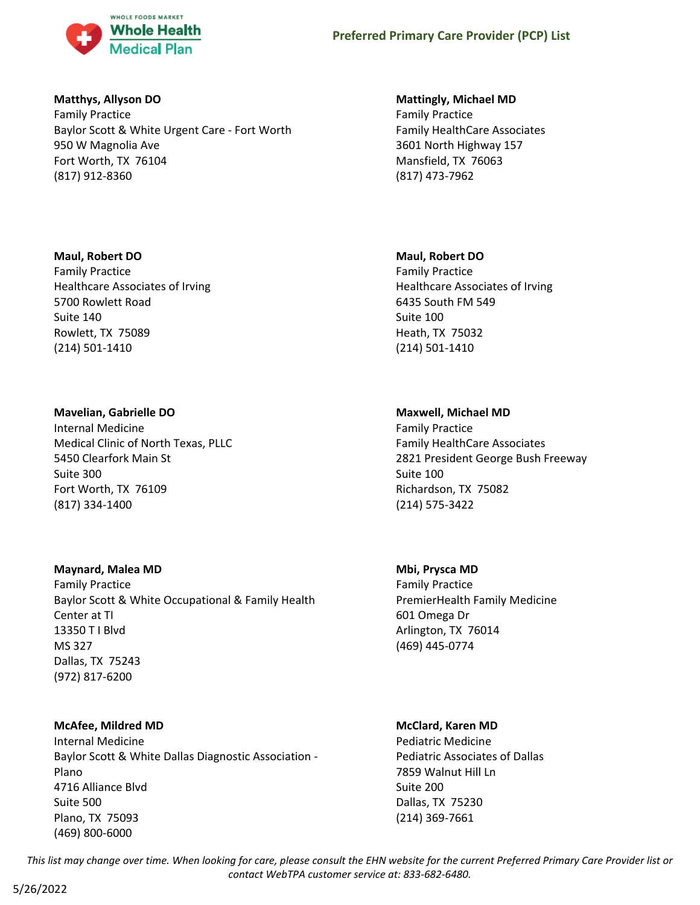

## **Matthys, Allyson DO**

Family Practice Baylor Scott & White Urgent Care - Fort Worth 950 W Magnolia Ave Fort Worth, TX 76104 (817) 912-8360

## **Maul, Robert DO**

Family Practice Healthcare Associates of Irving 5700 Rowlett Road Suite 140 Rowlett, TX 75089 (214) 501-1410

## **Mavelian, Gabrielle DO**

Internal Medicine Medical Clinic of North Texas, PLLC 5450 Clearfork Main St Suite 300 Fort Worth, TX 76109 (817) 334-1400

## **Maynard, Malea MD**

Family Practice Baylor Scott & White Occupational & Family Health Center at TI 13350 T I Blvd MS 327 Dallas, TX 75243 (972) 817-6200

## **McAfee, Mildred MD**

Internal Medicine Baylor Scott & White Dallas Diagnostic Association - Plano 4716 Alliance Blvd Suite 500 Plano, TX 75093 (469) 800-6000

## **Mattingly, Michael MD**

Family Practice Family HealthCare Associates 3601 North Highway 157 Mansfield, TX 76063 (817) 473-7962

## **Maul, Robert DO**

Family Practice Healthcare Associates of Irving 6435 South FM 549 Suite 100 Heath, TX 75032 (214) 501-1410

## **Maxwell, Michael MD**

Family Practice Family HealthCare Associates 2821 President George Bush Freeway Suite 100 Richardson, TX 75082 (214) 575-3422

## **Mbi, Prysca MD**

Family Practice PremierHealth Family Medicine 601 Omega Dr Arlington, TX 76014 (469) 445-0774

#### **McClard, Karen MD**

Pediatric Medicine Pediatric Associates of Dallas 7859 Walnut Hill Ln Suite 200 Dallas, TX 75230 (214) 369-7661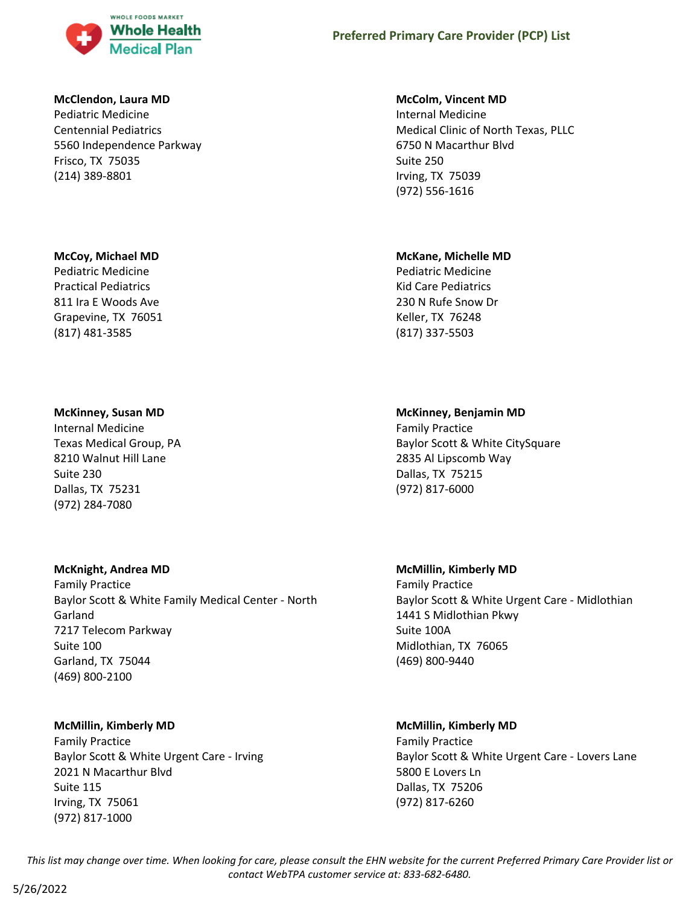

#### **McClendon, Laura MD**

Pediatric Medicine Centennial Pediatrics 5560 Independence Parkway Frisco, TX 75035 (214) 389-8801

#### **McCoy, Michael MD**

Pediatric Medicine Practical Pediatrics 811 Ira E Woods Ave Grapevine, TX 76051 (817) 481-3585

#### **McKinney, Susan MD**

Internal Medicine Texas Medical Group, PA 8210 Walnut Hill Lane Suite 230 Dallas, TX 75231 (972) 284-7080

#### **McKnight, Andrea MD**

Family Practice Baylor Scott & White Family Medical Center - North Garland 7217 Telecom Parkway Suite 100 Garland, TX 75044 (469) 800-2100

#### **McMillin, Kimberly MD**

Family Practice Baylor Scott & White Urgent Care - Irving 2021 N Macarthur Blvd Suite 115 Irving, TX 75061 (972) 817-1000

#### **McColm, Vincent MD**

Internal Medicine Medical Clinic of North Texas, PLLC 6750 N Macarthur Blvd Suite 250 Irving, TX 75039 (972) 556-1616

#### **McKane, Michelle MD**

Pediatric Medicine Kid Care Pediatrics 230 N Rufe Snow Dr Keller, TX 76248 (817) 337-5503

#### **McKinney, Benjamin MD**

Family Practice Baylor Scott & White CitySquare 2835 Al Lipscomb Way Dallas, TX 75215 (972) 817-6000

#### **McMillin, Kimberly MD**

Family Practice Baylor Scott & White Urgent Care - Midlothian 1441 S Midlothian Pkwy Suite 100A Midlothian, TX 76065 (469) 800-9440

#### **McMillin, Kimberly MD**

Family Practice Baylor Scott & White Urgent Care - Lovers Lane 5800 E Lovers Ln Dallas, TX 75206 (972) 817-6260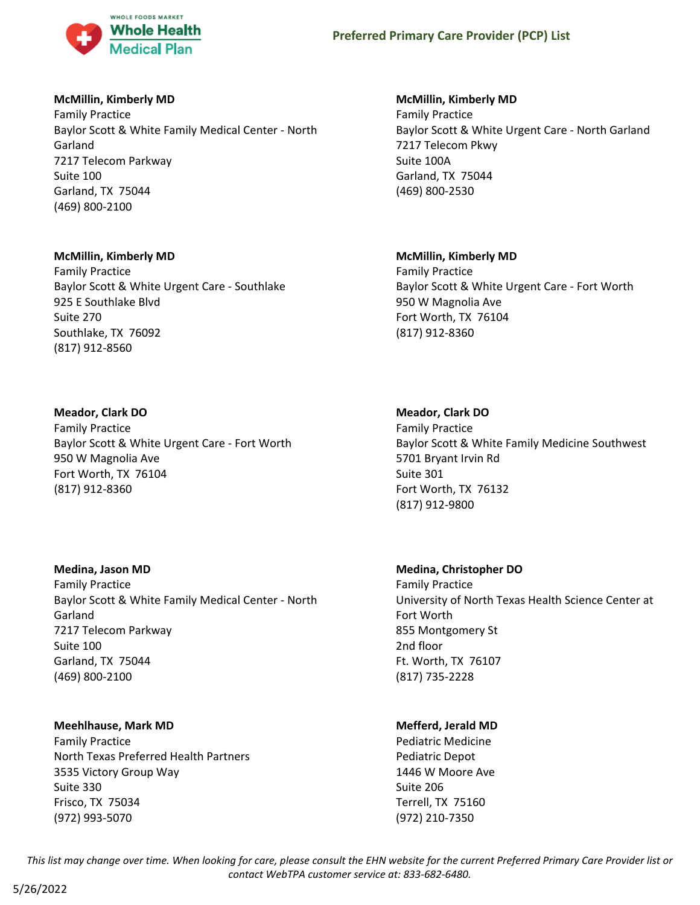

# **McMillin, Kimberly MD**

Family Practice Baylor Scott & White Family Medical Center - North Garland 7217 Telecom Parkway Suite 100 Garland, TX 75044 (469) 800-2100

# **McMillin, Kimberly MD**

Family Practice Baylor Scott & White Urgent Care - Southlake 925 E Southlake Blvd Suite 270 Southlake, TX 76092 (817) 912-8560

# **Meador, Clark DO**

Family Practice Baylor Scott & White Urgent Care - Fort Worth 950 W Magnolia Ave Fort Worth, TX 76104 (817) 912-8360

# **Medina, Jason MD**

Family Practice Baylor Scott & White Family Medical Center - North Garland 7217 Telecom Parkway Suite 100 Garland, TX 75044 (469) 800-2100

# **Meehlhause, Mark MD**

Family Practice North Texas Preferred Health Partners 3535 Victory Group Way Suite 330 Frisco, TX 75034 (972) 993-5070

# **McMillin, Kimberly MD**

Family Practice Baylor Scott & White Urgent Care - North Garland 7217 Telecom Pkwy Suite 100A Garland, TX 75044 (469) 800-2530

# **McMillin, Kimberly MD**

Family Practice Baylor Scott & White Urgent Care - Fort Worth 950 W Magnolia Ave Fort Worth, TX 76104 (817) 912-8360

# **Meador, Clark DO**

Family Practice Baylor Scott & White Family Medicine Southwest 5701 Bryant Irvin Rd Suite 301 Fort Worth, TX 76132 (817) 912-9800

# **Medina, Christopher DO**

Family Practice University of North Texas Health Science Center at Fort Worth 855 Montgomery St 2nd floor Ft. Worth, TX 76107 (817) 735-2228

# **Mefferd, Jerald MD**

Pediatric Medicine Pediatric Depot 1446 W Moore Ave Suite 206 Terrell, TX 75160 (972) 210-7350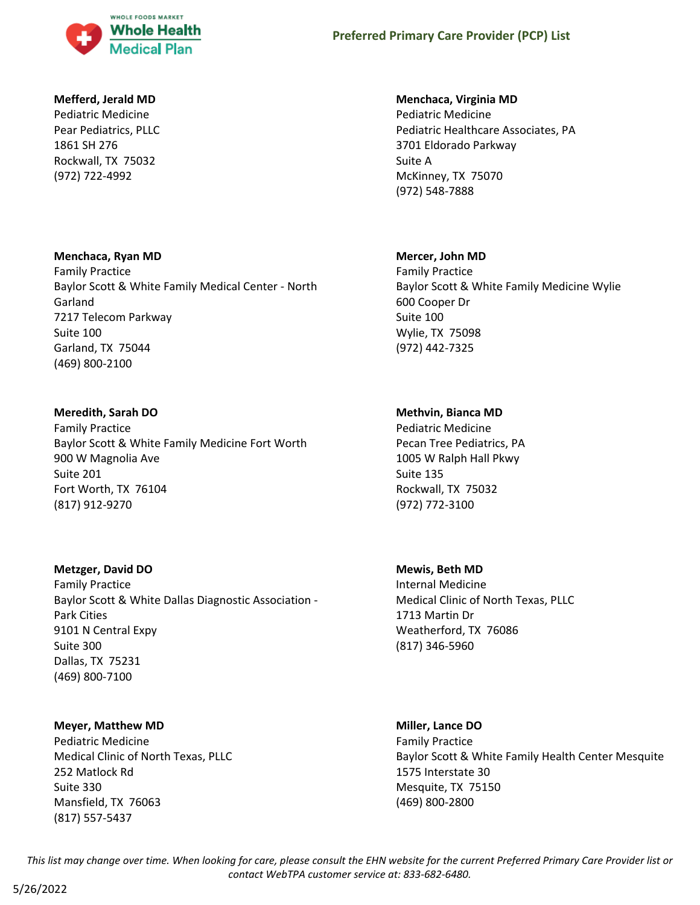

### **Mefferd, Jerald MD**

Pediatric Medicine Pear Pediatrics, PLLC 1861 SH 276 Rockwall, TX 75032 (972) 722-4992

## **Menchaca, Ryan MD**

Family Practice Baylor Scott & White Family Medical Center - North Garland 7217 Telecom Parkway Suite 100 Garland, TX 75044 (469) 800-2100

# **Meredith, Sarah DO**

Family Practice Baylor Scott & White Family Medicine Fort Worth 900 W Magnolia Ave Suite 201 Fort Worth, TX 76104 (817) 912-9270

#### **Metzger, David DO**

Family Practice Baylor Scott & White Dallas Diagnostic Association - Park Cities 9101 N Central Expy Suite 300 Dallas, TX 75231 (469) 800-7100

#### **Meyer, Matthew MD**

Pediatric Medicine Medical Clinic of North Texas, PLLC 252 Matlock Rd Suite 330 Mansfield, TX 76063 (817) 557-5437

#### **Menchaca, Virginia MD**

Pediatric Medicine Pediatric Healthcare Associates, PA 3701 Eldorado Parkway Suite A McKinney, TX 75070 (972) 548-7888

## **Mercer, John MD**

Family Practice Baylor Scott & White Family Medicine Wylie 600 Cooper Dr Suite 100 Wylie, TX 75098 (972) 442-7325

# **Methvin, Bianca MD**

Pediatric Medicine Pecan Tree Pediatrics, PA 1005 W Ralph Hall Pkwy Suite 135 Rockwall, TX 75032 (972) 772-3100

#### **Mewis, Beth MD**

Internal Medicine Medical Clinic of North Texas, PLLC 1713 Martin Dr Weatherford, TX 76086 (817) 346-5960

# **Miller, Lance DO** Family Practice

Baylor Scott & White Family Health Center Mesquite 1575 Interstate 30 Mesquite, TX 75150 (469) 800-2800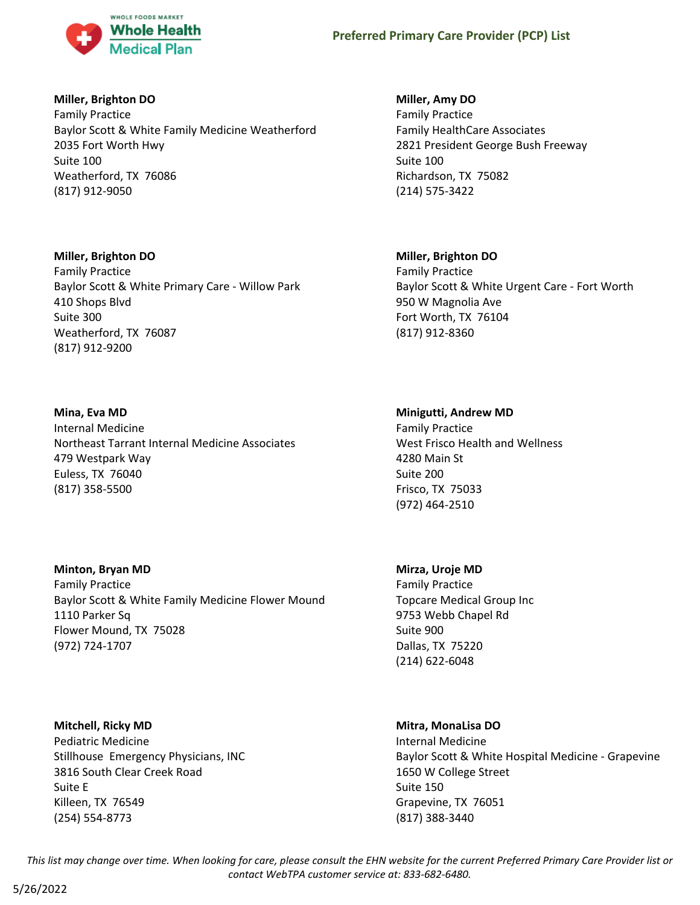

## **Miller, Brighton DO**

Family Practice Baylor Scott & White Family Medicine Weatherford 2035 Fort Worth Hwy Suite 100 Weatherford, TX 76086 (817) 912-9050

#### **Miller, Brighton DO**

Family Practice Baylor Scott & White Primary Care - Willow Park 410 Shops Blvd Suite 300 Weatherford, TX 76087 (817) 912-9200

# **Mina, Eva MD**

Internal Medicine Northeast Tarrant Internal Medicine Associates 479 Westpark Way Euless, TX 76040 (817) 358-5500

# **Minton, Bryan MD**

Family Practice Baylor Scott & White Family Medicine Flower Mound 1110 Parker Sq Flower Mound, TX 75028 (972) 724-1707

**Mitchell, Ricky MD** Pediatric Medicine Stillhouse Emergency Physicians, INC 3816 South Clear Creek Road Suite E Killeen, TX 76549 (254) 554-8773

## **Miller, Amy DO**

Family Practice Family HealthCare Associates 2821 President George Bush Freeway Suite 100 Richardson, TX 75082 (214) 575-3422

## **Miller, Brighton DO**

Family Practice Baylor Scott & White Urgent Care - Fort Worth 950 W Magnolia Ave Fort Worth, TX 76104 (817) 912-8360

## **Minigutti, Andrew MD**

Family Practice West Frisco Health and Wellness 4280 Main St Suite 200 Frisco, TX 75033 (972) 464-2510

# **Mirza, Uroje MD**

Family Practice Topcare Medical Group Inc 9753 Webb Chapel Rd Suite 900 Dallas, TX 75220 (214) 622-6048

#### **Mitra, MonaLisa DO**

Internal Medicine Baylor Scott & White Hospital Medicine - Grapevine 1650 W College Street Suite 150 Grapevine, TX 76051 (817) 388-3440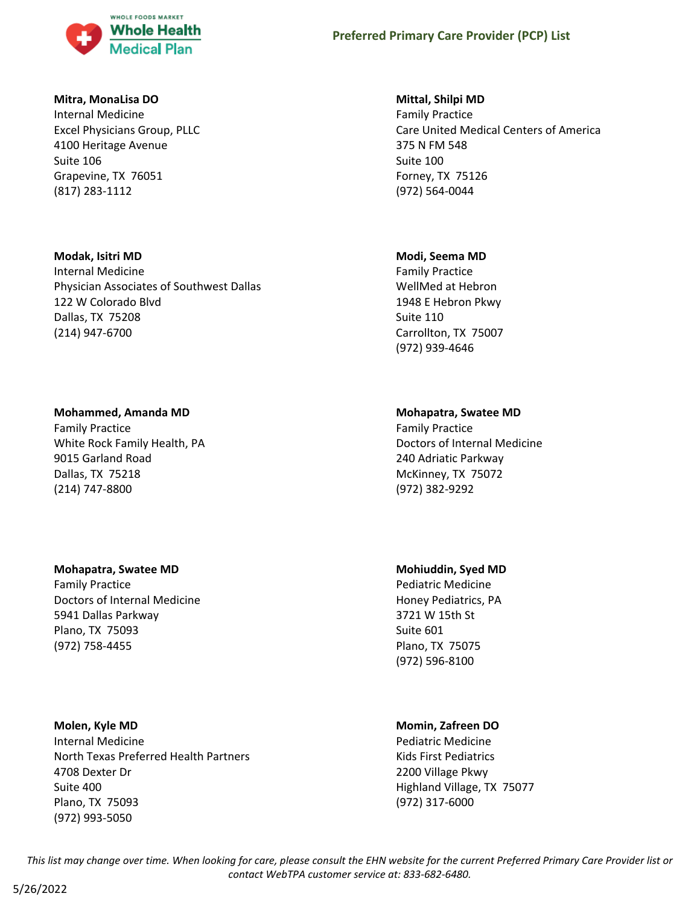

#### **Mitra, MonaLisa DO**

Internal Medicine Excel Physicians Group, PLLC 4100 Heritage Avenue Suite 106 Grapevine, TX 76051 (817) 283-1112

# **Modak, Isitri MD** Internal Medicine Physician Associates of Southwest Dallas 122 W Colorado Blvd Dallas, TX 75208 (214) 947-6700

## **Mohammed, Amanda MD**

Family Practice White Rock Family Health, PA 9015 Garland Road Dallas, TX 75218 (214) 747-8800

#### **Mohapatra, Swatee MD**

Family Practice Doctors of Internal Medicine 5941 Dallas Parkway Plano, TX 75093 (972) 758-4455

# **Molen, Kyle MD**

Internal Medicine North Texas Preferred Health Partners 4708 Dexter Dr Suite 400 Plano, TX 75093 (972) 993-5050

#### **Mittal, Shilpi MD**

Family Practice Care United Medical Centers of America 375 N FM 548 Suite 100 Forney, TX 75126 (972) 564-0044

#### **Modi, Seema MD**

Family Practice WellMed at Hebron 1948 E Hebron Pkwy Suite 110 Carrollton, TX 75007 (972) 939-4646

## **Mohapatra, Swatee MD**

Family Practice Doctors of Internal Medicine 240 Adriatic Parkway McKinney, TX 75072 (972) 382-9292

#### **Mohiuddin, Syed MD**

Pediatric Medicine Honey Pediatrics, PA 3721 W 15th St Suite 601 Plano, TX 75075 (972) 596-8100

# **Momin, Zafreen DO**

Pediatric Medicine Kids First Pediatrics 2200 Village Pkwy Highland Village, TX 75077 (972) 317-6000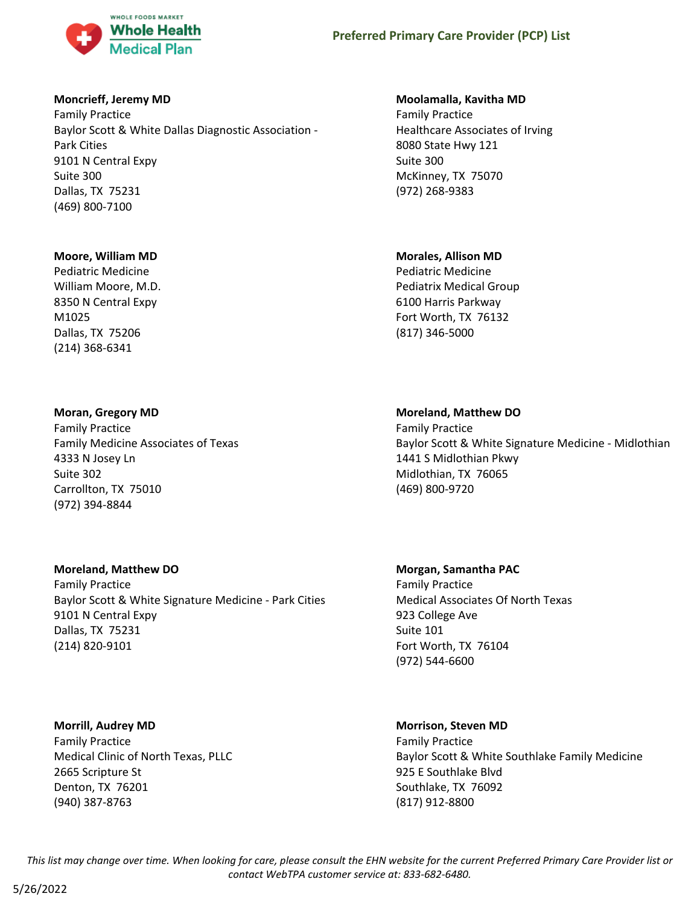

### **Moncrieff, Jeremy MD**

Family Practice Baylor Scott & White Dallas Diagnostic Association - Park Cities 9101 N Central Expy Suite 300 Dallas, TX 75231 (469) 800-7100

#### **Moore, William MD**

Pediatric Medicine William Moore, M.D. 8350 N Central Expy M1025 Dallas, TX 75206 (214) 368-6341

## **Moran, Gregory MD**

Family Practice Family Medicine Associates of Texas 4333 N Josey Ln Suite 302 Carrollton, TX 75010 (972) 394-8844

# **Moreland, Matthew DO**

Family Practice Baylor Scott & White Signature Medicine - Park Cities 9101 N Central Expy Dallas, TX 75231 (214) 820-9101

# **Morrill, Audrey MD**

Family Practice Medical Clinic of North Texas, PLLC 2665 Scripture St Denton, TX 76201 (940) 387-8763

### **Moolamalla, Kavitha MD**

Family Practice Healthcare Associates of Irving 8080 State Hwy 121 Suite 300 McKinney, TX 75070 (972) 268-9383

## **Morales, Allison MD**

Pediatric Medicine Pediatrix Medical Group 6100 Harris Parkway Fort Worth, TX 76132 (817) 346-5000

## **Moreland, Matthew DO**

Family Practice Baylor Scott & White Signature Medicine - Midlothian 1441 S Midlothian Pkwy Midlothian, TX 76065 (469) 800-9720

# **Morgan, Samantha PAC** Family Practice Medical Associates Of North Texas 923 College Ave Suite 101 Fort Worth, TX 76104 (972) 544-6600

# **Morrison, Steven MD**

Family Practice Baylor Scott & White Southlake Family Medicine 925 E Southlake Blvd Southlake, TX 76092 (817) 912-8800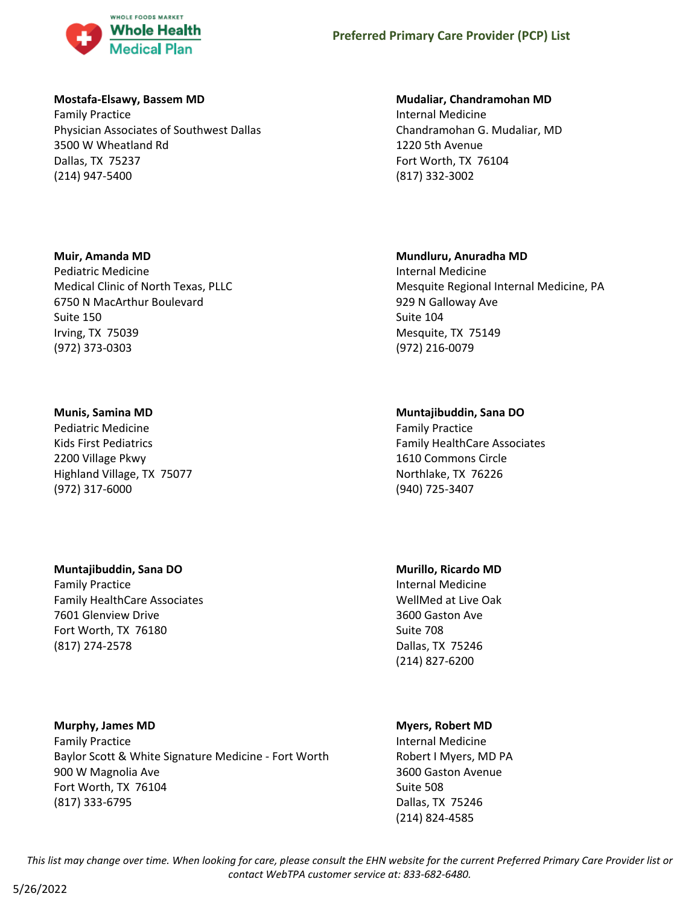

#### **Mostafa-Elsawy, Bassem MD**

Family Practice Physician Associates of Southwest Dallas 3500 W Wheatland Rd Dallas, TX 75237 (214) 947-5400

## **Muir, Amanda MD**

Pediatric Medicine Medical Clinic of North Texas, PLLC 6750 N MacArthur Boulevard Suite 150 Irving, TX 75039 (972) 373-0303

# **Munis, Samina MD**

Pediatric Medicine Kids First Pediatrics 2200 Village Pkwy Highland Village, TX 75077 (972) 317-6000

# **Muntajibuddin, Sana DO**

Family Practice Family HealthCare Associates 7601 Glenview Drive Fort Worth, TX 76180 (817) 274-2578

**Murphy, James MD** Family Practice Baylor Scott & White Signature Medicine - Fort Worth 900 W Magnolia Ave Fort Worth, TX 76104 (817) 333-6795

# **Mudaliar, Chandramohan MD**

Internal Medicine Chandramohan G. Mudaliar, MD 1220 5th Avenue Fort Worth, TX 76104 (817) 332-3002

# **Mundluru, Anuradha MD**

Internal Medicine Mesquite Regional Internal Medicine, PA 929 N Galloway Ave Suite 104 Mesquite, TX 75149 (972) 216-0079

# **Muntajibuddin, Sana DO**

Family Practice Family HealthCare Associates 1610 Commons Circle Northlake, TX 76226 (940) 725-3407

# **Murillo, Ricardo MD**

Internal Medicine WellMed at Live Oak 3600 Gaston Ave Suite 708 Dallas, TX 75246 (214) 827-6200

# **Myers, Robert MD**

Internal Medicine Robert I Myers, MD PA 3600 Gaston Avenue Suite 508 Dallas, TX 75246 (214) 824-4585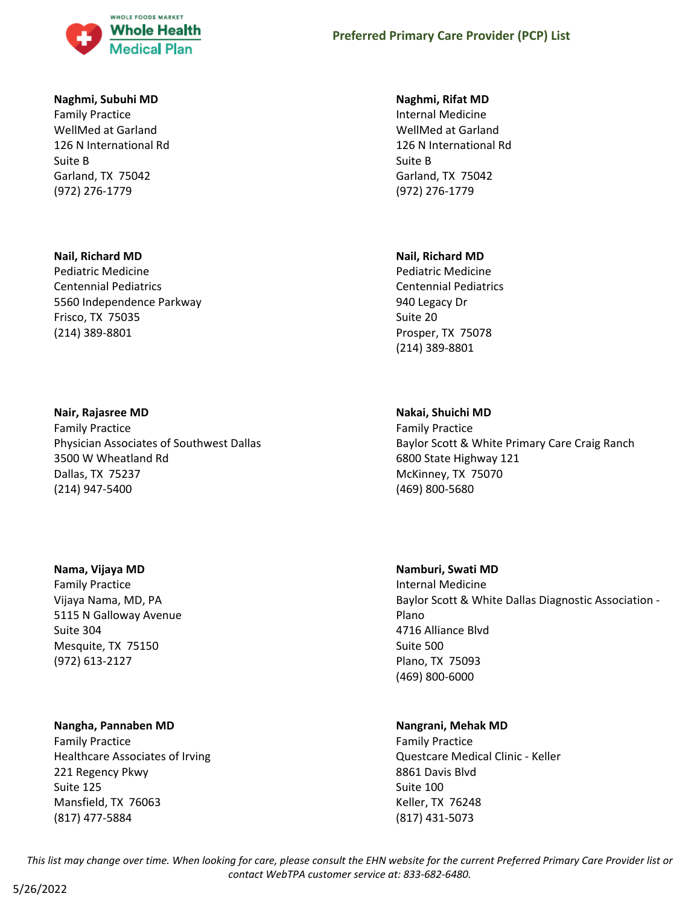

#### **Naghmi, Subuhi MD**

Family Practice WellMed at Garland 126 N International Rd Suite B Garland, TX 75042 (972) 276-1779

#### **Nail, Richard MD**

Pediatric Medicine Centennial Pediatrics 5560 Independence Parkway Frisco, TX 75035 (214) 389-8801

## **Nair, Rajasree MD**

Family Practice Physician Associates of Southwest Dallas 3500 W Wheatland Rd Dallas, TX 75237 (214) 947-5400

#### **Nama, Vijaya MD**

Family Practice Vijaya Nama, MD, PA 5115 N Galloway Avenue Suite 304 Mesquite, TX 75150 (972) 613-2127

# **Nangha, Pannaben MD**

Family Practice Healthcare Associates of Irving 221 Regency Pkwy Suite 125 Mansfield, TX 76063 (817) 477-5884

### **Naghmi, Rifat MD**

Internal Medicine WellMed at Garland 126 N International Rd Suite B Garland, TX 75042 (972) 276-1779

## **Nail, Richard MD**

Pediatric Medicine Centennial Pediatrics 940 Legacy Dr Suite 20 Prosper, TX 75078 (214) 389-8801

# **Nakai, Shuichi MD**

Family Practice Baylor Scott & White Primary Care Craig Ranch 6800 State Highway 121 McKinney, TX 75070 (469) 800-5680

#### **Namburi, Swati MD**

Internal Medicine Baylor Scott & White Dallas Diagnostic Association - Plano 4716 Alliance Blvd Suite 500 Plano, TX 75093 (469) 800-6000

# **Nangrani, Mehak MD**

Family Practice Questcare Medical Clinic - Keller 8861 Davis Blvd Suite 100 Keller, TX 76248 (817) 431-5073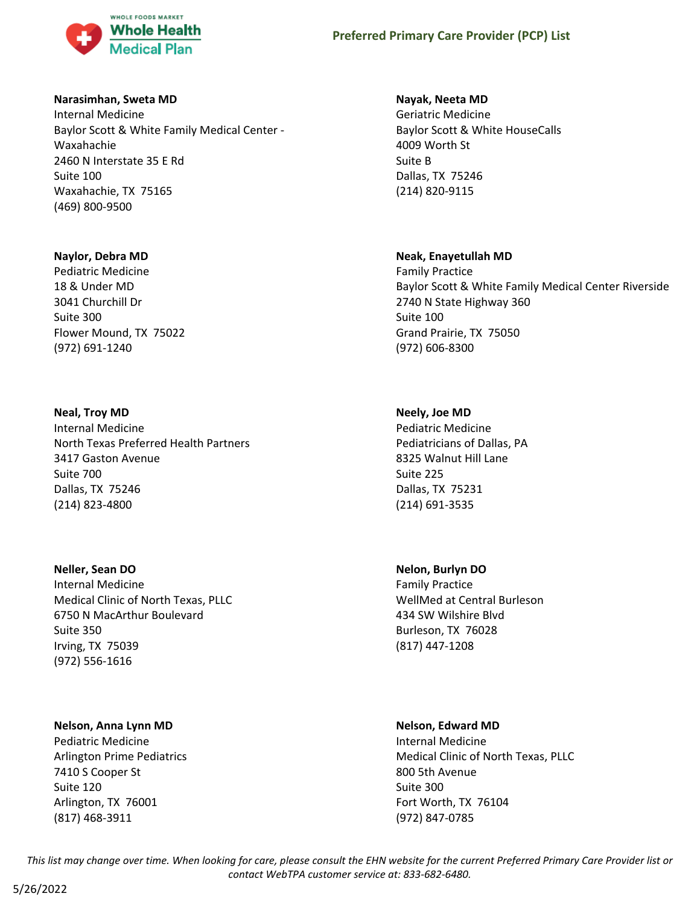

#### **Narasimhan, Sweta MD**

Internal Medicine Baylor Scott & White Family Medical Center - Waxahachie 2460 N Interstate 35 E Rd Suite 100 Waxahachie, TX 75165 (469) 800-9500

## **Naylor, Debra MD**

Pediatric Medicine 18 & Under MD 3041 Churchill Dr Suite 300 Flower Mound, TX 75022 (972) 691-1240

# **Neal, Troy MD**

Internal Medicine North Texas Preferred Health Partners 3417 Gaston Avenue Suite 700 Dallas, TX 75246 (214) 823-4800

# **Neller, Sean DO**

Internal Medicine Medical Clinic of North Texas, PLLC 6750 N MacArthur Boulevard Suite 350 Irving, TX 75039 (972) 556-1616

# **Nelson, Anna Lynn MD**

Pediatric Medicine Arlington Prime Pediatrics 7410 S Cooper St Suite 120 Arlington, TX 76001 (817) 468-3911

# **Nayak, Neeta MD**

Geriatric Medicine Baylor Scott & White HouseCalls 4009 Worth St Suite B Dallas, TX 75246 (214) 820-9115

# **Neak, Enayetullah MD**

Family Practice Baylor Scott & White Family Medical Center Riverside 2740 N State Highway 360 Suite 100 Grand Prairie, TX 75050 (972) 606-8300

# **Neely, Joe MD**

Pediatric Medicine Pediatricians of Dallas, PA 8325 Walnut Hill Lane Suite 225 Dallas, TX 75231 (214) 691-3535

# **Nelon, Burlyn DO**

Family Practice WellMed at Central Burleson 434 SW Wilshire Blvd Burleson, TX 76028 (817) 447-1208

#### **Nelson, Edward MD**

Internal Medicine Medical Clinic of North Texas, PLLC 800 5th Avenue Suite 300 Fort Worth, TX 76104 (972) 847-0785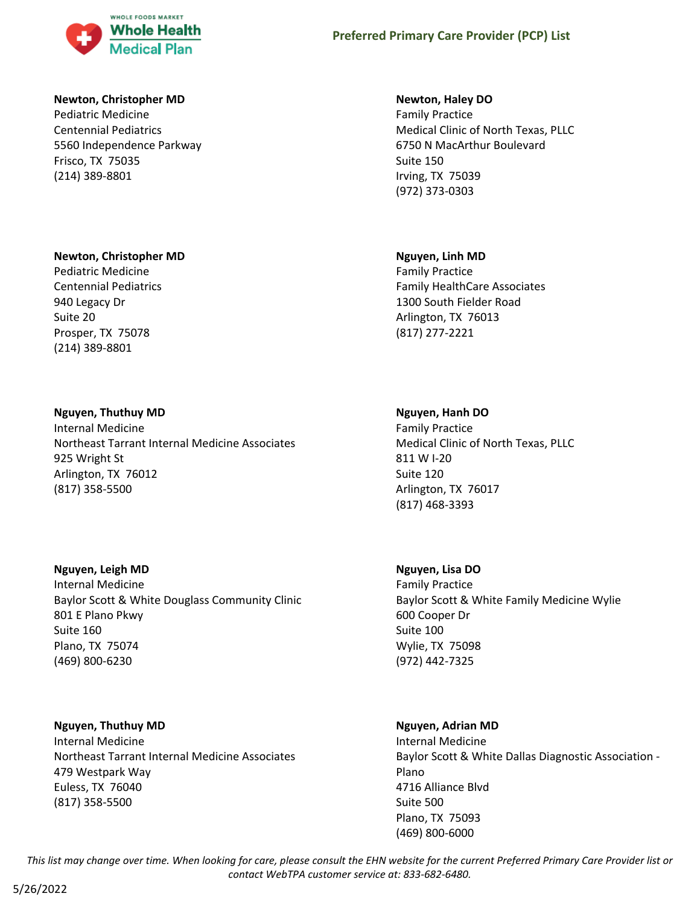

#### **Newton, Christopher MD**

Pediatric Medicine Centennial Pediatrics 5560 Independence Parkway Frisco, TX 75035 (214) 389-8801

#### **Newton, Christopher MD**

Pediatric Medicine Centennial Pediatrics 940 Legacy Dr Suite 20 Prosper, TX 75078 (214) 389-8801

## **Nguyen, Thuthuy MD**

Internal Medicine Northeast Tarrant Internal Medicine Associates 925 Wright St Arlington, TX 76012 (817) 358-5500

# **Nguyen, Leigh MD**

Internal Medicine Baylor Scott & White Douglass Community Clinic 801 E Plano Pkwy Suite 160 Plano, TX 75074 (469) 800-6230

#### **Nguyen, Thuthuy MD**

Internal Medicine Northeast Tarrant Internal Medicine Associates 479 Westpark Way Euless, TX 76040 (817) 358-5500

#### **Newton, Haley DO**

Family Practice Medical Clinic of North Texas, PLLC 6750 N MacArthur Boulevard Suite 150 Irving, TX 75039 (972) 373-0303

## **Nguyen, Linh MD**

Family Practice Family HealthCare Associates 1300 South Fielder Road Arlington, TX 76013 (817) 277-2221

## **Nguyen, Hanh DO**

Family Practice Medical Clinic of North Texas, PLLC 811 W I-20 Suite 120 Arlington, TX 76017 (817) 468-3393

#### **Nguyen, Lisa DO**

Family Practice Baylor Scott & White Family Medicine Wylie 600 Cooper Dr Suite 100 Wylie, TX 75098 (972) 442-7325

#### **Nguyen, Adrian MD**

Internal Medicine Baylor Scott & White Dallas Diagnostic Association - Plano 4716 Alliance Blvd Suite 500 Plano, TX 75093 (469) 800-6000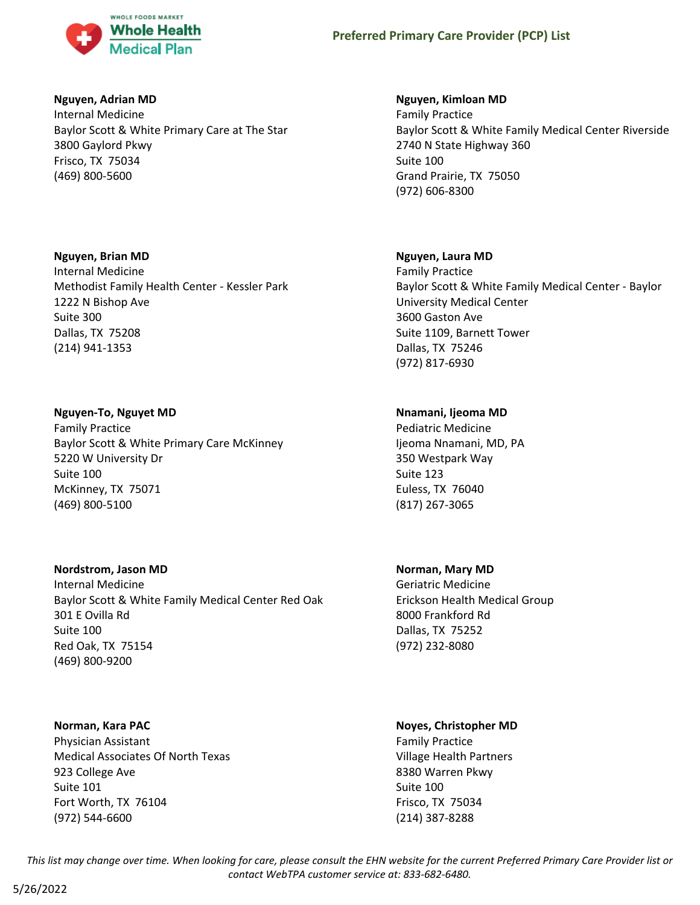

#### **Nguyen, Adrian MD**

Internal Medicine Baylor Scott & White Primary Care at The Star 3800 Gaylord Pkwy Frisco, TX 75034 (469) 800-5600

## **Nguyen, Brian MD**

Internal Medicine Methodist Family Health Center - Kessler Park 1222 N Bishop Ave Suite 300 Dallas, TX 75208 (214) 941-1353

# **Nguyen-To, Nguyet MD**

Family Practice Baylor Scott & White Primary Care McKinney 5220 W University Dr Suite 100 McKinney, TX 75071 (469) 800-5100

# **Nordstrom, Jason MD**

Internal Medicine Baylor Scott & White Family Medical Center Red Oak 301 E Ovilla Rd Suite 100 Red Oak, TX 75154 (469) 800-9200

# **Norman, Kara PAC**

Physician Assistant Medical Associates Of North Texas 923 College Ave Suite 101 Fort Worth, TX 76104 (972) 544-6600

# **Nguyen, Kimloan MD**

Family Practice Baylor Scott & White Family Medical Center Riverside 2740 N State Highway 360 Suite 100 Grand Prairie, TX 75050 (972) 606-8300

# **Nguyen, Laura MD**

Family Practice Baylor Scott & White Family Medical Center - Baylor University Medical Center 3600 Gaston Ave Suite 1109, Barnett Tower Dallas, TX 75246 (972) 817-6930

# **Nnamani, Ijeoma MD**

Pediatric Medicine Ijeoma Nnamani, MD, PA 350 Westpark Way Suite 123 Euless, TX 76040 (817) 267-3065

# **Norman, Mary MD**

Geriatric Medicine Erickson Health Medical Group 8000 Frankford Rd Dallas, TX 75252 (972) 232-8080

# **Noyes, Christopher MD**

Family Practice Village Health Partners 8380 Warren Pkwy Suite 100 Frisco, TX 75034 (214) 387-8288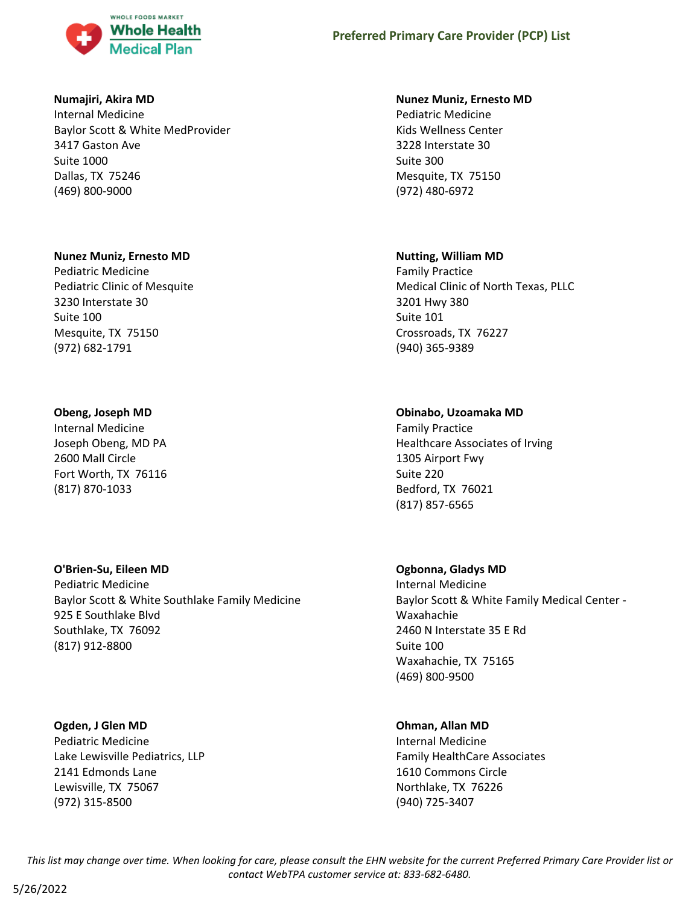

### **Numajiri, Akira MD**

Internal Medicine Baylor Scott & White MedProvider 3417 Gaston Ave Suite 1000 Dallas, TX 75246 (469) 800-9000

#### **Nunez Muniz, Ernesto MD**

Pediatric Medicine Pediatric Clinic of Mesquite 3230 Interstate 30 Suite 100 Mesquite, TX 75150 (972) 682-1791

# **Obeng, Joseph MD**

Internal Medicine Joseph Obeng, MD PA 2600 Mall Circle Fort Worth, TX 76116 (817) 870-1033

# **O'Brien-Su, Eileen MD**

Pediatric Medicine Baylor Scott & White Southlake Family Medicine 925 E Southlake Blvd Southlake, TX 76092 (817) 912-8800

# **Ogden, J Glen MD**

Pediatric Medicine Lake Lewisville Pediatrics, LLP 2141 Edmonds Lane Lewisville, TX 75067 (972) 315-8500

#### **Nunez Muniz, Ernesto MD**

Pediatric Medicine Kids Wellness Center 3228 Interstate 30 Suite 300 Mesquite, TX 75150 (972) 480-6972

## **Nutting, William MD**

Family Practice Medical Clinic of North Texas, PLLC 3201 Hwy 380 Suite 101 Crossroads, TX 76227 (940) 365-9389

# **Obinabo, Uzoamaka MD**

Family Practice Healthcare Associates of Irving 1305 Airport Fwy Suite 220 Bedford, TX 76021 (817) 857-6565

# **Ogbonna, Gladys MD**

Internal Medicine Baylor Scott & White Family Medical Center - Waxahachie 2460 N Interstate 35 E Rd Suite 100 Waxahachie, TX 75165 (469) 800-9500

# **Ohman, Allan MD**

Internal Medicine Family HealthCare Associates 1610 Commons Circle Northlake, TX 76226 (940) 725-3407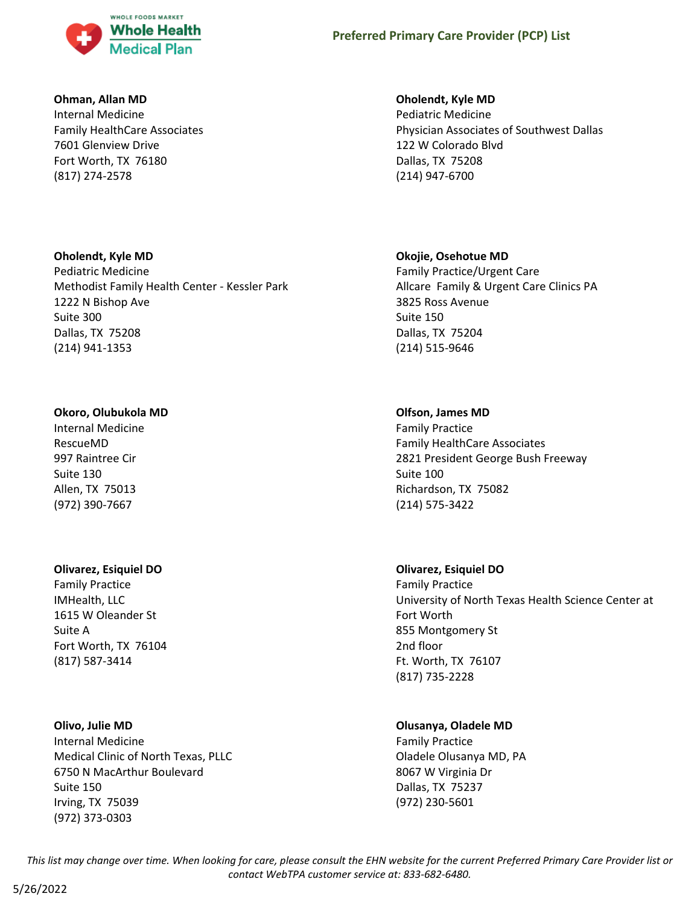

#### **Ohman, Allan MD**

Internal Medicine Family HealthCare Associates 7601 Glenview Drive Fort Worth, TX 76180 (817) 274-2578

## **Oholendt, Kyle MD**

Pediatric Medicine Methodist Family Health Center - Kessler Park 1222 N Bishop Ave Suite 300 Dallas, TX 75208 (214) 941-1353

# **Okoro, Olubukola MD**

Internal Medicine RescueMD 997 Raintree Cir Suite 130 Allen, TX 75013 (972) 390-7667

# **Olivarez, Esiquiel DO**

Family Practice IMHealth, LLC 1615 W Oleander St Suite A Fort Worth, TX 76104 (817) 587-3414

#### **Olivo, Julie MD**

Internal Medicine Medical Clinic of North Texas, PLLC 6750 N MacArthur Boulevard Suite 150 Irving, TX 75039 (972) 373-0303

# **Oholendt, Kyle MD**

Pediatric Medicine Physician Associates of Southwest Dallas 122 W Colorado Blvd Dallas, TX 75208 (214) 947-6700

# **Okojie, Osehotue MD**

Family Practice/Urgent Care Allcare Family & Urgent Care Clinics PA 3825 Ross Avenue Suite 150 Dallas, TX 75204 (214) 515-9646

# **Olfson, James MD**

Family Practice Family HealthCare Associates 2821 President George Bush Freeway Suite 100 Richardson, TX 75082 (214) 575-3422

# **Olivarez, Esiquiel DO**

Family Practice University of North Texas Health Science Center at Fort Worth 855 Montgomery St 2nd floor Ft. Worth, TX 76107 (817) 735-2228

# **Olusanya, Oladele MD**

Family Practice Oladele Olusanya MD, PA 8067 W Virginia Dr Dallas, TX 75237 (972) 230-5601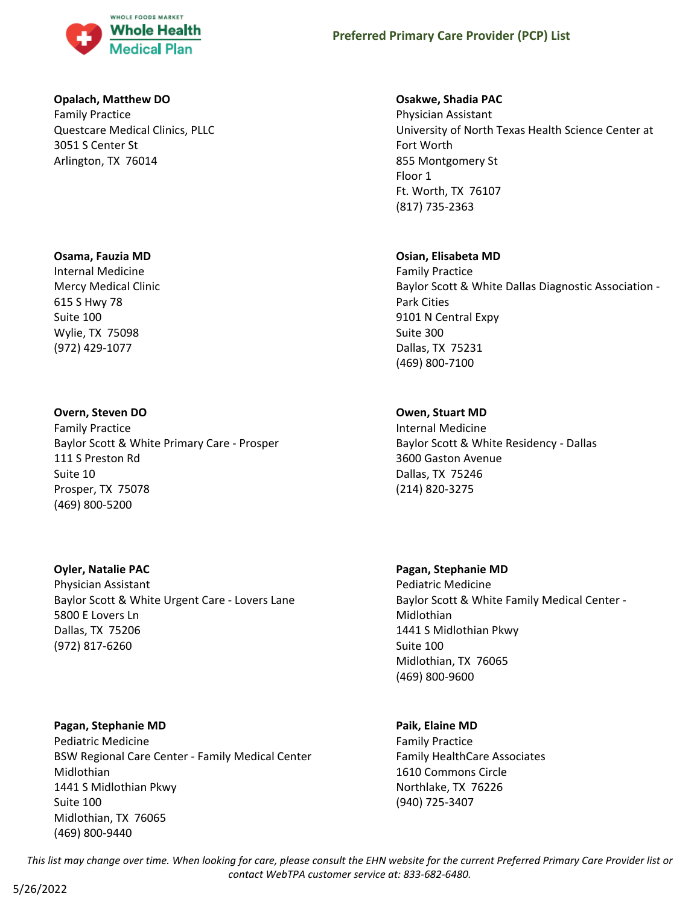

## **Opalach, Matthew DO**

Family Practice Questcare Medical Clinics, PLLC 3051 S Center St Arlington, TX 76014

## **Osama, Fauzia MD**

Internal Medicine Mercy Medical Clinic 615 S Hwy 78 Suite 100 Wylie, TX 75098 (972) 429-1077

# **Overn, Steven DO**

Family Practice Baylor Scott & White Primary Care - Prosper 111 S Preston Rd Suite 10 Prosper, TX 75078 (469) 800-5200

# **Oyler, Natalie PAC**

Physician Assistant Baylor Scott & White Urgent Care - Lovers Lane 5800 E Lovers Ln Dallas, TX 75206 (972) 817-6260

**Pagan, Stephanie MD** Pediatric Medicine BSW Regional Care Center - Family Medical Center Midlothian 1441 S Midlothian Pkwy Suite 100 Midlothian, TX 76065 (469) 800-9440

## **Osakwe, Shadia PAC**

Physician Assistant University of North Texas Health Science Center at Fort Worth 855 Montgomery St Floor 1 Ft. Worth, TX 76107 (817) 735-2363

# **Osian, Elisabeta MD**

Family Practice Baylor Scott & White Dallas Diagnostic Association - Park Cities 9101 N Central Expy Suite 300 Dallas, TX 75231 (469) 800-7100

# **Owen, Stuart MD**

Internal Medicine Baylor Scott & White Residency - Dallas 3600 Gaston Avenue Dallas, TX 75246 (214) 820-3275

# **Pagan, Stephanie MD**

Pediatric Medicine Baylor Scott & White Family Medical Center - Midlothian 1441 S Midlothian Pkwy Suite 100 Midlothian, TX 76065 (469) 800-9600

# **Paik, Elaine MD**

Family Practice Family HealthCare Associates 1610 Commons Circle Northlake, TX 76226 (940) 725-3407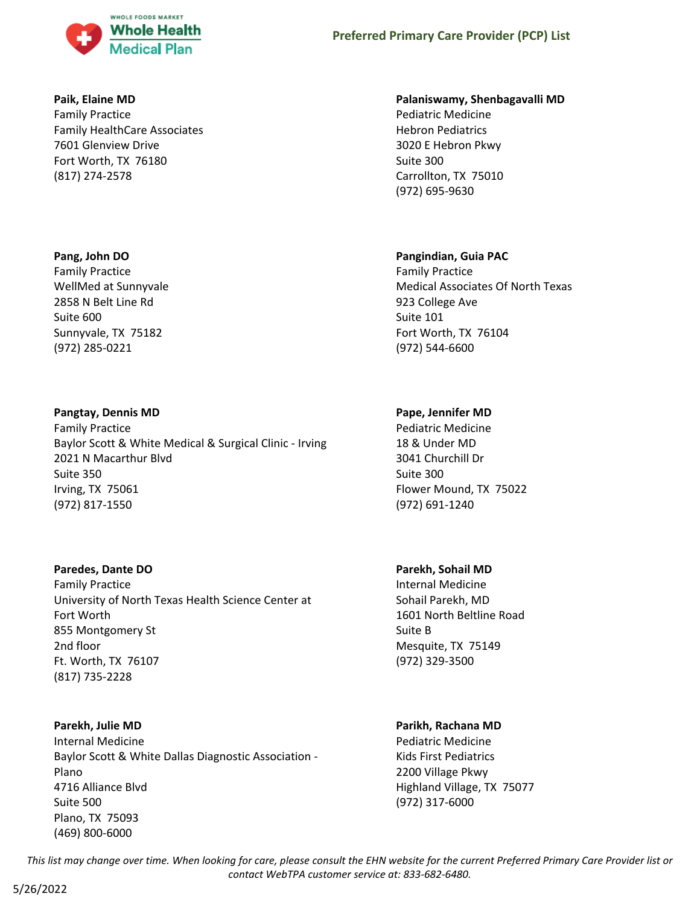

#### **Paik, Elaine MD**

Family Practice Family HealthCare Associates 7601 Glenview Drive Fort Worth, TX 76180 (817) 274-2578

#### **Pang, John DO**

Family Practice WellMed at Sunnyvale 2858 N Belt Line Rd Suite 600 Sunnyvale, TX 75182 (972) 285-0221

#### **Pangtay, Dennis MD**

Family Practice Baylor Scott & White Medical & Surgical Clinic - Irving 2021 N Macarthur Blvd Suite 350 Irving, TX 75061 (972) 817-1550

#### **Paredes, Dante DO**

Family Practice University of North Texas Health Science Center at Fort Worth 855 Montgomery St 2nd floor Ft. Worth, TX 76107 (817) 735-2228

#### **Parekh, Julie MD**

Internal Medicine Baylor Scott & White Dallas Diagnostic Association - Plano 4716 Alliance Blvd Suite 500 Plano, TX 75093 (469) 800-6000

#### **Palaniswamy, Shenbagavalli MD**

Pediatric Medicine Hebron Pediatrics 3020 E Hebron Pkwy Suite 300 Carrollton, TX 75010 (972) 695-9630

#### **Pangindian, Guia PAC**

Family Practice Medical Associates Of North Texas 923 College Ave Suite 101 Fort Worth, TX 76104 (972) 544-6600

#### **Pape, Jennifer MD**

Pediatric Medicine 18 & Under MD 3041 Churchill Dr Suite 300 Flower Mound, TX 75022 (972) 691-1240

#### **Parekh, Sohail MD**

Internal Medicine Sohail Parekh, MD 1601 North Beltline Road Suite B Mesquite, TX 75149 (972) 329-3500

#### **Parikh, Rachana MD**

Pediatric Medicine Kids First Pediatrics 2200 Village Pkwy Highland Village, TX 75077 (972) 317-6000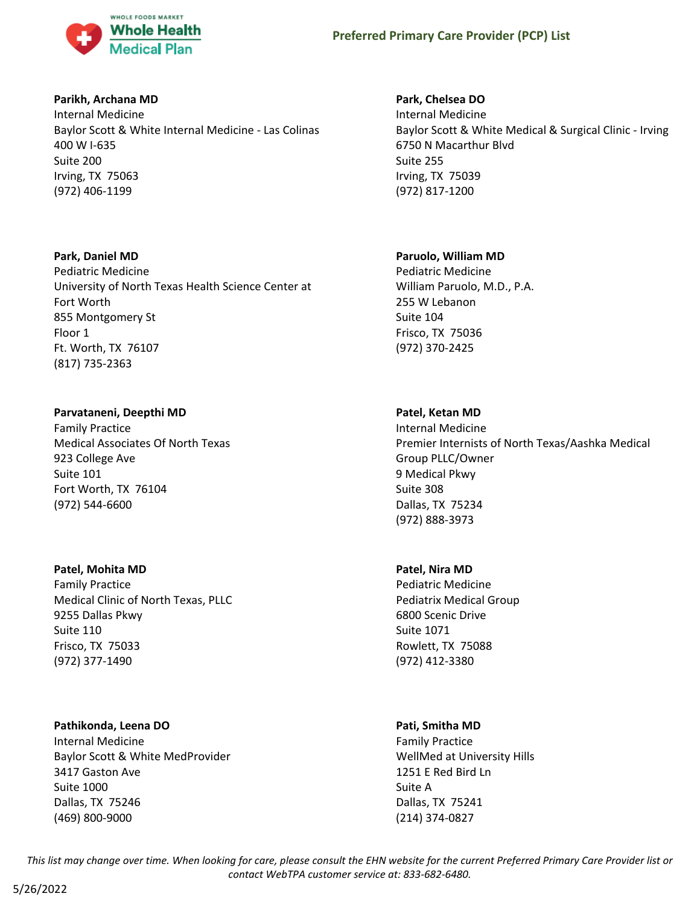

#### **Parikh, Archana MD**

Internal Medicine Baylor Scott & White Internal Medicine - Las Colinas 400 W I-635 Suite 200 Irving, TX 75063 (972) 406-1199

## **Park, Daniel MD**

Pediatric Medicine University of North Texas Health Science Center at Fort Worth 855 Montgomery St Floor 1 Ft. Worth, TX 76107 (817) 735-2363

# **Parvataneni, Deepthi MD**

Family Practice Medical Associates Of North Texas 923 College Ave Suite 101 Fort Worth, TX 76104 (972) 544-6600

#### **Patel, Mohita MD**

Family Practice Medical Clinic of North Texas, PLLC 9255 Dallas Pkwy Suite 110 Frisco, TX 75033 (972) 377-1490

#### **Pathikonda, Leena DO**

Internal Medicine Baylor Scott & White MedProvider 3417 Gaston Ave Suite 1000 Dallas, TX 75246 (469) 800-9000

# **Park, Chelsea DO**

Internal Medicine Baylor Scott & White Medical & Surgical Clinic - Irving 6750 N Macarthur Blvd Suite 255 Irving, TX 75039 (972) 817-1200

# **Paruolo, William MD**

Pediatric Medicine William Paruolo, M.D., P.A. 255 W Lebanon Suite 104 Frisco, TX 75036 (972) 370-2425

# **Patel, Ketan MD**

Internal Medicine Premier Internists of North Texas/Aashka Medical Group PLLC/Owner 9 Medical Pkwy Suite 308 Dallas, TX 75234 (972) 888-3973

#### **Patel, Nira MD**

Pediatric Medicine Pediatrix Medical Group 6800 Scenic Drive Suite 1071 Rowlett, TX 75088 (972) 412-3380

# **Pati, Smitha MD**

Family Practice WellMed at University Hills 1251 E Red Bird Ln Suite A Dallas, TX 75241 (214) 374-0827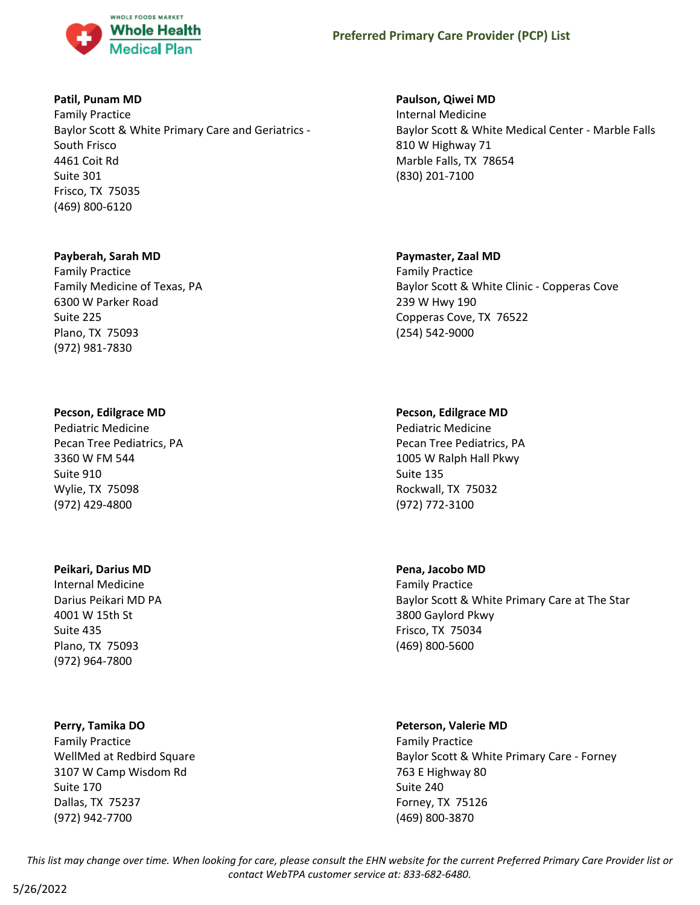

### **Patil, Punam MD**

Family Practice Baylor Scott & White Primary Care and Geriatrics - South Frisco 4461 Coit Rd Suite 301 Frisco, TX 75035 (469) 800-6120

#### **Payberah, Sarah MD**

Family Practice Family Medicine of Texas, PA 6300 W Parker Road Suite 225 Plano, TX 75093 (972) 981-7830

#### **Pecson, Edilgrace MD**

Pediatric Medicine Pecan Tree Pediatrics, PA 3360 W FM 544 Suite 910 Wylie, TX 75098 (972) 429-4800

#### **Peikari, Darius MD**

Internal Medicine Darius Peikari MD PA 4001 W 15th St Suite 435 Plano, TX 75093 (972) 964-7800

#### **Perry, Tamika DO**

Family Practice WellMed at Redbird Square 3107 W Camp Wisdom Rd Suite 170 Dallas, TX 75237 (972) 942-7700

#### **Paulson, Qiwei MD**

Internal Medicine Baylor Scott & White Medical Center - Marble Falls 810 W Highway 71 Marble Falls, TX 78654 (830) 201-7100

#### **Paymaster, Zaal MD**

Family Practice Baylor Scott & White Clinic - Copperas Cove 239 W Hwy 190 Copperas Cove, TX 76522 (254) 542-9000

#### **Pecson, Edilgrace MD**

Pediatric Medicine Pecan Tree Pediatrics, PA 1005 W Ralph Hall Pkwy Suite 135 Rockwall, TX 75032 (972) 772-3100

#### **Pena, Jacobo MD**

Family Practice Baylor Scott & White Primary Care at The Star 3800 Gaylord Pkwy Frisco, TX 75034 (469) 800-5600

# **Peterson, Valerie MD**

Family Practice Baylor Scott & White Primary Care - Forney 763 E Highway 80 Suite 240 Forney, TX 75126 (469) 800-3870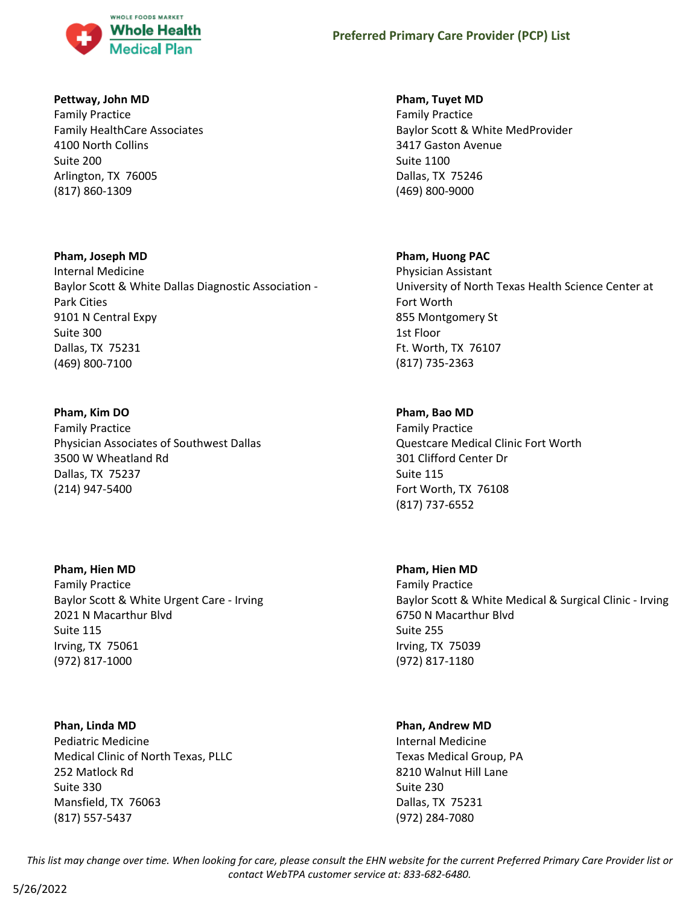

#### **Pettway, John MD**

Family Practice Family HealthCare Associates 4100 North Collins Suite 200 Arlington, TX 76005 (817) 860-1309

## **Pham, Joseph MD**

Internal Medicine Baylor Scott & White Dallas Diagnostic Association - Park Cities 9101 N Central Expy Suite 300 Dallas, TX 75231 (469) 800-7100

# **Pham, Kim DO**

Family Practice Physician Associates of Southwest Dallas 3500 W Wheatland Rd Dallas, TX 75237 (214) 947-5400

**Pham, Hien MD** Family Practice Baylor Scott & White Urgent Care - Irving 2021 N Macarthur Blvd Suite 115 Irving, TX 75061 (972) 817-1000

# **Phan, Linda MD**

Pediatric Medicine Medical Clinic of North Texas, PLLC 252 Matlock Rd Suite 330 Mansfield, TX 76063 (817) 557-5437

### **Pham, Tuyet MD**

Family Practice Baylor Scott & White MedProvider 3417 Gaston Avenue Suite 1100 Dallas, TX 75246 (469) 800-9000

## **Pham, Huong PAC**

Physician Assistant University of North Texas Health Science Center at Fort Worth 855 Montgomery St 1st Floor Ft. Worth, TX 76107 (817) 735-2363

# **Pham, Bao MD**

Family Practice Questcare Medical Clinic Fort Worth 301 Clifford Center Dr Suite 115 Fort Worth, TX 76108 (817) 737-6552

# **Pham, Hien MD**

Family Practice Baylor Scott & White Medical & Surgical Clinic - Irving 6750 N Macarthur Blvd Suite 255 Irving, TX 75039 (972) 817-1180

#### **Phan, Andrew MD**

Internal Medicine Texas Medical Group, PA 8210 Walnut Hill Lane Suite 230 Dallas, TX 75231 (972) 284-7080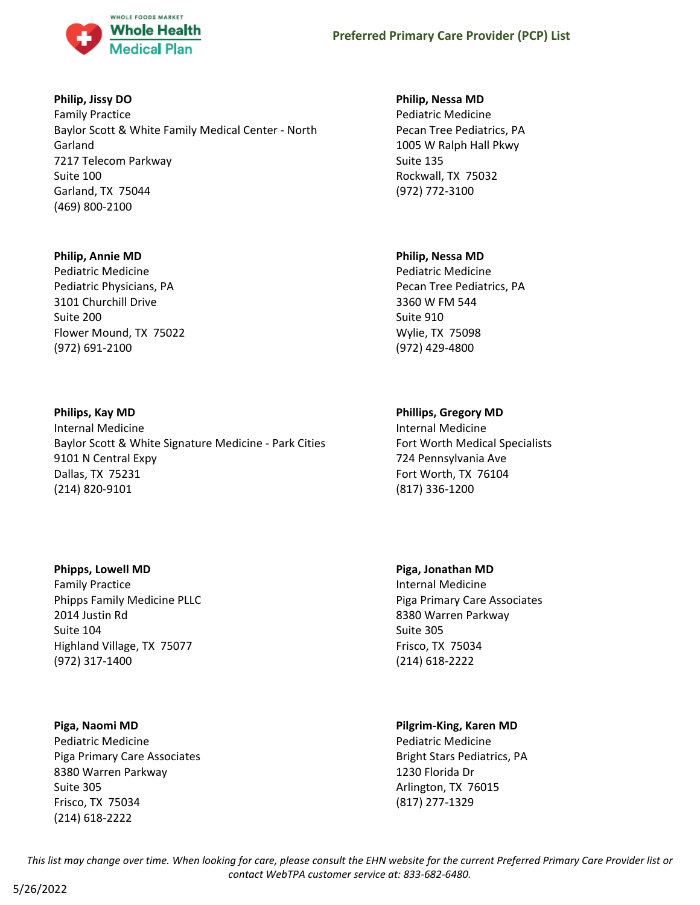

# **Philip, Jissy DO**

Family Practice Baylor Scott & White Family Medical Center - North Garland 7217 Telecom Parkway Suite 100 Garland, TX 75044 (469) 800-2100

#### **Philip, Annie MD**

Pediatric Medicine Pediatric Physicians, PA 3101 Churchill Drive Suite 200 Flower Mound, TX 75022 (972) 691-2100

## **Philips, Kay MD**

Internal Medicine Baylor Scott & White Signature Medicine - Park Cities 9101 N Central Expy Dallas, TX 75231 (214) 820-9101

#### **Phipps, Lowell MD**

Family Practice Phipps Family Medicine PLLC 2014 Justin Rd Suite 104 Highland Village, TX 75077 (972) 317-1400

#### **Piga, Naomi MD**

Pediatric Medicine Piga Primary Care Associates 8380 Warren Parkway Suite 305 Frisco, TX 75034 (214) 618-2222

#### **Philip, Nessa MD**

Pediatric Medicine Pecan Tree Pediatrics, PA 1005 W Ralph Hall Pkwy Suite 135 Rockwall, TX 75032 (972) 772-3100

## **Philip, Nessa MD**

Pediatric Medicine Pecan Tree Pediatrics, PA 3360 W FM 544 Suite 910 Wylie, TX 75098 (972) 429-4800

# **Phillips, Gregory MD**

Internal Medicine Fort Worth Medical Specialists 724 Pennsylvania Ave Fort Worth, TX 76104 (817) 336-1200

# **Piga, Jonathan MD**

Internal Medicine Piga Primary Care Associates 8380 Warren Parkway Suite 305 Frisco, TX 75034 (214) 618-2222

# **Pilgrim-King, Karen MD**

Pediatric Medicine Bright Stars Pediatrics, PA 1230 Florida Dr Arlington, TX 76015 (817) 277-1329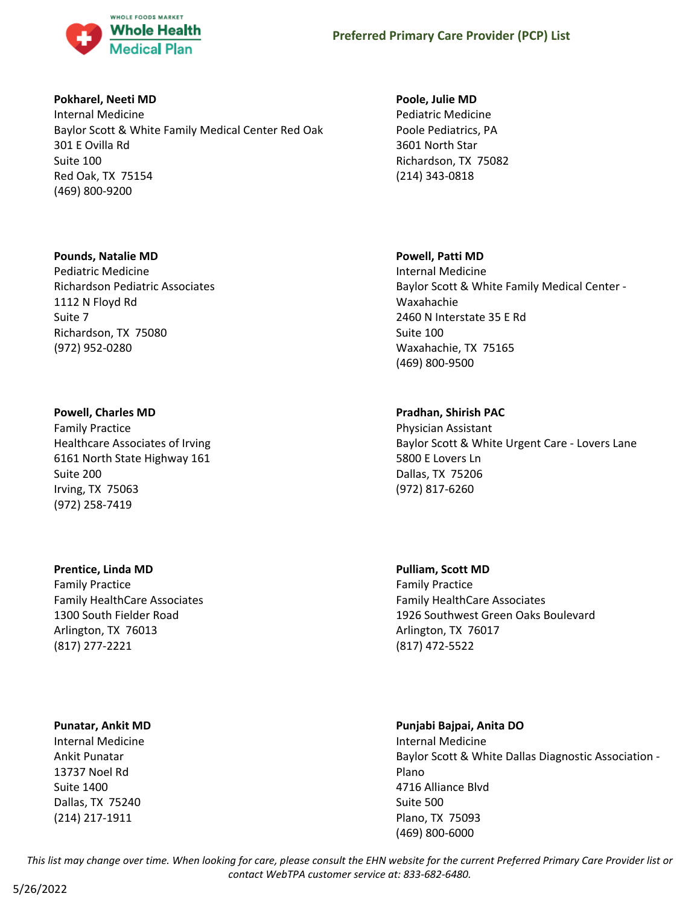

#### **Pokharel, Neeti MD**

Internal Medicine Baylor Scott & White Family Medical Center Red Oak 301 E Ovilla Rd Suite 100 Red Oak, TX 75154 (469) 800-9200

#### **Pounds, Natalie MD**

Pediatric Medicine Richardson Pediatric Associates 1112 N Floyd Rd Suite 7 Richardson, TX 75080 (972) 952-0280

## **Powell, Charles MD**

Family Practice Healthcare Associates of Irving 6161 North State Highway 161 Suite 200 Irving, TX 75063 (972) 258-7419

# **Prentice, Linda MD**

Family Practice Family HealthCare Associates 1300 South Fielder Road Arlington, TX 76013 (817) 277-2221

# **Punatar, Ankit MD**

Internal Medicine Ankit Punatar 13737 Noel Rd Suite 1400 Dallas, TX 75240 (214) 217-1911

#### **Poole, Julie MD**

Pediatric Medicine Poole Pediatrics, PA 3601 North Star Richardson, TX 75082 (214) 343-0818

# **Powell, Patti MD**

Internal Medicine Baylor Scott & White Family Medical Center - Waxahachie 2460 N Interstate 35 E Rd Suite 100 Waxahachie, TX 75165 (469) 800-9500

# **Pradhan, Shirish PAC**

Physician Assistant Baylor Scott & White Urgent Care - Lovers Lane 5800 E Lovers Ln Dallas, TX 75206 (972) 817-6260

**Pulliam, Scott MD** Family Practice Family HealthCare Associates 1926 Southwest Green Oaks Boulevard Arlington, TX 76017 (817) 472-5522

# **Punjabi Bajpai, Anita DO** Internal Medicine Baylor Scott & White Dallas Diagnostic Association - Plano 4716 Alliance Blvd Suite 500 Plano, TX 75093 (469) 800-6000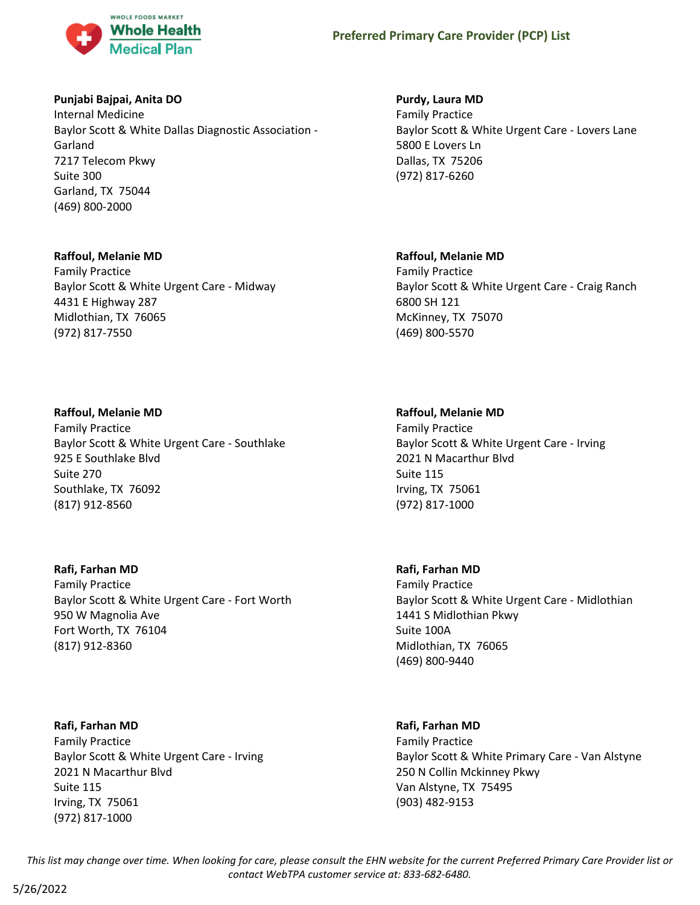

## **Punjabi Bajpai, Anita DO**

Internal Medicine Baylor Scott & White Dallas Diagnostic Association - Garland 7217 Telecom Pkwy Suite 300 Garland, TX 75044 (469) 800-2000

#### **Raffoul, Melanie MD**

Family Practice Baylor Scott & White Urgent Care - Midway 4431 E Highway 287 Midlothian, TX 76065 (972) 817-7550

#### **Raffoul, Melanie MD**

Family Practice Baylor Scott & White Urgent Care - Southlake 925 E Southlake Blvd Suite 270 Southlake, TX 76092 (817) 912-8560

**Rafi, Farhan MD**

Family Practice Baylor Scott & White Urgent Care - Fort Worth 950 W Magnolia Ave Fort Worth, TX 76104 (817) 912-8360

**Rafi, Farhan MD** Family Practice Baylor Scott & White Urgent Care - Irving 2021 N Macarthur Blvd Suite 115 Irving, TX 75061 (972) 817-1000

### **Purdy, Laura MD**

Family Practice Baylor Scott & White Urgent Care - Lovers Lane 5800 E Lovers Ln Dallas, TX 75206 (972) 817-6260

#### **Raffoul, Melanie MD**

Family Practice Baylor Scott & White Urgent Care - Craig Ranch 6800 SH 121 McKinney, TX 75070 (469) 800-5570

#### **Raffoul, Melanie MD**

Family Practice Baylor Scott & White Urgent Care - Irving 2021 N Macarthur Blvd Suite 115 Irving, TX 75061 (972) 817-1000

#### **Rafi, Farhan MD**

Family Practice Baylor Scott & White Urgent Care - Midlothian 1441 S Midlothian Pkwy Suite 100A Midlothian, TX 76065 (469) 800-9440

#### **Rafi, Farhan MD**

Family Practice Baylor Scott & White Primary Care - Van Alstyne 250 N Collin Mckinney Pkwy Van Alstyne, TX 75495 (903) 482-9153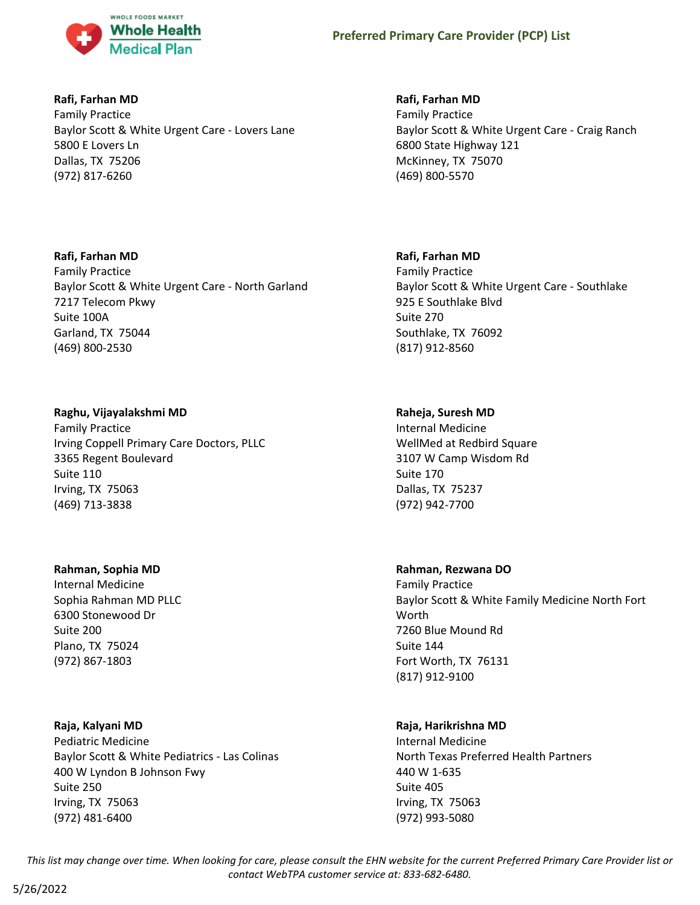

# **Rafi, Farhan MD**

Family Practice Baylor Scott & White Urgent Care - Lovers Lane 5800 E Lovers Ln Dallas, TX 75206 (972) 817-6260

## **Rafi, Farhan MD**

Family Practice Baylor Scott & White Urgent Care - North Garland 7217 Telecom Pkwy Suite 100A Garland, TX 75044 (469) 800-2530

# **Raghu, Vijayalakshmi MD**

Family Practice Irving Coppell Primary Care Doctors, PLLC 3365 Regent Boulevard Suite 110 Irving, TX 75063 (469) 713-3838

#### **Rahman, Sophia MD**

Internal Medicine Sophia Rahman MD PLLC 6300 Stonewood Dr Suite 200 Plano, TX 75024 (972) 867-1803

# **Raja, Kalyani MD**

Pediatric Medicine Baylor Scott & White Pediatrics - Las Colinas 400 W Lyndon B Johnson Fwy Suite 250 Irving, TX 75063 (972) 481-6400

# **Rafi, Farhan MD**

Family Practice Baylor Scott & White Urgent Care - Craig Ranch 6800 State Highway 121 McKinney, TX 75070 (469) 800-5570

# **Rafi, Farhan MD**

Family Practice Baylor Scott & White Urgent Care - Southlake 925 E Southlake Blvd Suite 270 Southlake, TX 76092 (817) 912-8560

## **Raheja, Suresh MD**

Internal Medicine WellMed at Redbird Square 3107 W Camp Wisdom Rd Suite 170 Dallas, TX 75237 (972) 942-7700

# **Rahman, Rezwana DO**

Family Practice Baylor Scott & White Family Medicine North Fort Worth 7260 Blue Mound Rd Suite 144 Fort Worth, TX 76131 (817) 912-9100

#### **Raja, Harikrishna MD**

Internal Medicine North Texas Preferred Health Partners 440 W 1-635 Suite 405 Irving, TX 75063 (972) 993-5080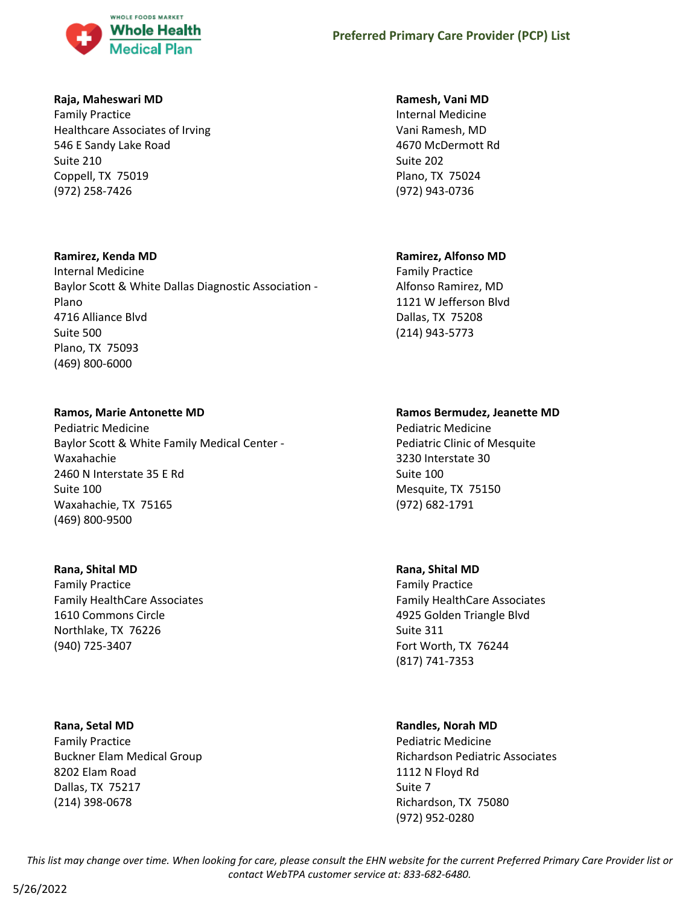

### **Raja, Maheswari MD**

Family Practice Healthcare Associates of Irving 546 E Sandy Lake Road Suite 210 Coppell, TX 75019 (972) 258-7426

## **Ramirez, Kenda MD**

Internal Medicine Baylor Scott & White Dallas Diagnostic Association - Plano 4716 Alliance Blvd Suite 500 Plano, TX 75093 (469) 800-6000

## **Ramos, Marie Antonette MD**

Pediatric Medicine Baylor Scott & White Family Medical Center - Waxahachie 2460 N Interstate 35 E Rd Suite 100 Waxahachie, TX 75165 (469) 800-9500

#### **Rana, Shital MD**

Family Practice Family HealthCare Associates 1610 Commons Circle Northlake, TX 76226 (940) 725-3407

# **Rana, Setal MD**

Family Practice Buckner Elam Medical Group 8202 Elam Road Dallas, TX 75217 (214) 398-0678

## **Ramesh, Vani MD**

Internal Medicine Vani Ramesh, MD 4670 McDermott Rd Suite 202 Plano, TX 75024 (972) 943-0736

# **Ramirez, Alfonso MD**

Family Practice Alfonso Ramirez, MD 1121 W Jefferson Blvd Dallas, TX 75208 (214) 943-5773

# **Ramos Bermudez, Jeanette MD**

Pediatric Medicine Pediatric Clinic of Mesquite 3230 Interstate 30 Suite 100 Mesquite, TX 75150 (972) 682-1791

# **Rana, Shital MD**

Family Practice Family HealthCare Associates 4925 Golden Triangle Blvd Suite 311 Fort Worth, TX 76244 (817) 741-7353

# **Randles, Norah MD**

Pediatric Medicine Richardson Pediatric Associates 1112 N Floyd Rd Suite 7 Richardson, TX 75080 (972) 952-0280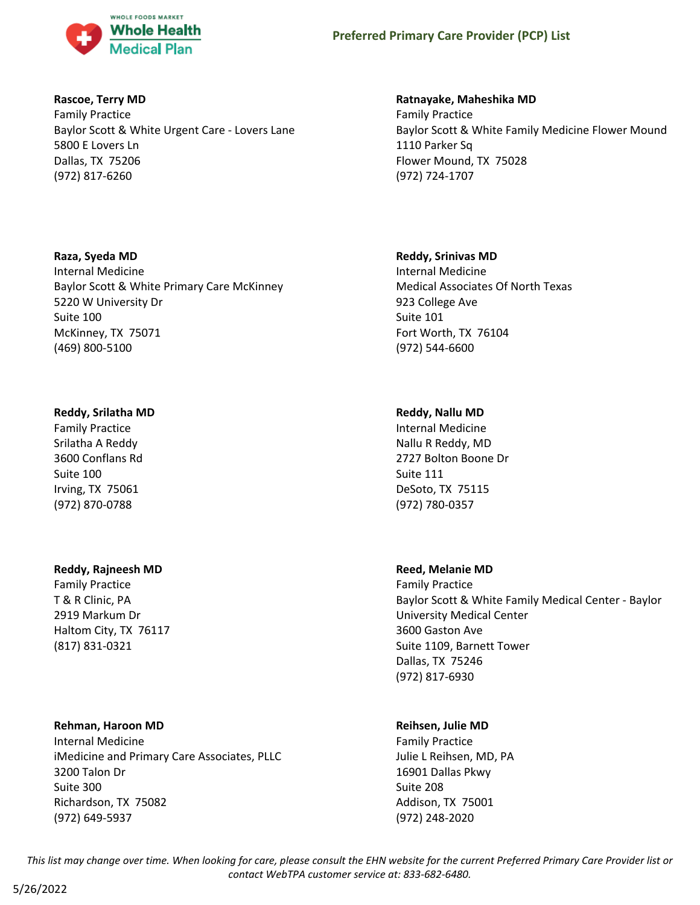

## **Rascoe, Terry MD**

Family Practice Baylor Scott & White Urgent Care - Lovers Lane 5800 E Lovers Ln Dallas, TX 75206 (972) 817-6260

## **Raza, Syeda MD**

Internal Medicine Baylor Scott & White Primary Care McKinney 5220 W University Dr Suite 100 McKinney, TX 75071 (469) 800-5100

# **Reddy, Srilatha MD**

Family Practice Srilatha A Reddy 3600 Conflans Rd Suite 100 Irving, TX 75061 (972) 870-0788

#### **Reddy, Rajneesh MD**

Family Practice T & R Clinic, PA 2919 Markum Dr Haltom City, TX 76117 (817) 831-0321

#### **Rehman, Haroon MD**

Internal Medicine iMedicine and Primary Care Associates, PLLC 3200 Talon Dr Suite 300 Richardson, TX 75082 (972) 649-5937

# **Ratnayake, Maheshika MD**

Family Practice Baylor Scott & White Family Medicine Flower Mound 1110 Parker Sq Flower Mound, TX 75028 (972) 724-1707

## **Reddy, Srinivas MD**

Internal Medicine Medical Associates Of North Texas 923 College Ave Suite 101 Fort Worth, TX 76104 (972) 544-6600

# **Reddy, Nallu MD**

Internal Medicine Nallu R Reddy, MD 2727 Bolton Boone Dr Suite 111 DeSoto, TX 75115 (972) 780-0357

# **Reed, Melanie MD**

Family Practice Baylor Scott & White Family Medical Center - Baylor University Medical Center 3600 Gaston Ave Suite 1109, Barnett Tower Dallas, TX 75246 (972) 817-6930

# **Reihsen, Julie MD**

Family Practice Julie L Reihsen, MD, PA 16901 Dallas Pkwy Suite 208 Addison, TX 75001 (972) 248-2020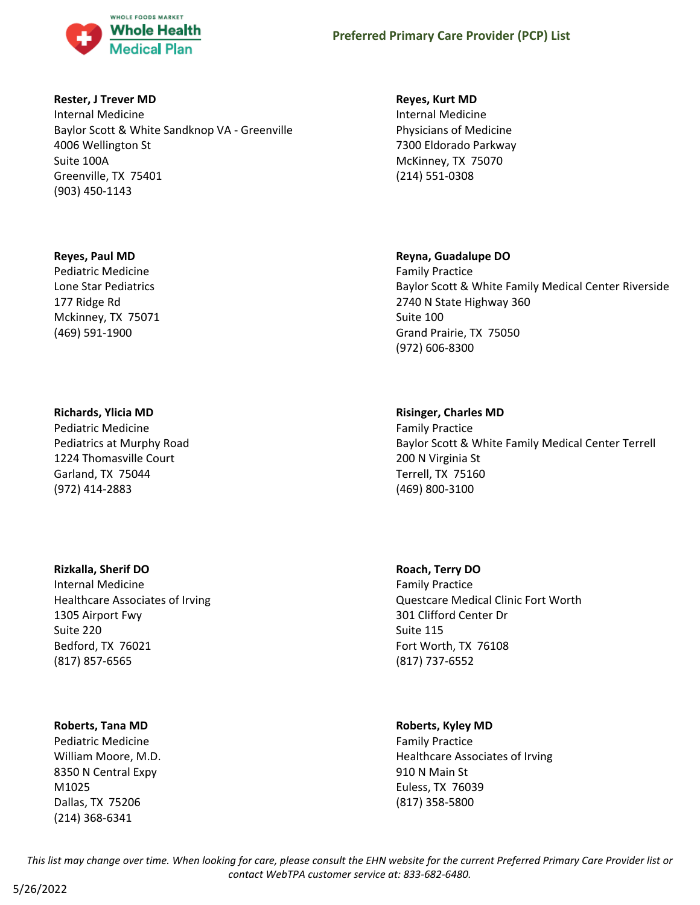

#### **Rester, J Trever MD**

Internal Medicine Baylor Scott & White Sandknop VA - Greenville 4006 Wellington St Suite 100A Greenville, TX 75401 (903) 450-1143

#### **Reyes, Paul MD**

Pediatric Medicine Lone Star Pediatrics 177 Ridge Rd Mckinney, TX 75071 (469) 591-1900

#### **Richards, Ylicia MD**

Pediatric Medicine Pediatrics at Murphy Road 1224 Thomasville Court Garland, TX 75044 (972) 414-2883

#### **Rizkalla, Sherif DO**

Internal Medicine Healthcare Associates of Irving 1305 Airport Fwy Suite 220 Bedford, TX 76021 (817) 857-6565

#### **Roberts, Tana MD**

Pediatric Medicine William Moore, M.D. 8350 N Central Expy M1025 Dallas, TX 75206 (214) 368-6341

#### **Reyes, Kurt MD**

Internal Medicine Physicians of Medicine 7300 Eldorado Parkway McKinney, TX 75070 (214) 551-0308

# **Reyna, Guadalupe DO**

Family Practice Baylor Scott & White Family Medical Center Riverside 2740 N State Highway 360 Suite 100 Grand Prairie, TX 75050 (972) 606-8300

## **Risinger, Charles MD**

Family Practice Baylor Scott & White Family Medical Center Terrell 200 N Virginia St Terrell, TX 75160 (469) 800-3100

#### **Roach, Terry DO**

Family Practice Questcare Medical Clinic Fort Worth 301 Clifford Center Dr Suite 115 Fort Worth, TX 76108 (817) 737-6552

# **Roberts, Kyley MD**

Family Practice Healthcare Associates of Irving 910 N Main St Euless, TX 76039 (817) 358-5800

*This list may change over time. When looking for care, please consult the EHN website for the current Preferred Primary Care Provider list or contact WebTPA customer service at: 833-682-6480.*

5/26/2022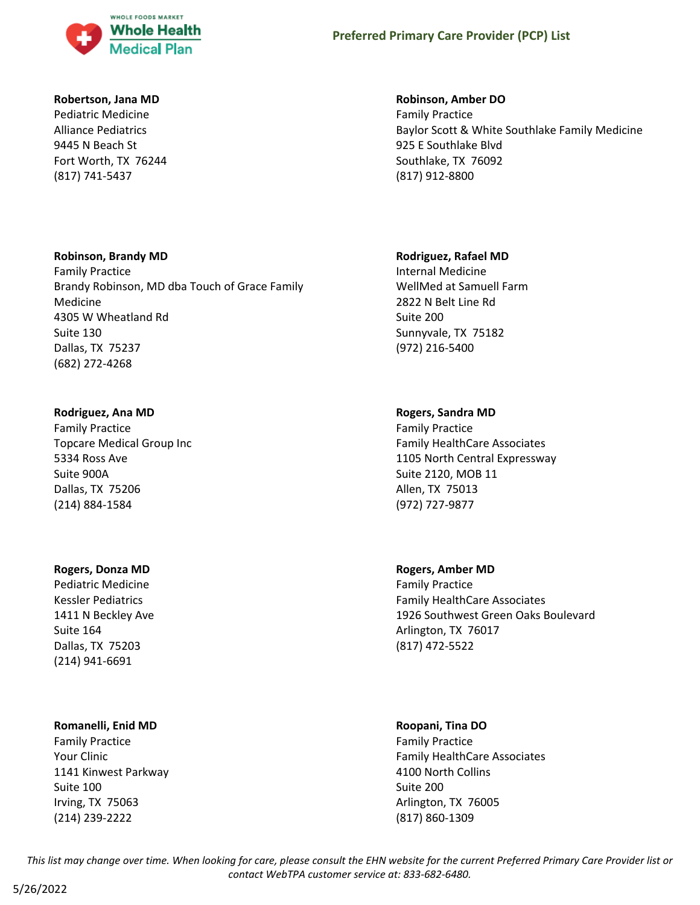

#### **Robertson, Jana MD**

Pediatric Medicine Alliance Pediatrics 9445 N Beach St Fort Worth, TX 76244 (817) 741-5437

## **Robinson, Brandy MD**

Family Practice Brandy Robinson, MD dba Touch of Grace Family Medicine 4305 W Wheatland Rd Suite 130 Dallas, TX 75237 (682) 272-4268

#### **Rodriguez, Ana MD**

Family Practice Topcare Medical Group Inc 5334 Ross Ave Suite 900A Dallas, TX 75206 (214) 884-1584

#### **Rogers, Donza MD**

Pediatric Medicine Kessler Pediatrics 1411 N Beckley Ave Suite 164 Dallas, TX 75203 (214) 941-6691

#### **Romanelli, Enid MD**

Family Practice Your Clinic 1141 Kinwest Parkway Suite 100 Irving, TX 75063 (214) 239-2222

#### **Robinson, Amber DO**

Family Practice Baylor Scott & White Southlake Family Medicine 925 E Southlake Blvd Southlake, TX 76092 (817) 912-8800

#### **Rodriguez, Rafael MD**

Internal Medicine WellMed at Samuell Farm 2822 N Belt Line Rd Suite 200 Sunnyvale, TX 75182 (972) 216-5400

#### **Rogers, Sandra MD**

Family Practice Family HealthCare Associates 1105 North Central Expressway Suite 2120, MOB 11 Allen, TX 75013 (972) 727-9877

**Rogers, Amber MD** Family Practice

Family HealthCare Associates 1926 Southwest Green Oaks Boulevard Arlington, TX 76017 (817) 472-5522

#### **Roopani, Tina DO**

Family Practice Family HealthCare Associates 4100 North Collins Suite 200 Arlington, TX 76005 (817) 860-1309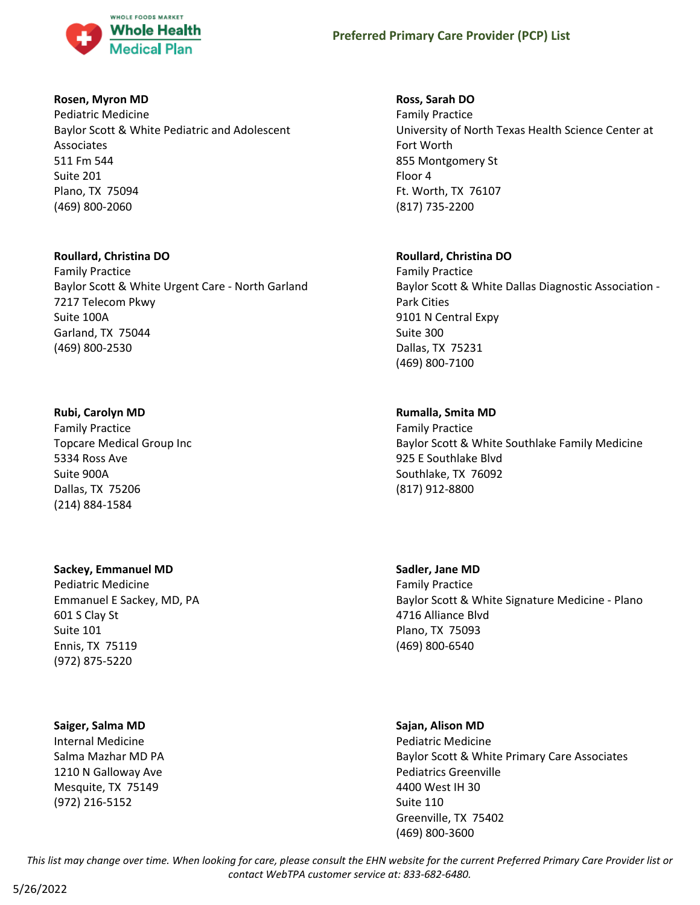

#### **Rosen, Myron MD**

Pediatric Medicine Baylor Scott & White Pediatric and Adolescent Associates 511 Fm 544 Suite 201 Plano, TX 75094 (469) 800-2060

## **Roullard, Christina DO**

Family Practice Baylor Scott & White Urgent Care - North Garland 7217 Telecom Pkwy Suite 100A Garland, TX 75044 (469) 800-2530

## **Rubi, Carolyn MD**

Family Practice Topcare Medical Group Inc 5334 Ross Ave Suite 900A Dallas, TX 75206 (214) 884-1584

# **Sackey, Emmanuel MD**

Pediatric Medicine Emmanuel E Sackey, MD, PA 601 S Clay St Suite 101 Ennis, TX 75119 (972) 875-5220

#### **Saiger, Salma MD**

Internal Medicine Salma Mazhar MD PA 1210 N Galloway Ave Mesquite, TX 75149 (972) 216-5152

# **Ross, Sarah DO**

Family Practice University of North Texas Health Science Center at Fort Worth 855 Montgomery St Floor 4 Ft. Worth, TX 76107 (817) 735-2200

# **Roullard, Christina DO**

Family Practice Baylor Scott & White Dallas Diagnostic Association - Park Cities 9101 N Central Expy Suite 300 Dallas, TX 75231 (469) 800-7100

# **Rumalla, Smita MD**

Family Practice Baylor Scott & White Southlake Family Medicine 925 E Southlake Blvd Southlake, TX 76092 (817) 912-8800

# **Sadler, Jane MD**

Family Practice Baylor Scott & White Signature Medicine - Plano 4716 Alliance Blvd Plano, TX 75093 (469) 800-6540

#### **Sajan, Alison MD**

Pediatric Medicine Baylor Scott & White Primary Care Associates Pediatrics Greenville 4400 West IH 30 Suite 110 Greenville, TX 75402 (469) 800-3600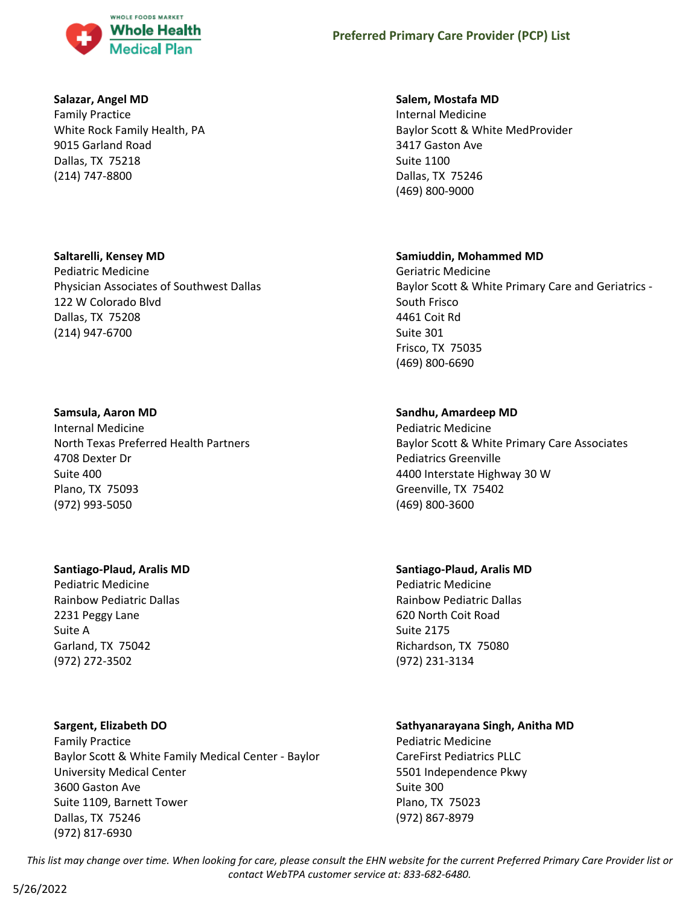

#### **Salazar, Angel MD**

Family Practice White Rock Family Health, PA 9015 Garland Road Dallas, TX 75218 (214) 747-8800

#### **Saltarelli, Kensey MD**

Pediatric Medicine Physician Associates of Southwest Dallas 122 W Colorado Blvd Dallas, TX 75208 (214) 947-6700

#### **Samsula, Aaron MD**

Internal Medicine North Texas Preferred Health Partners 4708 Dexter Dr Suite 400 Plano, TX 75093 (972) 993-5050

#### **Santiago-Plaud, Aralis MD**

Pediatric Medicine Rainbow Pediatric Dallas 2231 Peggy Lane Suite A Garland, TX 75042 (972) 272-3502

# **Sargent, Elizabeth DO**

Family Practice Baylor Scott & White Family Medical Center - Baylor University Medical Center 3600 Gaston Ave Suite 1109, Barnett Tower Dallas, TX 75246 (972) 817-6930

## **Salem, Mostafa MD**

Internal Medicine Baylor Scott & White MedProvider 3417 Gaston Ave Suite 1100 Dallas, TX 75246 (469) 800-9000

## **Samiuddin, Mohammed MD**

Geriatric Medicine Baylor Scott & White Primary Care and Geriatrics - South Frisco 4461 Coit Rd Suite 301 Frisco, TX 75035 (469) 800-6690

# **Sandhu, Amardeep MD**

Pediatric Medicine Baylor Scott & White Primary Care Associates Pediatrics Greenville 4400 Interstate Highway 30 W Greenville, TX 75402 (469) 800-3600

# **Santiago-Plaud, Aralis MD**

Pediatric Medicine Rainbow Pediatric Dallas 620 North Coit Road Suite 2175 Richardson, TX 75080 (972) 231-3134

# **Sathyanarayana Singh, Anitha MD**

Pediatric Medicine CareFirst Pediatrics PLLC 5501 Independence Pkwy Suite 300 Plano, TX 75023 (972) 867-8979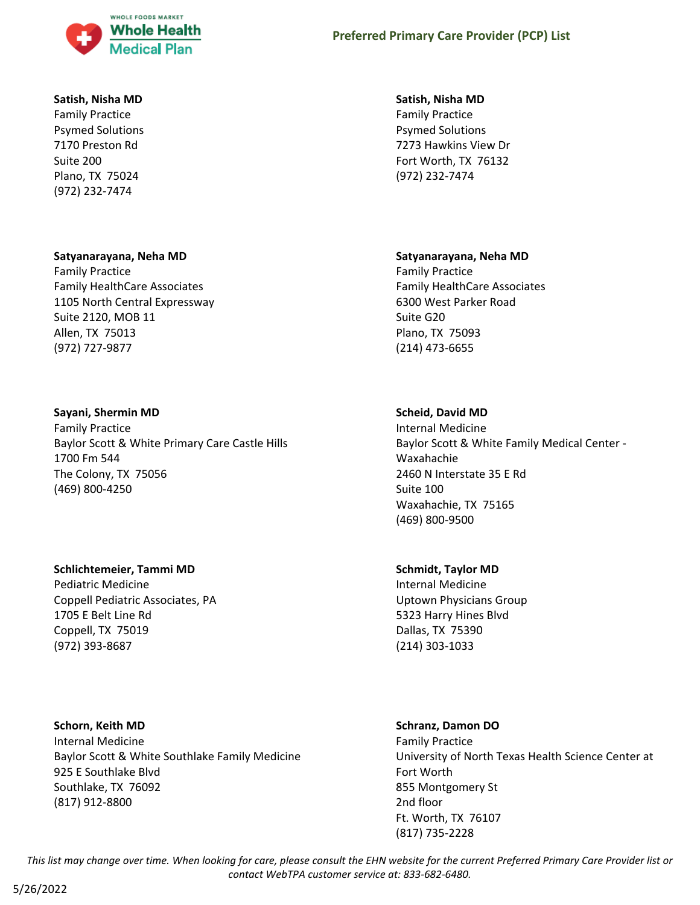

#### **Satish, Nisha MD**

Family Practice Psymed Solutions 7170 Preston Rd Suite 200 Plano, TX 75024 (972) 232-7474

## **Satyanarayana, Neha MD**

Family Practice Family HealthCare Associates 1105 North Central Expressway Suite 2120, MOB 11 Allen, TX 75013 (972) 727-9877

## **Sayani, Shermin MD**

Family Practice Baylor Scott & White Primary Care Castle Hills 1700 Fm 544 The Colony, TX 75056 (469) 800-4250

# **Schlichtemeier, Tammi MD**

Pediatric Medicine Coppell Pediatric Associates, PA 1705 E Belt Line Rd Coppell, TX 75019 (972) 393-8687

**Schorn, Keith MD** Internal Medicine Baylor Scott & White Southlake Family Medicine 925 E Southlake Blvd Southlake, TX 76092 (817) 912-8800

#### **Satish, Nisha MD**

Family Practice Psymed Solutions 7273 Hawkins View Dr Fort Worth, TX 76132 (972) 232-7474

## **Satyanarayana, Neha MD**

Family Practice Family HealthCare Associates 6300 West Parker Road Suite G20 Plano, TX 75093 (214) 473-6655

# **Scheid, David MD**

Internal Medicine Baylor Scott & White Family Medical Center - Waxahachie 2460 N Interstate 35 E Rd Suite 100 Waxahachie, TX 75165 (469) 800-9500

#### **Schmidt, Taylor MD**

Internal Medicine Uptown Physicians Group 5323 Harry Hines Blvd Dallas, TX 75390 (214) 303-1033

# **Schranz, Damon DO**

Family Practice University of North Texas Health Science Center at Fort Worth 855 Montgomery St 2nd floor Ft. Worth, TX 76107 (817) 735-2228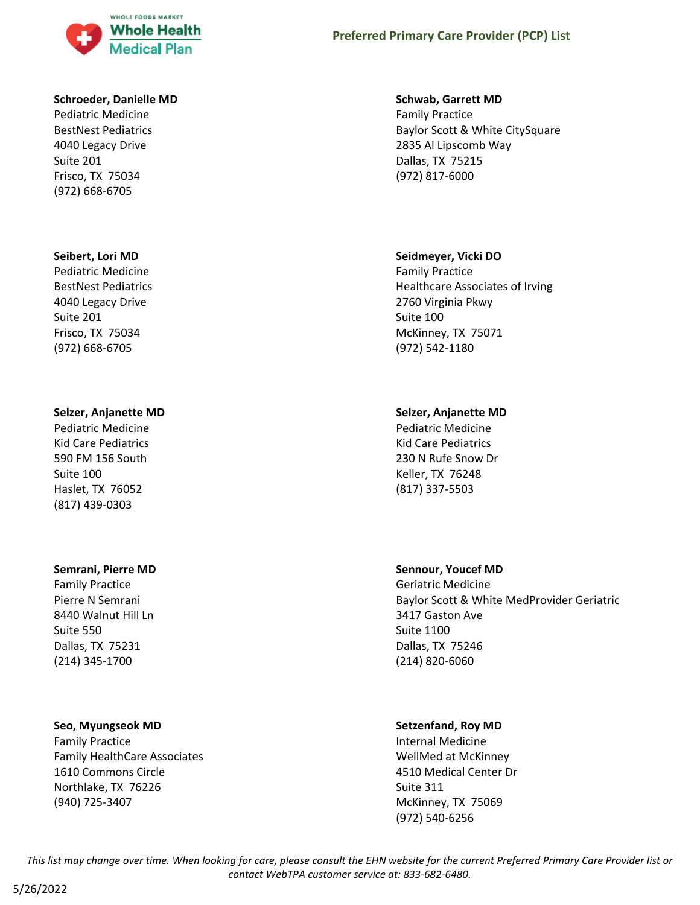

#### **Schroeder, Danielle MD**

Pediatric Medicine BestNest Pediatrics 4040 Legacy Drive Suite 201 Frisco, TX 75034 (972) 668-6705

#### **Seibert, Lori MD**

Pediatric Medicine BestNest Pediatrics 4040 Legacy Drive Suite 201 Frisco, TX 75034 (972) 668-6705

#### **Selzer, Anjanette MD**

Pediatric Medicine Kid Care Pediatrics 590 FM 156 South Suite 100 Haslet, TX 76052 (817) 439-0303

#### **Semrani, Pierre MD**

Family Practice Pierre N Semrani 8440 Walnut Hill Ln Suite 550 Dallas, TX 75231 (214) 345-1700

#### **Seo, Myungseok MD**

Family Practice Family HealthCare Associates 1610 Commons Circle Northlake, TX 76226 (940) 725-3407

#### **Schwab, Garrett MD**

Family Practice Baylor Scott & White CitySquare 2835 Al Lipscomb Way Dallas, TX 75215 (972) 817-6000

#### **Seidmeyer, Vicki DO**

Family Practice Healthcare Associates of Irving 2760 Virginia Pkwy Suite 100 McKinney, TX 75071 (972) 542-1180

#### **Selzer, Anjanette MD**

Pediatric Medicine Kid Care Pediatrics 230 N Rufe Snow Dr Keller, TX 76248 (817) 337-5503

#### **Sennour, Youcef MD**

Geriatric Medicine Baylor Scott & White MedProvider Geriatric 3417 Gaston Ave Suite 1100 Dallas, TX 75246 (214) 820-6060

#### **Setzenfand, Roy MD**

Internal Medicine WellMed at McKinney 4510 Medical Center Dr Suite 311 McKinney, TX 75069 (972) 540-6256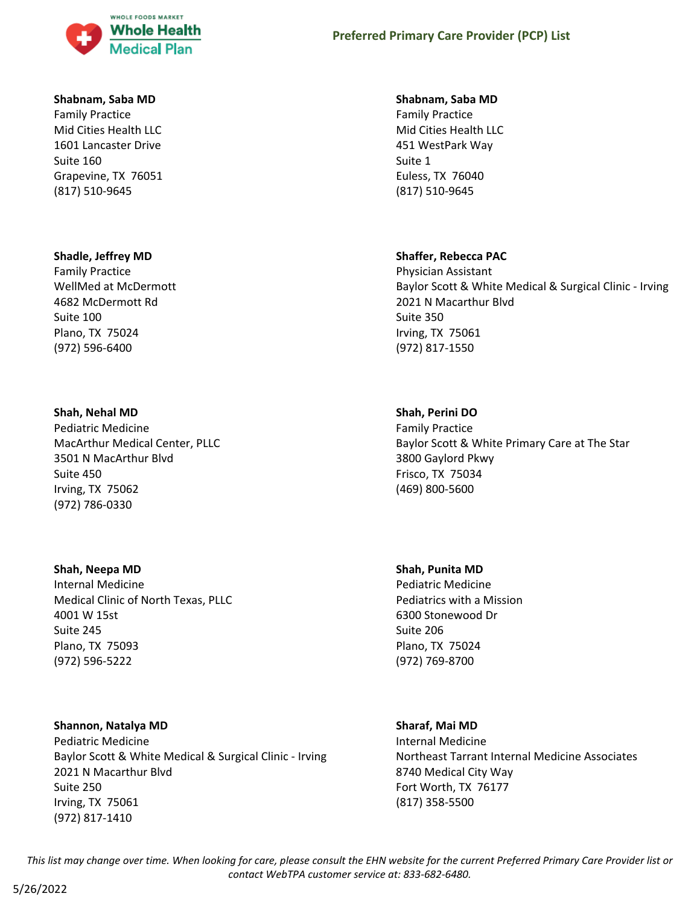

#### **Shabnam, Saba MD**

Family Practice Mid Cities Health LLC 1601 Lancaster Drive Suite 160 Grapevine, TX 76051 (817) 510-9645

#### **Shadle, Jeffrey MD**

Family Practice WellMed at McDermott 4682 McDermott Rd Suite 100 Plano, TX 75024 (972) 596-6400

#### **Shah, Nehal MD**

Pediatric Medicine MacArthur Medical Center, PLLC 3501 N MacArthur Blvd Suite 450 Irving, TX 75062 (972) 786-0330

#### **Shah, Neepa MD**

Internal Medicine Medical Clinic of North Texas, PLLC 4001 W 15st Suite 245 Plano, TX 75093 (972) 596-5222

## **Shannon, Natalya MD**

Pediatric Medicine Baylor Scott & White Medical & Surgical Clinic - Irving 2021 N Macarthur Blvd Suite 250 Irving, TX 75061 (972) 817-1410

#### **Shabnam, Saba MD**

Family Practice Mid Cities Health LLC 451 WestPark Way Suite 1 Euless, TX 76040 (817) 510-9645

#### **Shaffer, Rebecca PAC**

Physician Assistant Baylor Scott & White Medical & Surgical Clinic - Irving 2021 N Macarthur Blvd Suite 350 Irving, TX 75061 (972) 817-1550

#### **Shah, Perini DO**

Family Practice Baylor Scott & White Primary Care at The Star 3800 Gaylord Pkwy Frisco, TX 75034 (469) 800-5600

#### **Shah, Punita MD**

Pediatric Medicine Pediatrics with a Mission 6300 Stonewood Dr Suite 206 Plano, TX 75024 (972) 769-8700

#### **Sharaf, Mai MD**

Internal Medicine Northeast Tarrant Internal Medicine Associates 8740 Medical City Way Fort Worth, TX 76177 (817) 358-5500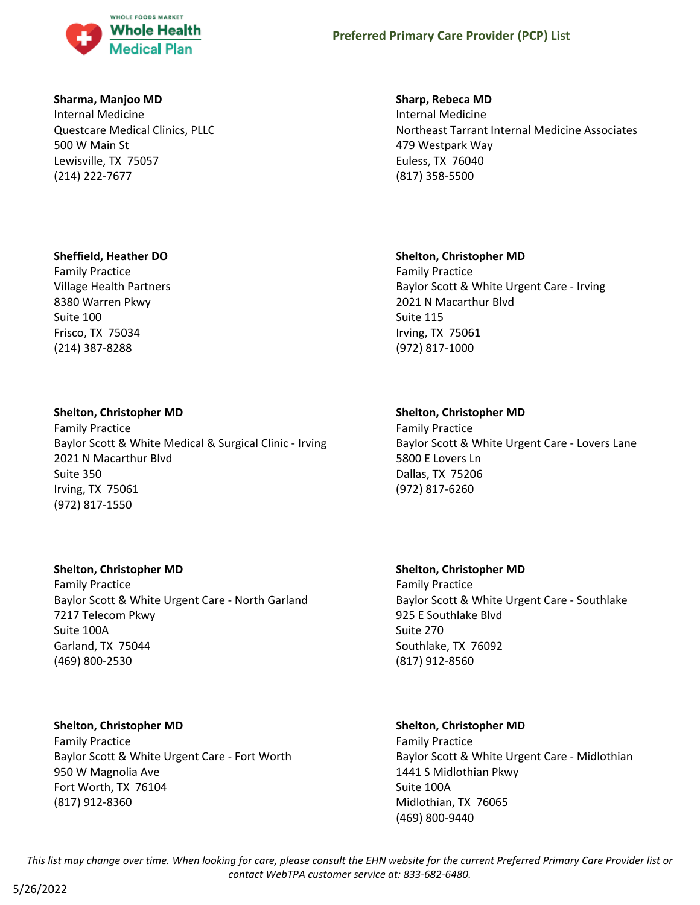

### **Sharma, Manjoo MD**

Internal Medicine Questcare Medical Clinics, PLLC 500 W Main St Lewisville, TX 75057 (214) 222-7677

## **Sheffield, Heather DO**

Family Practice Village Health Partners 8380 Warren Pkwy Suite 100 Frisco, TX 75034 (214) 387-8288

## **Shelton, Christopher MD**

Family Practice Baylor Scott & White Medical & Surgical Clinic - Irving 2021 N Macarthur Blvd Suite 350 Irving, TX 75061 (972) 817-1550

# **Shelton, Christopher MD**

Family Practice Baylor Scott & White Urgent Care - North Garland 7217 Telecom Pkwy Suite 100A Garland, TX 75044 (469) 800-2530

#### **Shelton, Christopher MD**

Family Practice Baylor Scott & White Urgent Care - Fort Worth 950 W Magnolia Ave Fort Worth, TX 76104 (817) 912-8360

#### **Sharp, Rebeca MD**

Internal Medicine Northeast Tarrant Internal Medicine Associates 479 Westpark Way Euless, TX 76040 (817) 358-5500

## **Shelton, Christopher MD**

Family Practice Baylor Scott & White Urgent Care - Irving 2021 N Macarthur Blvd Suite 115 Irving, TX 75061 (972) 817-1000

## **Shelton, Christopher MD**

Family Practice Baylor Scott & White Urgent Care - Lovers Lane 5800 E Lovers Ln Dallas, TX 75206 (972) 817-6260

# **Shelton, Christopher MD**

Family Practice Baylor Scott & White Urgent Care - Southlake 925 E Southlake Blvd Suite 270 Southlake, TX 76092 (817) 912-8560

# **Shelton, Christopher MD**

Family Practice Baylor Scott & White Urgent Care - Midlothian 1441 S Midlothian Pkwy Suite 100A Midlothian, TX 76065 (469) 800-9440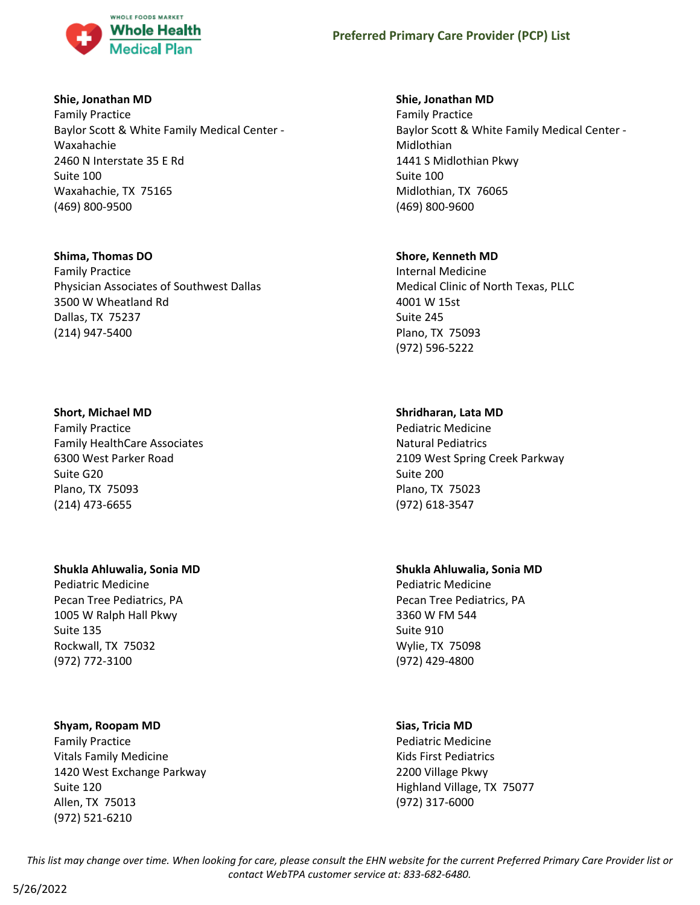

### **Shie, Jonathan MD**

Family Practice Baylor Scott & White Family Medical Center - Waxahachie 2460 N Interstate 35 E Rd Suite 100 Waxahachie, TX 75165 (469) 800-9500

# **Shima, Thomas DO**

Family Practice Physician Associates of Southwest Dallas 3500 W Wheatland Rd Dallas, TX 75237 (214) 947-5400

## **Short, Michael MD**

Family Practice Family HealthCare Associates 6300 West Parker Road Suite G20 Plano, TX 75093 (214) 473-6655

# **Shukla Ahluwalia, Sonia MD**

Pediatric Medicine Pecan Tree Pediatrics, PA 1005 W Ralph Hall Pkwy Suite 135 Rockwall, TX 75032 (972) 772-3100

# **Shyam, Roopam MD**

Family Practice Vitals Family Medicine 1420 West Exchange Parkway Suite 120 Allen, TX 75013 (972) 521-6210

## **Shie, Jonathan MD**

Family Practice Baylor Scott & White Family Medical Center - Midlothian 1441 S Midlothian Pkwy Suite 100 Midlothian, TX 76065 (469) 800-9600

# **Shore, Kenneth MD**

Internal Medicine Medical Clinic of North Texas, PLLC 4001 W 15st Suite 245 Plano, TX 75093 (972) 596-5222

# **Shridharan, Lata MD**

Pediatric Medicine Natural Pediatrics 2109 West Spring Creek Parkway Suite 200 Plano, TX 75023 (972) 618-3547

# **Shukla Ahluwalia, Sonia MD**

Pediatric Medicine Pecan Tree Pediatrics, PA 3360 W FM 544 Suite 910 Wylie, TX 75098 (972) 429-4800

# **Sias, Tricia MD**

Pediatric Medicine Kids First Pediatrics 2200 Village Pkwy Highland Village, TX 75077 (972) 317-6000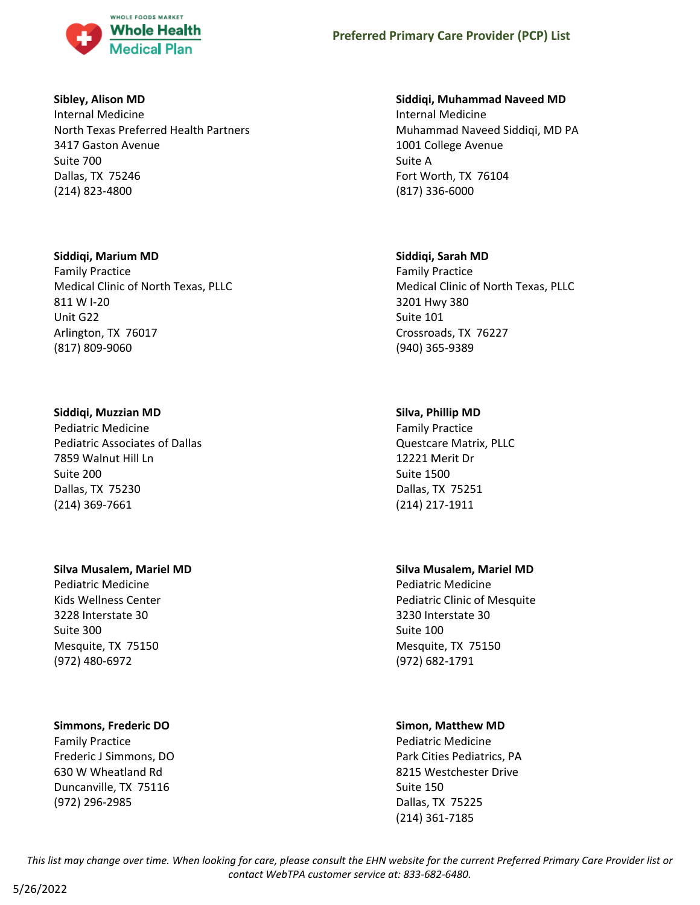

#### **Sibley, Alison MD**

Internal Medicine North Texas Preferred Health Partners 3417 Gaston Avenue Suite 700 Dallas, TX 75246 (214) 823-4800

## **Siddiqi, Marium MD**

Family Practice Medical Clinic of North Texas, PLLC 811 W I-20 Unit G22 Arlington, TX 76017 (817) 809-9060

# **Siddiqi, Muzzian MD**

Pediatric Medicine Pediatric Associates of Dallas 7859 Walnut Hill Ln Suite 200 Dallas, TX 75230 (214) 369-7661

#### **Silva Musalem, Mariel MD**

Pediatric Medicine Kids Wellness Center 3228 Interstate 30 Suite 300 Mesquite, TX 75150 (972) 480-6972

# **Simmons, Frederic DO**

Family Practice Frederic J Simmons, DO 630 W Wheatland Rd Duncanville, TX 75116 (972) 296-2985

## **Siddiqi, Muhammad Naveed MD**

Internal Medicine Muhammad Naveed Siddiqi, MD PA 1001 College Avenue Suite A Fort Worth, TX 76104 (817) 336-6000

# **Siddiqi, Sarah MD**

Family Practice Medical Clinic of North Texas, PLLC 3201 Hwy 380 Suite 101 Crossroads, TX 76227 (940) 365-9389

# **Silva, Phillip MD**

Family Practice Questcare Matrix, PLLC 12221 Merit Dr Suite 1500 Dallas, TX 75251 (214) 217-1911

# **Silva Musalem, Mariel MD**

Pediatric Medicine Pediatric Clinic of Mesquite 3230 Interstate 30 Suite 100 Mesquite, TX 75150 (972) 682-1791

# **Simon, Matthew MD**

Pediatric Medicine Park Cities Pediatrics, PA 8215 Westchester Drive Suite 150 Dallas, TX 75225 (214) 361-7185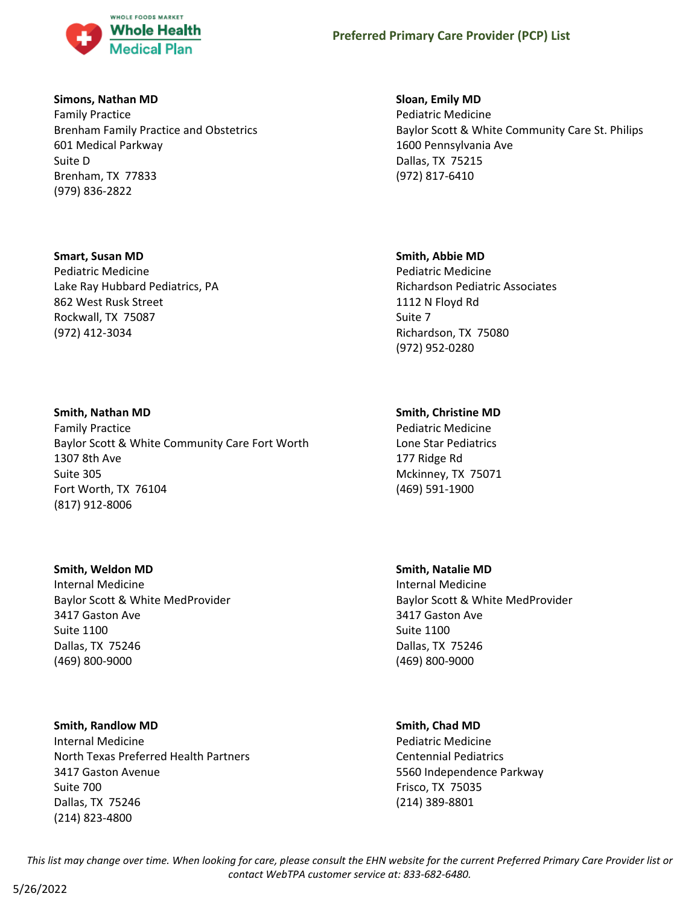

#### **Simons, Nathan MD**

Family Practice Brenham Family Practice and Obstetrics 601 Medical Parkway Suite D Brenham, TX 77833 (979) 836-2822

#### **Smart, Susan MD**

Pediatric Medicine Lake Ray Hubbard Pediatrics, PA 862 West Rusk Street Rockwall, TX 75087 (972) 412-3034

#### **Smith, Nathan MD**

Family Practice Baylor Scott & White Community Care Fort Worth 1307 8th Ave Suite 305 Fort Worth, TX 76104 (817) 912-8006

#### **Smith, Weldon MD**

Internal Medicine Baylor Scott & White MedProvider 3417 Gaston Ave Suite 1100 Dallas, TX 75246 (469) 800-9000

#### **Smith, Randlow MD**

Internal Medicine North Texas Preferred Health Partners 3417 Gaston Avenue Suite 700 Dallas, TX 75246 (214) 823-4800

#### **Sloan, Emily MD**

Pediatric Medicine Baylor Scott & White Community Care St. Philips 1600 Pennsylvania Ave Dallas, TX 75215 (972) 817-6410

#### **Smith, Abbie MD**

Pediatric Medicine Richardson Pediatric Associates 1112 N Floyd Rd Suite 7 Richardson, TX 75080 (972) 952-0280

## **Smith, Christine MD**

Pediatric Medicine Lone Star Pediatrics 177 Ridge Rd Mckinney, TX 75071 (469) 591-1900

#### **Smith, Natalie MD**

Internal Medicine Baylor Scott & White MedProvider 3417 Gaston Ave Suite 1100 Dallas, TX 75246 (469) 800-9000

#### **Smith, Chad MD**

Pediatric Medicine Centennial Pediatrics 5560 Independence Parkway Frisco, TX 75035 (214) 389-8801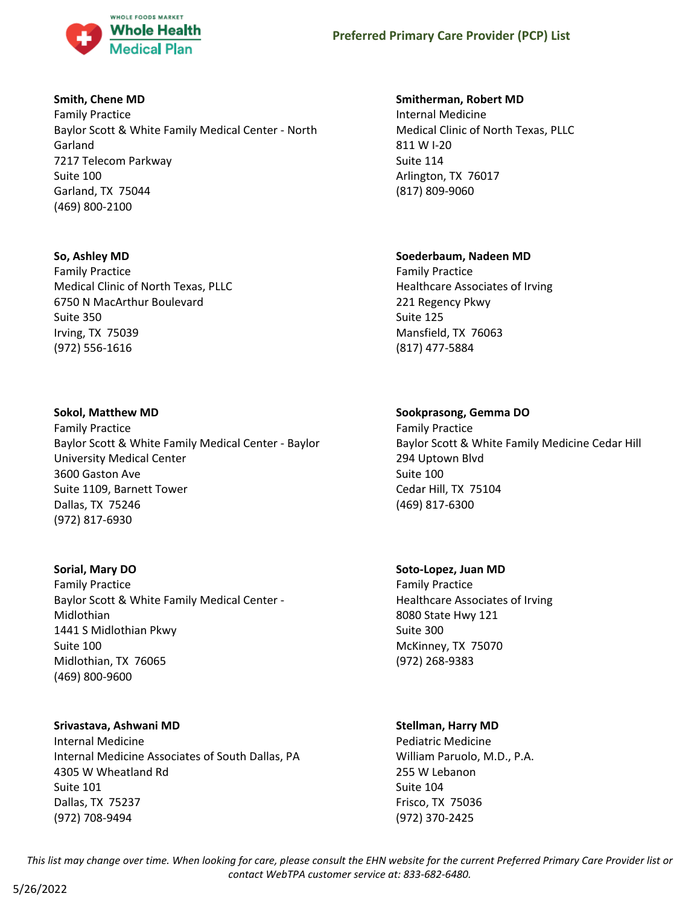

# **Smith, Chene MD**

Family Practice Baylor Scott & White Family Medical Center - North Garland 7217 Telecom Parkway Suite 100 Garland, TX 75044 (469) 800-2100

# **So, Ashley MD**

Family Practice Medical Clinic of North Texas, PLLC 6750 N MacArthur Boulevard Suite 350 Irving, TX 75039 (972) 556-1616

# **Sokol, Matthew MD**

Family Practice Baylor Scott & White Family Medical Center - Baylor University Medical Center 3600 Gaston Ave Suite 1109, Barnett Tower Dallas, TX 75246 (972) 817-6930

# **Sorial, Mary DO**

Family Practice Baylor Scott & White Family Medical Center - Midlothian 1441 S Midlothian Pkwy Suite 100 Midlothian, TX 76065 (469) 800-9600

# **Srivastava, Ashwani MD**

Internal Medicine Internal Medicine Associates of South Dallas, PA 4305 W Wheatland Rd Suite 101 Dallas, TX 75237 (972) 708-9494

# **Smitherman, Robert MD**

Internal Medicine Medical Clinic of North Texas, PLLC 811 W I-20 Suite 114 Arlington, TX 76017 (817) 809-9060

# **Soederbaum, Nadeen MD**

Family Practice Healthcare Associates of Irving 221 Regency Pkwy Suite 125 Mansfield, TX 76063 (817) 477-5884

# **Sookprasong, Gemma DO**

Family Practice Baylor Scott & White Family Medicine Cedar Hill 294 Uptown Blvd Suite 100 Cedar Hill, TX 75104 (469) 817-6300

# **Soto-Lopez, Juan MD**

Family Practice Healthcare Associates of Irving 8080 State Hwy 121 Suite 300 McKinney, TX 75070 (972) 268-9383

# **Stellman, Harry MD**

Pediatric Medicine William Paruolo, M.D., P.A. 255 W Lebanon Suite 104 Frisco, TX 75036 (972) 370-2425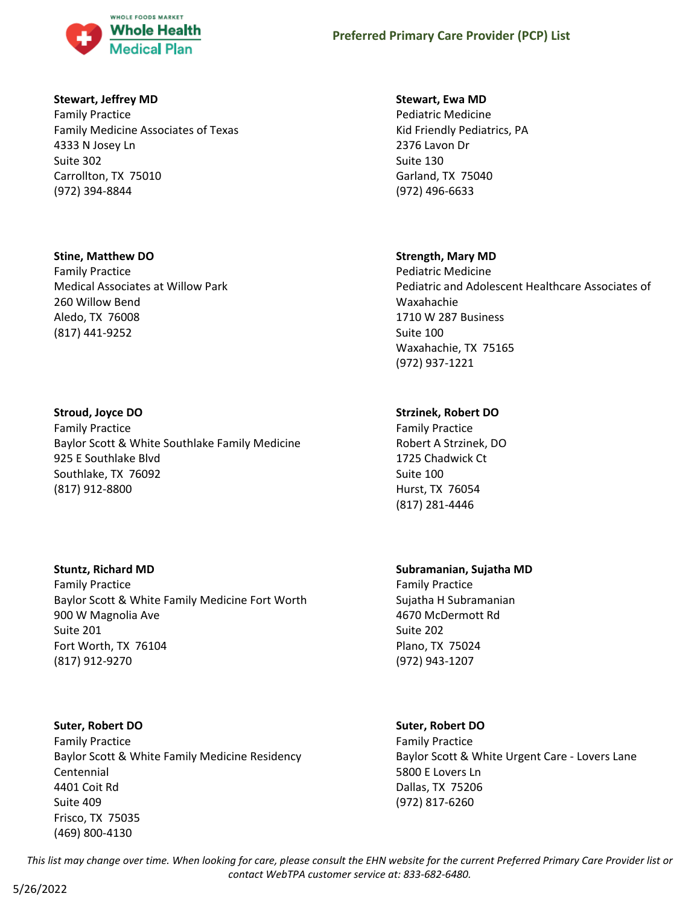

### **Stewart, Jeffrey MD**

Family Practice Family Medicine Associates of Texas 4333 N Josey Ln Suite 302 Carrollton, TX 75010 (972) 394-8844

### **Stine, Matthew DO**

Family Practice Medical Associates at Willow Park 260 Willow Bend Aledo, TX 76008 (817) 441-9252

# **Stroud, Joyce DO**

Family Practice Baylor Scott & White Southlake Family Medicine 925 E Southlake Blvd Southlake, TX 76092 (817) 912-8800

# **Stuntz, Richard MD**

Family Practice Baylor Scott & White Family Medicine Fort Worth 900 W Magnolia Ave Suite 201 Fort Worth, TX 76104 (817) 912-9270

# **Suter, Robert DO**

Family Practice Baylor Scott & White Family Medicine Residency Centennial 4401 Coit Rd Suite 409 Frisco, TX 75035 (469) 800-4130

# **Stewart, Ewa MD**

Pediatric Medicine Kid Friendly Pediatrics, PA 2376 Lavon Dr Suite 130 Garland, TX 75040 (972) 496-6633

# **Strength, Mary MD**

Pediatric Medicine Pediatric and Adolescent Healthcare Associates of Waxahachie 1710 W 287 Business Suite 100 Waxahachie, TX 75165 (972) 937-1221

# **Strzinek, Robert DO**

Family Practice Robert A Strzinek, DO 1725 Chadwick Ct Suite 100 Hurst, TX 76054 (817) 281-4446

# **Subramanian, Sujatha MD**

Family Practice Sujatha H Subramanian 4670 McDermott Rd Suite 202 Plano, TX 75024 (972) 943-1207

# **Suter, Robert DO**

Family Practice Baylor Scott & White Urgent Care - Lovers Lane 5800 E Lovers Ln Dallas, TX 75206 (972) 817-6260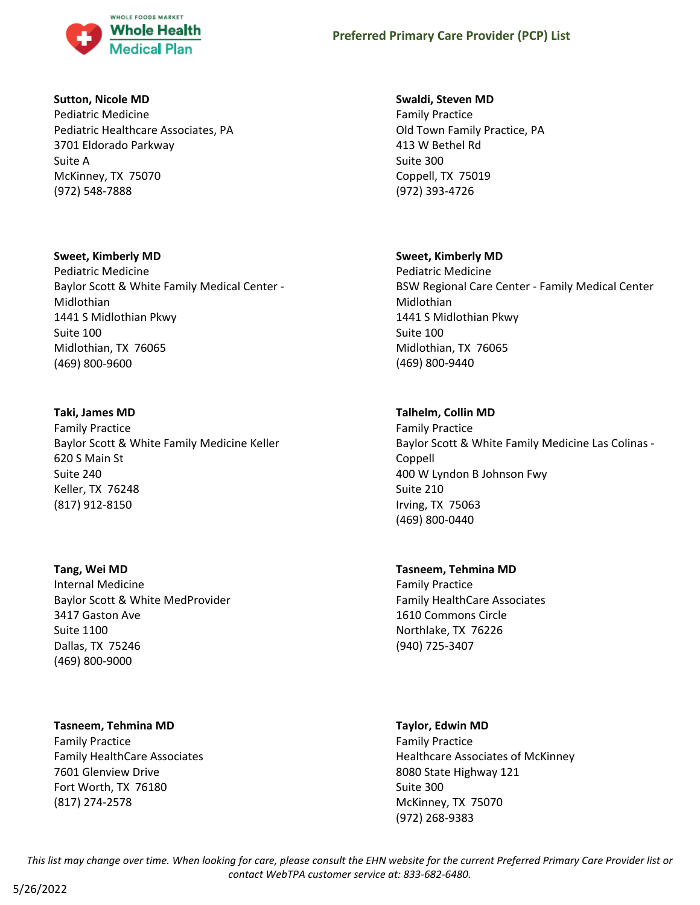

### **Sutton, Nicole MD**

Pediatric Medicine Pediatric Healthcare Associates, PA 3701 Eldorado Parkway Suite A McKinney, TX 75070 (972) 548-7888

### **Sweet, Kimberly MD**

Pediatric Medicine Baylor Scott & White Family Medical Center - Midlothian 1441 S Midlothian Pkwy Suite 100 Midlothian, TX 76065 (469) 800-9600

# **Taki, James MD**

Family Practice Baylor Scott & White Family Medicine Keller 620 S Main St Suite 240 Keller, TX 76248 (817) 912-8150

# **Tang, Wei MD**

Internal Medicine Baylor Scott & White MedProvider 3417 Gaston Ave Suite 1100 Dallas, TX 75246 (469) 800-9000

# **Tasneem, Tehmina MD**

Family Practice Family HealthCare Associates 7601 Glenview Drive Fort Worth, TX 76180 (817) 274-2578

# **Swaldi, Steven MD**

Family Practice Old Town Family Practice, PA 413 W Bethel Rd Suite 300 Coppell, TX 75019 (972) 393-4726

# **Sweet, Kimberly MD**

Pediatric Medicine BSW Regional Care Center - Family Medical Center Midlothian 1441 S Midlothian Pkwy Suite 100 Midlothian, TX 76065 (469) 800-9440

# **Talhelm, Collin MD**

Family Practice Baylor Scott & White Family Medicine Las Colinas - Coppell 400 W Lyndon B Johnson Fwy Suite 210 Irving, TX 75063 (469) 800-0440

# **Tasneem, Tehmina MD**

Family Practice Family HealthCare Associates 1610 Commons Circle Northlake, TX 76226 (940) 725-3407

# **Taylor, Edwin MD**

Family Practice Healthcare Associates of McKinney 8080 State Highway 121 Suite 300 McKinney, TX 75070 (972) 268-9383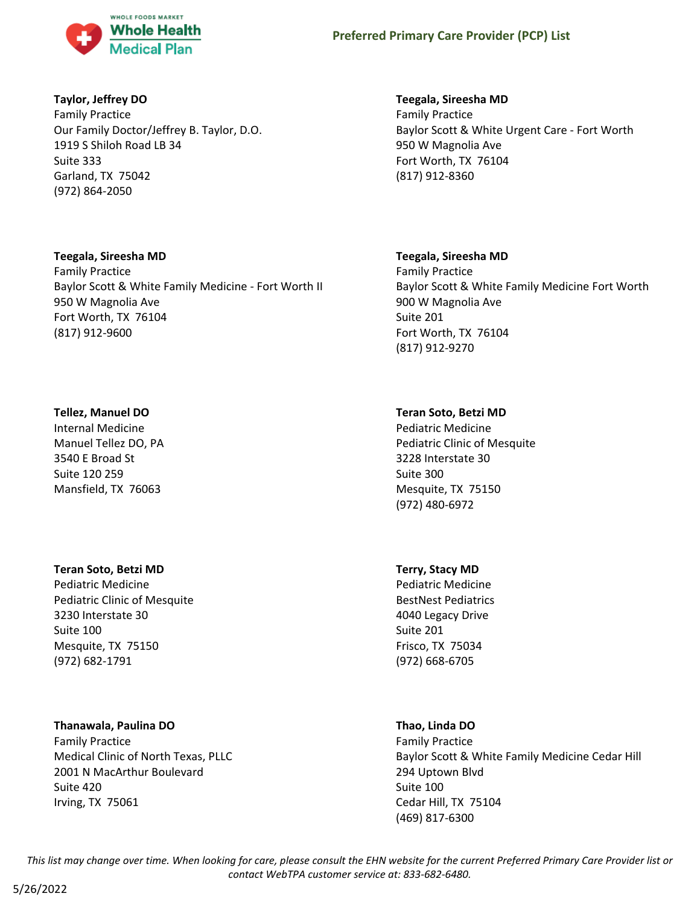

# **Taylor, Jeffrey DO**

Family Practice Our Family Doctor/Jeffrey B. Taylor, D.O. 1919 S Shiloh Road LB 34 Suite 333 Garland, TX 75042 (972) 864-2050

### **Teegala, Sireesha MD**

Family Practice Baylor Scott & White Family Medicine - Fort Worth II 950 W Magnolia Ave Fort Worth, TX 76104 (817) 912-9600

### **Tellez, Manuel DO**

Internal Medicine Manuel Tellez DO, PA 3540 E Broad St Suite 120 259 Mansfield, TX 76063

# **Teran Soto, Betzi MD**

Pediatric Medicine Pediatric Clinic of Mesquite 3230 Interstate 30 Suite 100 Mesquite, TX 75150 (972) 682-1791

# **Thanawala, Paulina DO**

Family Practice Medical Clinic of North Texas, PLLC 2001 N MacArthur Boulevard Suite 420 Irving, TX 75061

# **Teegala, Sireesha MD**

Family Practice Baylor Scott & White Urgent Care - Fort Worth 950 W Magnolia Ave Fort Worth, TX 76104 (817) 912-8360

# **Teegala, Sireesha MD**

Family Practice Baylor Scott & White Family Medicine Fort Worth 900 W Magnolia Ave Suite 201 Fort Worth, TX 76104 (817) 912-9270

# **Teran Soto, Betzi MD**

Pediatric Medicine Pediatric Clinic of Mesquite 3228 Interstate 30 Suite 300 Mesquite, TX 75150 (972) 480-6972

# **Terry, Stacy MD**

Pediatric Medicine BestNest Pediatrics 4040 Legacy Drive Suite 201 Frisco, TX 75034 (972) 668-6705

# **Thao, Linda DO**

Family Practice Baylor Scott & White Family Medicine Cedar Hill 294 Uptown Blvd Suite 100 Cedar Hill, TX 75104 (469) 817-6300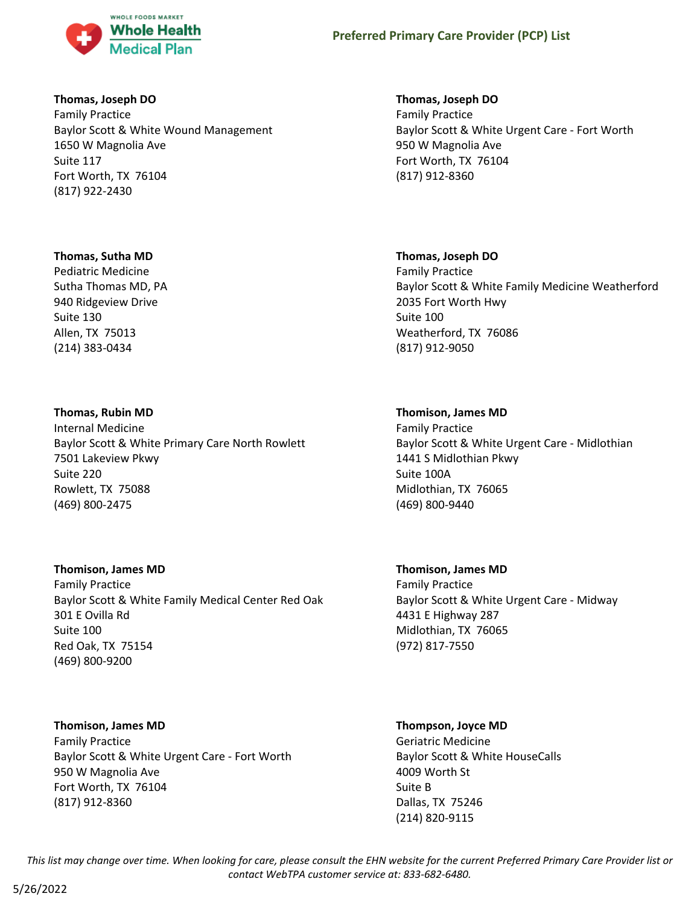

### **Thomas, Joseph DO**

Family Practice Baylor Scott & White Wound Management 1650 W Magnolia Ave Suite 117 Fort Worth, TX 76104 (817) 922-2430

### **Thomas, Sutha MD**

Pediatric Medicine Sutha Thomas MD, PA 940 Ridgeview Drive Suite 130 Allen, TX 75013 (214) 383-0434

# **Thomas, Rubin MD**

Internal Medicine Baylor Scott & White Primary Care North Rowlett 7501 Lakeview Pkwy Suite 220 Rowlett, TX 75088 (469) 800-2475

# **Thomison, James MD**

Family Practice Baylor Scott & White Family Medical Center Red Oak 301 E Ovilla Rd Suite 100 Red Oak, TX 75154 (469) 800-9200

# **Thomison, James MD**

Family Practice Baylor Scott & White Urgent Care - Fort Worth 950 W Magnolia Ave Fort Worth, TX 76104 (817) 912-8360

# **Thomas, Joseph DO**

Family Practice Baylor Scott & White Urgent Care - Fort Worth 950 W Magnolia Ave Fort Worth, TX 76104 (817) 912-8360

# **Thomas, Joseph DO**

Family Practice Baylor Scott & White Family Medicine Weatherford 2035 Fort Worth Hwy Suite 100 Weatherford, TX 76086 (817) 912-9050

# **Thomison, James MD**

Family Practice Baylor Scott & White Urgent Care - Midlothian 1441 S Midlothian Pkwy Suite 100A Midlothian, TX 76065 (469) 800-9440

**Thomison, James MD** Family Practice Baylor Scott & White Urgent Care - Midway 4431 E Highway 287 Midlothian, TX 76065 (972) 817-7550

# **Thompson, Joyce MD**

Geriatric Medicine Baylor Scott & White HouseCalls 4009 Worth St Suite B Dallas, TX 75246 (214) 820-9115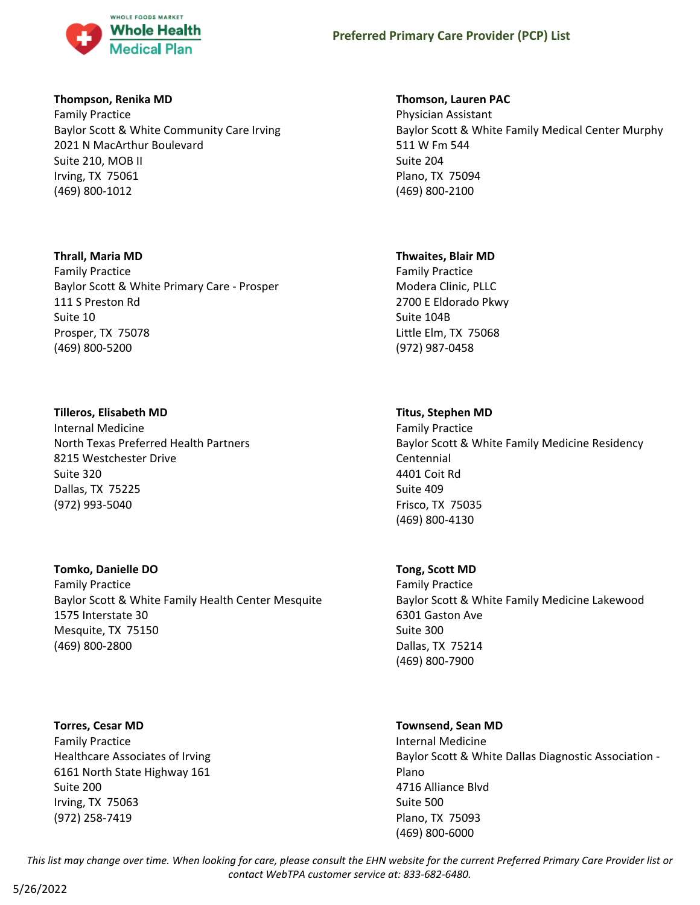

### **Thompson, Renika MD**

Family Practice Baylor Scott & White Community Care Irving 2021 N MacArthur Boulevard Suite 210, MOB II Irving, TX 75061 (469) 800-1012

### **Thrall, Maria MD**

Family Practice Baylor Scott & White Primary Care - Prosper 111 S Preston Rd Suite 10 Prosper, TX 75078 (469) 800-5200

# **Tilleros, Elisabeth MD**

Internal Medicine North Texas Preferred Health Partners 8215 Westchester Drive Suite 320 Dallas, TX 75225 (972) 993-5040

# **Tomko, Danielle DO**

Family Practice Baylor Scott & White Family Health Center Mesquite 1575 Interstate 30 Mesquite, TX 75150 (469) 800-2800

# **Torres, Cesar MD**

Family Practice Healthcare Associates of Irving 6161 North State Highway 161 Suite 200 Irving, TX 75063 (972) 258-7419

### **Thomson, Lauren PAC**

Physician Assistant Baylor Scott & White Family Medical Center Murphy 511 W Fm 544 Suite 204 Plano, TX 75094 (469) 800-2100

### **Thwaites, Blair MD**

Family Practice Modera Clinic, PLLC 2700 E Eldorado Pkwy Suite 104B Little Elm, TX 75068 (972) 987-0458

### **Titus, Stephen MD**

Family Practice Baylor Scott & White Family Medicine Residency Centennial 4401 Coit Rd Suite 409 Frisco, TX 75035 (469) 800-4130

# **Tong, Scott MD**

Family Practice Baylor Scott & White Family Medicine Lakewood 6301 Gaston Ave Suite 300 Dallas, TX 75214 (469) 800-7900

# **Townsend, Sean MD**

Internal Medicine Baylor Scott & White Dallas Diagnostic Association - Plano 4716 Alliance Blvd Suite 500 Plano, TX 75093 (469) 800-6000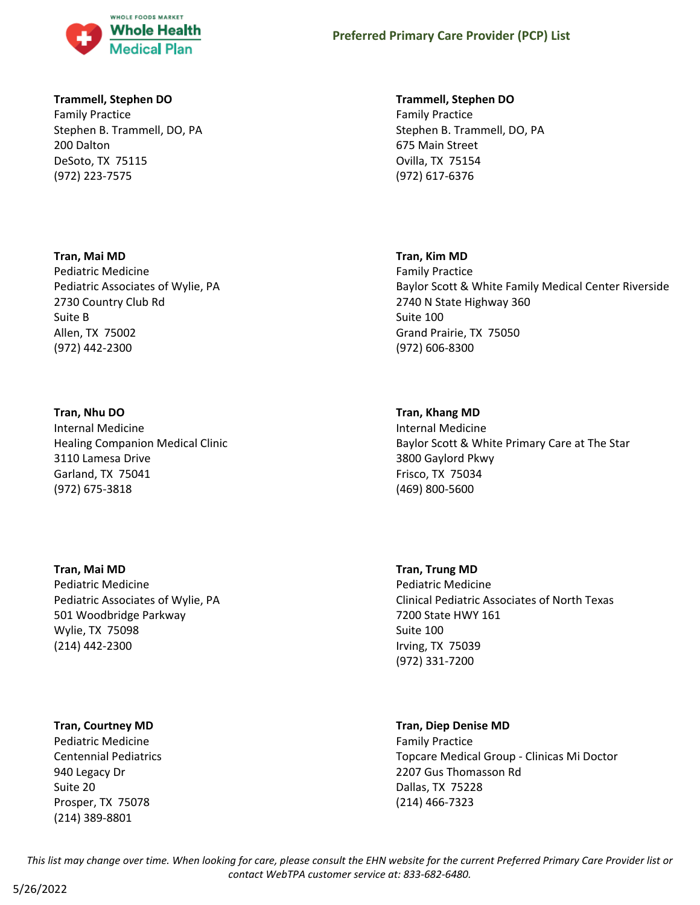

### **Trammell, Stephen DO**

Family Practice Stephen B. Trammell, DO, PA 200 Dalton DeSoto, TX 75115 (972) 223-7575

### **Tran, Mai MD**

Pediatric Medicine Pediatric Associates of Wylie, PA 2730 Country Club Rd Suite B Allen, TX 75002 (972) 442-2300

### **Tran, Nhu DO**

Internal Medicine Healing Companion Medical Clinic 3110 Lamesa Drive Garland, TX 75041 (972) 675-3818

# **Tran, Mai MD**

Pediatric Medicine Pediatric Associates of Wylie, PA 501 Woodbridge Parkway Wylie, TX 75098 (214) 442-2300

# **Tran, Courtney MD**

Pediatric Medicine Centennial Pediatrics 940 Legacy Dr Suite 20 Prosper, TX 75078 (214) 389-8801

### **Trammell, Stephen DO**

Family Practice Stephen B. Trammell, DO, PA 675 Main Street Ovilla, TX 75154 (972) 617-6376

### **Tran, Kim MD**

Family Practice Baylor Scott & White Family Medical Center Riverside 2740 N State Highway 360 Suite 100 Grand Prairie, TX 75050 (972) 606-8300

# **Tran, Khang MD**

Internal Medicine Baylor Scott & White Primary Care at The Star 3800 Gaylord Pkwy Frisco, TX 75034 (469) 800-5600

### **Tran, Trung MD**

Pediatric Medicine Clinical Pediatric Associates of North Texas 7200 State HWY 161 Suite 100 Irving, TX 75039 (972) 331-7200

# **Tran, Diep Denise MD**

Family Practice Topcare Medical Group - Clinicas Mi Doctor 2207 Gus Thomasson Rd Dallas, TX 75228 (214) 466-7323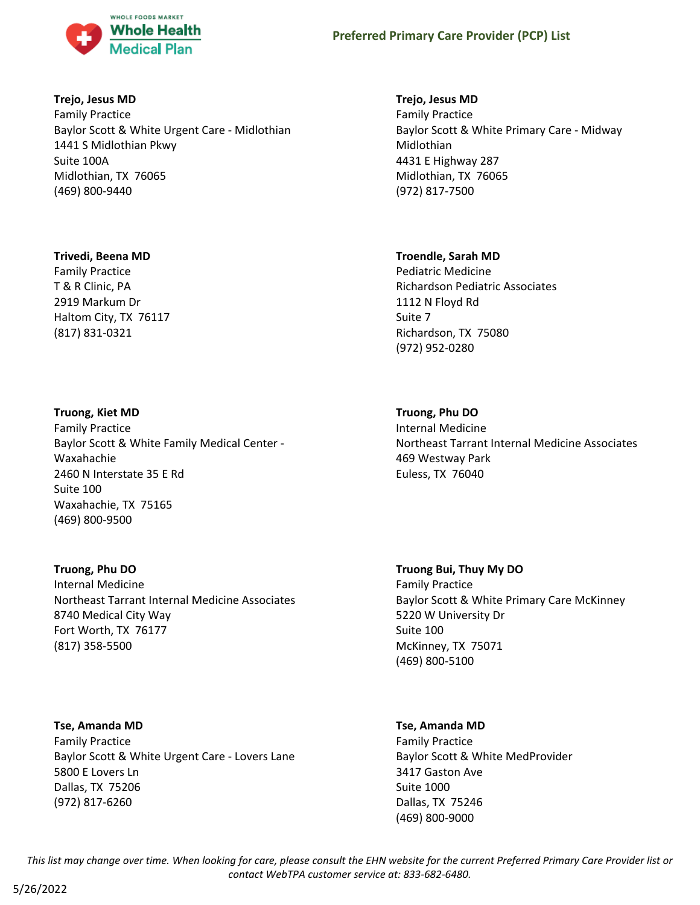

### **Trejo, Jesus MD**

Family Practice Baylor Scott & White Urgent Care - Midlothian 1441 S Midlothian Pkwy Suite 100A Midlothian, TX 76065 (469) 800-9440

### **Trivedi, Beena MD**

Family Practice T & R Clinic, PA 2919 Markum Dr Haltom City, TX 76117 (817) 831-0321

### **Truong, Kiet MD**

Family Practice Baylor Scott & White Family Medical Center - Waxahachie 2460 N Interstate 35 E Rd Suite 100 Waxahachie, TX 75165 (469) 800-9500

# **Truong, Phu DO**

Internal Medicine Northeast Tarrant Internal Medicine Associates 8740 Medical City Way Fort Worth, TX 76177 (817) 358-5500

# **Tse, Amanda MD**

Family Practice Baylor Scott & White Urgent Care - Lovers Lane 5800 E Lovers Ln Dallas, TX 75206 (972) 817-6260

### **Trejo, Jesus MD**

Family Practice Baylor Scott & White Primary Care - Midway Midlothian 4431 E Highway 287 Midlothian, TX 76065 (972) 817-7500

### **Troendle, Sarah MD**

Pediatric Medicine Richardson Pediatric Associates 1112 N Floyd Rd Suite 7 Richardson, TX 75080 (972) 952-0280

# **Truong, Phu DO**

Internal Medicine Northeast Tarrant Internal Medicine Associates 469 Westway Park Euless, TX 76040

**Truong Bui, Thuy My DO**

Family Practice Baylor Scott & White Primary Care McKinney 5220 W University Dr Suite 100 McKinney, TX 75071 (469) 800-5100

# **Tse, Amanda MD**

Family Practice Baylor Scott & White MedProvider 3417 Gaston Ave Suite 1000 Dallas, TX 75246 (469) 800-9000

*This list may change over time. When looking for care, please consult the EHN website for the current Preferred Primary Care Provider list or contact WebTPA customer service at: 833-682-6480.*

5/26/2022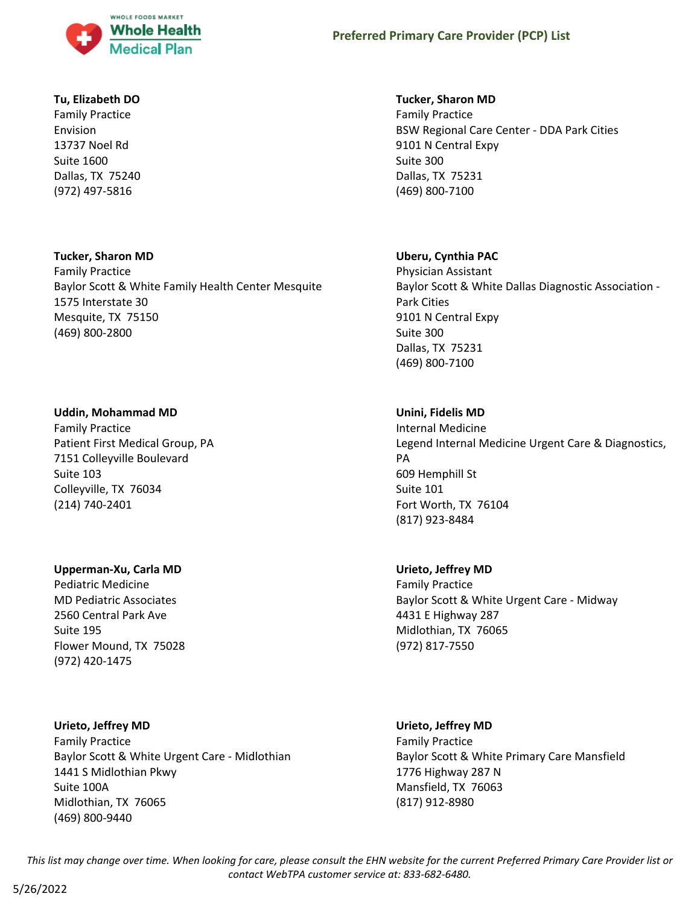

### **Tu, Elizabeth DO**

Family Practice Envision 13737 Noel Rd Suite 1600 Dallas, TX 75240 (972) 497-5816

### **Tucker, Sharon MD**

Family Practice Baylor Scott & White Family Health Center Mesquite 1575 Interstate 30 Mesquite, TX 75150 (469) 800-2800

### **Uddin, Mohammad MD**

Family Practice Patient First Medical Group, PA 7151 Colleyville Boulevard Suite 103 Colleyville, TX 76034 (214) 740-2401

# **Upperman-Xu, Carla MD**

Pediatric Medicine MD Pediatric Associates 2560 Central Park Ave Suite 195 Flower Mound, TX 75028 (972) 420-1475

# **Urieto, Jeffrey MD**

Family Practice Baylor Scott & White Urgent Care - Midlothian 1441 S Midlothian Pkwy Suite 100A Midlothian, TX 76065 (469) 800-9440

### **Tucker, Sharon MD**

Family Practice BSW Regional Care Center - DDA Park Cities 9101 N Central Expy Suite 300 Dallas, TX 75231 (469) 800-7100

# **Uberu, Cynthia PAC**

Physician Assistant Baylor Scott & White Dallas Diagnostic Association - Park Cities 9101 N Central Expy Suite 300 Dallas, TX 75231 (469) 800-7100

# **Unini, Fidelis MD**

Internal Medicine Legend Internal Medicine Urgent Care & Diagnostics, PA 609 Hemphill St Suite 101 Fort Worth, TX 76104 (817) 923-8484

# **Urieto, Jeffrey MD**

Family Practice Baylor Scott & White Urgent Care - Midway 4431 E Highway 287 Midlothian, TX 76065 (972) 817-7550

# **Urieto, Jeffrey MD**

Family Practice Baylor Scott & White Primary Care Mansfield 1776 Highway 287 N Mansfield, TX 76063 (817) 912-8980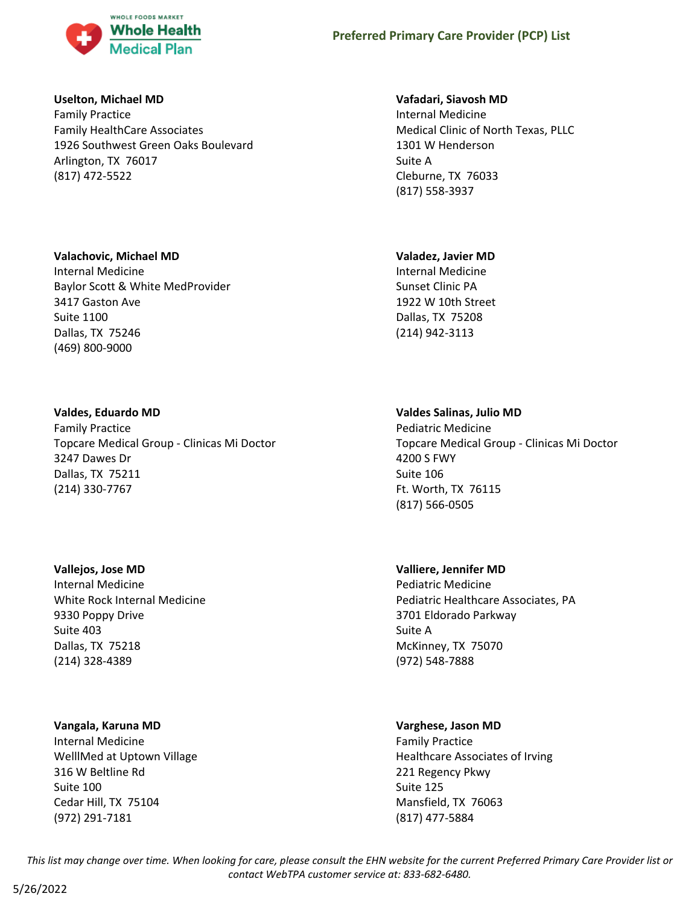

### **Uselton, Michael MD**

Family Practice Family HealthCare Associates 1926 Southwest Green Oaks Boulevard Arlington, TX 76017 (817) 472-5522

### **Vafadari, Siavosh MD**

Internal Medicine Medical Clinic of North Texas, PLLC 1301 W Henderson Suite A Cleburne, TX 76033 (817) 558-3937

### **Valachovic, Michael MD**

Internal Medicine Baylor Scott & White MedProvider 3417 Gaston Ave Suite 1100 Dallas, TX 75246 (469) 800-9000

### **Valdes, Eduardo MD**

Family Practice Topcare Medical Group - Clinicas Mi Doctor 3247 Dawes Dr Dallas, TX 75211 (214) 330-7767

### **Vallejos, Jose MD**

Internal Medicine White Rock Internal Medicine 9330 Poppy Drive Suite 403 Dallas, TX 75218 (214) 328-4389

### **Vangala, Karuna MD**

Internal Medicine WelllMed at Uptown Village 316 W Beltline Rd Suite 100 Cedar Hill, TX 75104 (972) 291-7181

### **Valadez, Javier MD**

Internal Medicine Sunset Clinic PA 1922 W 10th Street Dallas, TX 75208 (214) 942-3113

### **Valdes Salinas, Julio MD**

Pediatric Medicine Topcare Medical Group - Clinicas Mi Doctor 4200 S FWY Suite 106 Ft. Worth, TX 76115 (817) 566-0505

### **Valliere, Jennifer MD**

Pediatric Medicine Pediatric Healthcare Associates, PA 3701 Eldorado Parkway Suite A McKinney, TX 75070 (972) 548-7888

# **Varghese, Jason MD**

Family Practice Healthcare Associates of Irving 221 Regency Pkwy Suite 125 Mansfield, TX 76063 (817) 477-5884

*This list may change over time. When looking for care, please consult the EHN website for the current Preferred Primary Care Provider list or contact WebTPA customer service at: 833-682-6480.*

# 5/26/2022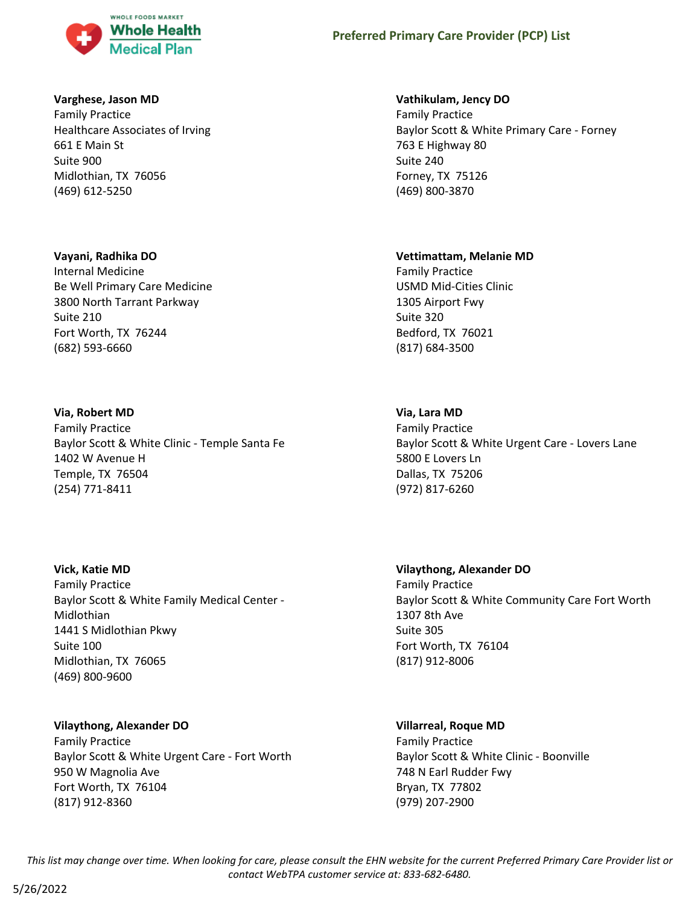

### **Varghese, Jason MD**

Family Practice Healthcare Associates of Irving 661 E Main St Suite 900 Midlothian, TX 76056 (469) 612-5250

### **Vayani, Radhika DO**

Internal Medicine Be Well Primary Care Medicine 3800 North Tarrant Parkway Suite 210 Fort Worth, TX 76244 (682) 593-6660

### **Via, Robert MD**

Family Practice Baylor Scott & White Clinic - Temple Santa Fe 1402 W Avenue H Temple, TX 76504 (254) 771-8411

### **Vick, Katie MD**

Family Practice Baylor Scott & White Family Medical Center - Midlothian 1441 S Midlothian Pkwy Suite 100 Midlothian, TX 76065 (469) 800-9600

### **Vilaythong, Alexander DO**

Family Practice Baylor Scott & White Urgent Care - Fort Worth 950 W Magnolia Ave Fort Worth, TX 76104 (817) 912-8360

#### **Vathikulam, Jency DO**

Family Practice Baylor Scott & White Primary Care - Forney 763 E Highway 80 Suite 240 Forney, TX 75126 (469) 800-3870

#### **Vettimattam, Melanie MD**

Family Practice USMD Mid-Cities Clinic 1305 Airport Fwy Suite 320 Bedford, TX 76021 (817) 684-3500

### **Via, Lara MD**

Family Practice Baylor Scott & White Urgent Care - Lovers Lane 5800 E Lovers Ln Dallas, TX 75206 (972) 817-6260

# **Vilaythong, Alexander DO**

Family Practice Baylor Scott & White Community Care Fort Worth 1307 8th Ave Suite 305 Fort Worth, TX 76104 (817) 912-8006

#### **Villarreal, Roque MD**

Family Practice Baylor Scott & White Clinic - Boonville 748 N Earl Rudder Fwy Bryan, TX 77802 (979) 207-2900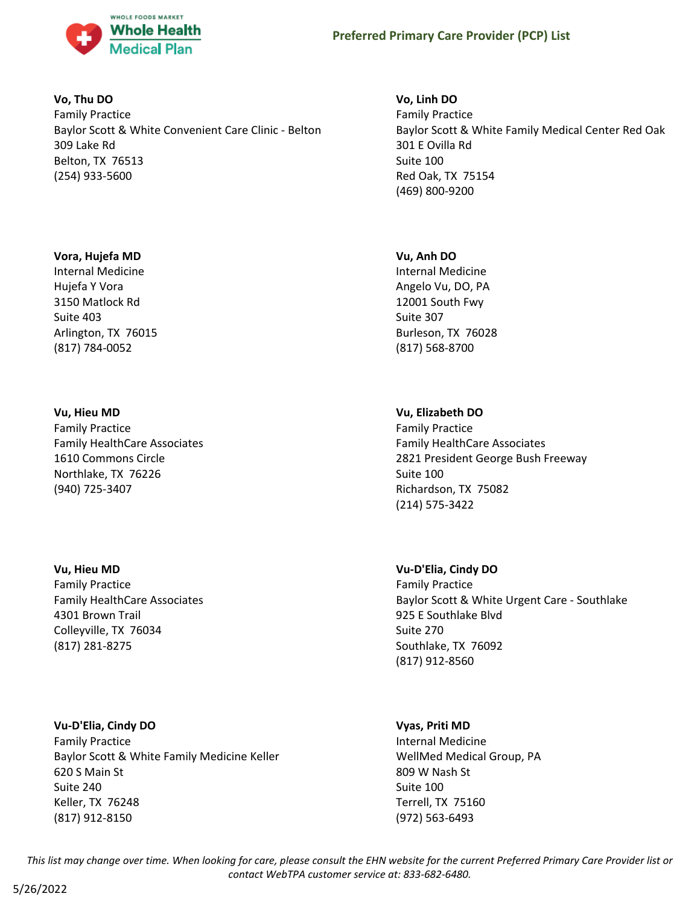

### **Vo, Thu DO**

Family Practice Baylor Scott & White Convenient Care Clinic - Belton 309 Lake Rd Belton, TX 76513 (254) 933-5600

### **Vora, Hujefa MD**

Internal Medicine Hujefa Y Vora 3150 Matlock Rd Suite 403 Arlington, TX 76015 (817) 784-0052

### **Vu, Hieu MD**

Family Practice Family HealthCare Associates 1610 Commons Circle Northlake, TX 76226 (940) 725-3407

### **Vu, Hieu MD**

Family Practice Family HealthCare Associates 4301 Brown Trail Colleyville, TX 76034 (817) 281-8275

### **Vu-D'Elia, Cindy DO**

Family Practice Baylor Scott & White Family Medicine Keller 620 S Main St Suite 240 Keller, TX 76248 (817) 912-8150

### **Vo, Linh DO**

Family Practice Baylor Scott & White Family Medical Center Red Oak 301 E Ovilla Rd Suite 100 Red Oak, TX 75154 (469) 800-9200

### **Vu, Anh DO**

Internal Medicine Angelo Vu, DO, PA 12001 South Fwy Suite 307 Burleson, TX 76028 (817) 568-8700

### **Vu, Elizabeth DO**

Family Practice Family HealthCare Associates 2821 President George Bush Freeway Suite 100 Richardson, TX 75082 (214) 575-3422

### **Vu-D'Elia, Cindy DO**

Family Practice Baylor Scott & White Urgent Care - Southlake 925 E Southlake Blvd Suite 270 Southlake, TX 76092 (817) 912-8560

### **Vyas, Priti MD**

Internal Medicine WellMed Medical Group, PA 809 W Nash St Suite 100 Terrell, TX 75160 (972) 563-6493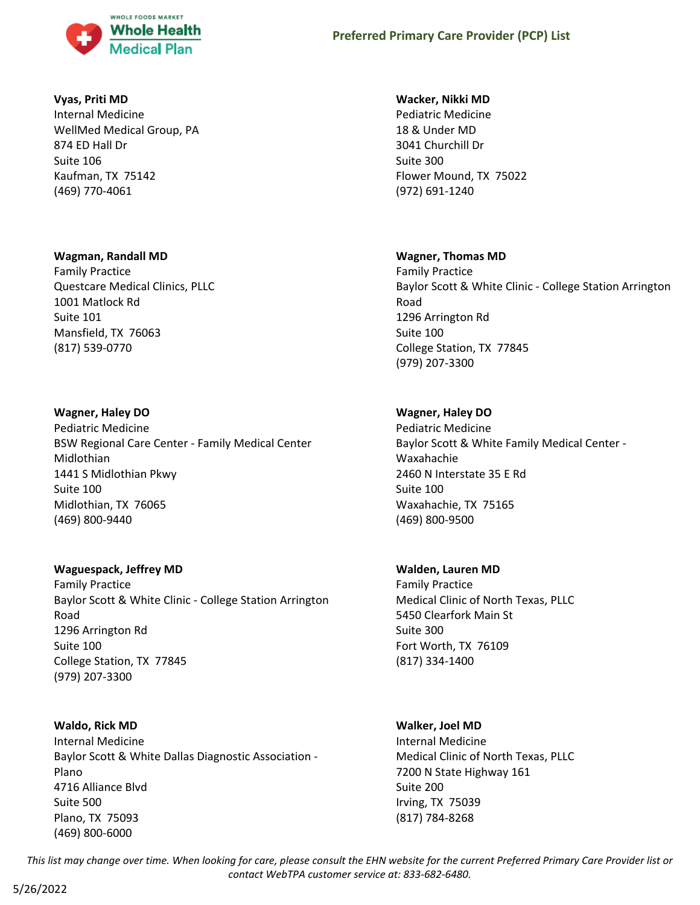

# **Vyas, Priti MD**

Internal Medicine WellMed Medical Group, PA 874 ED Hall Dr Suite 106 Kaufman, TX 75142 (469) 770-4061

### **Wagman, Randall MD**

Family Practice Questcare Medical Clinics, PLLC 1001 Matlock Rd Suite 101 Mansfield, TX 76063 (817) 539-0770

# **Wagner, Haley DO**

Pediatric Medicine BSW Regional Care Center - Family Medical Center Midlothian 1441 S Midlothian Pkwy Suite 100 Midlothian, TX 76065 (469) 800-9440

# **Waguespack, Jeffrey MD**

Family Practice Baylor Scott & White Clinic - College Station Arrington Road 1296 Arrington Rd Suite 100 College Station, TX 77845 (979) 207-3300

# **Waldo, Rick MD**

Internal Medicine Baylor Scott & White Dallas Diagnostic Association - Plano 4716 Alliance Blvd Suite 500 Plano, TX 75093 (469) 800-6000

### **Wacker, Nikki MD**

Pediatric Medicine 18 & Under MD 3041 Churchill Dr Suite 300 Flower Mound, TX 75022 (972) 691-1240

# **Wagner, Thomas MD**

Family Practice Baylor Scott & White Clinic - College Station Arrington Road 1296 Arrington Rd Suite 100 College Station, TX 77845 (979) 207-3300

# **Wagner, Haley DO**

Pediatric Medicine Baylor Scott & White Family Medical Center - Waxahachie 2460 N Interstate 35 E Rd Suite 100 Waxahachie, TX 75165 (469) 800-9500

# **Walden, Lauren MD**

Family Practice Medical Clinic of North Texas, PLLC 5450 Clearfork Main St Suite 300 Fort Worth, TX 76109 (817) 334-1400

# **Walker, Joel MD**

Internal Medicine Medical Clinic of North Texas, PLLC 7200 N State Highway 161 Suite 200 Irving, TX 75039 (817) 784-8268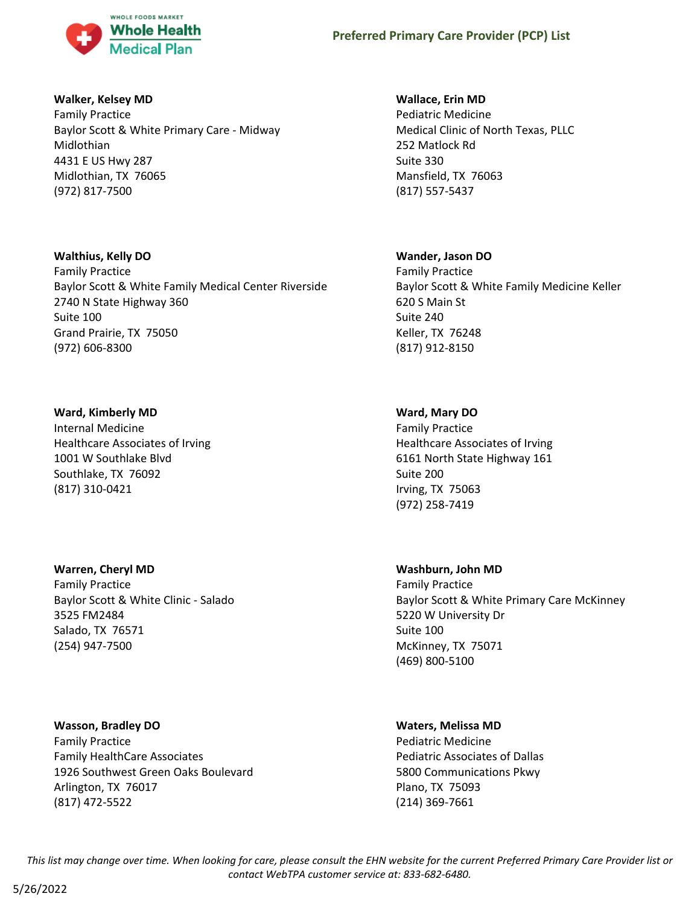

### **Walker, Kelsey MD**

Family Practice Baylor Scott & White Primary Care - Midway Midlothian 4431 E US Hwy 287 Midlothian, TX 76065 (972) 817-7500

### **Walthius, Kelly DO**

Family Practice Baylor Scott & White Family Medical Center Riverside 2740 N State Highway 360 Suite 100 Grand Prairie, TX 75050 (972) 606-8300

# **Ward, Kimberly MD**

Internal Medicine Healthcare Associates of Irving 1001 W Southlake Blvd Southlake, TX 76092 (817) 310-0421

# **Warren, Cheryl MD**

Family Practice Baylor Scott & White Clinic - Salado 3525 FM2484 Salado, TX 76571 (254) 947-7500

# **Wasson, Bradley DO**

Family Practice Family HealthCare Associates 1926 Southwest Green Oaks Boulevard Arlington, TX 76017 (817) 472-5522

# **Wallace, Erin MD**

Pediatric Medicine Medical Clinic of North Texas, PLLC 252 Matlock Rd Suite 330 Mansfield, TX 76063 (817) 557-5437

### **Wander, Jason DO**

Family Practice Baylor Scott & White Family Medicine Keller 620 S Main St Suite 240 Keller, TX 76248 (817) 912-8150

# **Ward, Mary DO**

Family Practice Healthcare Associates of Irving 6161 North State Highway 161 Suite 200 Irving, TX 75063 (972) 258-7419

### **Washburn, John MD**

Family Practice Baylor Scott & White Primary Care McKinney 5220 W University Dr Suite 100 McKinney, TX 75071 (469) 800-5100

# **Waters, Melissa MD**

Pediatric Medicine Pediatric Associates of Dallas 5800 Communications Pkwy Plano, TX 75093 (214) 369-7661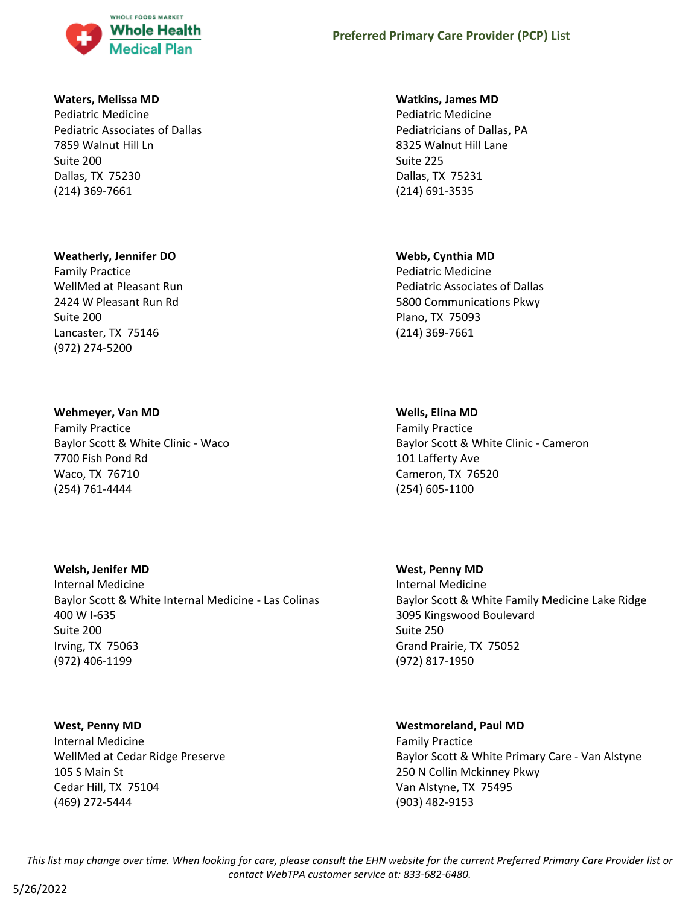

### **Waters, Melissa MD**

Pediatric Medicine Pediatric Associates of Dallas 7859 Walnut Hill Ln Suite 200 Dallas, TX 75230 (214) 369-7661

### **Weatherly, Jennifer DO**

Family Practice WellMed at Pleasant Run 2424 W Pleasant Run Rd Suite 200 Lancaster, TX 75146 (972) 274-5200

### **Wehmeyer, Van MD**

Family Practice Baylor Scott & White Clinic - Waco 7700 Fish Pond Rd Waco, TX 76710 (254) 761-4444

### **Welsh, Jenifer MD**

Internal Medicine Baylor Scott & White Internal Medicine - Las Colinas 400 W I-635 Suite 200 Irving, TX 75063 (972) 406-1199

### **West, Penny MD**

Internal Medicine WellMed at Cedar Ridge Preserve 105 S Main St Cedar Hill, TX 75104 (469) 272-5444

#### **Watkins, James MD**

Pediatric Medicine Pediatricians of Dallas, PA 8325 Walnut Hill Lane Suite 225 Dallas, TX 75231 (214) 691-3535

### **Webb, Cynthia MD**

Pediatric Medicine Pediatric Associates of Dallas 5800 Communications Pkwy Plano, TX 75093 (214) 369-7661

### **Wells, Elina MD**

Family Practice Baylor Scott & White Clinic - Cameron 101 Lafferty Ave Cameron, TX 76520 (254) 605-1100

#### **West, Penny MD**

Internal Medicine Baylor Scott & White Family Medicine Lake Ridge 3095 Kingswood Boulevard Suite 250 Grand Prairie, TX 75052 (972) 817-1950

### **Westmoreland, Paul MD**

Family Practice Baylor Scott & White Primary Care - Van Alstyne 250 N Collin Mckinney Pkwy Van Alstyne, TX 75495 (903) 482-9153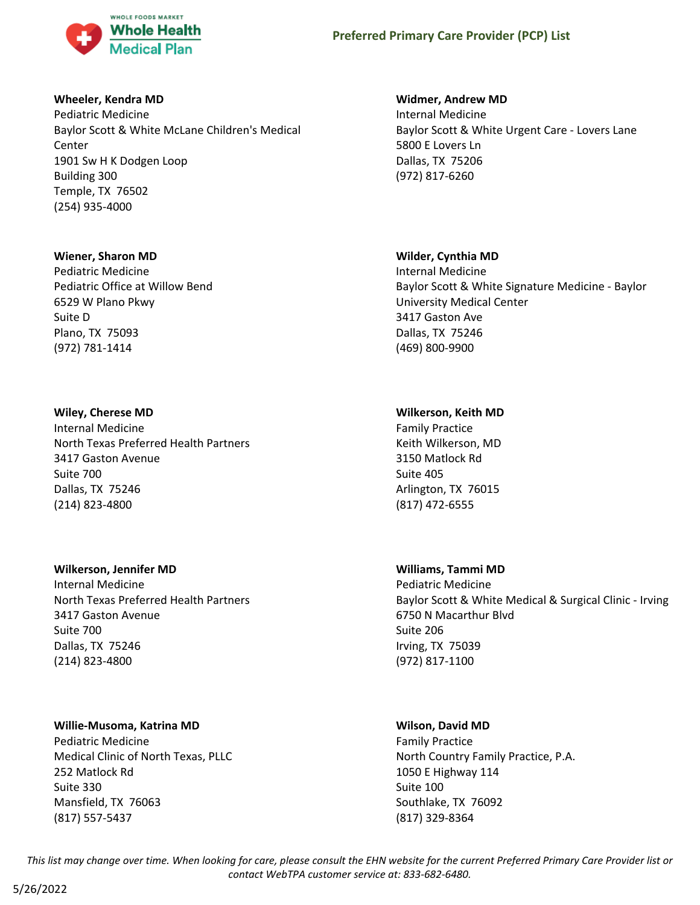

### **Wheeler, Kendra MD**

Pediatric Medicine Baylor Scott & White McLane Children's Medical Center 1901 Sw H K Dodgen Loop Building 300 Temple, TX 76502 (254) 935-4000

### **Wiener, Sharon MD**

Pediatric Medicine Pediatric Office at Willow Bend 6529 W Plano Pkwy Suite D Plano, TX 75093 (972) 781-1414

### **Wiley, Cherese MD**

Internal Medicine North Texas Preferred Health Partners 3417 Gaston Avenue Suite 700 Dallas, TX 75246 (214) 823-4800

# **Wilkerson, Jennifer MD**

Internal Medicine North Texas Preferred Health Partners 3417 Gaston Avenue Suite 700 Dallas, TX 75246 (214) 823-4800

# **Willie-Musoma, Katrina MD**

Pediatric Medicine Medical Clinic of North Texas, PLLC 252 Matlock Rd Suite 330 Mansfield, TX 76063 (817) 557-5437

# **Widmer, Andrew MD**

Internal Medicine Baylor Scott & White Urgent Care - Lovers Lane 5800 E Lovers Ln Dallas, TX 75206 (972) 817-6260

# **Wilder, Cynthia MD**

Internal Medicine Baylor Scott & White Signature Medicine - Baylor University Medical Center 3417 Gaston Ave Dallas, TX 75246 (469) 800-9900

# **Wilkerson, Keith MD**

Family Practice Keith Wilkerson, MD 3150 Matlock Rd Suite 405 Arlington, TX 76015 (817) 472-6555

# **Williams, Tammi MD**

Pediatric Medicine Baylor Scott & White Medical & Surgical Clinic - Irving 6750 N Macarthur Blvd Suite 206 Irving, TX 75039 (972) 817-1100

# **Wilson, David MD**

Family Practice North Country Family Practice, P.A. 1050 E Highway 114 Suite 100 Southlake, TX 76092 (817) 329-8364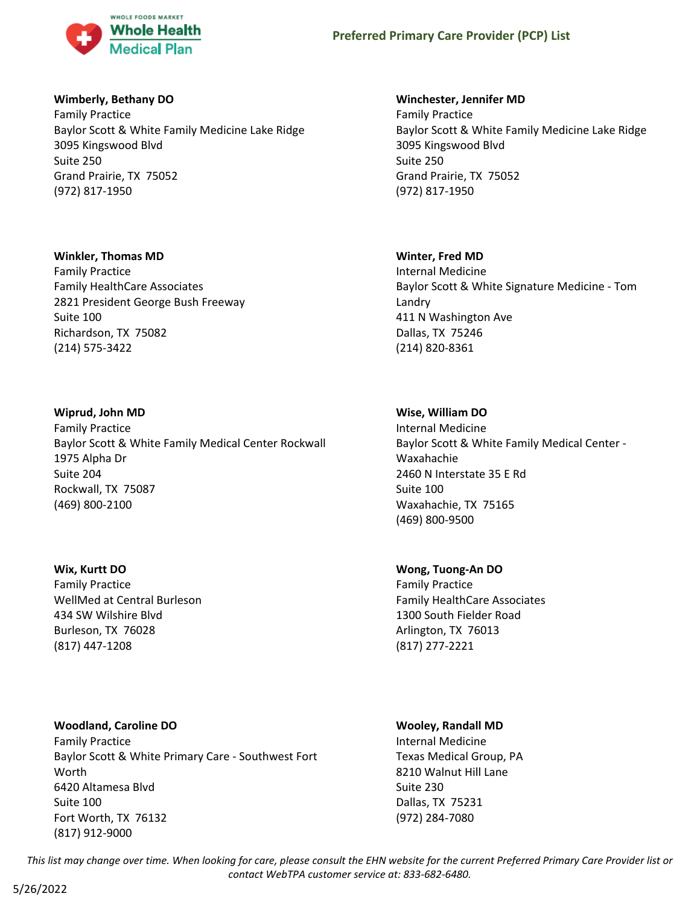

### **Wimberly, Bethany DO**

Family Practice Baylor Scott & White Family Medicine Lake Ridge 3095 Kingswood Blvd Suite 250 Grand Prairie, TX 75052 (972) 817-1950

### **Winkler, Thomas MD**

Family Practice Family HealthCare Associates 2821 President George Bush Freeway Suite 100 Richardson, TX 75082 (214) 575-3422

### **Wiprud, John MD**

Family Practice Baylor Scott & White Family Medical Center Rockwall 1975 Alpha Dr Suite 204 Rockwall, TX 75087 (469) 800-2100

### **Wix, Kurtt DO**

Family Practice WellMed at Central Burleson 434 SW Wilshire Blvd Burleson, TX 76028 (817) 447-1208

# **Woodland, Caroline DO** Family Practice Baylor Scott & White Primary Care - Southwest Fort Worth 6420 Altamesa Blvd Suite 100 Fort Worth, TX 76132 (817) 912-9000

### **Winchester, Jennifer MD**

Family Practice Baylor Scott & White Family Medicine Lake Ridge 3095 Kingswood Blvd Suite 250 Grand Prairie, TX 75052 (972) 817-1950

# **Winter, Fred MD**

Internal Medicine Baylor Scott & White Signature Medicine - Tom Landry 411 N Washington Ave Dallas, TX 75246 (214) 820-8361

# **Wise, William DO**

Internal Medicine Baylor Scott & White Family Medical Center - Waxahachie 2460 N Interstate 35 E Rd Suite 100 Waxahachie, TX 75165 (469) 800-9500

# **Wong, Tuong-An DO**

Family Practice Family HealthCare Associates 1300 South Fielder Road Arlington, TX 76013 (817) 277-2221

# **Wooley, Randall MD**

Internal Medicine Texas Medical Group, PA 8210 Walnut Hill Lane Suite 230 Dallas, TX 75231 (972) 284-7080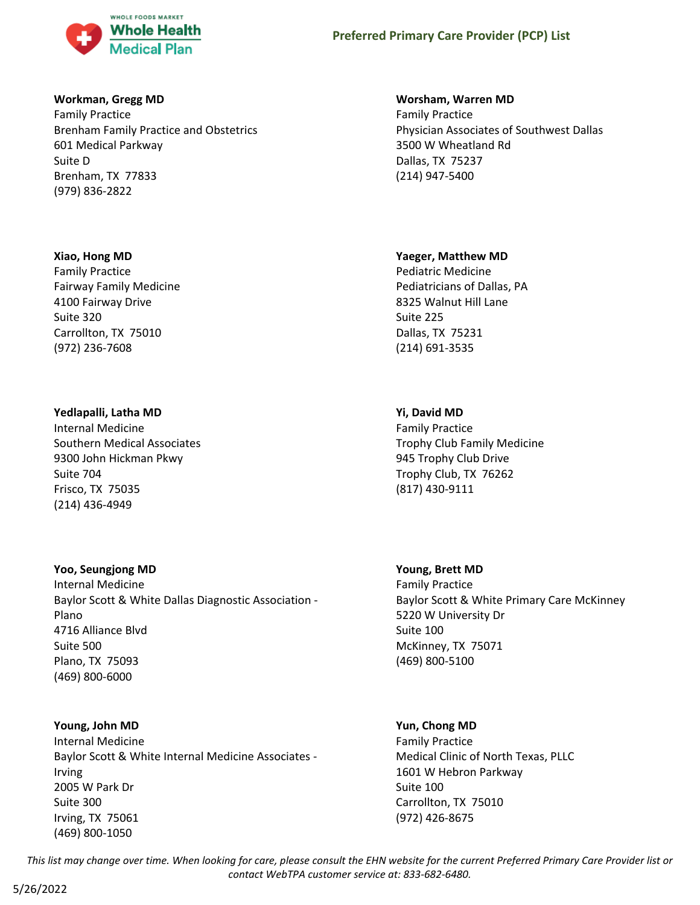

### **Workman, Gregg MD**

Family Practice Brenham Family Practice and Obstetrics 601 Medical Parkway Suite D Brenham, TX 77833 (979) 836-2822

### **Xiao, Hong MD**

Family Practice Fairway Family Medicine 4100 Fairway Drive Suite 320 Carrollton, TX 75010 (972) 236-7608

### **Yedlapalli, Latha MD**

Internal Medicine Southern Medical Associates 9300 John Hickman Pkwy Suite 704 Frisco, TX 75035 (214) 436-4949

### **Yoo, Seungjong MD**

Internal Medicine Baylor Scott & White Dallas Diagnostic Association - Plano 4716 Alliance Blvd Suite 500 Plano, TX 75093 (469) 800-6000

# **Young, John MD**

Internal Medicine Baylor Scott & White Internal Medicine Associates - Irving 2005 W Park Dr Suite 300 Irving, TX 75061 (469) 800-1050

### **Worsham, Warren MD**

Family Practice Physician Associates of Southwest Dallas 3500 W Wheatland Rd Dallas, TX 75237 (214) 947-5400

### **Yaeger, Matthew MD**

Pediatric Medicine Pediatricians of Dallas, PA 8325 Walnut Hill Lane Suite 225 Dallas, TX 75231 (214) 691-3535

# **Yi, David MD**

Family Practice Trophy Club Family Medicine 945 Trophy Club Drive Trophy Club, TX 76262 (817) 430-9111

### **Young, Brett MD**

Family Practice Baylor Scott & White Primary Care McKinney 5220 W University Dr Suite 100 McKinney, TX 75071 (469) 800-5100

# **Yun, Chong MD**

Family Practice Medical Clinic of North Texas, PLLC 1601 W Hebron Parkway Suite 100 Carrollton, TX 75010 (972) 426-8675